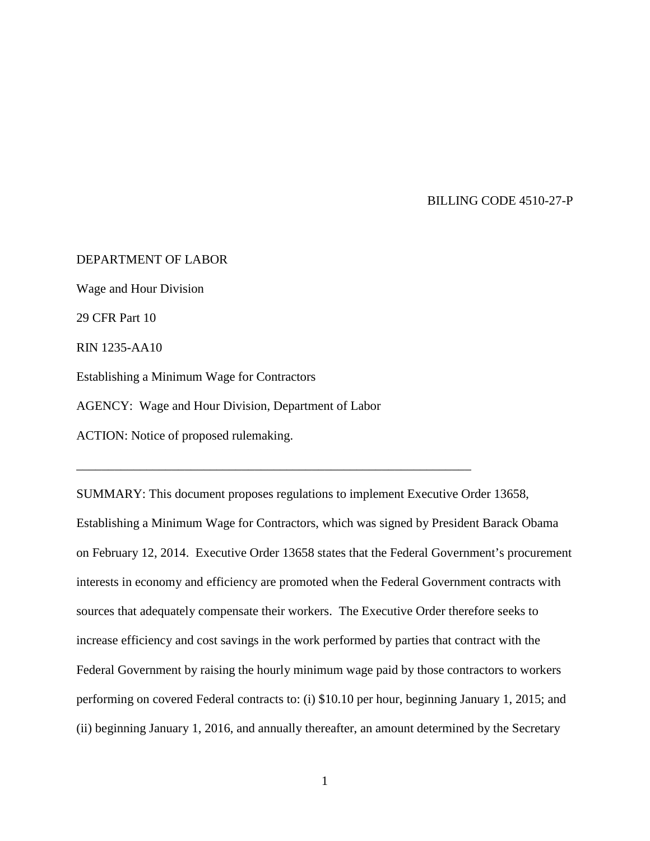BILLING CODE 4510-27-P

DEPARTMENT OF LABOR Wage and Hour Division 29 CFR Part 10 RIN 1235-AA10 Establishing a Minimum Wage for Contractors AGENCY: Wage and Hour Division, Department of Labor ACTION: Notice of proposed rulemaking.

\_\_\_\_\_\_\_\_\_\_\_\_\_\_\_\_\_\_\_\_\_\_\_\_\_\_\_\_\_\_\_\_\_\_\_\_\_\_\_\_\_\_\_\_\_\_\_\_\_\_\_\_\_\_\_\_\_\_\_\_\_\_

SUMMARY: This document proposes regulations to implement Executive Order 13658, Establishing a Minimum Wage for Contractors, which was signed by President Barack Obama on February 12, 2014. Executive Order 13658 states that the Federal Government's procurement interests in economy and efficiency are promoted when the Federal Government contracts with sources that adequately compensate their workers. The Executive Order therefore seeks to increase efficiency and cost savings in the work performed by parties that contract with the Federal Government by raising the hourly minimum wage paid by those contractors to workers performing on covered Federal contracts to: (i) \$10.10 per hour, beginning January 1, 2015; and (ii) beginning January 1, 2016, and annually thereafter, an amount determined by the Secretary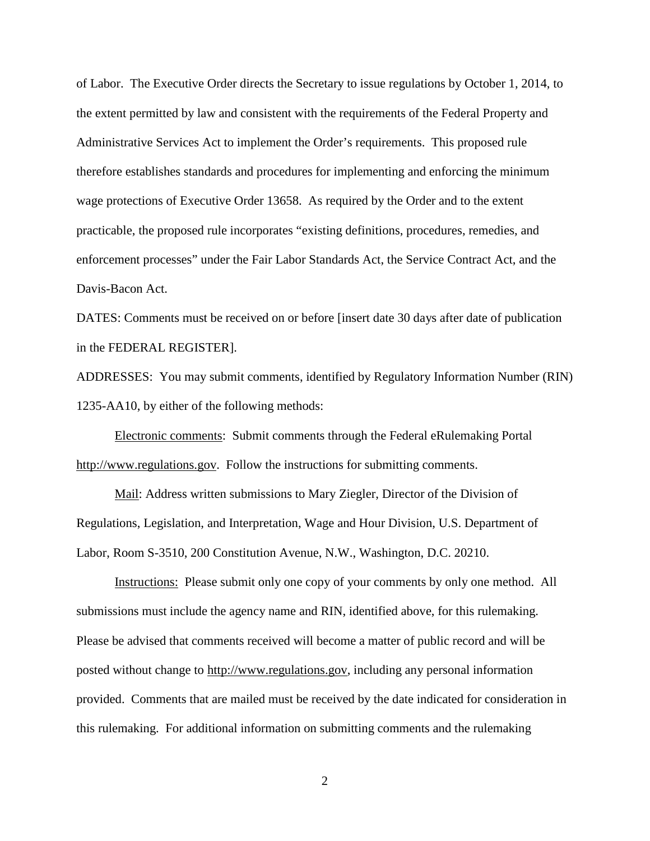of Labor. The Executive Order directs the Secretary to issue regulations by October 1, 2014, to the extent permitted by law and consistent with the requirements of the Federal Property and Administrative Services Act to implement the Order's requirements. This proposed rule therefore establishes standards and procedures for implementing and enforcing the minimum wage protections of Executive Order 13658. As required by the Order and to the extent practicable, the proposed rule incorporates "existing definitions, procedures, remedies, and enforcement processes" under the Fair Labor Standards Act, the Service Contract Act, and the Davis-Bacon Act.

DATES: Comments must be received on or before [insert date 30 days after date of publication in the FEDERAL REGISTER].

ADDRESSES: You may submit comments, identified by Regulatory Information Number (RIN) 1235-AA10, by either of the following methods:

Electronic comments: Submit comments through the Federal eRulemaking Portal [http://www.regulations.gov.](http://www.regulations.gov/) Follow the instructions for submitting comments.

Mail: Address written submissions to Mary Ziegler, Director of the Division of Regulations, Legislation, and Interpretation, Wage and Hour Division, U.S. Department of Labor, Room S-3510, 200 Constitution Avenue, N.W., Washington, D.C. 20210.

Instructions: Please submit only one copy of your comments by only one method. All submissions must include the agency name and RIN, identified above, for this rulemaking. Please be advised that comments received will become a matter of public record and will be posted without change to http://www.regulations.gov, including any personal information provided. Comments that are mailed must be received by the date indicated for consideration in this rulemaking. For additional information on submitting comments and the rulemaking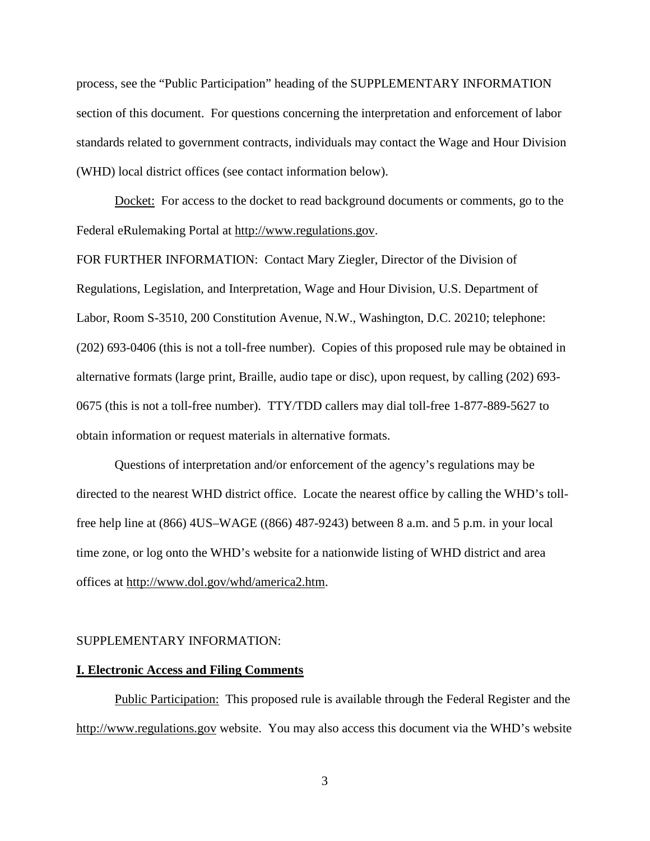process, see the "Public Participation" heading of the SUPPLEMENTARY INFORMATION section of this document. For questions concerning the interpretation and enforcement of labor standards related to government contracts, individuals may contact the Wage and Hour Division (WHD) local district offices (see contact information below).

Docket: For access to the docket to read background documents or comments, go to the Federal eRulemaking Portal at http://www.regulations.gov.

FOR FURTHER INFORMATION: Contact Mary Ziegler, Director of the Division of Regulations, Legislation, and Interpretation, Wage and Hour Division, U.S. Department of Labor, Room S-3510, 200 Constitution Avenue, N.W., Washington, D.C. 20210; telephone: (202) 693-0406 (this is not a toll-free number). Copies of this proposed rule may be obtained in alternative formats (large print, Braille, audio tape or disc), upon request, by calling (202) 693- 0675 (this is not a toll-free number). TTY/TDD callers may dial toll-free 1-877-889-5627 to obtain information or request materials in alternative formats.

Questions of interpretation and/or enforcement of the agency's regulations may be directed to the nearest WHD district office. Locate the nearest office by calling the WHD's tollfree help line at (866) 4US–WAGE ((866) 487-9243) between 8 a.m. and 5 p.m. in your local time zone, or log onto the WHD's website for a nationwide listing of WHD district and area offices at http://www.dol.gov/whd/america2.htm.

#### SUPPLEMENTARY INFORMATION:

#### **I. Electronic Access and Filing Comments**

Public Participation: This proposed rule is available through the Federal Register and the http://www.regulations.gov website. You may also access this document via the WHD's website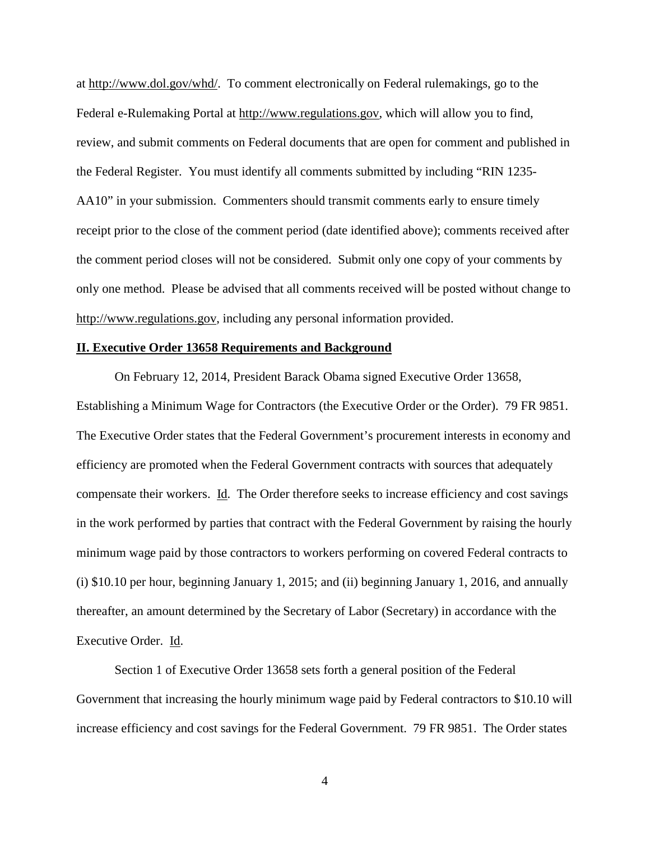at http://www.dol.gov/whd/. To comment electronically on Federal rulemakings, go to the Federal e-Rulemaking Portal at http://www.regulations.gov, which will allow you to find, review, and submit comments on Federal documents that are open for comment and published in the Federal Register. You must identify all comments submitted by including "RIN 1235- AA10" in your submission. Commenters should transmit comments early to ensure timely receipt prior to the close of the comment period (date identified above); comments received after the comment period closes will not be considered. Submit only one copy of your comments by only one method. Please be advised that all comments received will be posted without change to http://www.regulations.gov, including any personal information provided.

# **II. Executive Order 13658 Requirements and Background**

On February 12, 2014, President Barack Obama signed Executive Order 13658, Establishing a Minimum Wage for Contractors (the Executive Order or the Order). 79 FR 9851. The Executive Order states that the Federal Government's procurement interests in economy and efficiency are promoted when the Federal Government contracts with sources that adequately compensate their workers. Id. The Order therefore seeks to increase efficiency and cost savings in the work performed by parties that contract with the Federal Government by raising the hourly minimum wage paid by those contractors to workers performing on covered Federal contracts to (i) \$10.10 per hour, beginning January 1, 2015; and (ii) beginning January 1, 2016, and annually thereafter, an amount determined by the Secretary of Labor (Secretary) in accordance with the Executive Order. Id.

Section 1 of Executive Order 13658 sets forth a general position of the Federal Government that increasing the hourly minimum wage paid by Federal contractors to \$10.10 will increase efficiency and cost savings for the Federal Government. 79 FR 9851. The Order states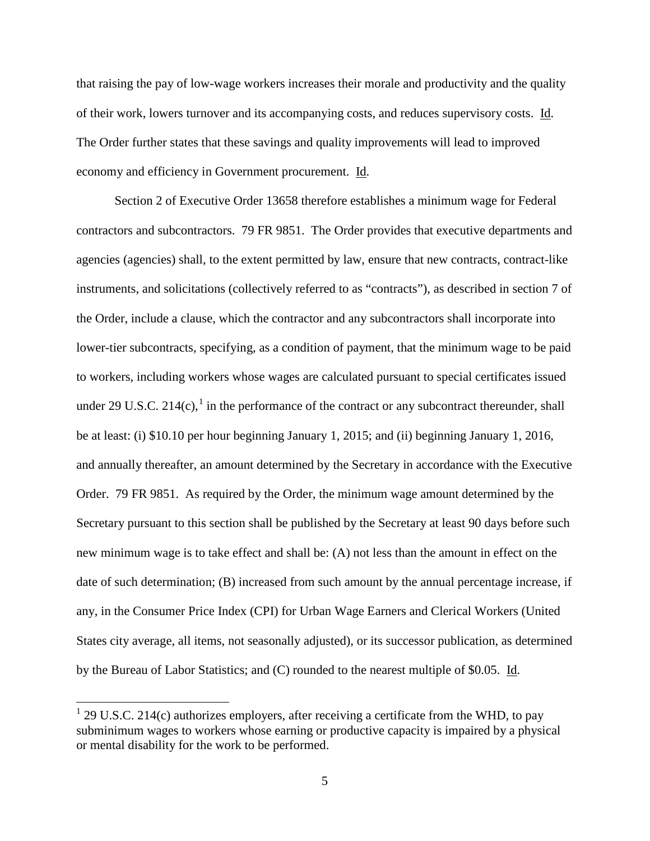that raising the pay of low-wage workers increases their morale and productivity and the quality of their work, lowers turnover and its accompanying costs, and reduces supervisory costs. Id. The Order further states that these savings and quality improvements will lead to improved economy and efficiency in Government procurement. Id.

Section 2 of Executive Order 13658 therefore establishes a minimum wage for Federal contractors and subcontractors. 79 FR 9851. The Order provides that executive departments and agencies (agencies) shall, to the extent permitted by law, ensure that new contracts, contract-like instruments, and solicitations (collectively referred to as "contracts"), as described in section 7 of the Order, include a clause, which the contractor and any subcontractors shall incorporate into lower-tier subcontracts, specifying, as a condition of payment, that the minimum wage to be paid to workers, including workers whose wages are calculated pursuant to special certificates issued under 29 U.S.C. 2[1](#page-4-0)4 $(c)$ , in the performance of the contract or any subcontract thereunder, shall be at least: (i) \$10.10 per hour beginning January 1, 2015; and (ii) beginning January 1, 2016, and annually thereafter, an amount determined by the Secretary in accordance with the Executive Order. 79 FR 9851. As required by the Order, the minimum wage amount determined by the Secretary pursuant to this section shall be published by the Secretary at least 90 days before such new minimum wage is to take effect and shall be: (A) not less than the amount in effect on the date of such determination; (B) increased from such amount by the annual percentage increase, if any, in the Consumer Price Index (CPI) for Urban Wage Earners and Clerical Workers (United States city average, all items, not seasonally adjusted), or its successor publication, as determined by the Bureau of Labor Statistics; and (C) rounded to the nearest multiple of \$0.05. Id.

<span id="page-4-0"></span> $1$  29 U.S.C. 214(c) authorizes employers, after receiving a certificate from the WHD, to pay subminimum wages to workers whose earning or productive capacity is impaired by a physical or mental disability for the work to be performed.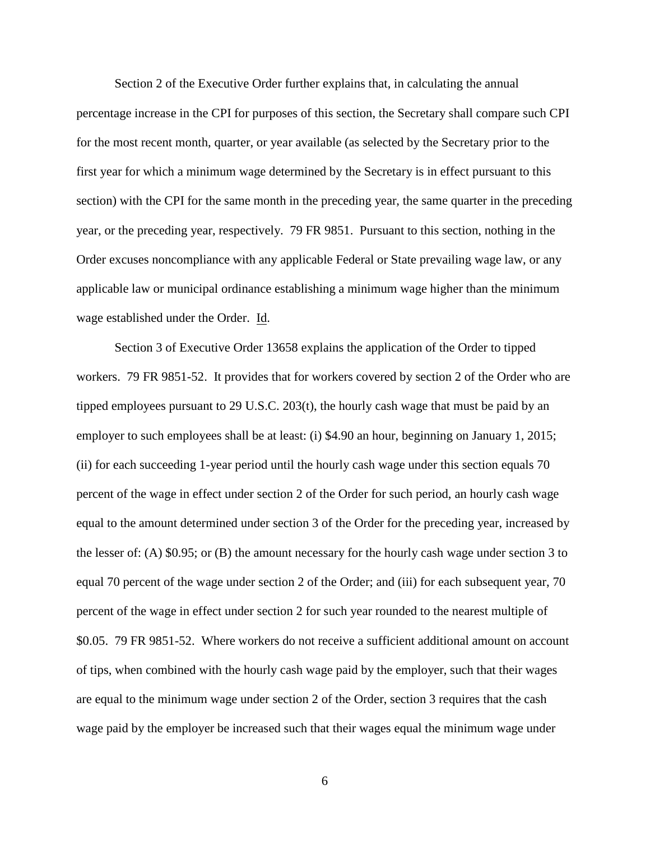Section 2 of the Executive Order further explains that, in calculating the annual percentage increase in the CPI for purposes of this section, the Secretary shall compare such CPI for the most recent month, quarter, or year available (as selected by the Secretary prior to the first year for which a minimum wage determined by the Secretary is in effect pursuant to this section) with the CPI for the same month in the preceding year, the same quarter in the preceding year, or the preceding year, respectively. 79 FR 9851. Pursuant to this section, nothing in the Order excuses noncompliance with any applicable Federal or State prevailing wage law, or any applicable law or municipal ordinance establishing a minimum wage higher than the minimum wage established under the Order. Id.

Section 3 of Executive Order 13658 explains the application of the Order to tipped workers. 79 FR 9851-52. It provides that for workers covered by section 2 of the Order who are tipped employees pursuant to 29 U.S.C. 203(t), the hourly cash wage that must be paid by an employer to such employees shall be at least: (i) \$4.90 an hour, beginning on January 1, 2015; (ii) for each succeeding 1-year period until the hourly cash wage under this section equals 70 percent of the wage in effect under section 2 of the Order for such period, an hourly cash wage equal to the amount determined under section 3 of the Order for the preceding year, increased by the lesser of: (A) \$0.95; or (B) the amount necessary for the hourly cash wage under section 3 to equal 70 percent of the wage under section 2 of the Order; and (iii) for each subsequent year, 70 percent of the wage in effect under section 2 for such year rounded to the nearest multiple of \$0.05. 79 FR 9851-52. Where workers do not receive a sufficient additional amount on account of tips, when combined with the hourly cash wage paid by the employer, such that their wages are equal to the minimum wage under section 2 of the Order, section 3 requires that the cash wage paid by the employer be increased such that their wages equal the minimum wage under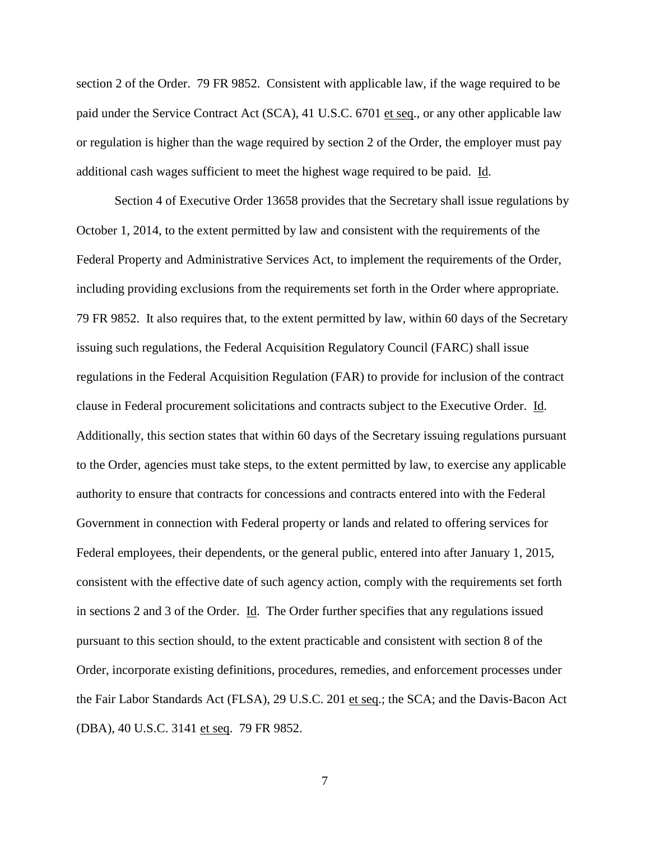section 2 of the Order. 79 FR 9852. Consistent with applicable law, if the wage required to be paid under the Service Contract Act (SCA), 41 U.S.C. 6701 et seq., or any other applicable law or regulation is higher than the wage required by section 2 of the Order, the employer must pay additional cash wages sufficient to meet the highest wage required to be paid. Id.

Section 4 of Executive Order 13658 provides that the Secretary shall issue regulations by October 1, 2014, to the extent permitted by law and consistent with the requirements of the Federal Property and Administrative Services Act, to implement the requirements of the Order, including providing exclusions from the requirements set forth in the Order where appropriate. 79 FR 9852. It also requires that, to the extent permitted by law, within 60 days of the Secretary issuing such regulations, the Federal Acquisition Regulatory Council (FARC) shall issue regulations in the Federal Acquisition Regulation (FAR) to provide for inclusion of the contract clause in Federal procurement solicitations and contracts subject to the Executive Order. Id. Additionally, this section states that within 60 days of the Secretary issuing regulations pursuant to the Order, agencies must take steps, to the extent permitted by law, to exercise any applicable authority to ensure that contracts for concessions and contracts entered into with the Federal Government in connection with Federal property or lands and related to offering services for Federal employees, their dependents, or the general public, entered into after January 1, 2015, consistent with the effective date of such agency action, comply with the requirements set forth in sections 2 and 3 of the Order. Id. The Order further specifies that any regulations issued pursuant to this section should, to the extent practicable and consistent with section 8 of the Order, incorporate existing definitions, procedures, remedies, and enforcement processes under the Fair Labor Standards Act (FLSA), 29 U.S.C. 201 et seq.; the SCA; and the Davis-Bacon Act (DBA), 40 U.S.C. 3141 et seq. 79 FR 9852.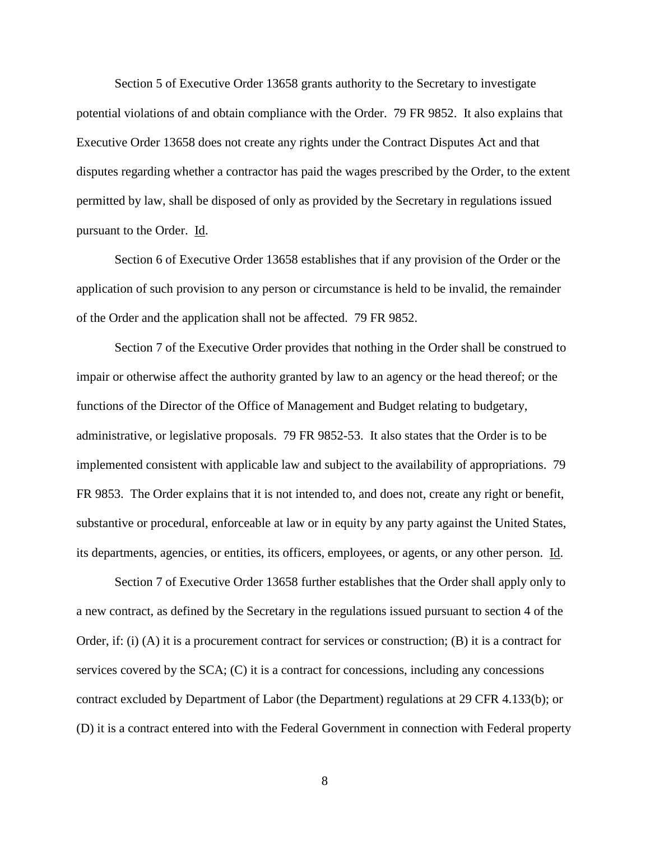Section 5 of Executive Order 13658 grants authority to the Secretary to investigate potential violations of and obtain compliance with the Order. 79 FR 9852. It also explains that Executive Order 13658 does not create any rights under the Contract Disputes Act and that disputes regarding whether a contractor has paid the wages prescribed by the Order, to the extent permitted by law, shall be disposed of only as provided by the Secretary in regulations issued pursuant to the Order. Id.

Section 6 of Executive Order 13658 establishes that if any provision of the Order or the application of such provision to any person or circumstance is held to be invalid, the remainder of the Order and the application shall not be affected. 79 FR 9852.

Section 7 of the Executive Order provides that nothing in the Order shall be construed to impair or otherwise affect the authority granted by law to an agency or the head thereof; or the functions of the Director of the Office of Management and Budget relating to budgetary, administrative, or legislative proposals. 79 FR 9852-53. It also states that the Order is to be implemented consistent with applicable law and subject to the availability of appropriations. 79 FR 9853. The Order explains that it is not intended to, and does not, create any right or benefit, substantive or procedural, enforceable at law or in equity by any party against the United States, its departments, agencies, or entities, its officers, employees, or agents, or any other person. Id.

Section 7 of Executive Order 13658 further establishes that the Order shall apply only to a new contract, as defined by the Secretary in the regulations issued pursuant to section 4 of the Order, if: (i) (A) it is a procurement contract for services or construction; (B) it is a contract for services covered by the SCA; (C) it is a contract for concessions, including any concessions contract excluded by Department of Labor (the Department) regulations at 29 CFR 4.133(b); or (D) it is a contract entered into with the Federal Government in connection with Federal property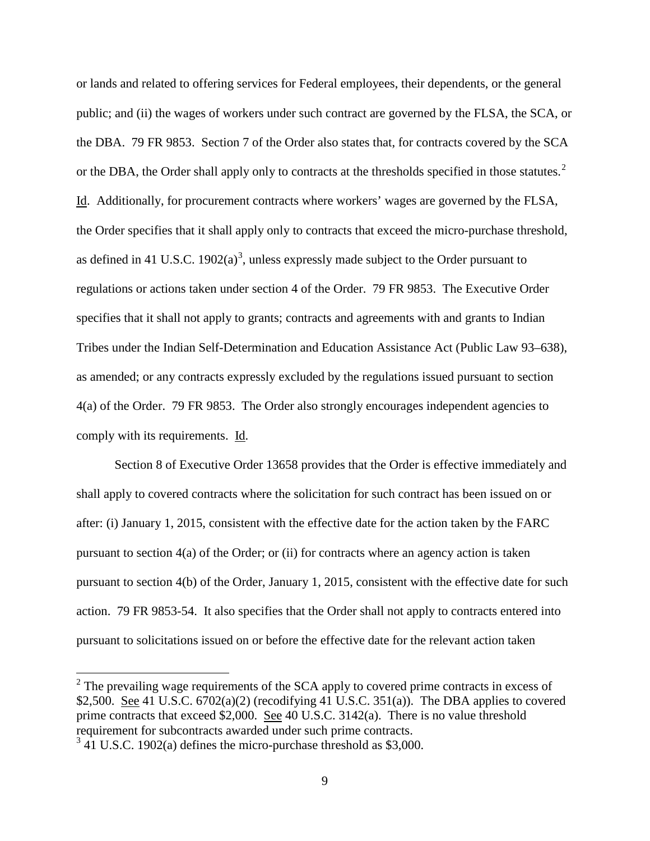or lands and related to offering services for Federal employees, their dependents, or the general public; and (ii) the wages of workers under such contract are governed by the FLSA, the SCA, or the DBA. 79 FR 9853. Section 7 of the Order also states that, for contracts covered by the SCA or the DBA, the Order shall apply only to contracts at the thresholds specified in those statutes. $2^2$  $2^2$ Id. Additionally, for procurement contracts where workers' wages are governed by the FLSA, the Order specifies that it shall apply only to contracts that exceed the micro-purchase threshold, as defined in 41 U.S.C.  $1902(a)^3$  $1902(a)^3$ , unless expressly made subject to the Order pursuant to regulations or actions taken under section 4 of the Order. 79 FR 9853. The Executive Order specifies that it shall not apply to grants; contracts and agreements with and grants to Indian Tribes under the Indian Self-Determination and Education Assistance Act (Public Law 93–638), as amended; or any contracts expressly excluded by the regulations issued pursuant to section 4(a) of the Order. 79 FR 9853. The Order also strongly encourages independent agencies to comply with its requirements. Id.

Section 8 of Executive Order 13658 provides that the Order is effective immediately and shall apply to covered contracts where the solicitation for such contract has been issued on or after: (i) January 1, 2015, consistent with the effective date for the action taken by the FARC pursuant to section 4(a) of the Order; or (ii) for contracts where an agency action is taken pursuant to section 4(b) of the Order, January 1, 2015, consistent with the effective date for such action. 79 FR 9853-54. It also specifies that the Order shall not apply to contracts entered into pursuant to solicitations issued on or before the effective date for the relevant action taken

<span id="page-8-0"></span> $2$  The prevailing wage requirements of the SCA apply to covered prime contracts in excess of \$2,500. See 41 U.S.C.  $6702(a)(2)$  (recodifying 41 U.S.C.  $351(a)$ ). The DBA applies to covered prime contracts that exceed \$2,000. <u>See</u> 40 U.S.C. 3142(a). There is no value threshold requirement for subcontracts awarded under such prime contracts.

<span id="page-8-1"></span> $3\overline{41}$  U.S.C. 1902(a) defines the micro-purchase threshold as \$3,000.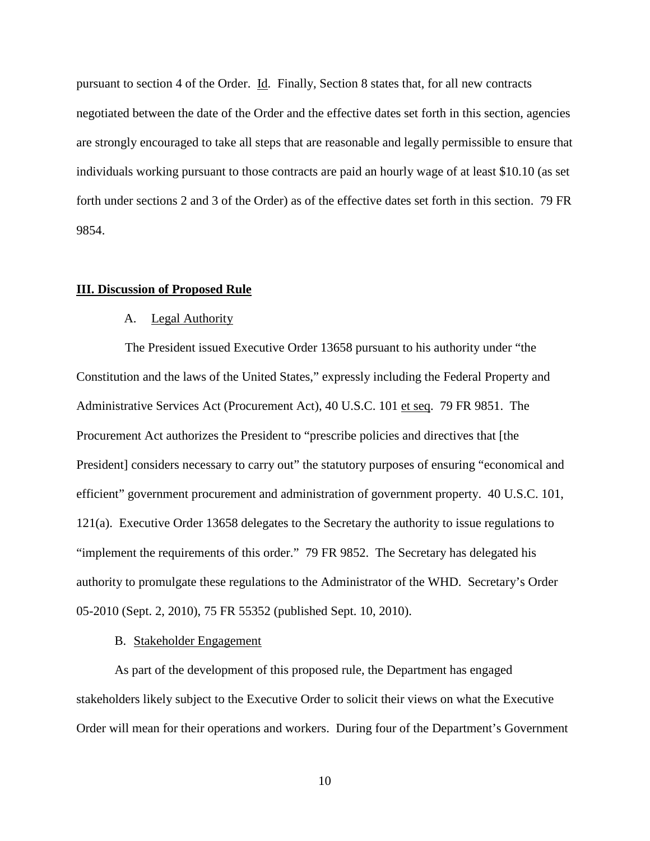pursuant to section 4 of the Order. Id. Finally, Section 8 states that, for all new contracts negotiated between the date of the Order and the effective dates set forth in this section, agencies are strongly encouraged to take all steps that are reasonable and legally permissible to ensure that individuals working pursuant to those contracts are paid an hourly wage of at least \$10.10 (as set forth under sections 2 and 3 of the Order) as of the effective dates set forth in this section. 79 FR 9854.

# **III. Discussion of Proposed Rule**

# A. Legal Authority

The President issued Executive Order 13658 pursuant to his authority under "the Constitution and the laws of the United States," expressly including the Federal Property and Administrative Services Act (Procurement Act), 40 U.S.C. 101 et seq. 79 FR 9851. The Procurement Act authorizes the President to "prescribe policies and directives that [the President] considers necessary to carry out" the statutory purposes of ensuring "economical and efficient" government procurement and administration of government property. 40 U.S.C. 101, 121(a). Executive Order 13658 delegates to the Secretary the authority to issue regulations to "implement the requirements of this order." 79 FR 9852. The Secretary has delegated his authority to promulgate these regulations to the Administrator of the WHD. Secretary's Order 05-2010 (Sept. 2, 2010), 75 FR 55352 (published Sept. 10, 2010).

# B. Stakeholder Engagement

As part of the development of this proposed rule, the Department has engaged stakeholders likely subject to the Executive Order to solicit their views on what the Executive Order will mean for their operations and workers. During four of the Department's Government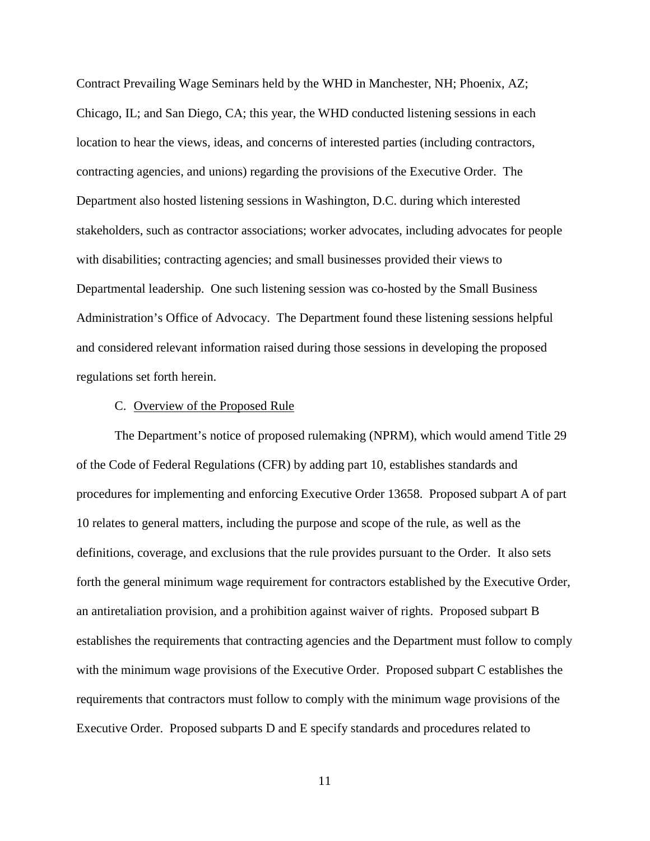Contract Prevailing Wage Seminars held by the WHD in Manchester, NH; Phoenix, AZ; Chicago, IL; and San Diego, CA; this year, the WHD conducted listening sessions in each location to hear the views, ideas, and concerns of interested parties (including contractors, contracting agencies, and unions) regarding the provisions of the Executive Order. The Department also hosted listening sessions in Washington, D.C. during which interested stakeholders, such as contractor associations; worker advocates, including advocates for people with disabilities; contracting agencies; and small businesses provided their views to Departmental leadership. One such listening session was co-hosted by the Small Business Administration's Office of Advocacy. The Department found these listening sessions helpful and considered relevant information raised during those sessions in developing the proposed regulations set forth herein.

## C. Overview of the Proposed Rule

The Department's notice of proposed rulemaking (NPRM), which would amend Title 29 of the Code of Federal Regulations (CFR) by adding part 10, establishes standards and procedures for implementing and enforcing Executive Order 13658. Proposed subpart A of part 10 relates to general matters, including the purpose and scope of the rule, as well as the definitions, coverage, and exclusions that the rule provides pursuant to the Order. It also sets forth the general minimum wage requirement for contractors established by the Executive Order, an antiretaliation provision, and a prohibition against waiver of rights. Proposed subpart B establishes the requirements that contracting agencies and the Department must follow to comply with the minimum wage provisions of the Executive Order. Proposed subpart C establishes the requirements that contractors must follow to comply with the minimum wage provisions of the Executive Order. Proposed subparts D and E specify standards and procedures related to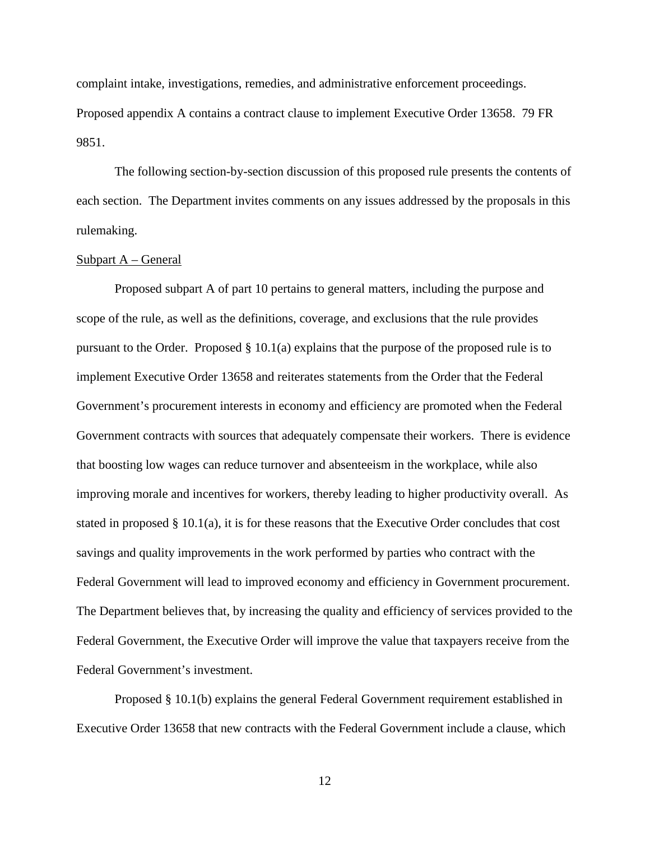complaint intake, investigations, remedies, and administrative enforcement proceedings. Proposed appendix A contains a contract clause to implement Executive Order 13658. 79 FR 9851.

The following section-by-section discussion of this proposed rule presents the contents of each section. The Department invites comments on any issues addressed by the proposals in this rulemaking.

# Subpart A – General

Proposed subpart A of part 10 pertains to general matters, including the purpose and scope of the rule, as well as the definitions, coverage, and exclusions that the rule provides pursuant to the Order. Proposed § 10.1(a) explains that the purpose of the proposed rule is to implement Executive Order 13658 and reiterates statements from the Order that the Federal Government's procurement interests in economy and efficiency are promoted when the Federal Government contracts with sources that adequately compensate their workers. There is evidence that boosting low wages can reduce turnover and absenteeism in the workplace, while also improving morale and incentives for workers, thereby leading to higher productivity overall. As stated in proposed § 10.1(a), it is for these reasons that the Executive Order concludes that cost savings and quality improvements in the work performed by parties who contract with the Federal Government will lead to improved economy and efficiency in Government procurement. The Department believes that, by increasing the quality and efficiency of services provided to the Federal Government, the Executive Order will improve the value that taxpayers receive from the Federal Government's investment.

Proposed § 10.1(b) explains the general Federal Government requirement established in Executive Order 13658 that new contracts with the Federal Government include a clause, which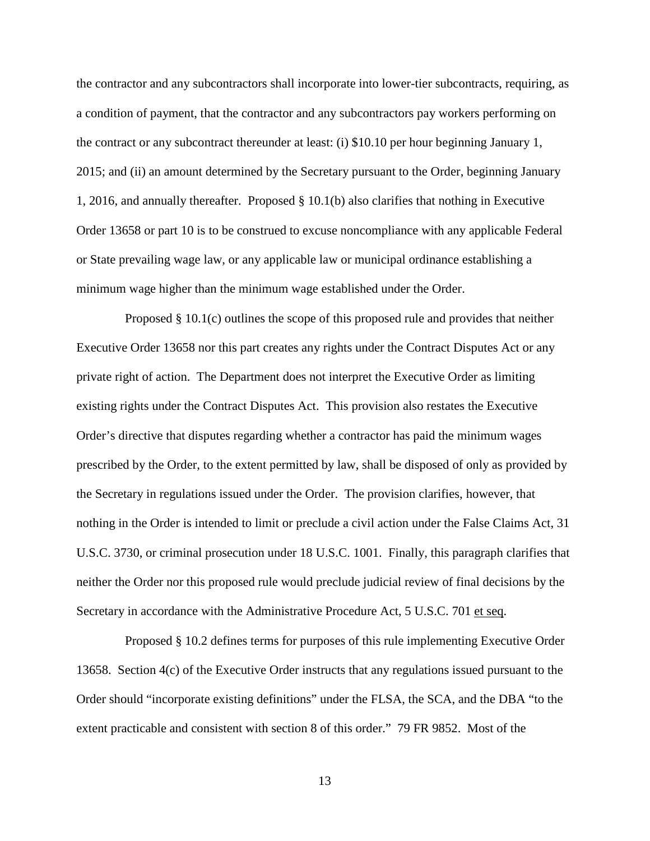the contractor and any subcontractors shall incorporate into lower-tier subcontracts, requiring, as a condition of payment, that the contractor and any subcontractors pay workers performing on the contract or any subcontract thereunder at least: (i) \$10.10 per hour beginning January 1, 2015; and (ii) an amount determined by the Secretary pursuant to the Order, beginning January 1, 2016, and annually thereafter. Proposed § 10.1(b) also clarifies that nothing in Executive Order 13658 or part 10 is to be construed to excuse noncompliance with any applicable Federal or State prevailing wage law, or any applicable law or municipal ordinance establishing a minimum wage higher than the minimum wage established under the Order.

Proposed § 10.1(c) outlines the scope of this proposed rule and provides that neither Executive Order 13658 nor this part creates any rights under the Contract Disputes Act or any private right of action. The Department does not interpret the Executive Order as limiting existing rights under the Contract Disputes Act. This provision also restates the Executive Order's directive that disputes regarding whether a contractor has paid the minimum wages prescribed by the Order, to the extent permitted by law, shall be disposed of only as provided by the Secretary in regulations issued under the Order. The provision clarifies, however, that nothing in the Order is intended to limit or preclude a civil action under the False Claims Act, 31 U.S.C. 3730, or criminal prosecution under 18 U.S.C. 1001. Finally, this paragraph clarifies that neither the Order nor this proposed rule would preclude judicial review of final decisions by the Secretary in accordance with the Administrative Procedure Act, 5 U.S.C. 701 et seq.

Proposed § 10.2 defines terms for purposes of this rule implementing Executive Order 13658. Section 4(c) of the Executive Order instructs that any regulations issued pursuant to the Order should "incorporate existing definitions" under the FLSA, the SCA, and the DBA "to the extent practicable and consistent with section 8 of this order." 79 FR 9852. Most of the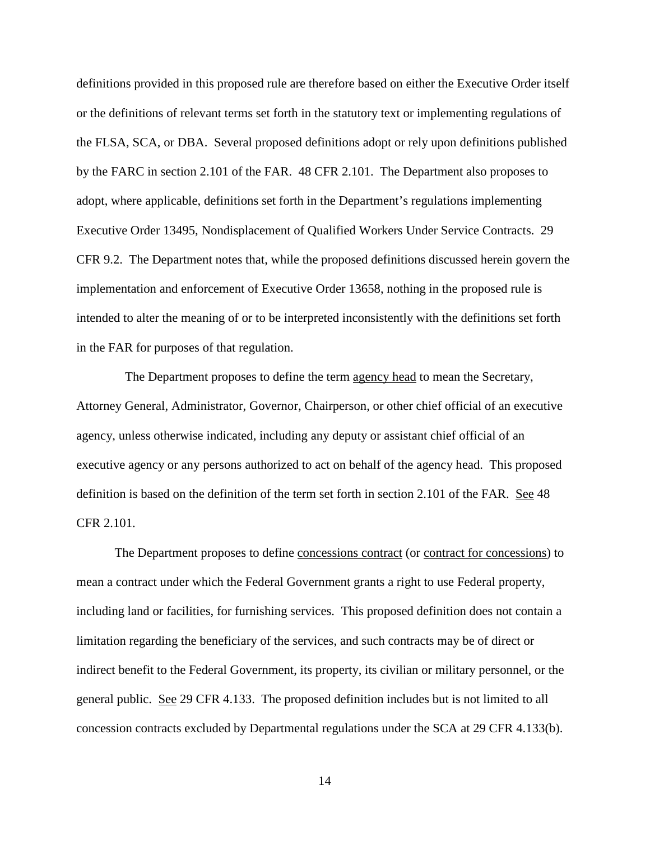definitions provided in this proposed rule are therefore based on either the Executive Order itself or the definitions of relevant terms set forth in the statutory text or implementing regulations of the FLSA, SCA, or DBA. Several proposed definitions adopt or rely upon definitions published by the FARC in section 2.101 of the FAR. 48 CFR 2.101. The Department also proposes to adopt, where applicable, definitions set forth in the Department's regulations implementing Executive Order 13495, Nondisplacement of Qualified Workers Under Service Contracts. 29 CFR 9.2. The Department notes that, while the proposed definitions discussed herein govern the implementation and enforcement of Executive Order 13658, nothing in the proposed rule is intended to alter the meaning of or to be interpreted inconsistently with the definitions set forth in the FAR for purposes of that regulation.

The Department proposes to define the term agency head to mean the Secretary, Attorney General, Administrator, Governor, Chairperson, or other chief official of an executive agency, unless otherwise indicated, including any deputy or assistant chief official of an executive agency or any persons authorized to act on behalf of the agency head. This proposed definition is based on the definition of the term set forth in section 2.101 of the FAR. See 48 CFR 2.101.

The Department proposes to define concessions contract (or contract for concessions) to mean a contract under which the Federal Government grants a right to use Federal property, including land or facilities, for furnishing services. This proposed definition does not contain a limitation regarding the beneficiary of the services, and such contracts may be of direct or indirect benefit to the Federal Government, its property, its civilian or military personnel, or the general public. See 29 CFR 4.133. The proposed definition includes but is not limited to all concession contracts excluded by Departmental regulations under the SCA at 29 CFR 4.133(b).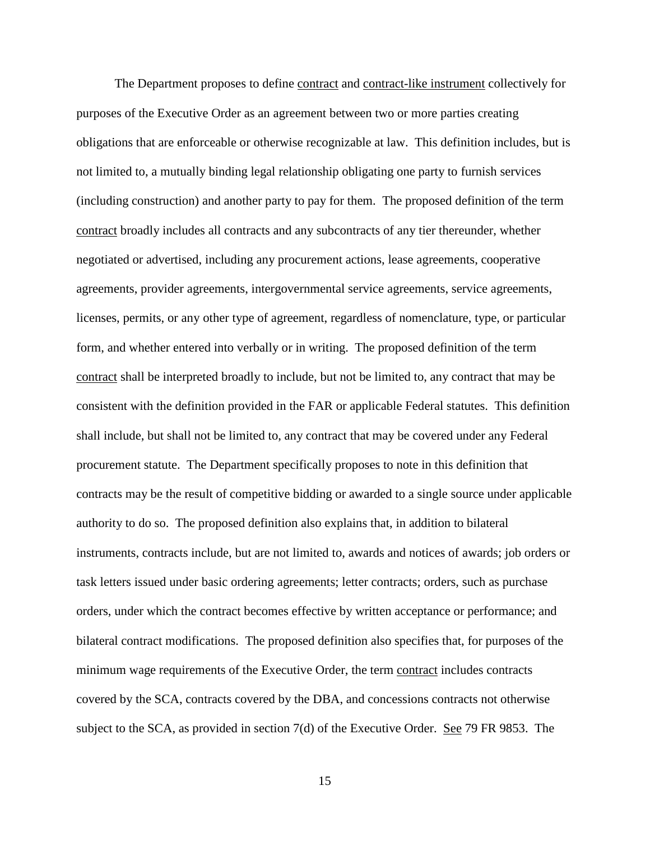The Department proposes to define contract and contract-like instrument collectively for purposes of the Executive Order as an agreement between two or more parties creating obligations that are enforceable or otherwise recognizable at law. This definition includes, but is not limited to, a mutually binding legal relationship obligating one party to furnish services (including construction) and another party to pay for them. The proposed definition of the term contract broadly includes all contracts and any subcontracts of any tier thereunder, whether negotiated or advertised, including any procurement actions, lease agreements, cooperative agreements, provider agreements, intergovernmental service agreements, service agreements, licenses, permits, or any other type of agreement, regardless of nomenclature, type, or particular form, and whether entered into verbally or in writing. The proposed definition of the term contract shall be interpreted broadly to include, but not be limited to, any contract that may be consistent with the definition provided in the FAR or applicable Federal statutes. This definition shall include, but shall not be limited to, any contract that may be covered under any Federal procurement statute. The Department specifically proposes to note in this definition that contracts may be the result of competitive bidding or awarded to a single source under applicable authority to do so. The proposed definition also explains that, in addition to bilateral instruments, contracts include, but are not limited to, awards and notices of awards; job orders or task letters issued under basic ordering agreements; letter contracts; orders, such as purchase orders, under which the contract becomes effective by written acceptance or performance; and bilateral contract modifications. The proposed definition also specifies that, for purposes of the minimum wage requirements of the Executive Order, the term contract includes contracts covered by the SCA, contracts covered by the DBA, and concessions contracts not otherwise subject to the SCA, as provided in section 7(d) of the Executive Order. See 79 FR 9853. The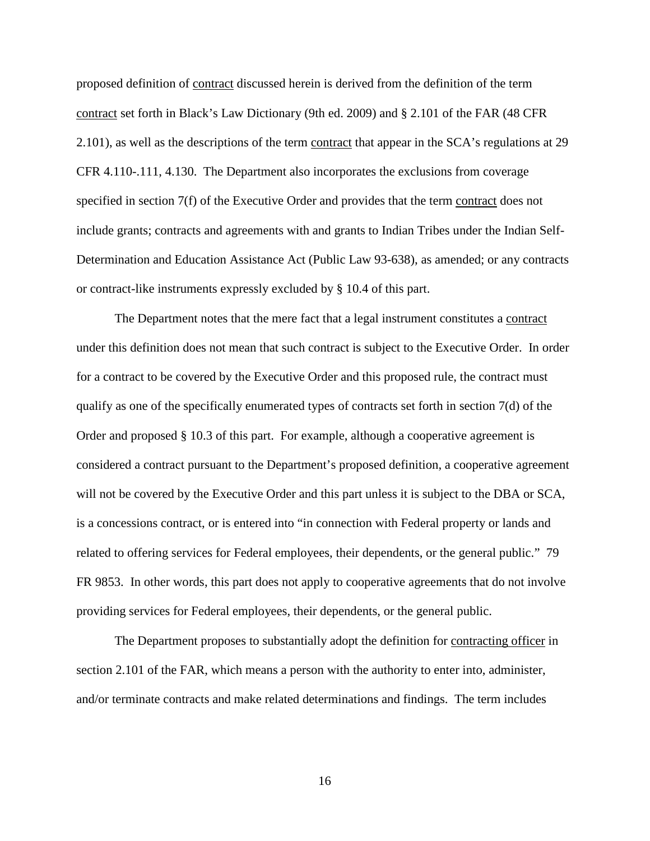proposed definition of contract discussed herein is derived from the definition of the term contract set forth in Black's Law Dictionary (9th ed. 2009) and § 2.101 of the FAR (48 CFR 2.101), as well as the descriptions of the term contract that appear in the SCA's regulations at 29 CFR 4.110-.111, 4.130. The Department also incorporates the exclusions from coverage specified in section 7(f) of the Executive Order and provides that the term contract does not include grants; contracts and agreements with and grants to Indian Tribes under the Indian Self-Determination and Education Assistance Act (Public Law 93-638), as amended; or any contracts or contract-like instruments expressly excluded by § 10.4 of this part.

The Department notes that the mere fact that a legal instrument constitutes a contract under this definition does not mean that such contract is subject to the Executive Order. In order for a contract to be covered by the Executive Order and this proposed rule, the contract must qualify as one of the specifically enumerated types of contracts set forth in section 7(d) of the Order and proposed § 10.3 of this part. For example, although a cooperative agreement is considered a contract pursuant to the Department's proposed definition, a cooperative agreement will not be covered by the Executive Order and this part unless it is subject to the DBA or SCA, is a concessions contract, or is entered into "in connection with Federal property or lands and related to offering services for Federal employees, their dependents, or the general public." 79 FR 9853. In other words, this part does not apply to cooperative agreements that do not involve providing services for Federal employees, their dependents, or the general public.

The Department proposes to substantially adopt the definition for contracting officer in section 2.101 of the FAR, which means a person with the authority to enter into, administer, and/or terminate contracts and make related determinations and findings. The term includes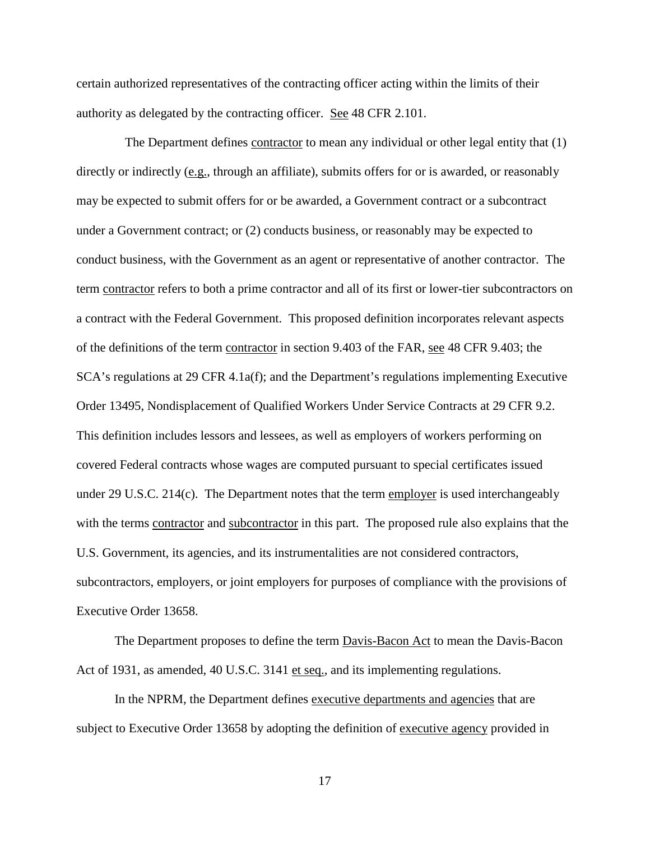certain authorized representatives of the contracting officer acting within the limits of their authority as delegated by the contracting officer. See 48 CFR 2.101.

The Department defines contractor to mean any individual or other legal entity that (1) directly or indirectly (e.g., through an affiliate), submits offers for or is awarded, or reasonably may be expected to submit offers for or be awarded, a Government contract or a subcontract under a Government contract; or (2) conducts business, or reasonably may be expected to conduct business, with the Government as an agent or representative of another contractor. The term contractor refers to both a prime contractor and all of its first or lower-tier subcontractors on a contract with the Federal Government. This proposed definition incorporates relevant aspects of the definitions of the term contractor in section 9.403 of the FAR, see 48 CFR 9.403; the SCA's regulations at 29 CFR 4.1a(f); and the Department's regulations implementing Executive Order 13495, Nondisplacement of Qualified Workers Under Service Contracts at 29 CFR 9.2. This definition includes lessors and lessees, as well as employers of workers performing on covered Federal contracts whose wages are computed pursuant to special certificates issued under 29 U.S.C. 214(c). The Department notes that the term employer is used interchangeably with the terms contractor and subcontractor in this part. The proposed rule also explains that the U.S. Government, its agencies, and its instrumentalities are not considered contractors, subcontractors, employers, or joint employers for purposes of compliance with the provisions of Executive Order 13658.

The Department proposes to define the term **Davis-Bacon Act** to mean the Davis-Bacon Act of 1931, as amended, 40 U.S.C. 3141 et seq., and its implementing regulations.

In the NPRM, the Department defines executive departments and agencies that are subject to Executive Order 13658 by adopting the definition of executive agency provided in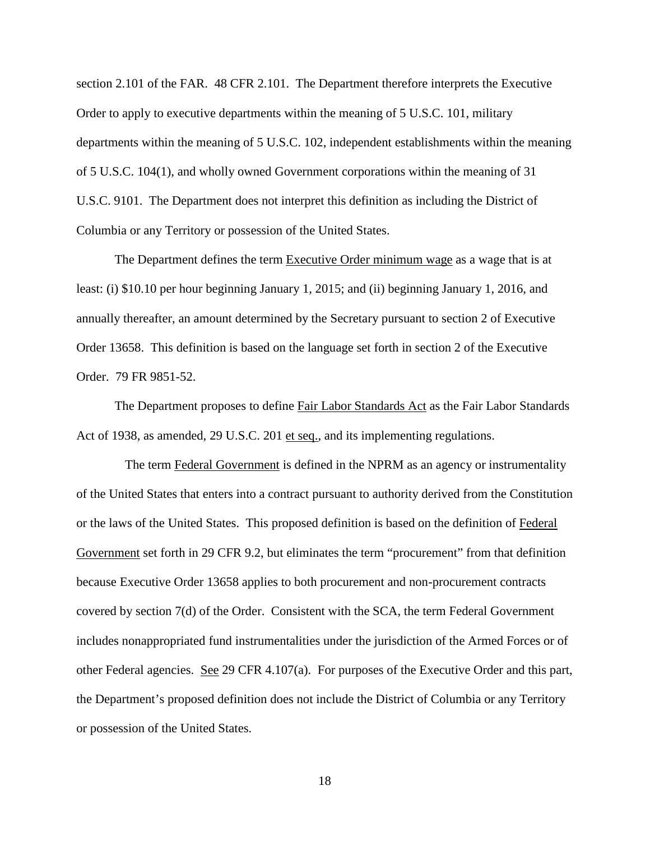section 2.101 of the FAR. 48 CFR 2.101. The Department therefore interprets the Executive Order to apply to executive departments within the meaning of 5 U.S.C. 101, military departments within the meaning of 5 U.S.C. 102, independent establishments within the meaning of 5 U.S.C. 104(1), and wholly owned Government corporations within the meaning of 31 U.S.C. 9101. The Department does not interpret this definition as including the District of Columbia or any Territory or possession of the United States.

The Department defines the term Executive Order minimum wage as a wage that is at least: (i) \$10.10 per hour beginning January 1, 2015; and (ii) beginning January 1, 2016, and annually thereafter, an amount determined by the Secretary pursuant to section 2 of Executive Order 13658. This definition is based on the language set forth in section 2 of the Executive Order. 79 FR 9851-52.

The Department proposes to define Fair Labor Standards Act as the Fair Labor Standards Act of 1938, as amended, 29 U.S.C. 201 et seq., and its implementing regulations.

The term Federal Government is defined in the NPRM as an agency or instrumentality of the United States that enters into a contract pursuant to authority derived from the Constitution or the laws of the United States. This proposed definition is based on the definition of Federal Government set forth in 29 CFR 9.2, but eliminates the term "procurement" from that definition because Executive Order 13658 applies to both procurement and non-procurement contracts covered by section 7(d) of the Order. Consistent with the SCA, the term Federal Government includes nonappropriated fund instrumentalities under the jurisdiction of the Armed Forces or of other Federal agencies. See 29 CFR 4.107(a). For purposes of the Executive Order and this part, the Department's proposed definition does not include the District of Columbia or any Territory or possession of the United States.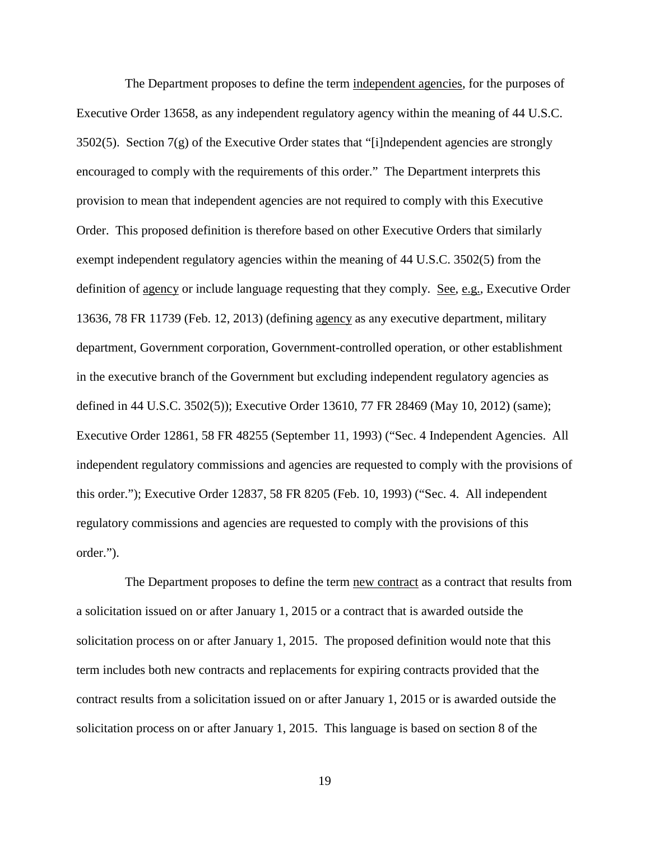The Department proposes to define the term independent agencies, for the purposes of Executive Order 13658, as any independent regulatory agency within the meaning of 44 U.S.C. 3502(5). Section  $7(g)$  of the Executive Order states that "[i]ndependent agencies are strongly encouraged to comply with the requirements of this order." The Department interprets this provision to mean that independent agencies are not required to comply with this Executive Order. This proposed definition is therefore based on other Executive Orders that similarly exempt independent regulatory agencies within the meaning of 44 U.S.C. 3502(5) from the definition of <u>agency</u> or include language requesting that they comply. See, e.g., Executive Order 13636, 78 FR 11739 (Feb. 12, 2013) (defining agency as any executive department, military department, Government corporation, Government-controlled operation, or other establishment in the executive branch of the Government but excluding independent regulatory agencies as defined in 44 U.S.C. 3502(5)); Executive Order 13610, 77 FR 28469 (May 10, 2012) (same); Executive Order 12861, 58 FR 48255 (September 11, 1993) ("Sec. 4 Independent Agencies. All independent regulatory commissions and agencies are requested to comply with the provisions of this order."); Executive Order 12837, 58 FR 8205 (Feb. 10, 1993) ("Sec. 4. All independent regulatory commissions and agencies are requested to comply with the provisions of this order.").

The Department proposes to define the term new contract as a contract that results from a solicitation issued on or after January 1, 2015 or a contract that is awarded outside the solicitation process on or after January 1, 2015. The proposed definition would note that this term includes both new contracts and replacements for expiring contracts provided that the contract results from a solicitation issued on or after January 1, 2015 or is awarded outside the solicitation process on or after January 1, 2015. This language is based on section 8 of the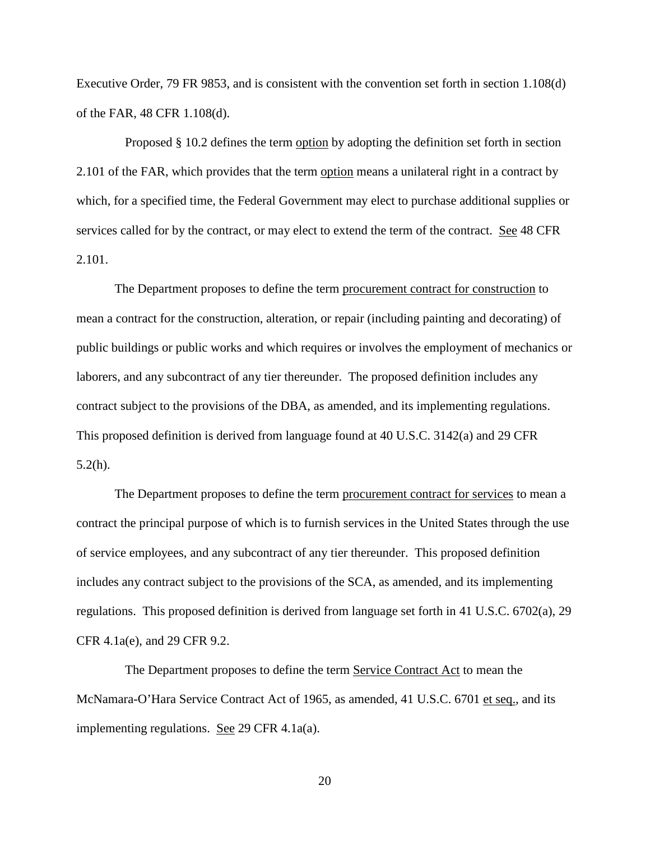Executive Order, 79 FR 9853, and is consistent with the convention set forth in section 1.108(d) of the FAR, 48 CFR 1.108(d).

Proposed § 10.2 defines the term option by adopting the definition set forth in section 2.101 of the FAR, which provides that the term option means a unilateral right in a contract by which, for a specified time, the Federal Government may elect to purchase additional supplies or services called for by the contract, or may elect to extend the term of the contract. See 48 CFR 2.101.

The Department proposes to define the term procurement contract for construction to mean a contract for the construction, alteration, or repair (including painting and decorating) of public buildings or public works and which requires or involves the employment of mechanics or laborers, and any subcontract of any tier thereunder. The proposed definition includes any contract subject to the provisions of the DBA, as amended, and its implementing regulations. This proposed definition is derived from language found at 40 U.S.C. 3142(a) and 29 CFR 5.2(h).

The Department proposes to define the term procurement contract for services to mean a contract the principal purpose of which is to furnish services in the United States through the use of service employees, and any subcontract of any tier thereunder. This proposed definition includes any contract subject to the provisions of the SCA, as amended, and its implementing regulations. This proposed definition is derived from language set forth in 41 U.S.C. 6702(a), 29 CFR 4.1a(e), and 29 CFR 9.2.

The Department proposes to define the term Service Contract Act to mean the McNamara-O'Hara Service Contract Act of 1965, as amended, 41 U.S.C. 6701 et seq., and its implementing regulations. See 29 CFR 4.1a(a).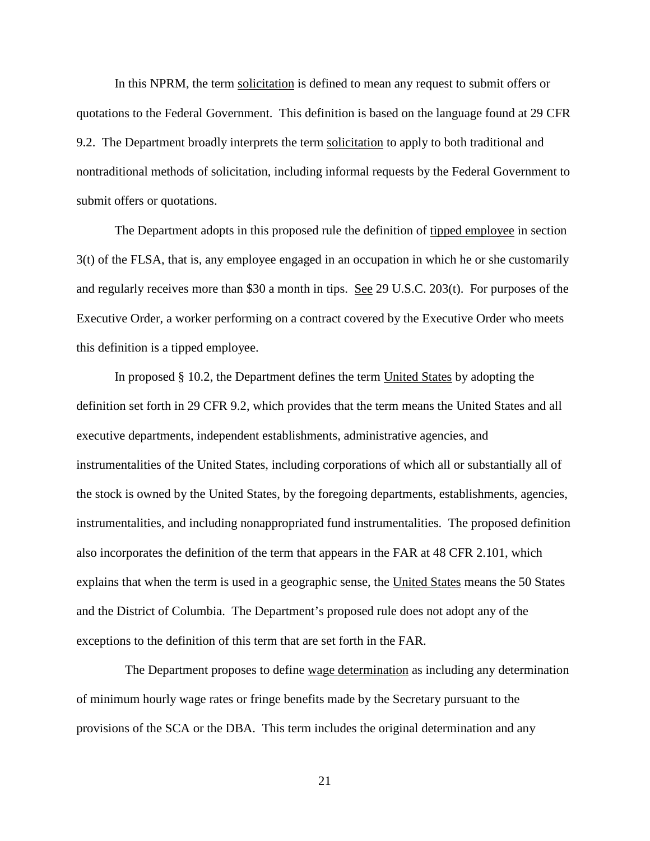In this NPRM, the term solicitation is defined to mean any request to submit offers or quotations to the Federal Government. This definition is based on the language found at 29 CFR 9.2. The Department broadly interprets the term solicitation to apply to both traditional and nontraditional methods of solicitation, including informal requests by the Federal Government to submit offers or quotations.

The Department adopts in this proposed rule the definition of tipped employee in section 3(t) of the FLSA, that is, any employee engaged in an occupation in which he or she customarily and regularly receives more than \$30 a month in tips. See 29 U.S.C. 203(t). For purposes of the Executive Order, a worker performing on a contract covered by the Executive Order who meets this definition is a tipped employee.

In proposed § 10.2, the Department defines the term United States by adopting the definition set forth in 29 CFR 9.2, which provides that the term means the United States and all executive departments, independent establishments, administrative agencies, and instrumentalities of the United States, including corporations of which all or substantially all of the stock is owned by the United States, by the foregoing departments, establishments, agencies, instrumentalities, and including nonappropriated fund instrumentalities. The proposed definition also incorporates the definition of the term that appears in the FAR at 48 CFR 2.101, which explains that when the term is used in a geographic sense, the United States means the 50 States and the District of Columbia. The Department's proposed rule does not adopt any of the exceptions to the definition of this term that are set forth in the FAR.

The Department proposes to define wage determination as including any determination of minimum hourly wage rates or fringe benefits made by the Secretary pursuant to the provisions of the SCA or the DBA. This term includes the original determination and any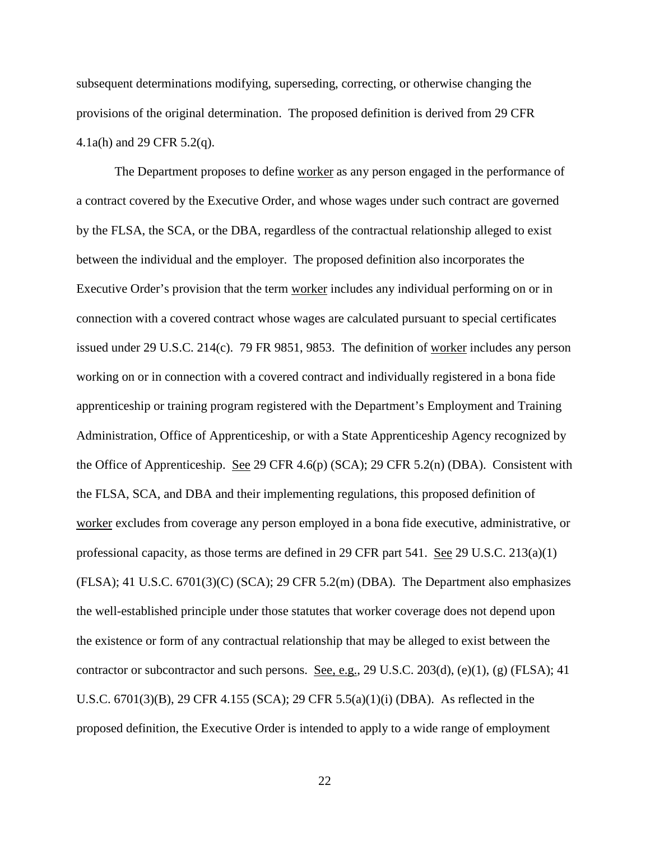subsequent determinations modifying, superseding, correcting, or otherwise changing the provisions of the original determination. The proposed definition is derived from 29 CFR 4.1a(h) and 29 CFR 5.2(q).

The Department proposes to define worker as any person engaged in the performance of a contract covered by the Executive Order, and whose wages under such contract are governed by the FLSA, the SCA, or the DBA, regardless of the contractual relationship alleged to exist between the individual and the employer. The proposed definition also incorporates the Executive Order's provision that the term worker includes any individual performing on or in connection with a covered contract whose wages are calculated pursuant to special certificates issued under 29 U.S.C. 214(c). 79 FR 9851, 9853. The definition of worker includes any person working on or in connection with a covered contract and individually registered in a bona fide apprenticeship or training program registered with the Department's Employment and Training Administration, Office of Apprenticeship, or with a State Apprenticeship Agency recognized by the Office of Apprenticeship. See 29 CFR 4.6(p) (SCA); 29 CFR 5.2(n) (DBA). Consistent with the FLSA, SCA, and DBA and their implementing regulations, this proposed definition of worker excludes from coverage any person employed in a bona fide executive, administrative, or professional capacity, as those terms are defined in 29 CFR part 541. See 29 U.S.C. 213(a)(1) (FLSA); 41 U.S.C. 6701(3)(C) (SCA); 29 CFR 5.2(m) (DBA). The Department also emphasizes the well-established principle under those statutes that worker coverage does not depend upon the existence or form of any contractual relationship that may be alleged to exist between the contractor or subcontractor and such persons. See, e.g., 29 U.S.C. 203(d), (e)(1), (g) (FLSA); 41 U.S.C.  $6701(3)(B)$ , 29 CFR 4.155 (SCA); 29 CFR 5.5(a)(1)(i) (DBA). As reflected in the proposed definition, the Executive Order is intended to apply to a wide range of employment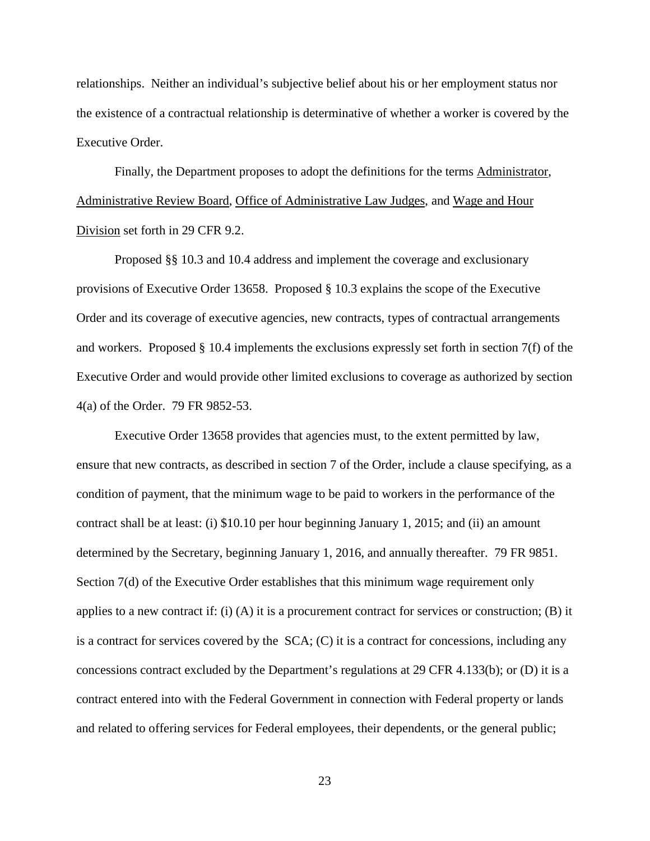relationships. Neither an individual's subjective belief about his or her employment status nor the existence of a contractual relationship is determinative of whether a worker is covered by the Executive Order.

Finally, the Department proposes to adopt the definitions for the terms Administrator, Administrative Review Board, Office of Administrative Law Judges, and Wage and Hour Division set forth in 29 CFR 9.2.

Proposed §§ 10.3 and 10.4 address and implement the coverage and exclusionary provisions of Executive Order 13658. Proposed § 10.3 explains the scope of the Executive Order and its coverage of executive agencies, new contracts, types of contractual arrangements and workers. Proposed § 10.4 implements the exclusions expressly set forth in section 7(f) of the Executive Order and would provide other limited exclusions to coverage as authorized by section 4(a) of the Order. 79 FR 9852-53.

Executive Order 13658 provides that agencies must, to the extent permitted by law, ensure that new contracts, as described in section 7 of the Order, include a clause specifying, as a condition of payment, that the minimum wage to be paid to workers in the performance of the contract shall be at least: (i) \$10.10 per hour beginning January 1, 2015; and (ii) an amount determined by the Secretary, beginning January 1, 2016, and annually thereafter. 79 FR 9851. Section 7(d) of the Executive Order establishes that this minimum wage requirement only applies to a new contract if: (i) (A) it is a procurement contract for services or construction; (B) it is a contract for services covered by the SCA; (C) it is a contract for concessions, including any concessions contract excluded by the Department's regulations at 29 CFR 4.133(b); or (D) it is a contract entered into with the Federal Government in connection with Federal property or lands and related to offering services for Federal employees, their dependents, or the general public;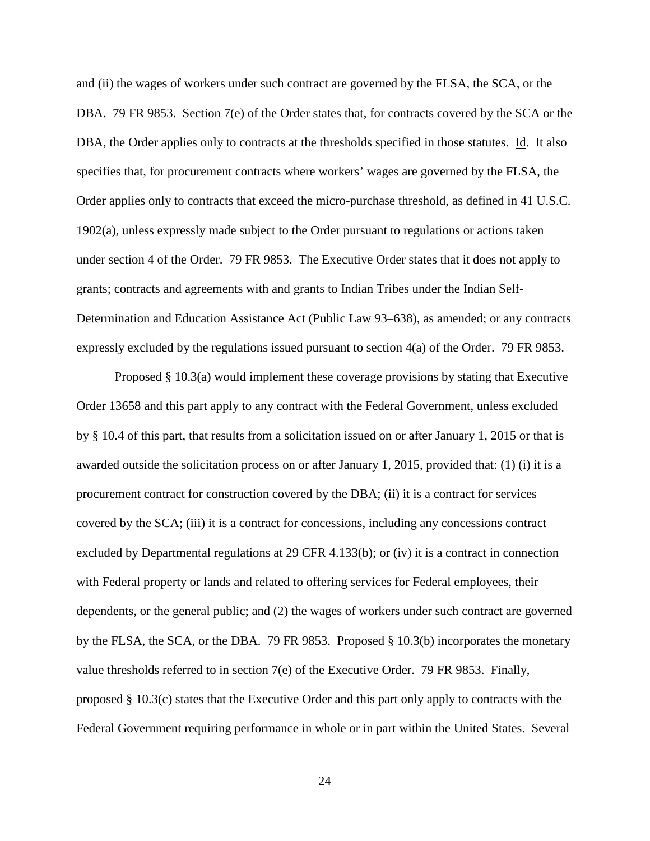and (ii) the wages of workers under such contract are governed by the FLSA, the SCA, or the DBA. 79 FR 9853. Section 7(e) of the Order states that, for contracts covered by the SCA or the DBA, the Order applies only to contracts at the thresholds specified in those statutes. Id. It also specifies that, for procurement contracts where workers' wages are governed by the FLSA, the Order applies only to contracts that exceed the micro-purchase threshold, as defined in 41 U.S.C. 1902(a), unless expressly made subject to the Order pursuant to regulations or actions taken under section 4 of the Order. 79 FR 9853. The Executive Order states that it does not apply to grants; contracts and agreements with and grants to Indian Tribes under the Indian Self-Determination and Education Assistance Act (Public Law 93–638), as amended; or any contracts expressly excluded by the regulations issued pursuant to section 4(a) of the Order. 79 FR 9853.

Proposed § 10.3(a) would implement these coverage provisions by stating that Executive Order 13658 and this part apply to any contract with the Federal Government, unless excluded by § 10.4 of this part, that results from a solicitation issued on or after January 1, 2015 or that is awarded outside the solicitation process on or after January 1, 2015, provided that: (1) (i) it is a procurement contract for construction covered by the DBA; (ii) it is a contract for services covered by the SCA; (iii) it is a contract for concessions, including any concessions contract excluded by Departmental regulations at 29 CFR 4.133(b); or (iv) it is a contract in connection with Federal property or lands and related to offering services for Federal employees, their dependents, or the general public; and (2) the wages of workers under such contract are governed by the FLSA, the SCA, or the DBA. 79 FR 9853. Proposed § 10.3(b) incorporates the monetary value thresholds referred to in section 7(e) of the Executive Order. 79 FR 9853. Finally, proposed § 10.3(c) states that the Executive Order and this part only apply to contracts with the Federal Government requiring performance in whole or in part within the United States. Several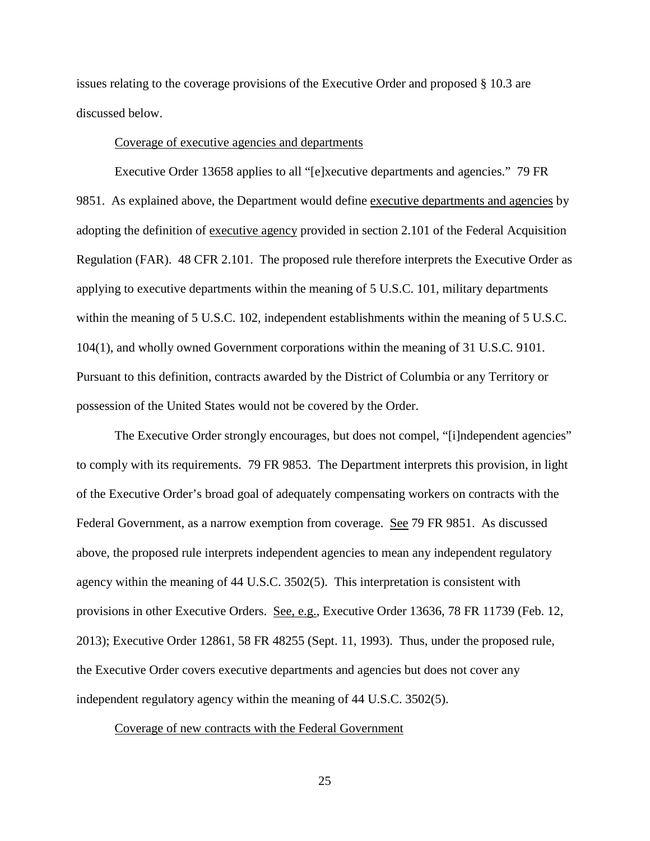issues relating to the coverage provisions of the Executive Order and proposed § 10.3 are discussed below.

#### Coverage of executive agencies and departments

Executive Order 13658 applies to all "[e]xecutive departments and agencies." 79 FR 9851. As explained above, the Department would define executive departments and agencies by adopting the definition of executive agency provided in section 2.101 of the Federal Acquisition Regulation (FAR). 48 CFR 2.101. The proposed rule therefore interprets the Executive Order as applying to executive departments within the meaning of 5 U.S.C. 101, military departments within the meaning of 5 U.S.C. 102, independent establishments within the meaning of 5 U.S.C. 104(1), and wholly owned Government corporations within the meaning of 31 U.S.C. 9101. Pursuant to this definition, contracts awarded by the District of Columbia or any Territory or possession of the United States would not be covered by the Order.

The Executive Order strongly encourages, but does not compel, "[i]ndependent agencies" to comply with its requirements. 79 FR 9853. The Department interprets this provision, in light of the Executive Order's broad goal of adequately compensating workers on contracts with the Federal Government, as a narrow exemption from coverage. See 79 FR 9851. As discussed above, the proposed rule interprets independent agencies to mean any independent regulatory agency within the meaning of 44 U.S.C. 3502(5). This interpretation is consistent with provisions in other Executive Orders. See, e.g., Executive Order 13636, 78 FR 11739 (Feb. 12, 2013); Executive Order 12861, 58 FR 48255 (Sept. 11, 1993). Thus, under the proposed rule, the Executive Order covers executive departments and agencies but does not cover any independent regulatory agency within the meaning of 44 U.S.C. 3502(5).

## Coverage of new contracts with the Federal Government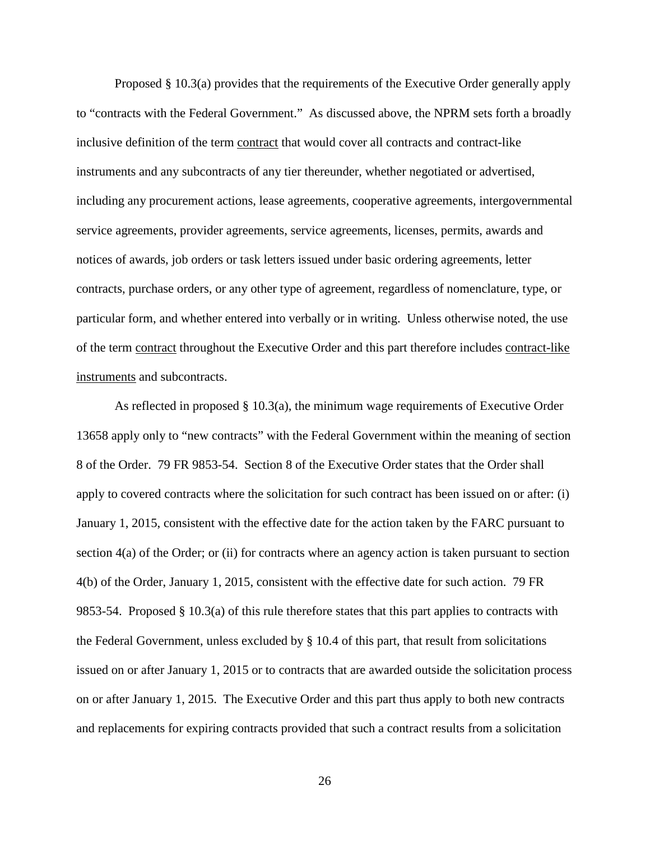Proposed § 10.3(a) provides that the requirements of the Executive Order generally apply to "contracts with the Federal Government." As discussed above, the NPRM sets forth a broadly inclusive definition of the term contract that would cover all contracts and contract-like instruments and any subcontracts of any tier thereunder, whether negotiated or advertised, including any procurement actions, lease agreements, cooperative agreements, intergovernmental service agreements, provider agreements, service agreements, licenses, permits, awards and notices of awards, job orders or task letters issued under basic ordering agreements, letter contracts, purchase orders, or any other type of agreement, regardless of nomenclature, type, or particular form, and whether entered into verbally or in writing. Unless otherwise noted, the use of the term contract throughout the Executive Order and this part therefore includes contract-like instruments and subcontracts.

As reflected in proposed § 10.3(a), the minimum wage requirements of Executive Order 13658 apply only to "new contracts" with the Federal Government within the meaning of section 8 of the Order. 79 FR 9853-54. Section 8 of the Executive Order states that the Order shall apply to covered contracts where the solicitation for such contract has been issued on or after: (i) January 1, 2015, consistent with the effective date for the action taken by the FARC pursuant to section 4(a) of the Order; or (ii) for contracts where an agency action is taken pursuant to section 4(b) of the Order, January 1, 2015, consistent with the effective date for such action. 79 FR 9853-54. Proposed § 10.3(a) of this rule therefore states that this part applies to contracts with the Federal Government, unless excluded by § 10.4 of this part, that result from solicitations issued on or after January 1, 2015 or to contracts that are awarded outside the solicitation process on or after January 1, 2015. The Executive Order and this part thus apply to both new contracts and replacements for expiring contracts provided that such a contract results from a solicitation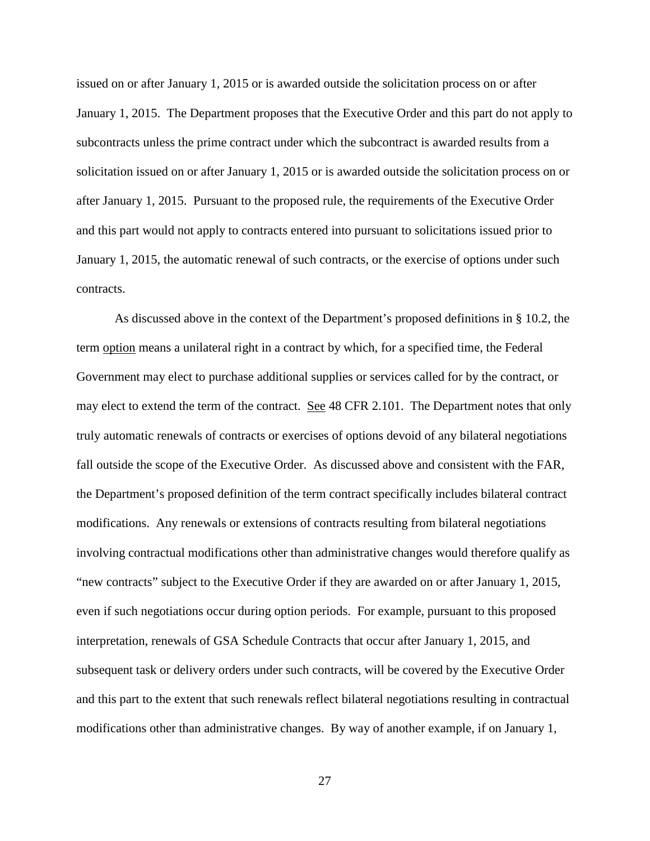issued on or after January 1, 2015 or is awarded outside the solicitation process on or after January 1, 2015. The Department proposes that the Executive Order and this part do not apply to subcontracts unless the prime contract under which the subcontract is awarded results from a solicitation issued on or after January 1, 2015 or is awarded outside the solicitation process on or after January 1, 2015. Pursuant to the proposed rule, the requirements of the Executive Order and this part would not apply to contracts entered into pursuant to solicitations issued prior to January 1, 2015, the automatic renewal of such contracts, or the exercise of options under such contracts.

As discussed above in the context of the Department's proposed definitions in § 10.2, the term option means a unilateral right in a contract by which, for a specified time, the Federal Government may elect to purchase additional supplies or services called for by the contract, or may elect to extend the term of the contract. See 48 CFR 2.101. The Department notes that only truly automatic renewals of contracts or exercises of options devoid of any bilateral negotiations fall outside the scope of the Executive Order. As discussed above and consistent with the FAR, the Department's proposed definition of the term contract specifically includes bilateral contract modifications. Any renewals or extensions of contracts resulting from bilateral negotiations involving contractual modifications other than administrative changes would therefore qualify as "new contracts" subject to the Executive Order if they are awarded on or after January 1, 2015, even if such negotiations occur during option periods. For example, pursuant to this proposed interpretation, renewals of GSA Schedule Contracts that occur after January 1, 2015, and subsequent task or delivery orders under such contracts, will be covered by the Executive Order and this part to the extent that such renewals reflect bilateral negotiations resulting in contractual modifications other than administrative changes. By way of another example, if on January 1,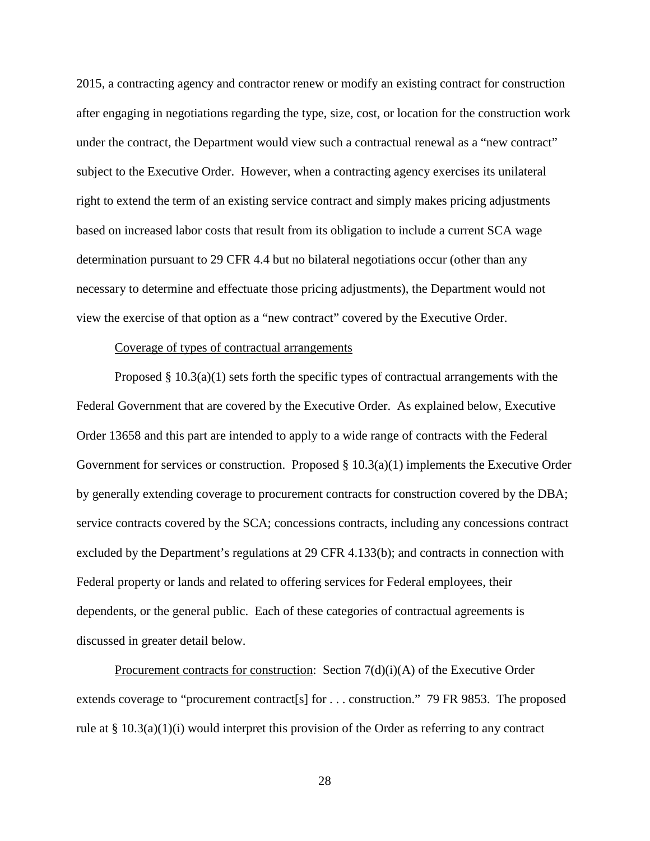2015, a contracting agency and contractor renew or modify an existing contract for construction after engaging in negotiations regarding the type, size, cost, or location for the construction work under the contract, the Department would view such a contractual renewal as a "new contract" subject to the Executive Order. However, when a contracting agency exercises its unilateral right to extend the term of an existing service contract and simply makes pricing adjustments based on increased labor costs that result from its obligation to include a current SCA wage determination pursuant to 29 CFR 4.4 but no bilateral negotiations occur (other than any necessary to determine and effectuate those pricing adjustments), the Department would not view the exercise of that option as a "new contract" covered by the Executive Order.

## Coverage of types of contractual arrangements

Proposed  $\S 10.3(a)(1)$  sets forth the specific types of contractual arrangements with the Federal Government that are covered by the Executive Order. As explained below, Executive Order 13658 and this part are intended to apply to a wide range of contracts with the Federal Government for services or construction. Proposed  $\S 10.3(a)(1)$  implements the Executive Order by generally extending coverage to procurement contracts for construction covered by the DBA; service contracts covered by the SCA; concessions contracts, including any concessions contract excluded by the Department's regulations at 29 CFR 4.133(b); and contracts in connection with Federal property or lands and related to offering services for Federal employees, their dependents, or the general public. Each of these categories of contractual agreements is discussed in greater detail below.

Procurement contracts for construction: Section  $7(d)(i)$ (A) of the Executive Order extends coverage to "procurement contract[s] for . . . construction." 79 FR 9853. The proposed rule at §  $10.3(a)(1)(i)$  would interpret this provision of the Order as referring to any contract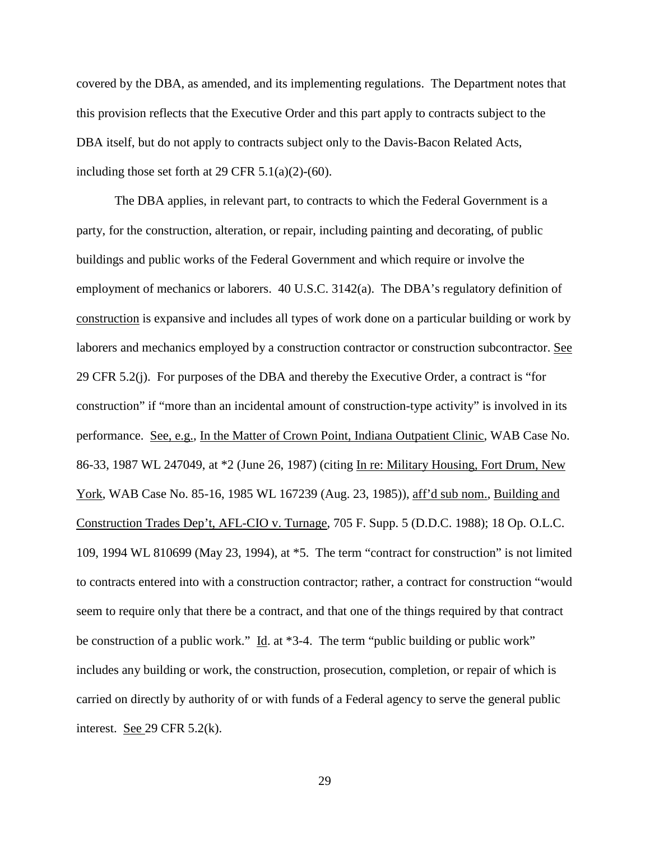covered by the DBA, as amended, and its implementing regulations. The Department notes that this provision reflects that the Executive Order and this part apply to contracts subject to the DBA itself, but do not apply to contracts subject only to the Davis-Bacon Related Acts, including those set forth at 29 CFR  $5.1(a)(2)-(60)$ .

The DBA applies, in relevant part, to contracts to which the Federal Government is a party, for the construction, alteration, or repair, including painting and decorating, of public buildings and public works of the Federal Government and which require or involve the employment of mechanics or laborers. 40 U.S.C. 3142(a). The DBA's regulatory definition of construction is expansive and includes all types of work done on a particular building or work by laborers and mechanics employed by a construction contractor or construction subcontractor. See 29 CFR 5.2(j). For purposes of the DBA and thereby the Executive Order, a contract is "for construction" if "more than an incidental amount of construction-type activity" is involved in its performance. See, e.g., In the Matter of Crown Point, Indiana Outpatient Clinic, WAB Case No. 86-33, 1987 WL 247049, at \*2 (June 26, 1987) (citing In re: Military Housing, Fort Drum, New York, WAB Case No. 85-16, 1985 WL 167239 (Aug. 23, 1985)), aff'd sub nom., Building and Construction Trades Dep't, AFL-CIO v. Turnage, 705 F. Supp. 5 (D.D.C. 1988); 18 Op. O.L.C. 109, 1994 WL 810699 (May 23, 1994), at \*5. The term "contract for construction" is not limited to contracts entered into with a construction contractor; rather, a contract for construction "would seem to require only that there be a contract, and that one of the things required by that contract be construction of a public work." Id. at \*3-4. The term "public building or public work" includes any building or work, the construction, prosecution, completion, or repair of which is carried on directly by authority of or with funds of a Federal agency to serve the general public interest. <u>See 29</u> CFR 5.2(k).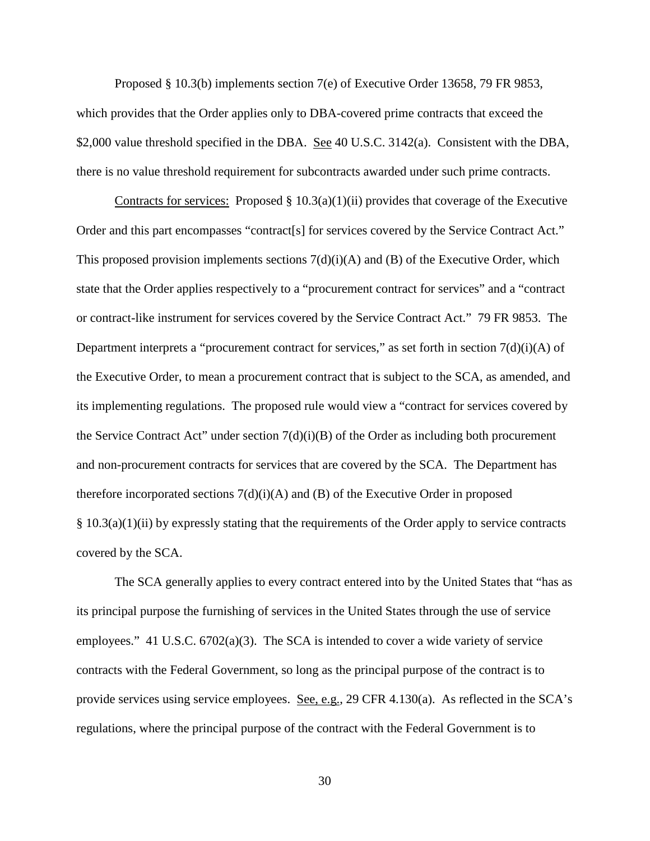Proposed § 10.3(b) implements section 7(e) of Executive Order 13658, 79 FR 9853, which provides that the Order applies only to DBA-covered prime contracts that exceed the \$2,000 value threshold specified in the DBA. See 40 U.S.C. 3142(a). Consistent with the DBA, there is no value threshold requirement for subcontracts awarded under such prime contracts.

Contracts for services:Proposed § 10.3(a)(1)(ii) provides that coverage of the Executive Order and this part encompasses "contract[s] for services covered by the Service Contract Act." This proposed provision implements sections  $7(d)(i)(A)$  and  $(B)$  of the Executive Order, which state that the Order applies respectively to a "procurement contract for services" and a "contract or contract-like instrument for services covered by the Service Contract Act." 79 FR 9853. The Department interprets a "procurement contract for services," as set forth in section  $7(d)(i)(A)$  of the Executive Order, to mean a procurement contract that is subject to the SCA, as amended, and its implementing regulations. The proposed rule would view a "contract for services covered by the Service Contract Act" under section  $7(d)(i)(B)$  of the Order as including both procurement and non-procurement contracts for services that are covered by the SCA. The Department has therefore incorporated sections  $7(d)(i)$  and (B) of the Executive Order in proposed § 10.3(a)(1)(ii) by expressly stating that the requirements of the Order apply to service contracts covered by the SCA.

The SCA generally applies to every contract entered into by the United States that "has as its principal purpose the furnishing of services in the United States through the use of service employees." 41 U.S.C. 6702(a)(3). The SCA is intended to cover a wide variety of service contracts with the Federal Government, so long as the principal purpose of the contract is to provide services using service employees. See, e.g., 29 CFR 4.130(a). As reflected in the SCA's regulations, where the principal purpose of the contract with the Federal Government is to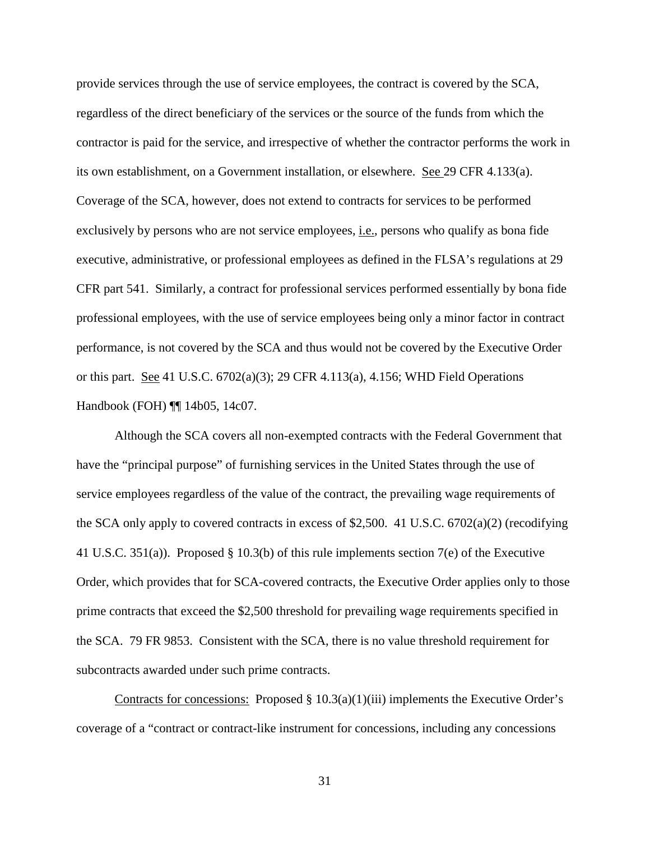provide services through the use of service employees, the contract is covered by the SCA, regardless of the direct beneficiary of the services or the source of the funds from which the contractor is paid for the service, and irrespective of whether the contractor performs the work in its own establishment, on a Government installation, or elsewhere. See 29 CFR 4.133(a). Coverage of the SCA, however, does not extend to contracts for services to be performed exclusively by persons who are not service employees, i.e., persons who qualify as bona fide executive, administrative, or professional employees as defined in the FLSA's regulations at 29 CFR part 541. Similarly, a contract for professional services performed essentially by bona fide professional employees, with the use of service employees being only a minor factor in contract performance, is not covered by the SCA and thus would not be covered by the Executive Order or this part. See 41 U.S.C. 6702(a)(3); 29 CFR 4.113(a), 4.156; WHD Field Operations Handbook (FOH) ¶¶ 14b05, 14c07.

Although the SCA covers all non-exempted contracts with the Federal Government that have the "principal purpose" of furnishing services in the United States through the use of service employees regardless of the value of the contract, the prevailing wage requirements of the SCA only apply to covered contracts in excess of \$2,500. 41 U.S.C. 6702(a)(2) (recodifying 41 U.S.C. 351(a)). Proposed § 10.3(b) of this rule implements section 7(e) of the Executive Order, which provides that for SCA-covered contracts, the Executive Order applies only to those prime contracts that exceed the \$2,500 threshold for prevailing wage requirements specified in the SCA. 79 FR 9853. Consistent with the SCA, there is no value threshold requirement for subcontracts awarded under such prime contracts.

Contracts for concessions:Proposed § 10.3(a)(1)(iii) implements the Executive Order's coverage of a "contract or contract-like instrument for concessions, including any concessions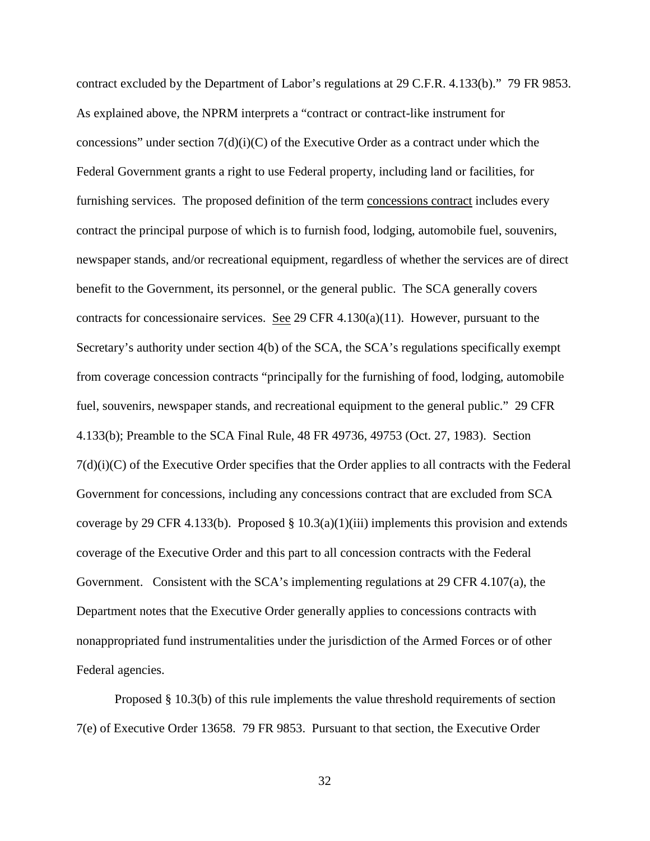contract excluded by the Department of Labor's regulations at 29 C.F.R. 4.133(b)." 79 FR 9853. As explained above, the NPRM interprets a "contract or contract-like instrument for concessions" under section  $7(d)(i)(C)$  of the Executive Order as a contract under which the Federal Government grants a right to use Federal property, including land or facilities, for furnishing services. The proposed definition of the term concessions contract includes every contract the principal purpose of which is to furnish food, lodging, automobile fuel, souvenirs, newspaper stands, and/or recreational equipment, regardless of whether the services are of direct benefit to the Government, its personnel, or the general public. The SCA generally covers contracts for concessionaire services. See 29 CFR  $4.130(a)(11)$ . However, pursuant to the Secretary's authority under section 4(b) of the SCA, the SCA's regulations specifically exempt from coverage concession contracts "principally for the furnishing of food, lodging, automobile fuel, souvenirs, newspaper stands, and recreational equipment to the general public." 29 CFR 4.133(b); Preamble to the SCA Final Rule, 48 FR 49736, 49753 (Oct. 27, 1983). Section  $7(d)(i)(C)$  of the Executive Order specifies that the Order applies to all contracts with the Federal Government for concessions, including any concessions contract that are excluded from SCA coverage by 29 CFR 4.133(b). Proposed  $\S 10.3(a)(1)(iii)$  implements this provision and extends coverage of the Executive Order and this part to all concession contracts with the Federal Government. Consistent with the SCA's implementing regulations at 29 CFR 4.107(a), the Department notes that the Executive Order generally applies to concessions contracts with nonappropriated fund instrumentalities under the jurisdiction of the Armed Forces or of other Federal agencies.

Proposed § 10.3(b) of this rule implements the value threshold requirements of section 7(e) of Executive Order 13658. 79 FR 9853. Pursuant to that section, the Executive Order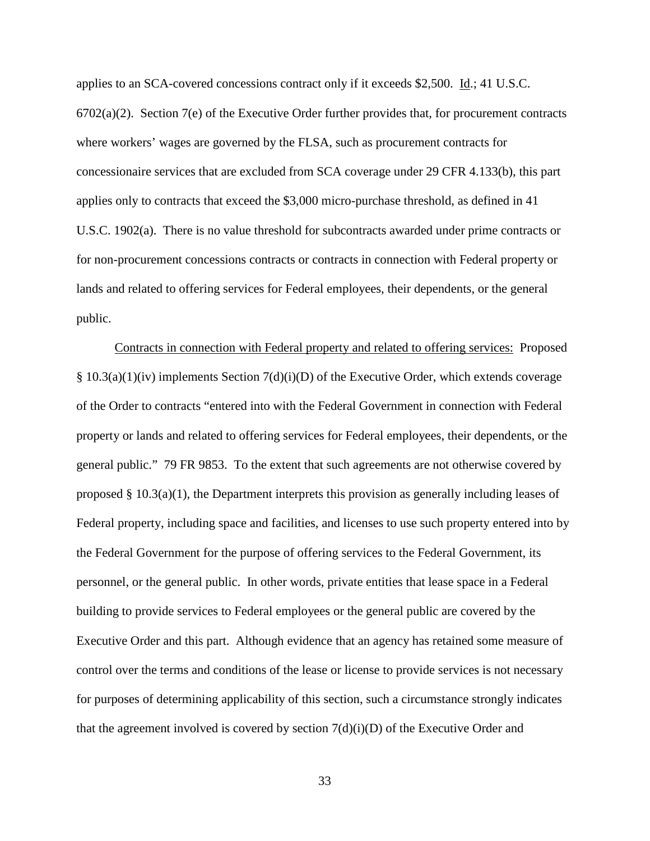applies to an SCA-covered concessions contract only if it exceeds \$2,500. Id.; 41 U.S.C.  $6702(a)(2)$ . Section  $7(e)$  of the Executive Order further provides that, for procurement contracts where workers' wages are governed by the FLSA, such as procurement contracts for concessionaire services that are excluded from SCA coverage under 29 CFR 4.133(b), this part applies only to contracts that exceed the \$3,000 micro-purchase threshold, as defined in 41 U.S.C. 1902(a). There is no value threshold for subcontracts awarded under prime contracts or for non-procurement concessions contracts or contracts in connection with Federal property or lands and related to offering services for Federal employees, their dependents, or the general public.

Contracts in connection with Federal property and related to offering services:Proposed § 10.3(a)(1)(iv) implements Section 7(d)(i)(D) of the Executive Order, which extends coverage of the Order to contracts "entered into with the Federal Government in connection with Federal property or lands and related to offering services for Federal employees, their dependents, or the general public." 79 FR 9853. To the extent that such agreements are not otherwise covered by proposed § 10.3(a)(1), the Department interprets this provision as generally including leases of Federal property, including space and facilities, and licenses to use such property entered into by the Federal Government for the purpose of offering services to the Federal Government, its personnel, or the general public. In other words, private entities that lease space in a Federal building to provide services to Federal employees or the general public are covered by the Executive Order and this part. Although evidence that an agency has retained some measure of control over the terms and conditions of the lease or license to provide services is not necessary for purposes of determining applicability of this section, such a circumstance strongly indicates that the agreement involved is covered by section  $7(d)(i)(D)$  of the Executive Order and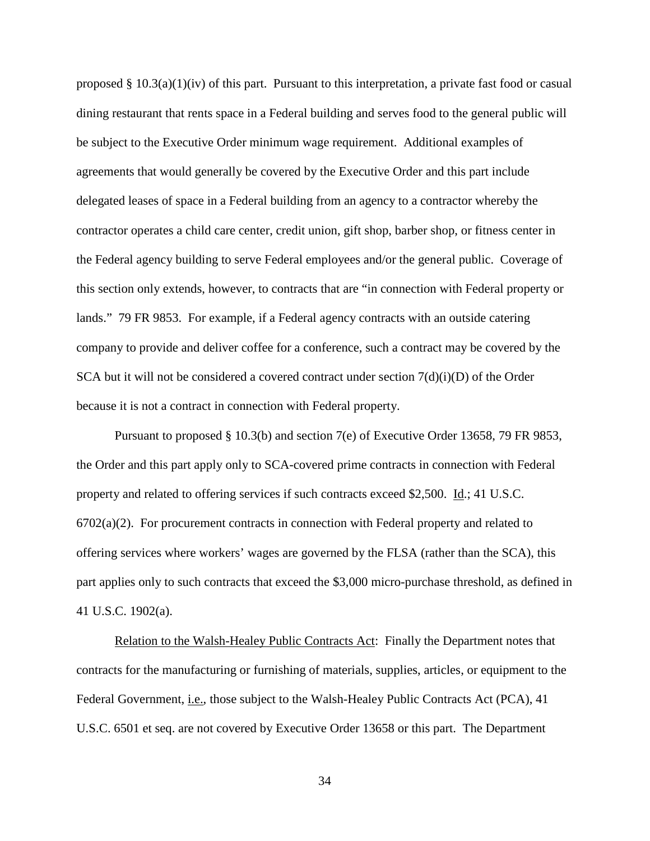proposed §  $10.3(a)(1)(iv)$  of this part. Pursuant to this interpretation, a private fast food or casual dining restaurant that rents space in a Federal building and serves food to the general public will be subject to the Executive Order minimum wage requirement. Additional examples of agreements that would generally be covered by the Executive Order and this part include delegated leases of space in a Federal building from an agency to a contractor whereby the contractor operates a child care center, credit union, gift shop, barber shop, or fitness center in the Federal agency building to serve Federal employees and/or the general public. Coverage of this section only extends, however, to contracts that are "in connection with Federal property or lands." 79 FR 9853. For example, if a Federal agency contracts with an outside catering company to provide and deliver coffee for a conference, such a contract may be covered by the SCA but it will not be considered a covered contract under section  $7(d)(i)(D)$  of the Order because it is not a contract in connection with Federal property.

Pursuant to proposed § 10.3(b) and section 7(e) of Executive Order 13658, 79 FR 9853, the Order and this part apply only to SCA-covered prime contracts in connection with Federal property and related to offering services if such contracts exceed \$2,500. Id.; 41 U.S.C.  $6702(a)(2)$ . For procurement contracts in connection with Federal property and related to offering services where workers' wages are governed by the FLSA (rather than the SCA), this part applies only to such contracts that exceed the \$3,000 micro-purchase threshold, as defined in 41 U.S.C. 1902(a).

Relation to the Walsh-Healey Public Contracts Act: Finally the Department notes that contracts for the manufacturing or furnishing of materials, supplies, articles, or equipment to the Federal Government, *i.e.*, those subject to the Walsh-Healey Public Contracts Act (PCA), 41 U.S.C. 6501 et seq. are not covered by Executive Order 13658 or this part. The Department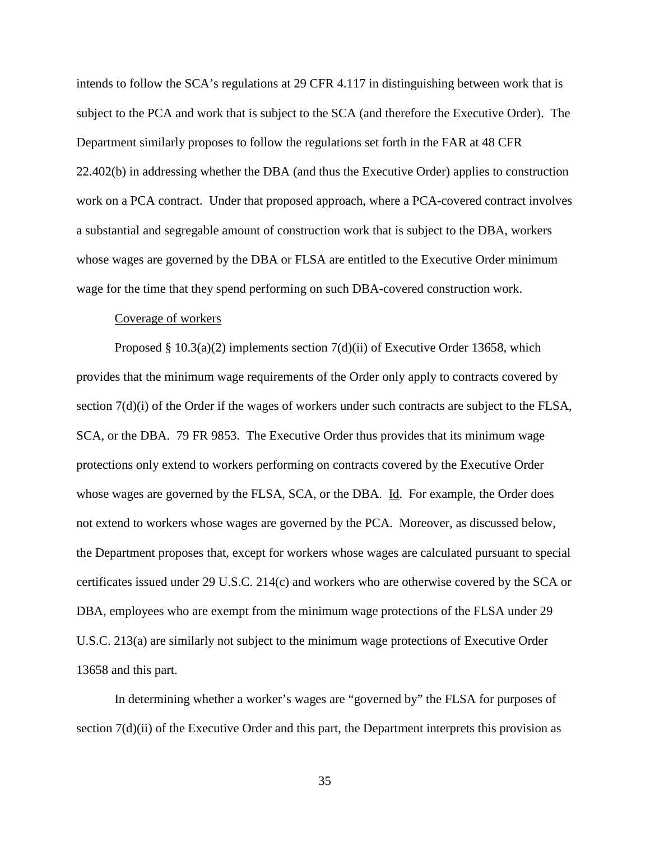intends to follow the SCA's regulations at 29 CFR 4.117 in distinguishing between work that is subject to the PCA and work that is subject to the SCA (and therefore the Executive Order). The Department similarly proposes to follow the regulations set forth in the FAR at 48 CFR 22.402(b) in addressing whether the DBA (and thus the Executive Order) applies to construction work on a PCA contract. Under that proposed approach, where a PCA-covered contract involves a substantial and segregable amount of construction work that is subject to the DBA, workers whose wages are governed by the DBA or FLSA are entitled to the Executive Order minimum wage for the time that they spend performing on such DBA-covered construction work.

## Coverage of workers

Proposed § 10.3(a)(2) implements section 7(d)(ii) of Executive Order 13658, which provides that the minimum wage requirements of the Order only apply to contracts covered by section  $7(d)(i)$  of the Order if the wages of workers under such contracts are subject to the FLSA, SCA, or the DBA. 79 FR 9853. The Executive Order thus provides that its minimum wage protections only extend to workers performing on contracts covered by the Executive Order whose wages are governed by the FLSA, SCA, or the DBA. Id. For example, the Order does not extend to workers whose wages are governed by the PCA. Moreover, as discussed below, the Department proposes that, except for workers whose wages are calculated pursuant to special certificates issued under 29 U.S.C. 214(c) and workers who are otherwise covered by the SCA or DBA, employees who are exempt from the minimum wage protections of the FLSA under 29 U.S.C. 213(a) are similarly not subject to the minimum wage protections of Executive Order 13658 and this part.

In determining whether a worker's wages are "governed by" the FLSA for purposes of section  $7(d)(ii)$  of the Executive Order and this part, the Department interprets this provision as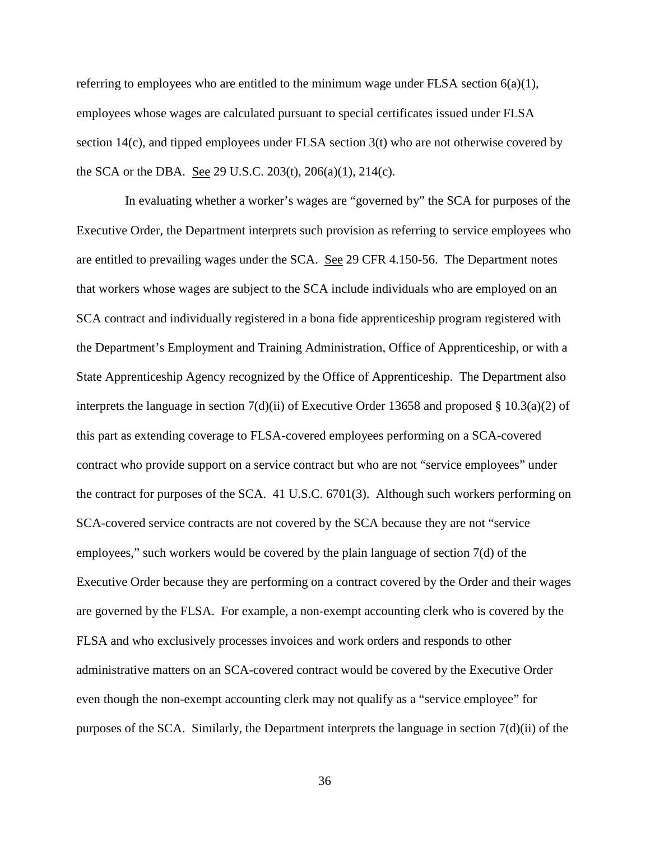referring to employees who are entitled to the minimum wage under FLSA section  $6(a)(1)$ , employees whose wages are calculated pursuant to special certificates issued under FLSA section 14(c), and tipped employees under FLSA section 3(t) who are not otherwise covered by the SCA or the DBA. See 29 U.S.C. 203(t), 206(a)(1), 214(c).

In evaluating whether a worker's wages are "governed by" the SCA for purposes of the Executive Order, the Department interprets such provision as referring to service employees who are entitled to prevailing wages under the SCA. See 29 CFR 4.150-56. The Department notes that workers whose wages are subject to the SCA include individuals who are employed on an SCA contract and individually registered in a bona fide apprenticeship program registered with the Department's Employment and Training Administration, Office of Apprenticeship, or with a State Apprenticeship Agency recognized by the Office of Apprenticeship. The Department also interprets the language in section 7(d)(ii) of Executive Order 13658 and proposed § 10.3(a)(2) of this part as extending coverage to FLSA-covered employees performing on a SCA-covered contract who provide support on a service contract but who are not "service employees" under the contract for purposes of the SCA. 41 U.S.C. 6701(3). Although such workers performing on SCA-covered service contracts are not covered by the SCA because they are not "service employees," such workers would be covered by the plain language of section 7(d) of the Executive Order because they are performing on a contract covered by the Order and their wages are governed by the FLSA. For example, a non-exempt accounting clerk who is covered by the FLSA and who exclusively processes invoices and work orders and responds to other administrative matters on an SCA-covered contract would be covered by the Executive Order even though the non-exempt accounting clerk may not qualify as a "service employee" for purposes of the SCA. Similarly, the Department interprets the language in section 7(d)(ii) of the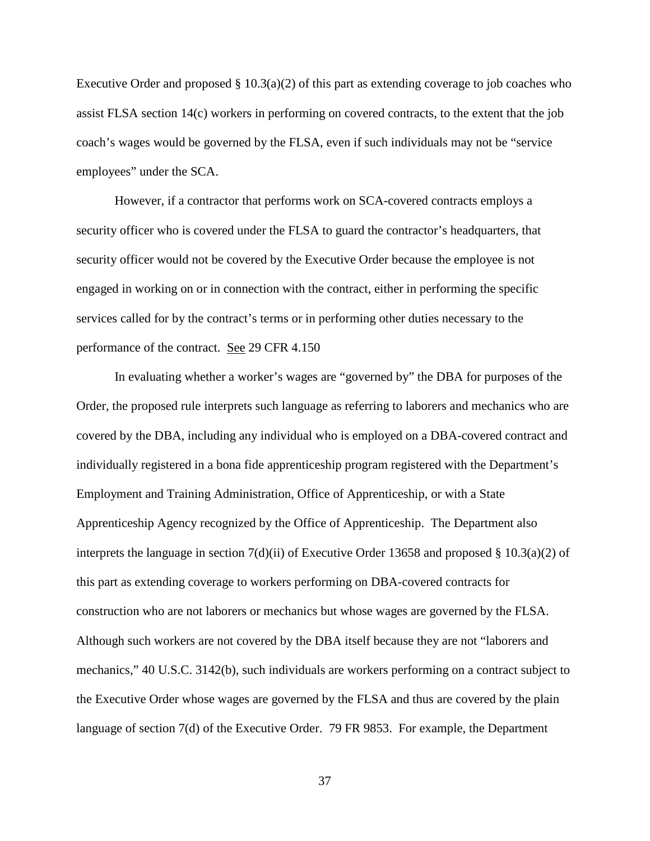Executive Order and proposed  $\S 10.3(a)(2)$  of this part as extending coverage to job coaches who assist FLSA section 14(c) workers in performing on covered contracts, to the extent that the job coach's wages would be governed by the FLSA, even if such individuals may not be "service employees" under the SCA.

However, if a contractor that performs work on SCA-covered contracts employs a security officer who is covered under the FLSA to guard the contractor's headquarters, that security officer would not be covered by the Executive Order because the employee is not engaged in working on or in connection with the contract, either in performing the specific services called for by the contract's terms or in performing other duties necessary to the performance of the contract. See 29 CFR 4.150

In evaluating whether a worker's wages are "governed by" the DBA for purposes of the Order, the proposed rule interprets such language as referring to laborers and mechanics who are covered by the DBA, including any individual who is employed on a DBA-covered contract and individually registered in a bona fide apprenticeship program registered with the Department's Employment and Training Administration, Office of Apprenticeship, or with a State Apprenticeship Agency recognized by the Office of Apprenticeship. The Department also interprets the language in section 7(d)(ii) of Executive Order 13658 and proposed § 10.3(a)(2) of this part as extending coverage to workers performing on DBA-covered contracts for construction who are not laborers or mechanics but whose wages are governed by the FLSA. Although such workers are not covered by the DBA itself because they are not "laborers and mechanics," 40 U.S.C. 3142(b), such individuals are workers performing on a contract subject to the Executive Order whose wages are governed by the FLSA and thus are covered by the plain language of section 7(d) of the Executive Order. 79 FR 9853. For example, the Department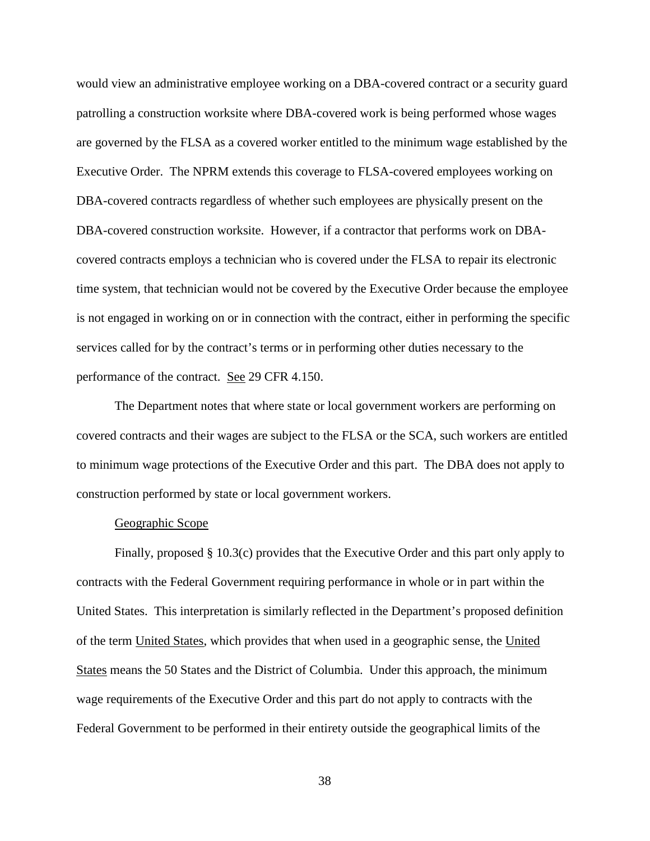would view an administrative employee working on a DBA-covered contract or a security guard patrolling a construction worksite where DBA-covered work is being performed whose wages are governed by the FLSA as a covered worker entitled to the minimum wage established by the Executive Order. The NPRM extends this coverage to FLSA-covered employees working on DBA-covered contracts regardless of whether such employees are physically present on the DBA-covered construction worksite. However, if a contractor that performs work on DBAcovered contracts employs a technician who is covered under the FLSA to repair its electronic time system, that technician would not be covered by the Executive Order because the employee is not engaged in working on or in connection with the contract, either in performing the specific services called for by the contract's terms or in performing other duties necessary to the performance of the contract. See 29 CFR 4.150.

The Department notes that where state or local government workers are performing on covered contracts and their wages are subject to the FLSA or the SCA, such workers are entitled to minimum wage protections of the Executive Order and this part. The DBA does not apply to construction performed by state or local government workers.

## Geographic Scope

Finally, proposed § 10.3(c) provides that the Executive Order and this part only apply to contracts with the Federal Government requiring performance in whole or in part within the United States. This interpretation is similarly reflected in the Department's proposed definition of the term United States, which provides that when used in a geographic sense, the United States means the 50 States and the District of Columbia. Under this approach, the minimum wage requirements of the Executive Order and this part do not apply to contracts with the Federal Government to be performed in their entirety outside the geographical limits of the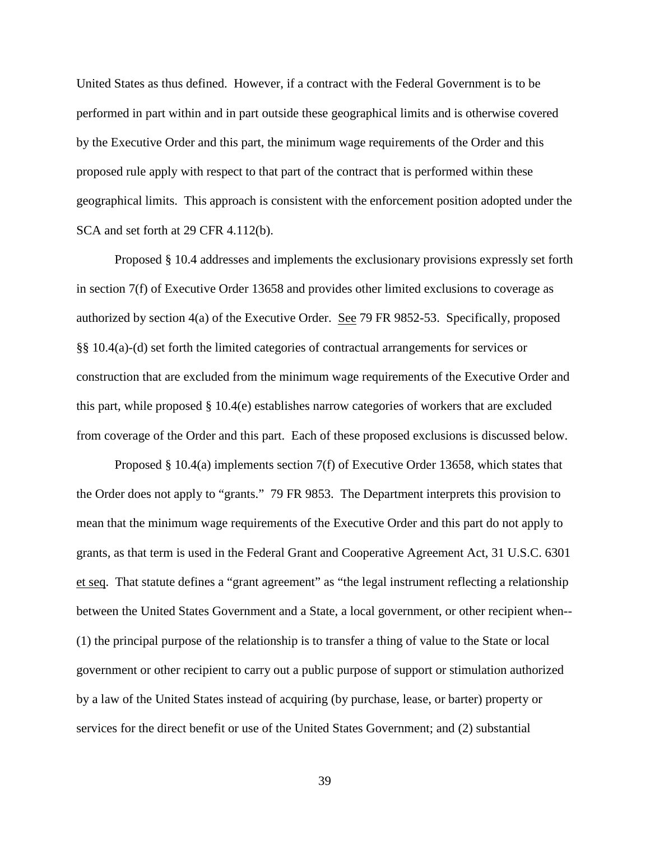United States as thus defined. However, if a contract with the Federal Government is to be performed in part within and in part outside these geographical limits and is otherwise covered by the Executive Order and this part, the minimum wage requirements of the Order and this proposed rule apply with respect to that part of the contract that is performed within these geographical limits. This approach is consistent with the enforcement position adopted under the SCA and set forth at 29 CFR 4.112(b).

Proposed § 10.4 addresses and implements the exclusionary provisions expressly set forth in section 7(f) of Executive Order 13658 and provides other limited exclusions to coverage as authorized by section 4(a) of the Executive Order. See 79 FR 9852-53. Specifically, proposed §§ 10.4(a)-(d) set forth the limited categories of contractual arrangements for services or construction that are excluded from the minimum wage requirements of the Executive Order and this part, while proposed § 10.4(e) establishes narrow categories of workers that are excluded from coverage of the Order and this part. Each of these proposed exclusions is discussed below.

Proposed § 10.4(a) implements section 7(f) of Executive Order 13658, which states that the Order does not apply to "grants." 79 FR 9853. The Department interprets this provision to mean that the minimum wage requirements of the Executive Order and this part do not apply to grants, as that term is used in the Federal Grant and Cooperative Agreement Act, 31 U.S.C. 6301 et seq. That statute defines a "grant agreement" as "the legal instrument reflecting a relationship between the United States Government and a State, a local government, or other recipient when-- (1) the principal purpose of the relationship is to transfer a thing of value to the State or local government or other recipient to carry out a public purpose of support or stimulation authorized by a law of the United States instead of acquiring (by purchase, lease, or barter) property or services for the direct benefit or use of the United States Government; and (2) substantial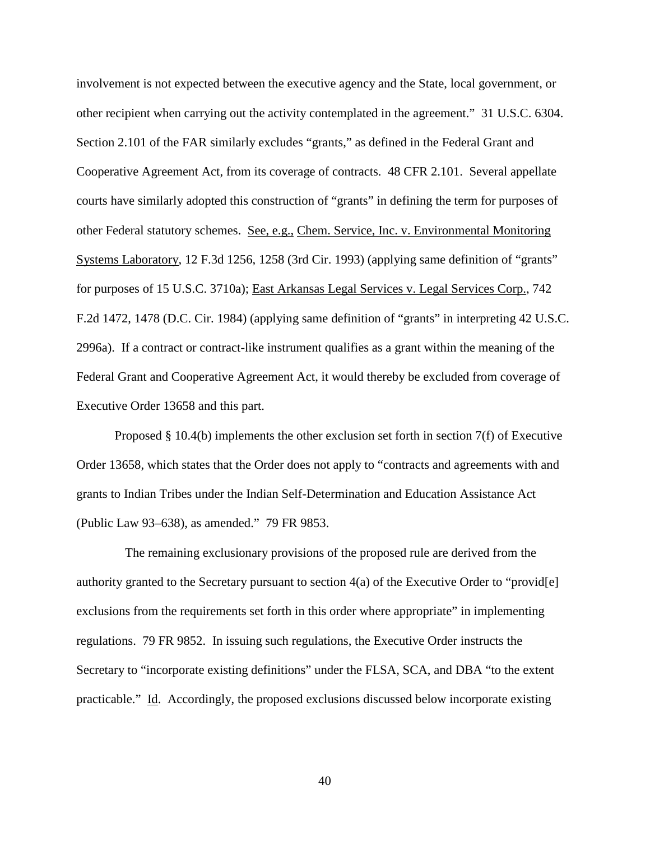involvement is not expected between the executive agency and the State, local government, or other recipient when carrying out the activity contemplated in the agreement." 31 U.S.C. 6304. Section 2.101 of the FAR similarly excludes "grants," as defined in the Federal Grant and Cooperative Agreement Act, from its coverage of contracts. 48 CFR 2.101. Several appellate courts have similarly adopted this construction of "grants" in defining the term for purposes of other Federal statutory schemes. See, e.g., Chem. Service, Inc. v. Environmental Monitoring Systems Laboratory, 12 F.3d 1256, 1258 (3rd Cir. 1993) (applying same definition of "grants" for purposes of 15 U.S.C. 3710a); East Arkansas Legal Services v. Legal Services Corp., 742 F.2d 1472, 1478 (D.C. Cir. 1984) (applying same definition of "grants" in interpreting 42 U.S.C. 2996a). If a contract or contract-like instrument qualifies as a grant within the meaning of the Federal Grant and Cooperative Agreement Act, it would thereby be excluded from coverage of Executive Order 13658 and this part.

Proposed § 10.4(b) implements the other exclusion set forth in section 7(f) of Executive Order 13658, which states that the Order does not apply to "contracts and agreements with and grants to Indian Tribes under the Indian Self-Determination and Education Assistance Act (Public Law 93–638), as amended." 79 FR 9853.

The remaining exclusionary provisions of the proposed rule are derived from the authority granted to the Secretary pursuant to section 4(a) of the Executive Order to "provid[e] exclusions from the requirements set forth in this order where appropriate" in implementing regulations. 79 FR 9852. In issuing such regulations, the Executive Order instructs the Secretary to "incorporate existing definitions" under the FLSA, SCA, and DBA "to the extent practicable." Id. Accordingly, the proposed exclusions discussed below incorporate existing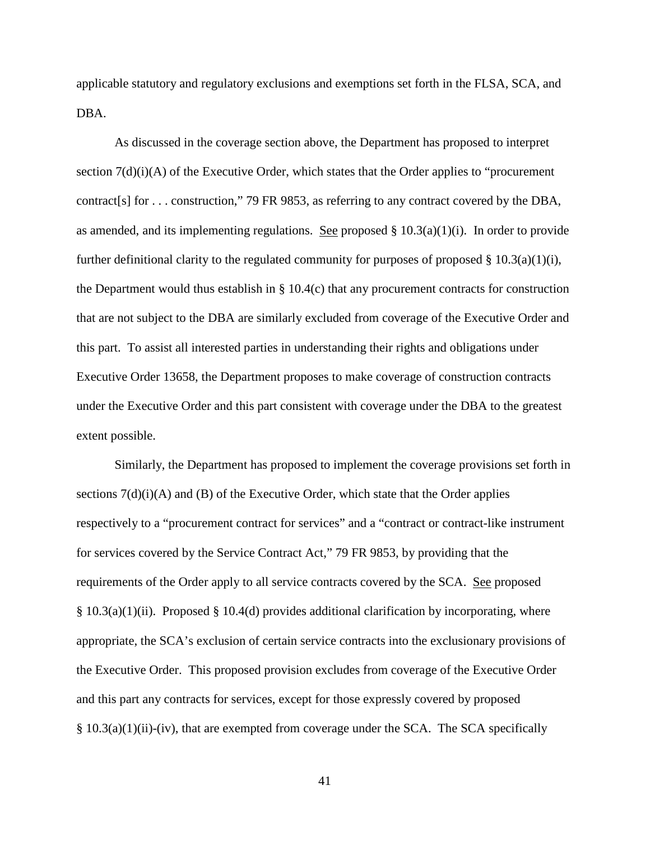applicable statutory and regulatory exclusions and exemptions set forth in the FLSA, SCA, and DBA.

As discussed in the coverage section above, the Department has proposed to interpret section  $7(d)(i)$  of the Executive Order, which states that the Order applies to "procurement" contract[s] for . . . construction," 79 FR 9853, as referring to any contract covered by the DBA, as amended, and its implementing regulations. See proposed  $\S 10.3(a)(1)(i)$ . In order to provide further definitional clarity to the regulated community for purposes of proposed  $\S 10.3(a)(1)(i)$ , the Department would thus establish in  $\S$  10.4(c) that any procurement contracts for construction that are not subject to the DBA are similarly excluded from coverage of the Executive Order and this part. To assist all interested parties in understanding their rights and obligations under Executive Order 13658, the Department proposes to make coverage of construction contracts under the Executive Order and this part consistent with coverage under the DBA to the greatest extent possible.

Similarly, the Department has proposed to implement the coverage provisions set forth in sections  $7(d)(i)(A)$  and  $(B)$  of the Executive Order, which state that the Order applies respectively to a "procurement contract for services" and a "contract or contract-like instrument for services covered by the Service Contract Act," 79 FR 9853, by providing that the requirements of the Order apply to all service contracts covered by the SCA. See proposed  $§ 10.3(a)(1)(ii)$ . Proposed § 10.4(d) provides additional clarification by incorporating, where appropriate, the SCA's exclusion of certain service contracts into the exclusionary provisions of the Executive Order. This proposed provision excludes from coverage of the Executive Order and this part any contracts for services, except for those expressly covered by proposed § 10.3(a)(1)(ii)-(iv), that are exempted from coverage under the SCA. The SCA specifically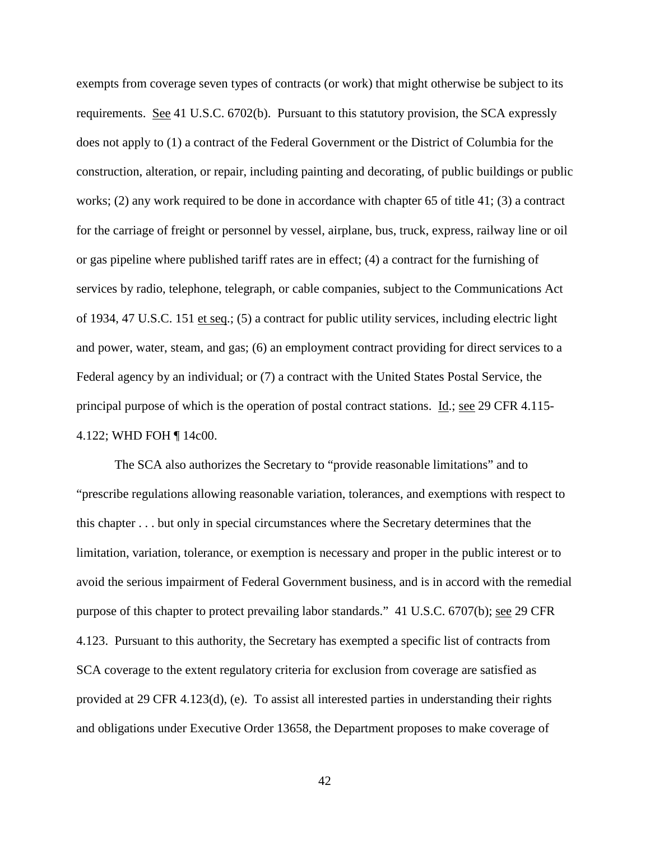exempts from coverage seven types of contracts (or work) that might otherwise be subject to its requirements. See 41 U.S.C. 6702(b). Pursuant to this statutory provision, the SCA expressly does not apply to (1) a contract of the Federal Government or the District of Columbia for the construction, alteration, or repair, including painting and decorating, of public buildings or public works; (2) any work required to be done in accordance with chapter 65 of title 41; (3) a contract for the carriage of freight or personnel by vessel, airplane, bus, truck, express, railway line or oil or gas pipeline where published tariff rates are in effect; (4) a contract for the furnishing of services by radio, telephone, telegraph, or cable companies, subject to the Communications Act of 1934, 47 U.S.C. 151 et seq.; (5) a contract for public utility services, including electric light and power, water, steam, and gas; (6) an employment contract providing for direct services to a Federal agency by an individual; or (7) a contract with the United States Postal Service, the principal purpose of which is the operation of postal contract stations. Id.; see 29 CFR 4.115- 4.122; WHD FOH ¶ 14c00.

The SCA also authorizes the Secretary to "provide reasonable limitations" and to "prescribe regulations allowing reasonable variation, tolerances, and exemptions with respect to this chapter . . . but only in special circumstances where the Secretary determines that the limitation, variation, tolerance, or exemption is necessary and proper in the public interest or to avoid the serious impairment of Federal Government business, and is in accord with the remedial purpose of this chapter to protect prevailing labor standards." 41 U.S.C. 6707(b); see 29 CFR 4.123. Pursuant to this authority, the Secretary has exempted a specific list of contracts from SCA coverage to the extent regulatory criteria for exclusion from coverage are satisfied as provided at 29 CFR 4.123(d), (e). To assist all interested parties in understanding their rights and obligations under Executive Order 13658, the Department proposes to make coverage of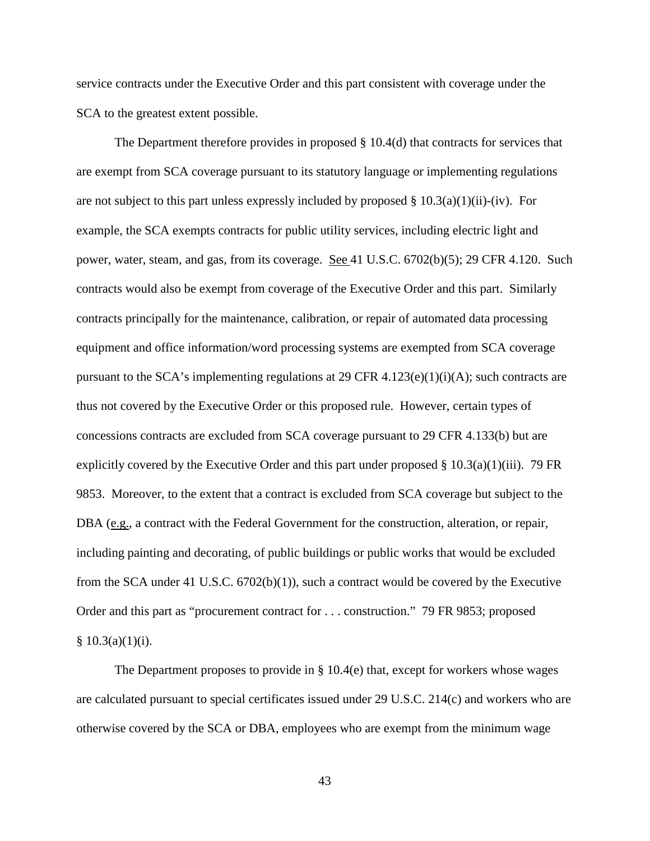service contracts under the Executive Order and this part consistent with coverage under the SCA to the greatest extent possible.

The Department therefore provides in proposed § 10.4(d) that contracts for services that are exempt from SCA coverage pursuant to its statutory language or implementing regulations are not subject to this part unless expressly included by proposed  $\S 10.3(a)(1)(ii)-(iv)$ . For example, the SCA exempts contracts for public utility services, including electric light and power, water, steam, and gas, from its coverage. See 41 U.S.C. 6702(b)(5); 29 CFR 4.120. Such contracts would also be exempt from coverage of the Executive Order and this part. Similarly contracts principally for the maintenance, calibration, or repair of automated data processing equipment and office information/word processing systems are exempted from SCA coverage pursuant to the SCA's implementing regulations at 29 CFR  $4.123(e)(1)(i)(A)$ ; such contracts are thus not covered by the Executive Order or this proposed rule. However, certain types of concessions contracts are excluded from SCA coverage pursuant to 29 CFR 4.133(b) but are explicitly covered by the Executive Order and this part under proposed  $\S$  10.3(a)(1)(iii). 79 FR 9853. Moreover, to the extent that a contract is excluded from SCA coverage but subject to the DBA (e.g., a contract with the Federal Government for the construction, alteration, or repair, including painting and decorating, of public buildings or public works that would be excluded from the SCA under 41 U.S.C.  $6702(b)(1)$ , such a contract would be covered by the Executive Order and this part as "procurement contract for . . . construction." 79 FR 9853; proposed  $§ 10.3(a)(1)(i).$ 

The Department proposes to provide in § 10.4(e) that, except for workers whose wages are calculated pursuant to special certificates issued under 29 U.S.C. 214(c) and workers who are otherwise covered by the SCA or DBA, employees who are exempt from the minimum wage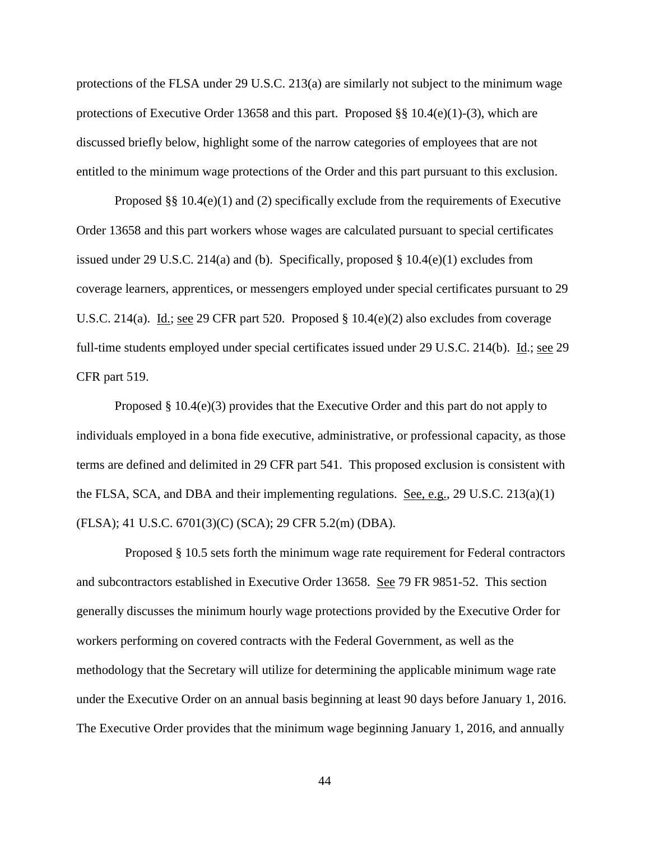protections of the FLSA under 29 U.S.C. 213(a) are similarly not subject to the minimum wage protections of Executive Order 13658 and this part. Proposed §§ 10.4(e)(1)-(3), which are discussed briefly below, highlight some of the narrow categories of employees that are not entitled to the minimum wage protections of the Order and this part pursuant to this exclusion.

Proposed  $\S$ § 10.4(e)(1) and (2) specifically exclude from the requirements of Executive Order 13658 and this part workers whose wages are calculated pursuant to special certificates issued under 29 U.S.C. 214(a) and (b). Specifically, proposed § 10.4(e)(1) excludes from coverage learners, apprentices, or messengers employed under special certificates pursuant to 29 U.S.C. 214(a). Id.; see 29 CFR part 520. Proposed  $\S$  10.4(e)(2) also excludes from coverage full-time students employed under special certificates issued under 29 U.S.C. 214(b). Id.; see 29 CFR part 519.

Proposed § 10.4(e)(3) provides that the Executive Order and this part do not apply to individuals employed in a bona fide executive, administrative, or professional capacity, as those terms are defined and delimited in 29 CFR part 541. This proposed exclusion is consistent with the FLSA, SCA, and DBA and their implementing regulations. See, e.g., 29 U.S.C. 213(a)(1) (FLSA); 41 U.S.C. 6701(3)(C) (SCA); 29 CFR 5.2(m) (DBA).

Proposed § 10.5 sets forth the minimum wage rate requirement for Federal contractors and subcontractors established in Executive Order 13658. See 79 FR 9851-52. This section generally discusses the minimum hourly wage protections provided by the Executive Order for workers performing on covered contracts with the Federal Government, as well as the methodology that the Secretary will utilize for determining the applicable minimum wage rate under the Executive Order on an annual basis beginning at least 90 days before January 1, 2016. The Executive Order provides that the minimum wage beginning January 1, 2016, and annually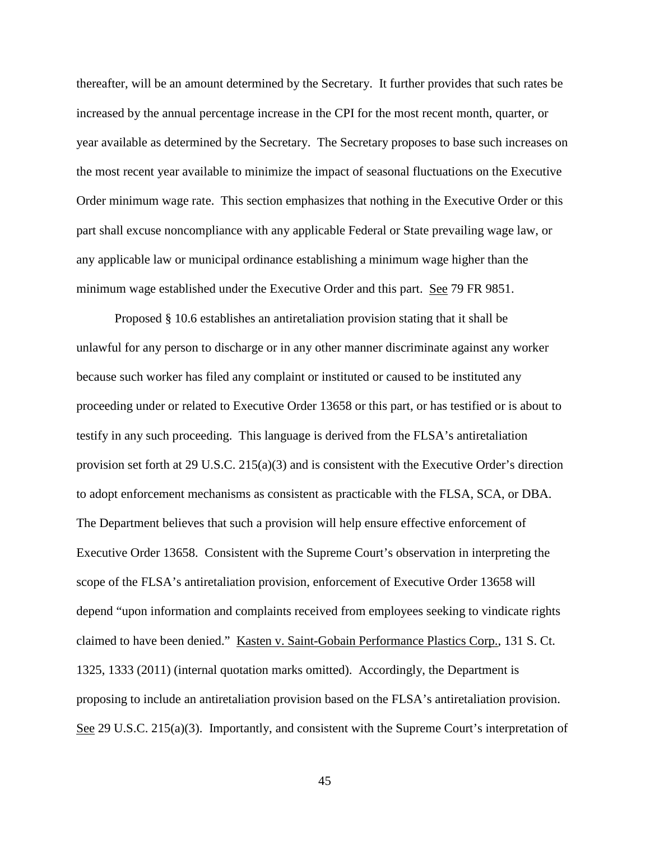thereafter, will be an amount determined by the Secretary. It further provides that such rates be increased by the annual percentage increase in the CPI for the most recent month, quarter, or year available as determined by the Secretary. The Secretary proposes to base such increases on the most recent year available to minimize the impact of seasonal fluctuations on the Executive Order minimum wage rate. This section emphasizes that nothing in the Executive Order or this part shall excuse noncompliance with any applicable Federal or State prevailing wage law, or any applicable law or municipal ordinance establishing a minimum wage higher than the minimum wage established under the Executive Order and this part. See 79 FR 9851.

Proposed § 10.6 establishes an antiretaliation provision stating that it shall be unlawful for any person to discharge or in any other manner discriminate against any worker because such worker has filed any complaint or instituted or caused to be instituted any proceeding under or related to Executive Order 13658 or this part, or has testified or is about to testify in any such proceeding. This language is derived from the FLSA's antiretaliation provision set forth at 29 U.S.C. 215(a)(3) and is consistent with the Executive Order's direction to adopt enforcement mechanisms as consistent as practicable with the FLSA, SCA, or DBA. The Department believes that such a provision will help ensure effective enforcement of Executive Order 13658. Consistent with the Supreme Court's observation in interpreting the scope of the FLSA's antiretaliation provision, enforcement of Executive Order 13658 will depend "upon information and complaints received from employees seeking to vindicate rights claimed to have been denied." Kasten v. Saint-Gobain Performance Plastics Corp., 131 S. Ct. 1325, 1333 (2011) (internal quotation marks omitted). Accordingly, the Department is proposing to include an antiretaliation provision based on the FLSA's antiretaliation provision. See 29 U.S.C. 215(a)(3). Importantly, and consistent with the Supreme Court's interpretation of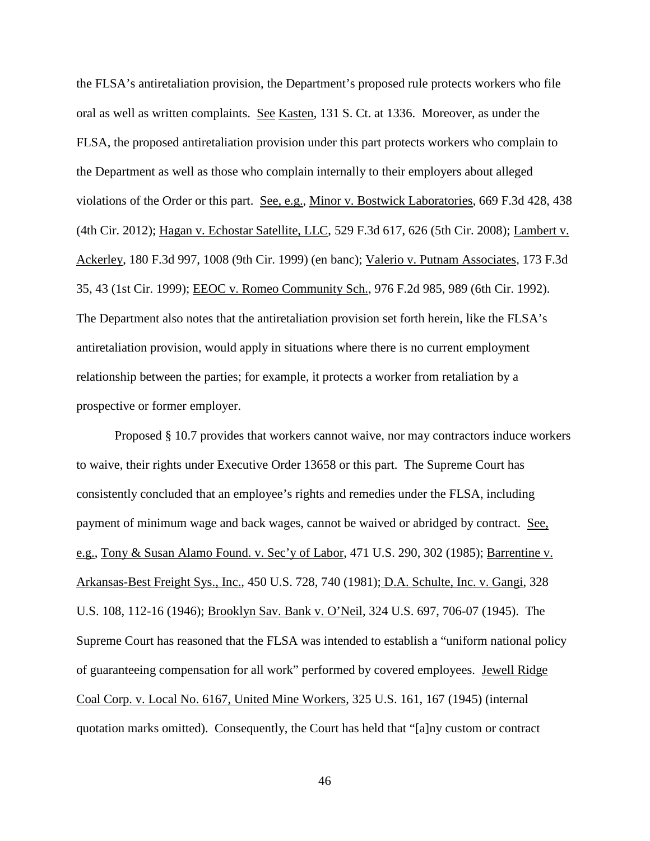the FLSA's antiretaliation provision, the Department's proposed rule protects workers who file oral as well as written complaints. See Kasten, 131 S. Ct. at 1336. Moreover, as under the FLSA, the proposed antiretaliation provision under this part protects workers who complain to the Department as well as those who complain internally to their employers about alleged violations of the Order or this part. See, e.g., Minor v. Bostwick Laboratories, 669 F.3d 428, 438 (4th Cir. 2012); Hagan v. Echostar Satellite, LLC, 529 F.3d 617, 626 (5th Cir. 2008); Lambert v. Ackerley, 180 F.3d 997, 1008 (9th Cir. 1999) (en banc); Valerio v. Putnam Associates, 173 F.3d 35, 43 (1st Cir. 1999); EEOC v. Romeo Community Sch., 976 F.2d 985, 989 (6th Cir. 1992). The Department also notes that the antiretaliation provision set forth herein, like the FLSA's antiretaliation provision, would apply in situations where there is no current employment relationship between the parties; for example, it protects a worker from retaliation by a prospective or former employer.

Proposed § 10.7 provides that workers cannot waive, nor may contractors induce workers to waive, their rights under Executive Order 13658 or this part. The Supreme Court has consistently concluded that an employee's rights and remedies under the FLSA, including payment of minimum wage and back wages, cannot be waived or abridged by contract. See, e.g., Tony & Susan Alamo Found. v. Sec'y of Labor, 471 U.S. 290, 302 (1985); Barrentine v. Arkansas-Best Freight Sys., Inc., 450 U.S. 728, 740 (1981); D.A. Schulte, Inc. v. Gangi, 328 U.S. 108, 112-16 (1946); Brooklyn Sav. Bank v. O'Neil, 324 U.S. 697, 706-07 (1945). The Supreme Court has reasoned that the FLSA was intended to establish a "uniform national policy of guaranteeing compensation for all work" performed by covered employees. Jewell Ridge Coal Corp. v. Local No. 6167, United Mine Workers, 325 U.S. 161, 167 (1945) (internal quotation marks omitted). Consequently, the Court has held that "[a]ny custom or contract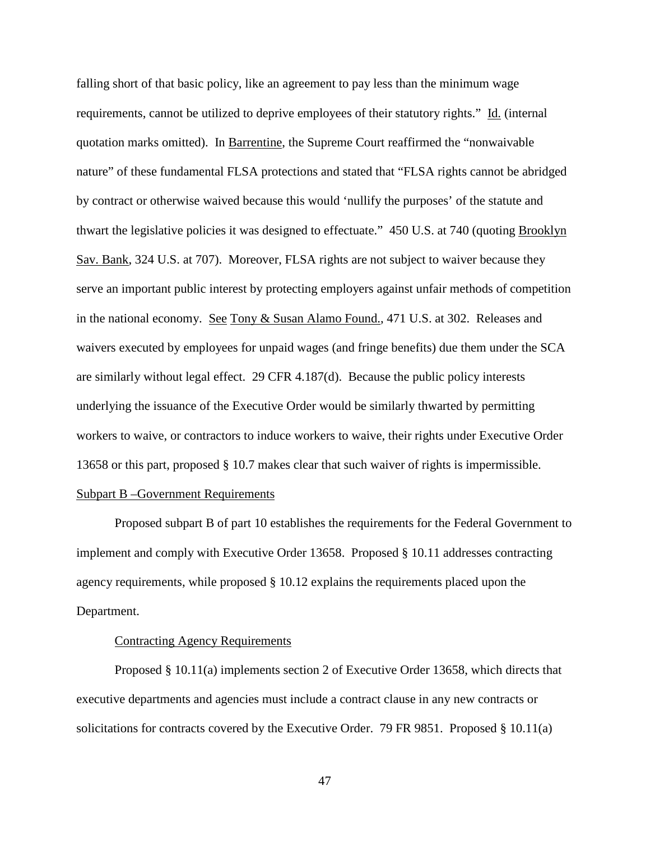falling short of that basic policy, like an agreement to pay less than the minimum wage requirements, cannot be utilized to deprive employees of their statutory rights." Id. (internal quotation marks omitted). In Barrentine, the Supreme Court reaffirmed the "nonwaivable nature" of these fundamental FLSA protections and stated that "FLSA rights cannot be abridged by contract or otherwise waived because this would 'nullify the purposes' of the statute and thwart the legislative policies it was designed to effectuate." 450 U.S. at 740 (quoting Brooklyn Sav. Bank, 324 U.S. at 707). Moreover, FLSA rights are not subject to waiver because they serve an important public interest by protecting employers against unfair methods of competition in the national economy. See Tony & Susan Alamo Found., 471 U.S. at 302. Releases and waivers executed by employees for unpaid wages (and fringe benefits) due them under the SCA are similarly without legal effect. 29 CFR 4.187(d). Because the public policy interests underlying the issuance of the Executive Order would be similarly thwarted by permitting workers to waive, or contractors to induce workers to waive, their rights under Executive Order 13658 or this part, proposed § 10.7 makes clear that such waiver of rights is impermissible.

# Subpart B –Government Requirements

Proposed subpart B of part 10 establishes the requirements for the Federal Government to implement and comply with Executive Order 13658. Proposed § 10.11 addresses contracting agency requirements, while proposed § 10.12 explains the requirements placed upon the Department.

# Contracting Agency Requirements

Proposed § 10.11(a) implements section 2 of Executive Order 13658, which directs that executive departments and agencies must include a contract clause in any new contracts or solicitations for contracts covered by the Executive Order. 79 FR 9851. Proposed § 10.11(a)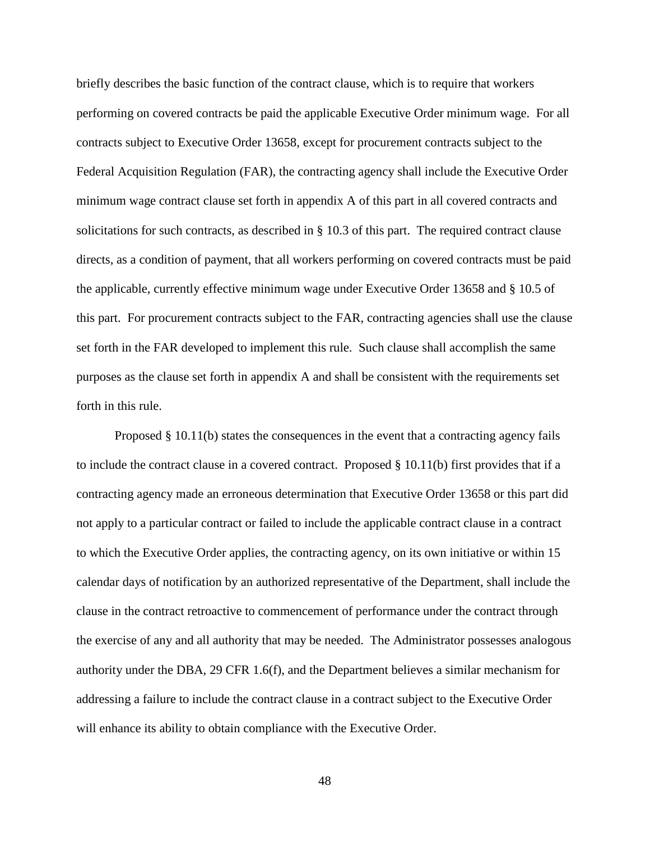briefly describes the basic function of the contract clause, which is to require that workers performing on covered contracts be paid the applicable Executive Order minimum wage. For all contracts subject to Executive Order 13658, except for procurement contracts subject to the Federal Acquisition Regulation (FAR), the contracting agency shall include the Executive Order minimum wage contract clause set forth in appendix A of this part in all covered contracts and solicitations for such contracts, as described in § 10.3 of this part. The required contract clause directs, as a condition of payment, that all workers performing on covered contracts must be paid the applicable, currently effective minimum wage under Executive Order 13658 and § 10.5 of this part. For procurement contracts subject to the FAR, contracting agencies shall use the clause set forth in the FAR developed to implement this rule. Such clause shall accomplish the same purposes as the clause set forth in appendix A and shall be consistent with the requirements set forth in this rule.

Proposed § 10.11(b) states the consequences in the event that a contracting agency fails to include the contract clause in a covered contract. Proposed § 10.11(b) first provides that if a contracting agency made an erroneous determination that Executive Order 13658 or this part did not apply to a particular contract or failed to include the applicable contract clause in a contract to which the Executive Order applies, the contracting agency, on its own initiative or within 15 calendar days of notification by an authorized representative of the Department, shall include the clause in the contract retroactive to commencement of performance under the contract through the exercise of any and all authority that may be needed. The Administrator possesses analogous authority under the DBA, 29 CFR 1.6(f), and the Department believes a similar mechanism for addressing a failure to include the contract clause in a contract subject to the Executive Order will enhance its ability to obtain compliance with the Executive Order.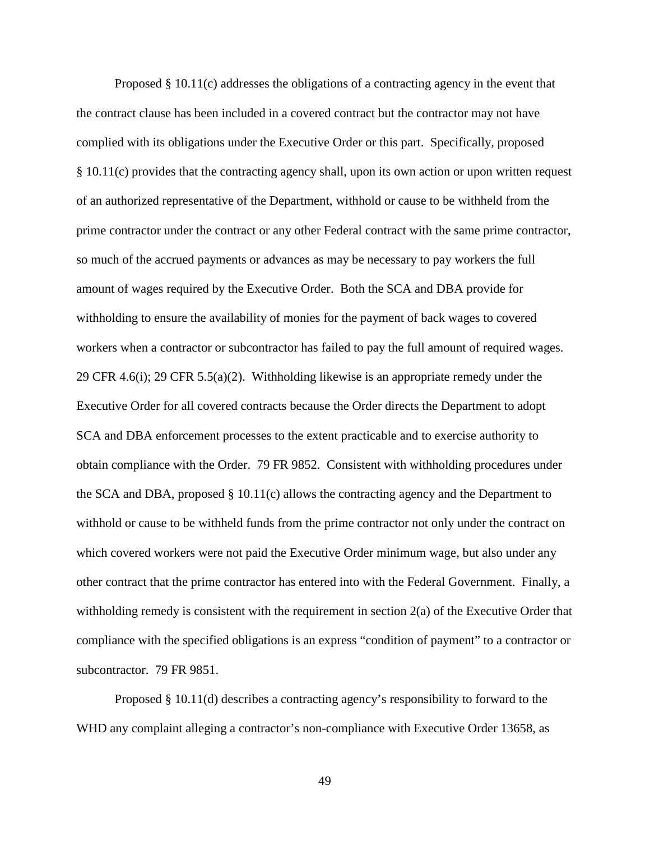Proposed § 10.11(c) addresses the obligations of a contracting agency in the event that the contract clause has been included in a covered contract but the contractor may not have complied with its obligations under the Executive Order or this part. Specifically, proposed § 10.11(c) provides that the contracting agency shall, upon its own action or upon written request of an authorized representative of the Department, withhold or cause to be withheld from the prime contractor under the contract or any other Federal contract with the same prime contractor, so much of the accrued payments or advances as may be necessary to pay workers the full amount of wages required by the Executive Order. Both the SCA and DBA provide for withholding to ensure the availability of monies for the payment of back wages to covered workers when a contractor or subcontractor has failed to pay the full amount of required wages. 29 CFR 4.6(i); 29 CFR 5.5(a)(2). Withholding likewise is an appropriate remedy under the Executive Order for all covered contracts because the Order directs the Department to adopt SCA and DBA enforcement processes to the extent practicable and to exercise authority to obtain compliance with the Order. 79 FR 9852. Consistent with withholding procedures under the SCA and DBA, proposed § 10.11(c) allows the contracting agency and the Department to withhold or cause to be withheld funds from the prime contractor not only under the contract on which covered workers were not paid the Executive Order minimum wage, but also under any other contract that the prime contractor has entered into with the Federal Government. Finally, a withholding remedy is consistent with the requirement in section 2(a) of the Executive Order that compliance with the specified obligations is an express "condition of payment" to a contractor or subcontractor. 79 FR 9851.

Proposed § 10.11(d) describes a contracting agency's responsibility to forward to the WHD any complaint alleging a contractor's non-compliance with Executive Order 13658, as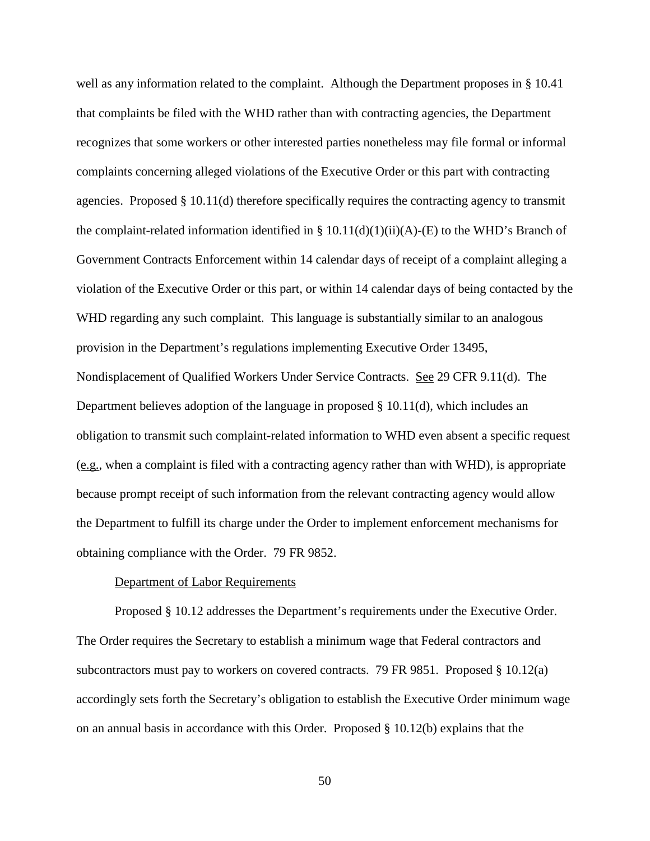well as any information related to the complaint. Although the Department proposes in § 10.41 that complaints be filed with the WHD rather than with contracting agencies, the Department recognizes that some workers or other interested parties nonetheless may file formal or informal complaints concerning alleged violations of the Executive Order or this part with contracting agencies. Proposed § 10.11(d) therefore specifically requires the contracting agency to transmit the complaint-related information identified in § 10.11(d)(1)(ii)(A)-(E) to the WHD's Branch of Government Contracts Enforcement within 14 calendar days of receipt of a complaint alleging a violation of the Executive Order or this part, or within 14 calendar days of being contacted by the WHD regarding any such complaint. This language is substantially similar to an analogous provision in the Department's regulations implementing Executive Order 13495, Nondisplacement of Qualified Workers Under Service Contracts. See 29 CFR 9.11(d). The Department believes adoption of the language in proposed § 10.11(d), which includes an obligation to transmit such complaint-related information to WHD even absent a specific request (e.g., when a complaint is filed with a contracting agency rather than with WHD), is appropriate because prompt receipt of such information from the relevant contracting agency would allow the Department to fulfill its charge under the Order to implement enforcement mechanisms for obtaining compliance with the Order. 79 FR 9852.

#### Department of Labor Requirements

Proposed § 10.12 addresses the Department's requirements under the Executive Order. The Order requires the Secretary to establish a minimum wage that Federal contractors and subcontractors must pay to workers on covered contracts. 79 FR 9851. Proposed § 10.12(a) accordingly sets forth the Secretary's obligation to establish the Executive Order minimum wage on an annual basis in accordance with this Order. Proposed  $\S 10.12(b)$  explains that the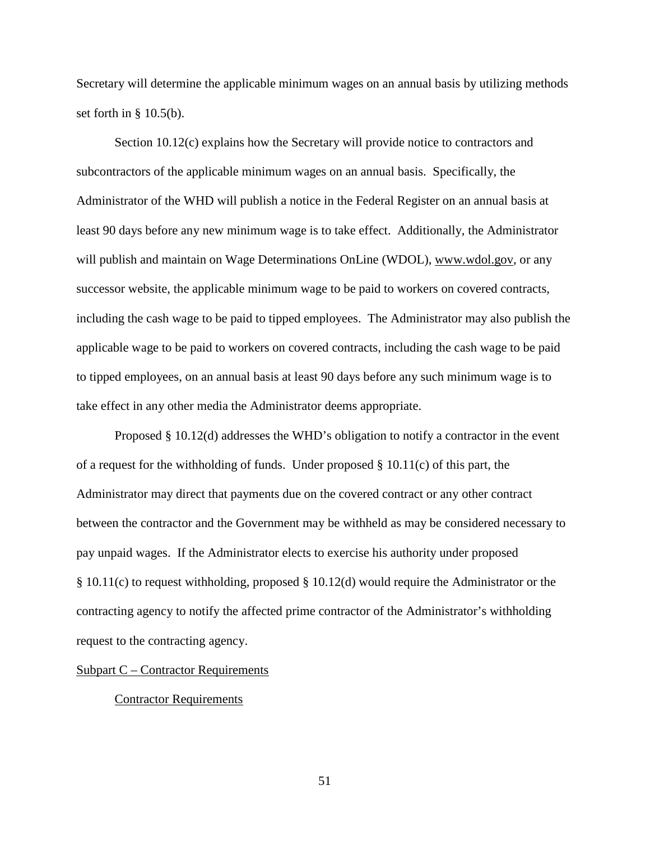Secretary will determine the applicable minimum wages on an annual basis by utilizing methods set forth in  $\S$  10.5(b).

Section 10.12(c) explains how the Secretary will provide notice to contractors and subcontractors of the applicable minimum wages on an annual basis. Specifically, the Administrator of the WHD will publish a notice in the Federal Register on an annual basis at least 90 days before any new minimum wage is to take effect. Additionally, the Administrator will publish and maintain on Wage Determinations OnLine (WDOL), www.wdol.gov, or any successor website, the applicable minimum wage to be paid to workers on covered contracts, including the cash wage to be paid to tipped employees. The Administrator may also publish the applicable wage to be paid to workers on covered contracts, including the cash wage to be paid to tipped employees, on an annual basis at least 90 days before any such minimum wage is to take effect in any other media the Administrator deems appropriate.

Proposed § 10.12(d) addresses the WHD's obligation to notify a contractor in the event of a request for the withholding of funds. Under proposed  $\S$  10.11(c) of this part, the Administrator may direct that payments due on the covered contract or any other contract between the contractor and the Government may be withheld as may be considered necessary to pay unpaid wages. If the Administrator elects to exercise his authority under proposed § 10.11(c) to request withholding, proposed § 10.12(d) would require the Administrator or the contracting agency to notify the affected prime contractor of the Administrator's withholding request to the contracting agency.

### Subpart C – Contractor Requirements

### Contractor Requirements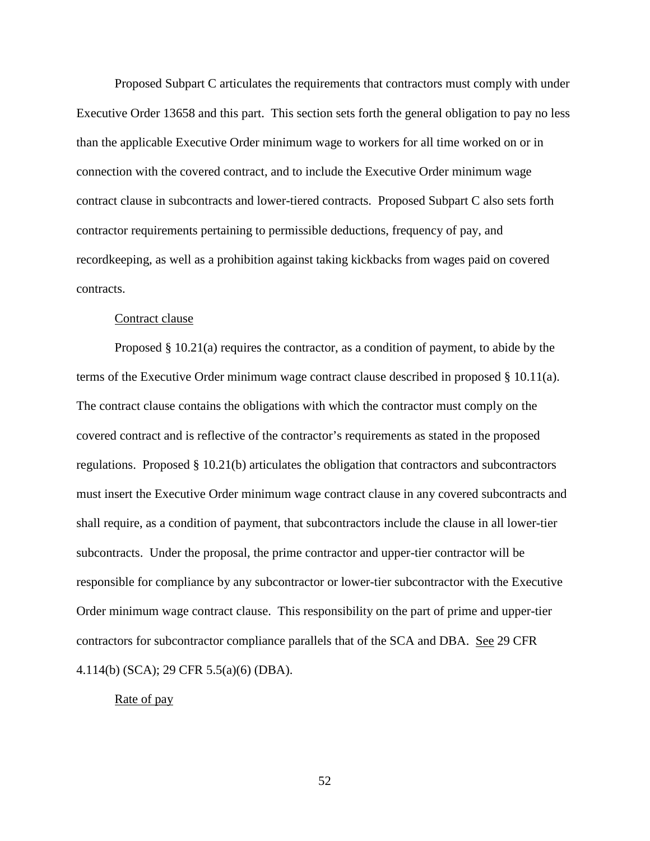Proposed Subpart C articulates the requirements that contractors must comply with under Executive Order 13658 and this part. This section sets forth the general obligation to pay no less than the applicable Executive Order minimum wage to workers for all time worked on or in connection with the covered contract, and to include the Executive Order minimum wage contract clause in subcontracts and lower-tiered contracts. Proposed Subpart C also sets forth contractor requirements pertaining to permissible deductions, frequency of pay, and recordkeeping, as well as a prohibition against taking kickbacks from wages paid on covered contracts.

### Contract clause

Proposed § 10.21(a) requires the contractor, as a condition of payment, to abide by the terms of the Executive Order minimum wage contract clause described in proposed § 10.11(a). The contract clause contains the obligations with which the contractor must comply on the covered contract and is reflective of the contractor's requirements as stated in the proposed regulations. Proposed § 10.21(b) articulates the obligation that contractors and subcontractors must insert the Executive Order minimum wage contract clause in any covered subcontracts and shall require, as a condition of payment, that subcontractors include the clause in all lower-tier subcontracts. Under the proposal, the prime contractor and upper-tier contractor will be responsible for compliance by any subcontractor or lower-tier subcontractor with the Executive Order minimum wage contract clause. This responsibility on the part of prime and upper-tier contractors for subcontractor compliance parallels that of the SCA and DBA. See 29 CFR 4.114(b) (SCA); 29 CFR 5.5(a)(6) (DBA).

# Rate of pay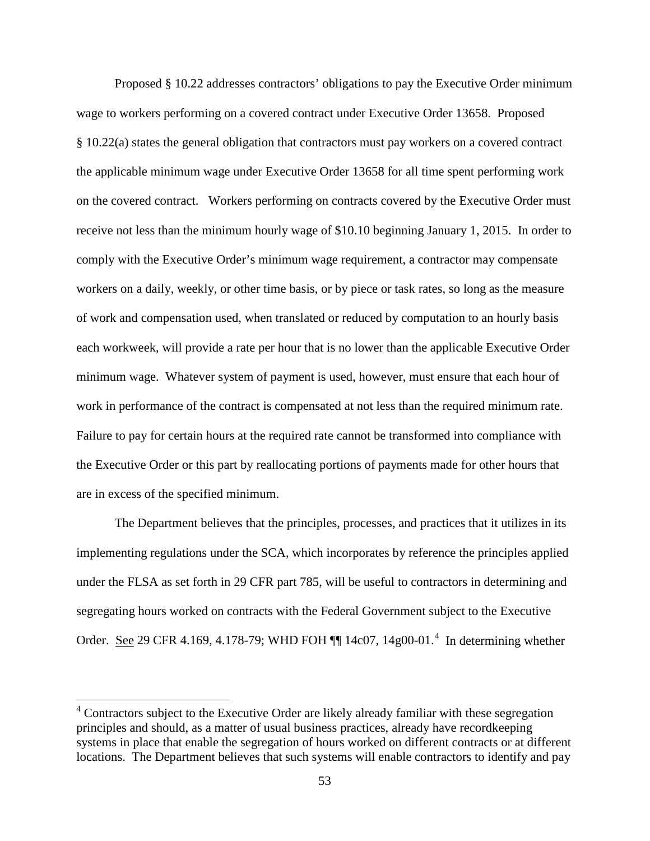Proposed § 10.22 addresses contractors' obligations to pay the Executive Order minimum wage to workers performing on a covered contract under Executive Order 13658. Proposed § 10.22(a) states the general obligation that contractors must pay workers on a covered contract the applicable minimum wage under Executive Order 13658 for all time spent performing work on the covered contract. Workers performing on contracts covered by the Executive Order must receive not less than the minimum hourly wage of \$10.10 beginning January 1, 2015. In order to comply with the Executive Order's minimum wage requirement, a contractor may compensate workers on a daily, weekly, or other time basis, or by piece or task rates, so long as the measure of work and compensation used, when translated or reduced by computation to an hourly basis each workweek, will provide a rate per hour that is no lower than the applicable Executive Order minimum wage. Whatever system of payment is used, however, must ensure that each hour of work in performance of the contract is compensated at not less than the required minimum rate. Failure to pay for certain hours at the required rate cannot be transformed into compliance with the Executive Order or this part by reallocating portions of payments made for other hours that are in excess of the specified minimum.

The Department believes that the principles, processes, and practices that it utilizes in its implementing regulations under the SCA, which incorporates by reference the principles applied under the FLSA as set forth in 29 CFR part 785, will be useful to contractors in determining and segregating hours worked on contracts with the Federal Government subject to the Executive Order. See 29 CFR [4](#page-52-0).169, 4.178-79; WHD FOH  $\P$  14c07, 14g00-01.<sup>4</sup> In determining whether

<span id="page-52-0"></span><sup>&</sup>lt;sup>4</sup> Contractors subject to the Executive Order are likely already familiar with these segregation principles and should, as a matter of usual business practices, already have recordkeeping systems in place that enable the segregation of hours worked on different contracts or at different locations. The Department believes that such systems will enable contractors to identify and pay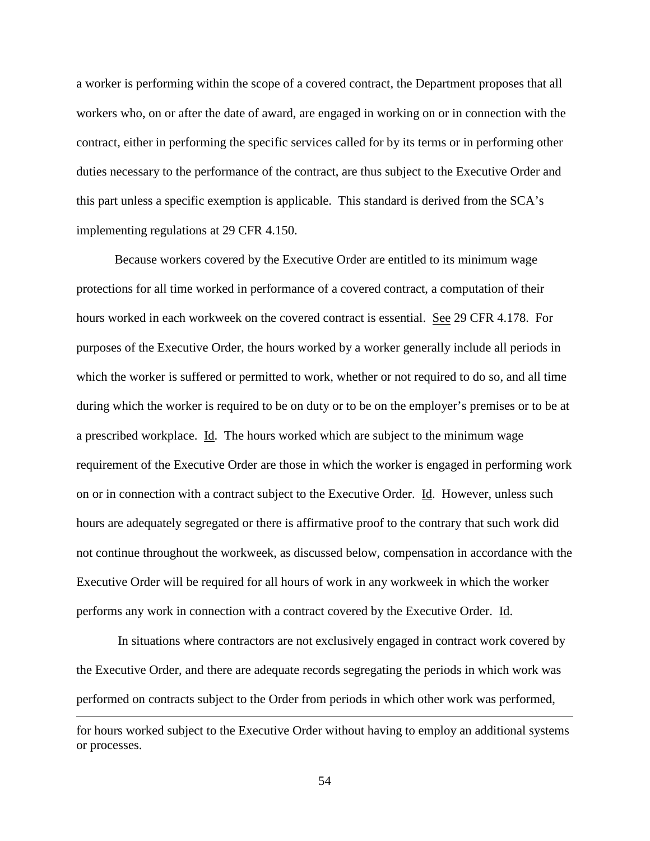a worker is performing within the scope of a covered contract, the Department proposes that all workers who, on or after the date of award, are engaged in working on or in connection with the contract, either in performing the specific services called for by its terms or in performing other duties necessary to the performance of the contract, are thus subject to the Executive Order and this part unless a specific exemption is applicable. This standard is derived from the SCA's implementing regulations at 29 CFR 4.150.

Because workers covered by the Executive Order are entitled to its minimum wage protections for all time worked in performance of a covered contract, a computation of their hours worked in each workweek on the covered contract is essential. See 29 CFR 4.178. For purposes of the Executive Order, the hours worked by a worker generally include all periods in which the worker is suffered or permitted to work, whether or not required to do so, and all time during which the worker is required to be on duty or to be on the employer's premises or to be at a prescribed workplace. Id. The hours worked which are subject to the minimum wage requirement of the Executive Order are those in which the worker is engaged in performing work on or in connection with a contract subject to the Executive Order. Id. However, unless such hours are adequately segregated or there is affirmative proof to the contrary that such work did not continue throughout the workweek, as discussed below, compensation in accordance with the Executive Order will be required for all hours of work in any workweek in which the worker performs any work in connection with a contract covered by the Executive Order. Id.

In situations where contractors are not exclusively engaged in contract work covered by the Executive Order, and there are adequate records segregating the periods in which work was performed on contracts subject to the Order from periods in which other work was performed,  $\overline{a}$ 

for hours worked subject to the Executive Order without having to employ an additional systems or processes.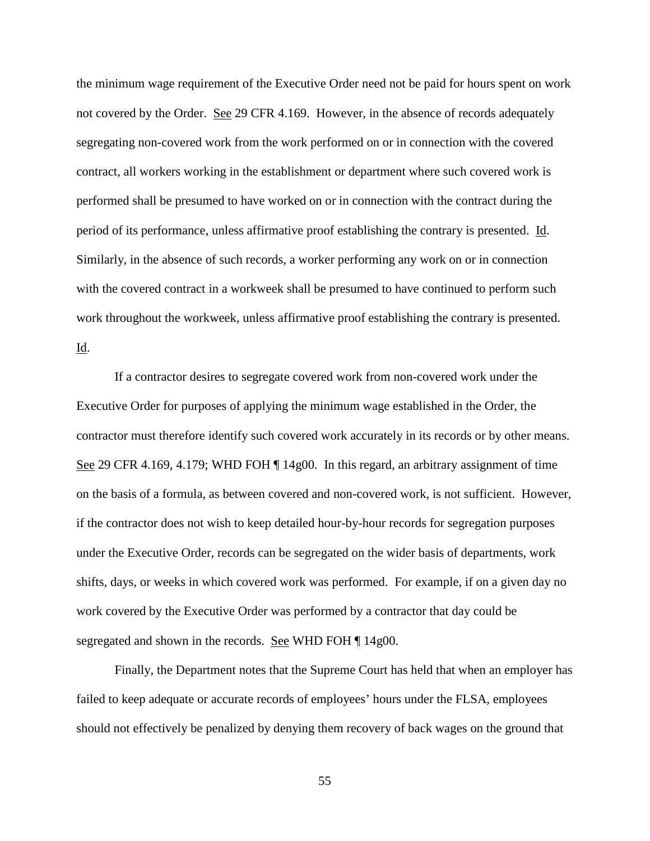the minimum wage requirement of the Executive Order need not be paid for hours spent on work not covered by the Order. See 29 CFR 4.169. However, in the absence of records adequately segregating non-covered work from the work performed on or in connection with the covered contract, all workers working in the establishment or department where such covered work is performed shall be presumed to have worked on or in connection with the contract during the period of its performance, unless affirmative proof establishing the contrary is presented. Id. Similarly, in the absence of such records, a worker performing any work on or in connection with the covered contract in a workweek shall be presumed to have continued to perform such work throughout the workweek, unless affirmative proof establishing the contrary is presented. Id.

If a contractor desires to segregate covered work from non-covered work under the Executive Order for purposes of applying the minimum wage established in the Order, the contractor must therefore identify such covered work accurately in its records or by other means. See 29 CFR 4.169, 4.179; WHD FOH  $\P$  14g00. In this regard, an arbitrary assignment of time on the basis of a formula, as between covered and non-covered work, is not sufficient. However, if the contractor does not wish to keep detailed hour-by-hour records for segregation purposes under the Executive Order, records can be segregated on the wider basis of departments, work shifts, days, or weeks in which covered work was performed. For example, if on a given day no work covered by the Executive Order was performed by a contractor that day could be segregated and shown in the records. See WHD FOH ¶ 14g00.

Finally, the Department notes that the Supreme Court has held that when an employer has failed to keep adequate or accurate records of employees' hours under the FLSA, employees should not effectively be penalized by denying them recovery of back wages on the ground that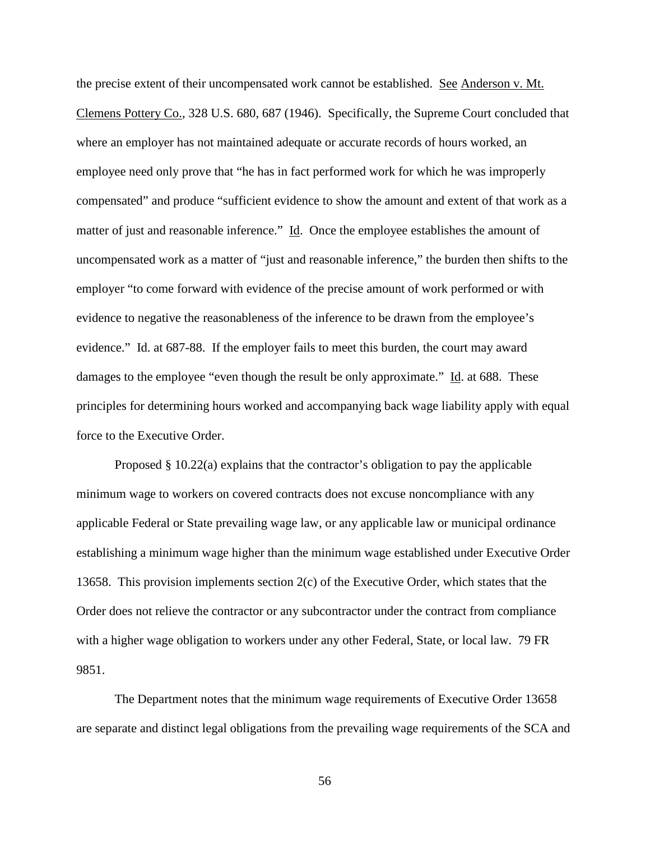the precise extent of their uncompensated work cannot be established. See Anderson v. Mt. Clemens Pottery Co., 328 U.S. 680, 687 (1946). Specifically, the Supreme Court concluded that where an employer has not maintained adequate or accurate records of hours worked, an employee need only prove that "he has in fact performed work for which he was improperly compensated" and produce "sufficient evidence to show the amount and extent of that work as a matter of just and reasonable inference."  $\underline{Id}$ . Once the employee establishes the amount of uncompensated work as a matter of "just and reasonable inference," the burden then shifts to the employer "to come forward with evidence of the precise amount of work performed or with evidence to negative the reasonableness of the inference to be drawn from the employee's evidence." Id. at 687-88. If the employer fails to meet this burden, the court may award damages to the employee "even though the result be only approximate." Id. at 688. These principles for determining hours worked and accompanying back wage liability apply with equal force to the Executive Order.

Proposed § 10.22(a) explains that the contractor's obligation to pay the applicable minimum wage to workers on covered contracts does not excuse noncompliance with any applicable Federal or State prevailing wage law, or any applicable law or municipal ordinance establishing a minimum wage higher than the minimum wage established under Executive Order 13658. This provision implements section 2(c) of the Executive Order, which states that the Order does not relieve the contractor or any subcontractor under the contract from compliance with a higher wage obligation to workers under any other Federal, State, or local law. 79 FR 9851.

The Department notes that the minimum wage requirements of Executive Order 13658 are separate and distinct legal obligations from the prevailing wage requirements of the SCA and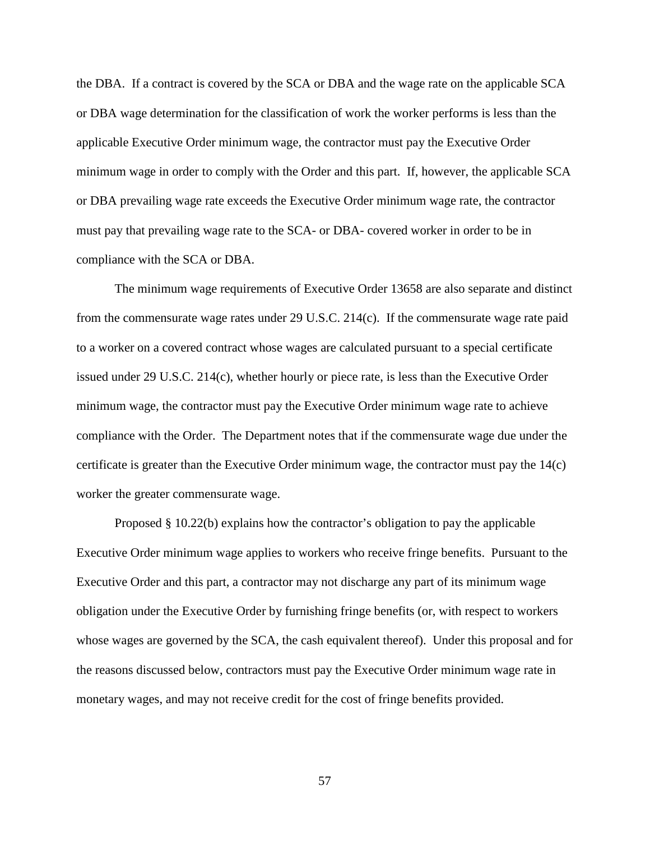the DBA. If a contract is covered by the SCA or DBA and the wage rate on the applicable SCA or DBA wage determination for the classification of work the worker performs is less than the applicable Executive Order minimum wage, the contractor must pay the Executive Order minimum wage in order to comply with the Order and this part. If, however, the applicable SCA or DBA prevailing wage rate exceeds the Executive Order minimum wage rate, the contractor must pay that prevailing wage rate to the SCA- or DBA- covered worker in order to be in compliance with the SCA or DBA.

The minimum wage requirements of Executive Order 13658 are also separate and distinct from the commensurate wage rates under 29 U.S.C. 214(c). If the commensurate wage rate paid to a worker on a covered contract whose wages are calculated pursuant to a special certificate issued under 29 U.S.C. 214(c), whether hourly or piece rate, is less than the Executive Order minimum wage, the contractor must pay the Executive Order minimum wage rate to achieve compliance with the Order. The Department notes that if the commensurate wage due under the certificate is greater than the Executive Order minimum wage, the contractor must pay the 14(c) worker the greater commensurate wage.

Proposed § 10.22(b) explains how the contractor's obligation to pay the applicable Executive Order minimum wage applies to workers who receive fringe benefits. Pursuant to the Executive Order and this part, a contractor may not discharge any part of its minimum wage obligation under the Executive Order by furnishing fringe benefits (or, with respect to workers whose wages are governed by the SCA, the cash equivalent thereof). Under this proposal and for the reasons discussed below, contractors must pay the Executive Order minimum wage rate in monetary wages, and may not receive credit for the cost of fringe benefits provided.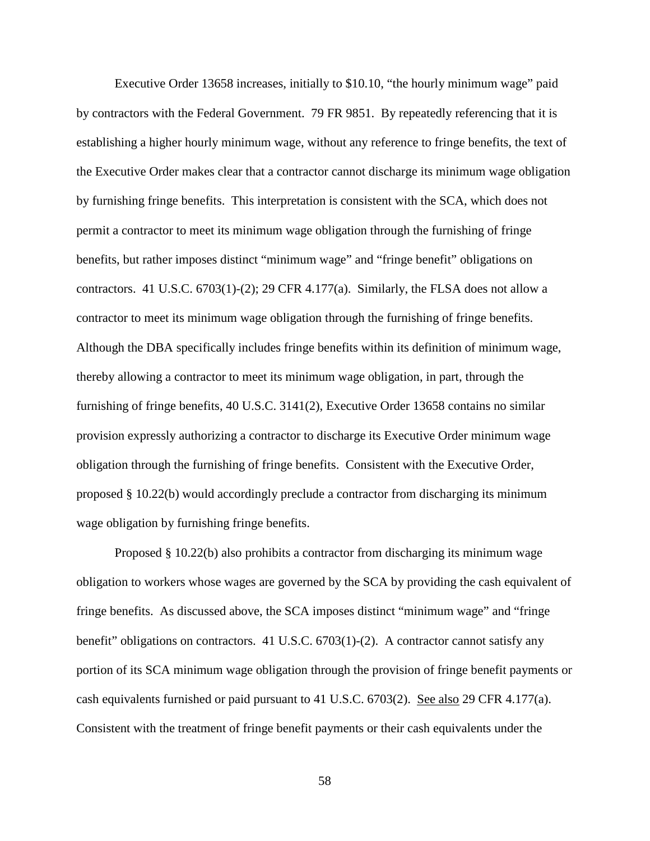Executive Order 13658 increases, initially to \$10.10, "the hourly minimum wage" paid by contractors with the Federal Government. 79 FR 9851. By repeatedly referencing that it is establishing a higher hourly minimum wage, without any reference to fringe benefits, the text of the Executive Order makes clear that a contractor cannot discharge its minimum wage obligation by furnishing fringe benefits. This interpretation is consistent with the SCA, which does not permit a contractor to meet its minimum wage obligation through the furnishing of fringe benefits, but rather imposes distinct "minimum wage" and "fringe benefit" obligations on contractors. 41 U.S.C.  $6703(1)-(2)$ ; 29 CFR 4.177(a). Similarly, the FLSA does not allow a contractor to meet its minimum wage obligation through the furnishing of fringe benefits. Although the DBA specifically includes fringe benefits within its definition of minimum wage, thereby allowing a contractor to meet its minimum wage obligation, in part, through the furnishing of fringe benefits, 40 U.S.C. 3141(2), Executive Order 13658 contains no similar provision expressly authorizing a contractor to discharge its Executive Order minimum wage obligation through the furnishing of fringe benefits. Consistent with the Executive Order, proposed § 10.22(b) would accordingly preclude a contractor from discharging its minimum wage obligation by furnishing fringe benefits.

Proposed § 10.22(b) also prohibits a contractor from discharging its minimum wage obligation to workers whose wages are governed by the SCA by providing the cash equivalent of fringe benefits. As discussed above, the SCA imposes distinct "minimum wage" and "fringe benefit" obligations on contractors. 41 U.S.C. 6703(1)-(2). A contractor cannot satisfy any portion of its SCA minimum wage obligation through the provision of fringe benefit payments or cash equivalents furnished or paid pursuant to 41 U.S.C. 6703(2). See also 29 CFR 4.177(a). Consistent with the treatment of fringe benefit payments or their cash equivalents under the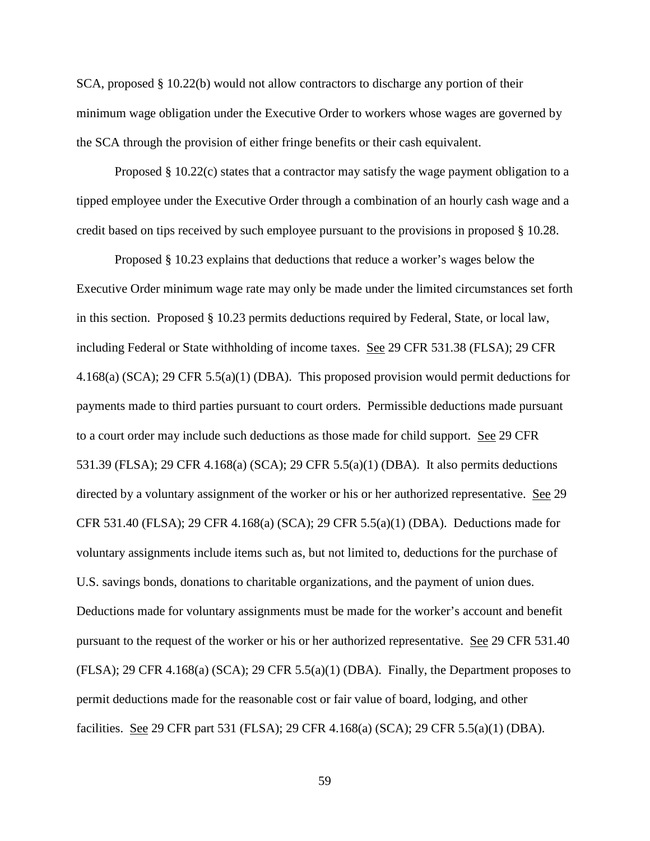SCA, proposed § 10.22(b) would not allow contractors to discharge any portion of their minimum wage obligation under the Executive Order to workers whose wages are governed by the SCA through the provision of either fringe benefits or their cash equivalent.

Proposed  $\S$  10.22(c) states that a contractor may satisfy the wage payment obligation to a tipped employee under the Executive Order through a combination of an hourly cash wage and a credit based on tips received by such employee pursuant to the provisions in proposed § 10.28.

Proposed § 10.23 explains that deductions that reduce a worker's wages below the Executive Order minimum wage rate may only be made under the limited circumstances set forth in this section. Proposed § 10.23 permits deductions required by Federal, State, or local law, including Federal or State withholding of income taxes. See 29 CFR 531.38 (FLSA); 29 CFR 4.168(a) (SCA); 29 CFR 5.5(a)(1) (DBA). This proposed provision would permit deductions for payments made to third parties pursuant to court orders. Permissible deductions made pursuant to a court order may include such deductions as those made for child support. See 29 CFR 531.39 (FLSA); 29 CFR 4.168(a) (SCA); 29 CFR 5.5(a)(1) (DBA). It also permits deductions directed by a voluntary assignment of the worker or his or her authorized representative. See 29 CFR 531.40 (FLSA); 29 CFR 4.168(a) (SCA); 29 CFR 5.5(a)(1) (DBA). Deductions made for voluntary assignments include items such as, but not limited to, deductions for the purchase of U.S. savings bonds, donations to charitable organizations, and the payment of union dues. Deductions made for voluntary assignments must be made for the worker's account and benefit pursuant to the request of the worker or his or her authorized representative. See 29 CFR 531.40  $(FLSA)$ ; 29 CFR 4.168(a)  $(SCA)$ ; 29 CFR 5.5(a)(1)  $(DBA)$ . Finally, the Department proposes to permit deductions made for the reasonable cost or fair value of board, lodging, and other facilities. See 29 CFR part 531 (FLSA); 29 CFR 4.168(a) (SCA); 29 CFR 5.5(a)(1) (DBA).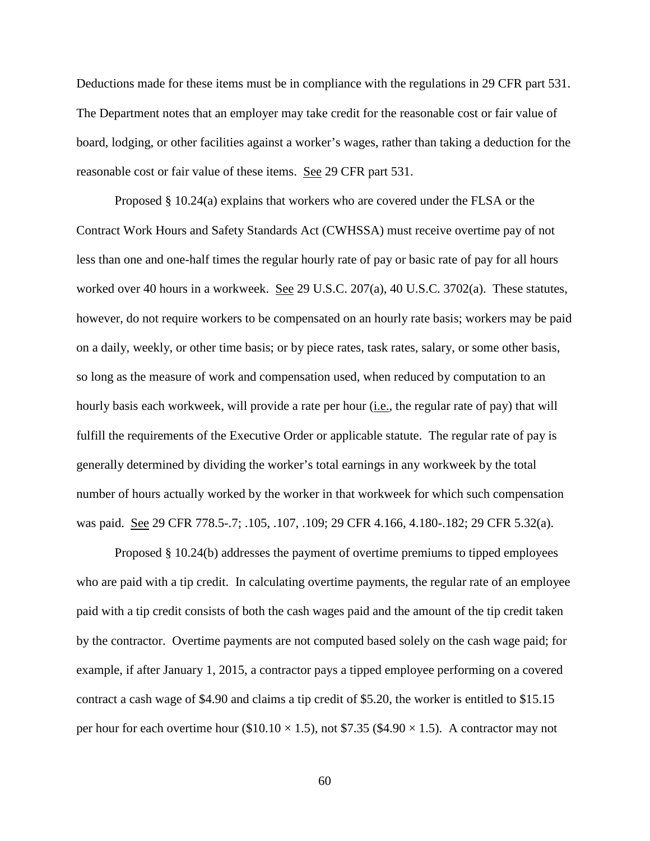Deductions made for these items must be in compliance with the regulations in 29 CFR part 531. The Department notes that an employer may take credit for the reasonable cost or fair value of board, lodging, or other facilities against a worker's wages, rather than taking a deduction for the reasonable cost or fair value of these items. See 29 CFR part 531.

Proposed § 10.24(a) explains that workers who are covered under the FLSA or the Contract Work Hours and Safety Standards Act (CWHSSA) must receive overtime pay of not less than one and one-half times the regular hourly rate of pay or basic rate of pay for all hours worked over 40 hours in a workweek. See 29 U.S.C. 207(a), 40 U.S.C. 3702(a). These statutes, however, do not require workers to be compensated on an hourly rate basis; workers may be paid on a daily, weekly, or other time basis; or by piece rates, task rates, salary, or some other basis, so long as the measure of work and compensation used, when reduced by computation to an hourly basis each workweek, will provide a rate per hour (i.e., the regular rate of pay) that will fulfill the requirements of the Executive Order or applicable statute. The regular rate of pay is generally determined by dividing the worker's total earnings in any workweek by the total number of hours actually worked by the worker in that workweek for which such compensation was paid. See 29 CFR 778.5-.7; .105, .107, .109; 29 CFR 4.166, 4.180-.182; 29 CFR 5.32(a).

Proposed § 10.24(b) addresses the payment of overtime premiums to tipped employees who are paid with a tip credit. In calculating overtime payments, the regular rate of an employee paid with a tip credit consists of both the cash wages paid and the amount of the tip credit taken by the contractor. Overtime payments are not computed based solely on the cash wage paid; for example, if after January 1, 2015, a contractor pays a tipped employee performing on a covered contract a cash wage of \$4.90 and claims a tip credit of \$5.20, the worker is entitled to \$15.15 per hour for each overtime hour (\$10.10  $\times$  1.5), not \$7.35 (\$4.90  $\times$  1.5). A contractor may not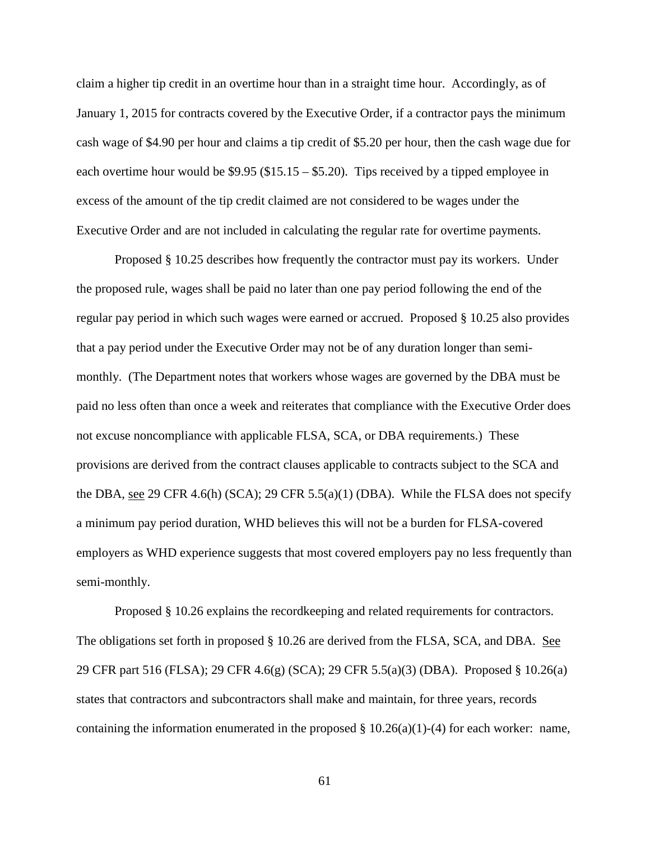claim a higher tip credit in an overtime hour than in a straight time hour. Accordingly, as of January 1, 2015 for contracts covered by the Executive Order, if a contractor pays the minimum cash wage of \$4.90 per hour and claims a tip credit of \$5.20 per hour, then the cash wage due for each overtime hour would be \$9.95 (\$15.15 – \$5.20). Tips received by a tipped employee in excess of the amount of the tip credit claimed are not considered to be wages under the Executive Order and are not included in calculating the regular rate for overtime payments.

Proposed § 10.25 describes how frequently the contractor must pay its workers. Under the proposed rule, wages shall be paid no later than one pay period following the end of the regular pay period in which such wages were earned or accrued. Proposed § 10.25 also provides that a pay period under the Executive Order may not be of any duration longer than semimonthly. (The Department notes that workers whose wages are governed by the DBA must be paid no less often than once a week and reiterates that compliance with the Executive Order does not excuse noncompliance with applicable FLSA, SCA, or DBA requirements.) These provisions are derived from the contract clauses applicable to contracts subject to the SCA and the DBA, see 29 CFR 4.6(h) (SCA); 29 CFR 5.5(a)(1) (DBA). While the FLSA does not specify a minimum pay period duration, WHD believes this will not be a burden for FLSA-covered employers as WHD experience suggests that most covered employers pay no less frequently than semi-monthly.

Proposed § 10.26 explains the recordkeeping and related requirements for contractors. The obligations set forth in proposed § 10.26 are derived from the FLSA, SCA, and DBA. See 29 CFR part 516 (FLSA); 29 CFR 4.6(g) (SCA); 29 CFR 5.5(a)(3) (DBA). Proposed § 10.26(a) states that contractors and subcontractors shall make and maintain, for three years, records containing the information enumerated in the proposed  $\S 10.26(a)(1)-(4)$  for each worker: name,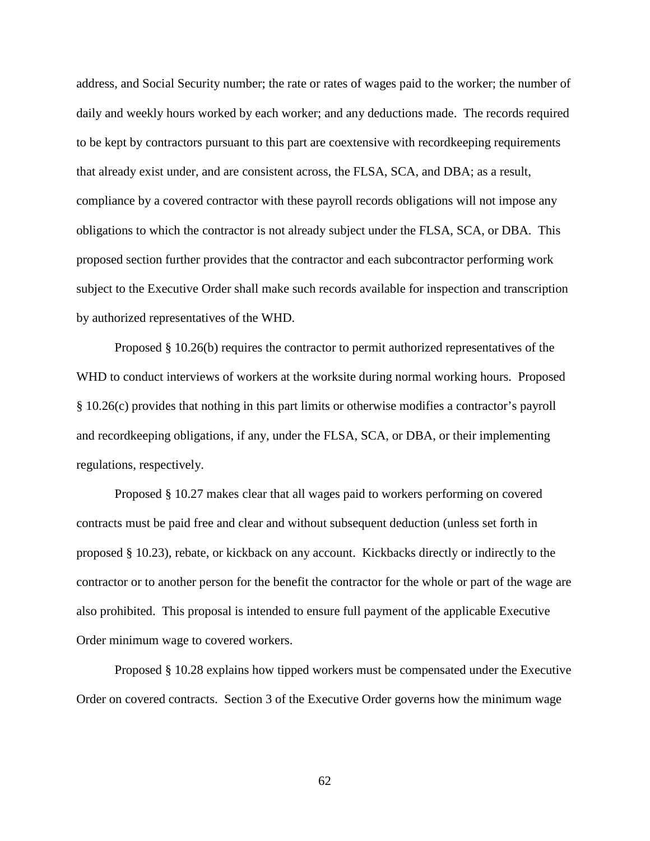address, and Social Security number; the rate or rates of wages paid to the worker; the number of daily and weekly hours worked by each worker; and any deductions made. The records required to be kept by contractors pursuant to this part are coextensive with recordkeeping requirements that already exist under, and are consistent across, the FLSA, SCA, and DBA; as a result, compliance by a covered contractor with these payroll records obligations will not impose any obligations to which the contractor is not already subject under the FLSA, SCA, or DBA. This proposed section further provides that the contractor and each subcontractor performing work subject to the Executive Order shall make such records available for inspection and transcription by authorized representatives of the WHD.

Proposed § 10.26(b) requires the contractor to permit authorized representatives of the WHD to conduct interviews of workers at the worksite during normal working hours. Proposed § 10.26(c) provides that nothing in this part limits or otherwise modifies a contractor's payroll and recordkeeping obligations, if any, under the FLSA, SCA, or DBA, or their implementing regulations, respectively.

Proposed § 10.27 makes clear that all wages paid to workers performing on covered contracts must be paid free and clear and without subsequent deduction (unless set forth in proposed § 10.23), rebate, or kickback on any account. Kickbacks directly or indirectly to the contractor or to another person for the benefit the contractor for the whole or part of the wage are also prohibited. This proposal is intended to ensure full payment of the applicable Executive Order minimum wage to covered workers.

Proposed § 10.28 explains how tipped workers must be compensated under the Executive Order on covered contracts. Section 3 of the Executive Order governs how the minimum wage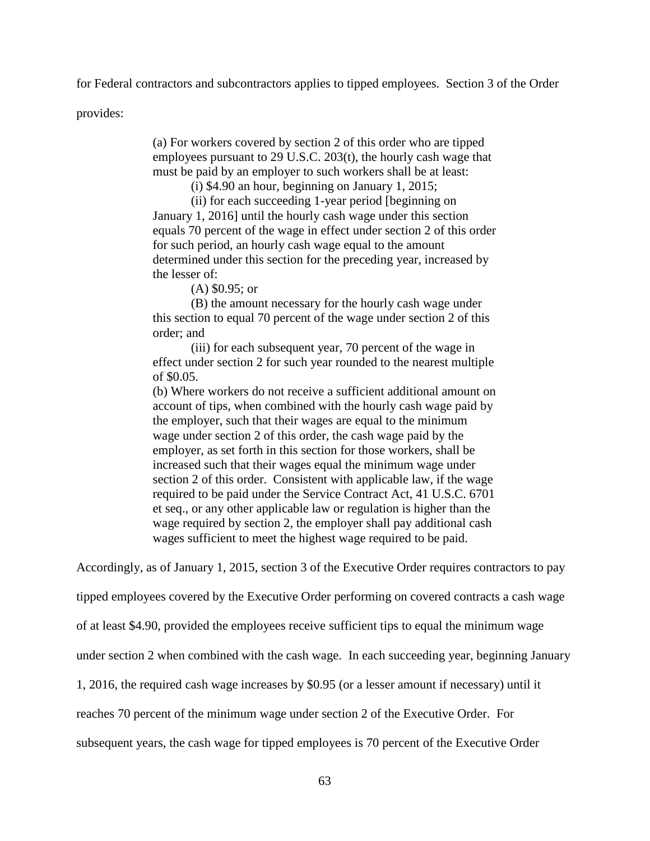for Federal contractors and subcontractors applies to tipped employees. Section 3 of the Order

provides:

(a) For workers covered by section 2 of this order who are tipped employees pursuant to 29 U.S.C. 203(t), the hourly cash wage that must be paid by an employer to such workers shall be at least:

(i) \$4.90 an hour, beginning on January 1, 2015;

(ii) for each succeeding 1-year period [beginning on January 1, 2016] until the hourly cash wage under this section equals 70 percent of the wage in effect under section 2 of this order for such period, an hourly cash wage equal to the amount determined under this section for the preceding year, increased by the lesser of:

(A) \$0.95; or

(B) the amount necessary for the hourly cash wage under this section to equal 70 percent of the wage under section 2 of this order; and

(iii) for each subsequent year, 70 percent of the wage in effect under section 2 for such year rounded to the nearest multiple of \$0.05.

(b) Where workers do not receive a sufficient additional amount on account of tips, when combined with the hourly cash wage paid by the employer, such that their wages are equal to the minimum wage under section 2 of this order, the cash wage paid by the employer, as set forth in this section for those workers, shall be increased such that their wages equal the minimum wage under section 2 of this order. Consistent with applicable law, if the wage required to be paid under the Service Contract Act, 41 U.S.C. 6701 et seq., or any other applicable law or regulation is higher than the wage required by section 2, the employer shall pay additional cash wages sufficient to meet the highest wage required to be paid.

Accordingly, as of January 1, 2015, section 3 of the Executive Order requires contractors to pay

tipped employees covered by the Executive Order performing on covered contracts a cash wage

of at least \$4.90, provided the employees receive sufficient tips to equal the minimum wage

under section 2 when combined with the cash wage. In each succeeding year, beginning January

1, 2016, the required cash wage increases by \$0.95 (or a lesser amount if necessary) until it

reaches 70 percent of the minimum wage under section 2 of the Executive Order. For

subsequent years, the cash wage for tipped employees is 70 percent of the Executive Order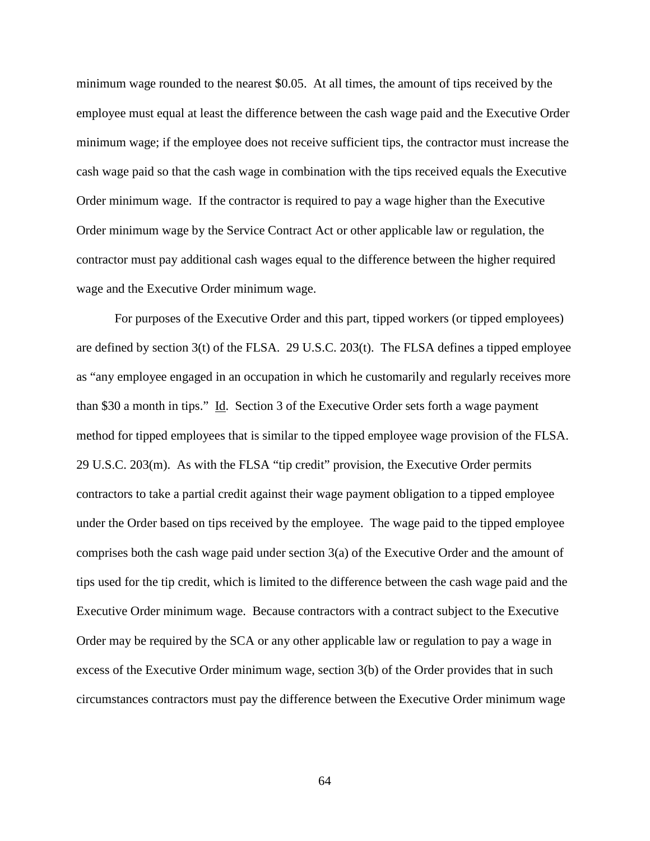minimum wage rounded to the nearest \$0.05. At all times, the amount of tips received by the employee must equal at least the difference between the cash wage paid and the Executive Order minimum wage; if the employee does not receive sufficient tips, the contractor must increase the cash wage paid so that the cash wage in combination with the tips received equals the Executive Order minimum wage. If the contractor is required to pay a wage higher than the Executive Order minimum wage by the Service Contract Act or other applicable law or regulation, the contractor must pay additional cash wages equal to the difference between the higher required wage and the Executive Order minimum wage.

For purposes of the Executive Order and this part, tipped workers (or tipped employees) are defined by section 3(t) of the FLSA. 29 U.S.C. 203(t). The FLSA defines a tipped employee as "any employee engaged in an occupation in which he customarily and regularly receives more than \$30 a month in tips." Id. Section 3 of the Executive Order sets forth a wage payment method for tipped employees that is similar to the tipped employee wage provision of the FLSA. 29 U.S.C. 203(m). As with the FLSA "tip credit" provision, the Executive Order permits contractors to take a partial credit against their wage payment obligation to a tipped employee under the Order based on tips received by the employee. The wage paid to the tipped employee comprises both the cash wage paid under section 3(a) of the Executive Order and the amount of tips used for the tip credit, which is limited to the difference between the cash wage paid and the Executive Order minimum wage. Because contractors with a contract subject to the Executive Order may be required by the SCA or any other applicable law or regulation to pay a wage in excess of the Executive Order minimum wage, section 3(b) of the Order provides that in such circumstances contractors must pay the difference between the Executive Order minimum wage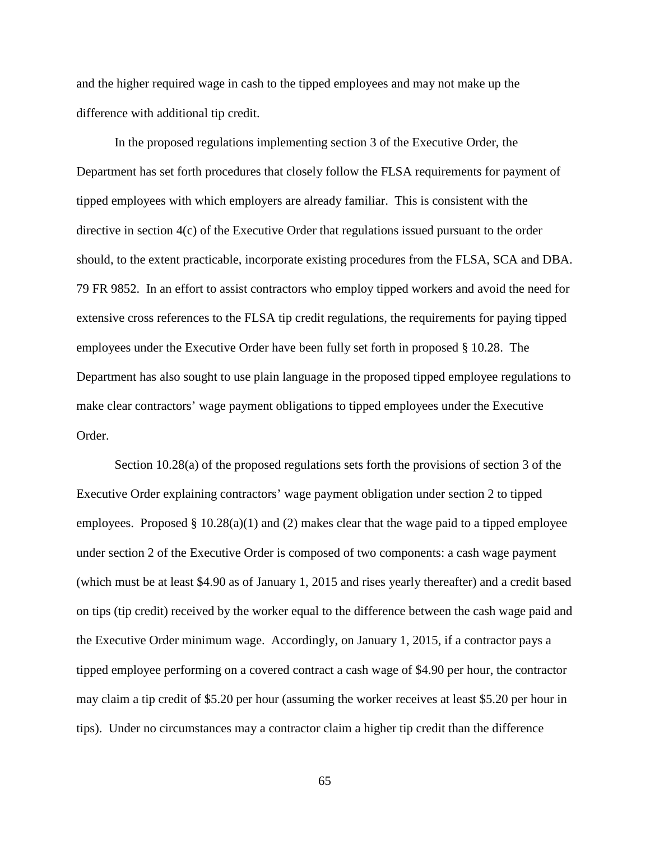and the higher required wage in cash to the tipped employees and may not make up the difference with additional tip credit.

In the proposed regulations implementing section 3 of the Executive Order, the Department has set forth procedures that closely follow the FLSA requirements for payment of tipped employees with which employers are already familiar. This is consistent with the directive in section 4(c) of the Executive Order that regulations issued pursuant to the order should, to the extent practicable, incorporate existing procedures from the FLSA, SCA and DBA. 79 FR 9852. In an effort to assist contractors who employ tipped workers and avoid the need for extensive cross references to the FLSA tip credit regulations, the requirements for paying tipped employees under the Executive Order have been fully set forth in proposed § 10.28. The Department has also sought to use plain language in the proposed tipped employee regulations to make clear contractors' wage payment obligations to tipped employees under the Executive Order.

Section 10.28(a) of the proposed regulations sets forth the provisions of section 3 of the Executive Order explaining contractors' wage payment obligation under section 2 to tipped employees. Proposed  $\S 10.28(a)(1)$  and (2) makes clear that the wage paid to a tipped employee under section 2 of the Executive Order is composed of two components: a cash wage payment (which must be at least \$4.90 as of January 1, 2015 and rises yearly thereafter) and a credit based on tips (tip credit) received by the worker equal to the difference between the cash wage paid and the Executive Order minimum wage. Accordingly, on January 1, 2015, if a contractor pays a tipped employee performing on a covered contract a cash wage of \$4.90 per hour, the contractor may claim a tip credit of \$5.20 per hour (assuming the worker receives at least \$5.20 per hour in tips). Under no circumstances may a contractor claim a higher tip credit than the difference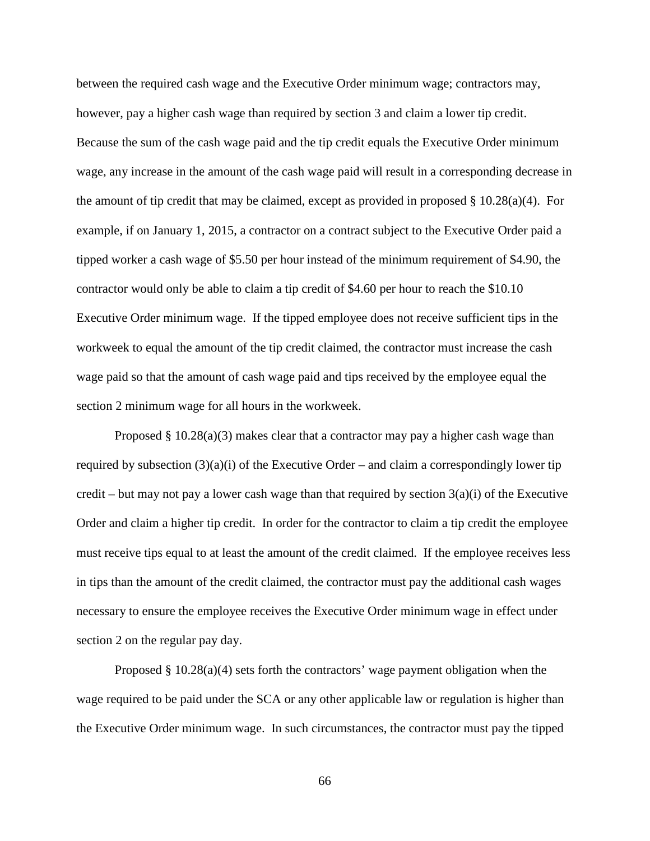between the required cash wage and the Executive Order minimum wage; contractors may, however, pay a higher cash wage than required by section 3 and claim a lower tip credit. Because the sum of the cash wage paid and the tip credit equals the Executive Order minimum wage, any increase in the amount of the cash wage paid will result in a corresponding decrease in the amount of tip credit that may be claimed, except as provided in proposed  $\S 10.28(a)(4)$ . For example, if on January 1, 2015, a contractor on a contract subject to the Executive Order paid a tipped worker a cash wage of \$5.50 per hour instead of the minimum requirement of \$4.90, the contractor would only be able to claim a tip credit of \$4.60 per hour to reach the \$10.10 Executive Order minimum wage. If the tipped employee does not receive sufficient tips in the workweek to equal the amount of the tip credit claimed, the contractor must increase the cash wage paid so that the amount of cash wage paid and tips received by the employee equal the section 2 minimum wage for all hours in the workweek.

Proposed  $\S 10.28(a)(3)$  makes clear that a contractor may pay a higher cash wage than required by subsection  $(3)(a)(i)$  of the Executive Order – and claim a correspondingly lower tip credit – but may not pay a lower cash wage than that required by section  $3(a)(i)$  of the Executive Order and claim a higher tip credit. In order for the contractor to claim a tip credit the employee must receive tips equal to at least the amount of the credit claimed. If the employee receives less in tips than the amount of the credit claimed, the contractor must pay the additional cash wages necessary to ensure the employee receives the Executive Order minimum wage in effect under section 2 on the regular pay day.

Proposed  $\S 10.28(a)(4)$  sets forth the contractors' wage payment obligation when the wage required to be paid under the SCA or any other applicable law or regulation is higher than the Executive Order minimum wage. In such circumstances, the contractor must pay the tipped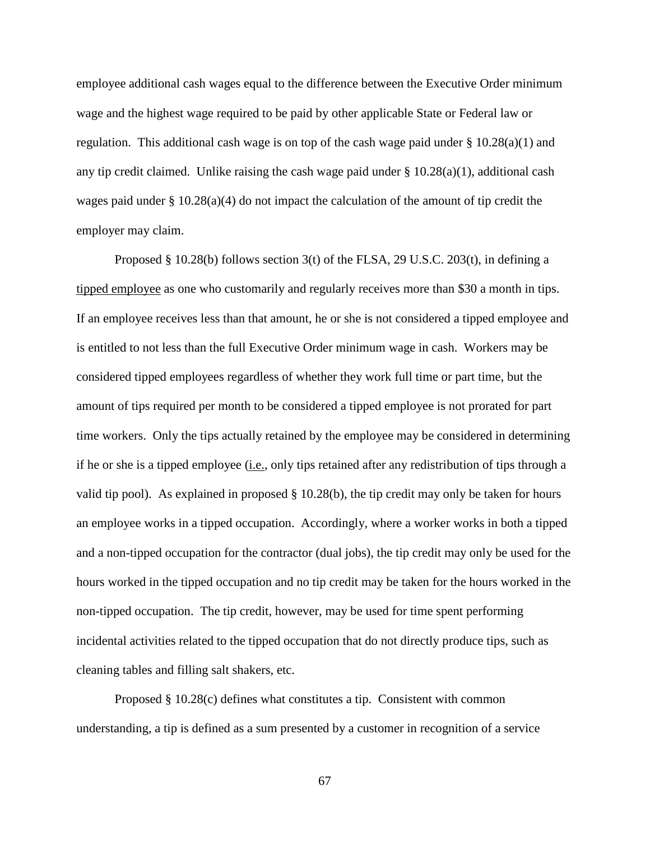employee additional cash wages equal to the difference between the Executive Order minimum wage and the highest wage required to be paid by other applicable State or Federal law or regulation. This additional cash wage is on top of the cash wage paid under  $\S 10.28(a)(1)$  and any tip credit claimed. Unlike raising the cash wage paid under  $\S 10.28(a)(1)$ , additional cash wages paid under  $\S 10.28(a)(4)$  do not impact the calculation of the amount of tip credit the employer may claim.

Proposed § 10.28(b) follows section 3(t) of the FLSA, 29 U.S.C. 203(t), in defining a tipped employee as one who customarily and regularly receives more than \$30 a month in tips. If an employee receives less than that amount, he or she is not considered a tipped employee and is entitled to not less than the full Executive Order minimum wage in cash. Workers may be considered tipped employees regardless of whether they work full time or part time, but the amount of tips required per month to be considered a tipped employee is not prorated for part time workers. Only the tips actually retained by the employee may be considered in determining if he or she is a tipped employee (i.e., only tips retained after any redistribution of tips through a valid tip pool). As explained in proposed § 10.28(b), the tip credit may only be taken for hours an employee works in a tipped occupation. Accordingly, where a worker works in both a tipped and a non-tipped occupation for the contractor (dual jobs), the tip credit may only be used for the hours worked in the tipped occupation and no tip credit may be taken for the hours worked in the non-tipped occupation. The tip credit, however, may be used for time spent performing incidental activities related to the tipped occupation that do not directly produce tips, such as cleaning tables and filling salt shakers, etc.

Proposed § 10.28(c) defines what constitutes a tip. Consistent with common understanding, a tip is defined as a sum presented by a customer in recognition of a service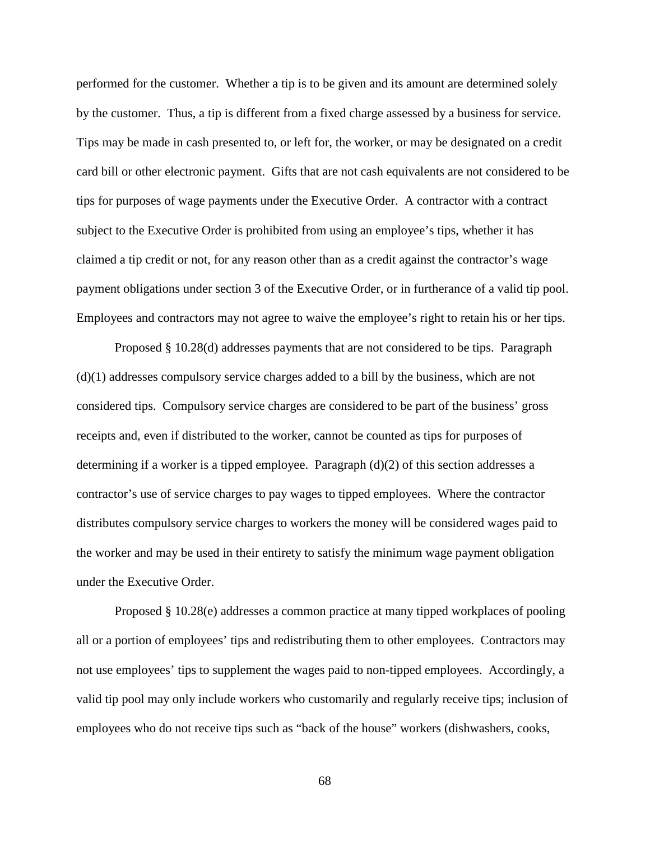performed for the customer. Whether a tip is to be given and its amount are determined solely by the customer. Thus, a tip is different from a fixed charge assessed by a business for service. Tips may be made in cash presented to, or left for, the worker, or may be designated on a credit card bill or other electronic payment. Gifts that are not cash equivalents are not considered to be tips for purposes of wage payments under the Executive Order. A contractor with a contract subject to the Executive Order is prohibited from using an employee's tips, whether it has claimed a tip credit or not, for any reason other than as a credit against the contractor's wage payment obligations under section 3 of the Executive Order, or in furtherance of a valid tip pool. Employees and contractors may not agree to waive the employee's right to retain his or her tips.

Proposed § 10.28(d) addresses payments that are not considered to be tips. Paragraph (d)(1) addresses compulsory service charges added to a bill by the business, which are not considered tips. Compulsory service charges are considered to be part of the business' gross receipts and, even if distributed to the worker, cannot be counted as tips for purposes of determining if a worker is a tipped employee. Paragraph  $(d)(2)$  of this section addresses a contractor's use of service charges to pay wages to tipped employees. Where the contractor distributes compulsory service charges to workers the money will be considered wages paid to the worker and may be used in their entirety to satisfy the minimum wage payment obligation under the Executive Order.

Proposed § 10.28(e) addresses a common practice at many tipped workplaces of pooling all or a portion of employees' tips and redistributing them to other employees. Contractors may not use employees' tips to supplement the wages paid to non-tipped employees. Accordingly, a valid tip pool may only include workers who customarily and regularly receive tips; inclusion of employees who do not receive tips such as "back of the house" workers (dishwashers, cooks,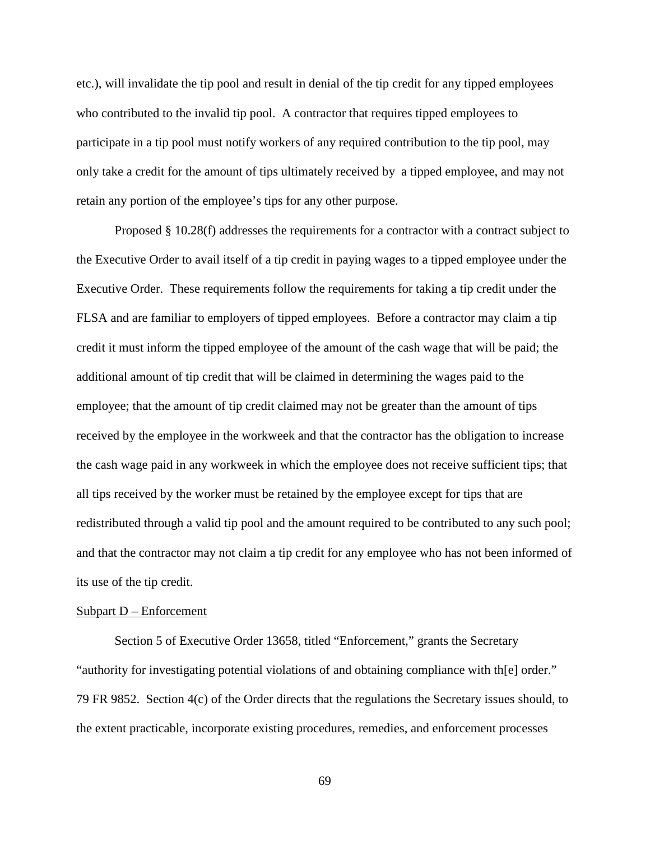etc.), will invalidate the tip pool and result in denial of the tip credit for any tipped employees who contributed to the invalid tip pool. A contractor that requires tipped employees to participate in a tip pool must notify workers of any required contribution to the tip pool, may only take a credit for the amount of tips ultimately received by a tipped employee, and may not retain any portion of the employee's tips for any other purpose.

Proposed § 10.28(f) addresses the requirements for a contractor with a contract subject to the Executive Order to avail itself of a tip credit in paying wages to a tipped employee under the Executive Order. These requirements follow the requirements for taking a tip credit under the FLSA and are familiar to employers of tipped employees. Before a contractor may claim a tip credit it must inform the tipped employee of the amount of the cash wage that will be paid; the additional amount of tip credit that will be claimed in determining the wages paid to the employee; that the amount of tip credit claimed may not be greater than the amount of tips received by the employee in the workweek and that the contractor has the obligation to increase the cash wage paid in any workweek in which the employee does not receive sufficient tips; that all tips received by the worker must be retained by the employee except for tips that are redistributed through a valid tip pool and the amount required to be contributed to any such pool; and that the contractor may not claim a tip credit for any employee who has not been informed of its use of the tip credit.

#### Subpart D – Enforcement

Section 5 of Executive Order 13658, titled "Enforcement," grants the Secretary "authority for investigating potential violations of and obtaining compliance with th[e] order." 79 FR 9852. Section 4(c) of the Order directs that the regulations the Secretary issues should, to the extent practicable, incorporate existing procedures, remedies, and enforcement processes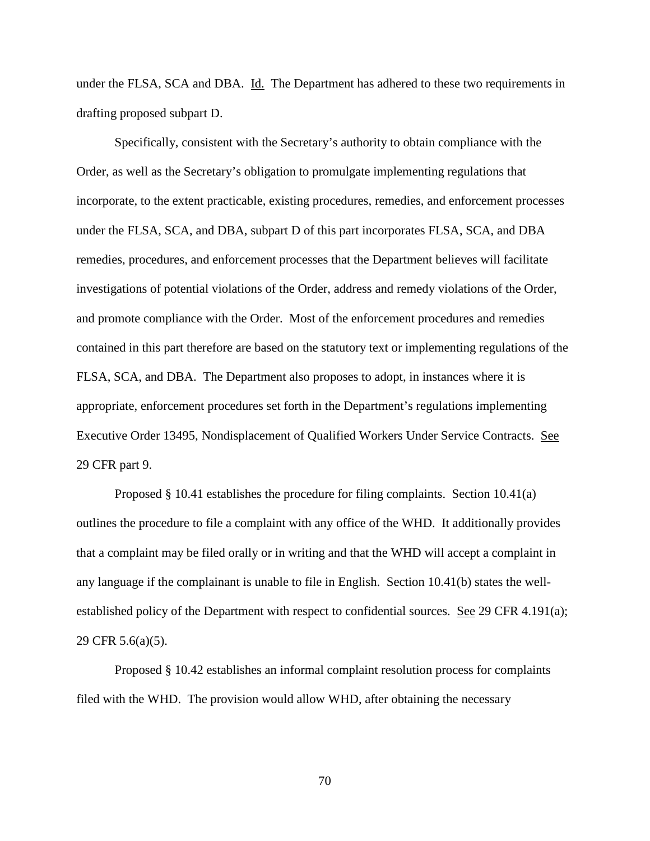under the FLSA, SCA and DBA. Id. The Department has adhered to these two requirements in drafting proposed subpart D.

Specifically, consistent with the Secretary's authority to obtain compliance with the Order, as well as the Secretary's obligation to promulgate implementing regulations that incorporate, to the extent practicable, existing procedures, remedies, and enforcement processes under the FLSA, SCA, and DBA, subpart D of this part incorporates FLSA, SCA, and DBA remedies, procedures, and enforcement processes that the Department believes will facilitate investigations of potential violations of the Order, address and remedy violations of the Order, and promote compliance with the Order. Most of the enforcement procedures and remedies contained in this part therefore are based on the statutory text or implementing regulations of the FLSA, SCA, and DBA. The Department also proposes to adopt, in instances where it is appropriate, enforcement procedures set forth in the Department's regulations implementing Executive Order 13495, Nondisplacement of Qualified Workers Under Service Contracts. See 29 CFR part 9.

Proposed § 10.41 establishes the procedure for filing complaints. Section 10.41(a) outlines the procedure to file a complaint with any office of the WHD. It additionally provides that a complaint may be filed orally or in writing and that the WHD will accept a complaint in any language if the complainant is unable to file in English. Section 10.41(b) states the wellestablished policy of the Department with respect to confidential sources. See 29 CFR 4.191(a); 29 CFR 5.6(a)(5).

Proposed § 10.42 establishes an informal complaint resolution process for complaints filed with the WHD. The provision would allow WHD, after obtaining the necessary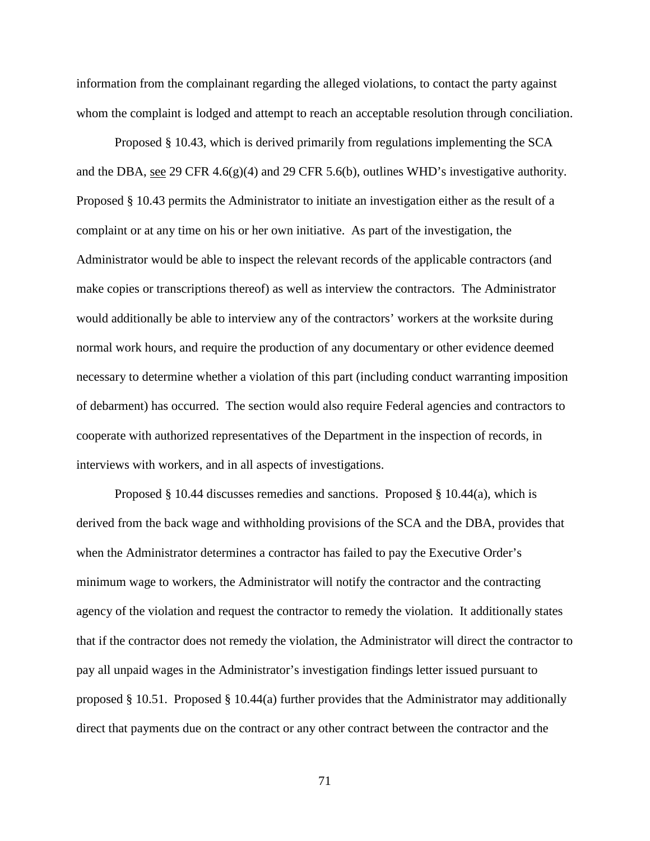information from the complainant regarding the alleged violations, to contact the party against whom the complaint is lodged and attempt to reach an acceptable resolution through conciliation.

Proposed § 10.43, which is derived primarily from regulations implementing the SCA and the DBA, see 29 CFR 4.6(g)(4) and 29 CFR 5.6(b), outlines WHD's investigative authority. Proposed § 10.43 permits the Administrator to initiate an investigation either as the result of a complaint or at any time on his or her own initiative. As part of the investigation, the Administrator would be able to inspect the relevant records of the applicable contractors (and make copies or transcriptions thereof) as well as interview the contractors. The Administrator would additionally be able to interview any of the contractors' workers at the worksite during normal work hours, and require the production of any documentary or other evidence deemed necessary to determine whether a violation of this part (including conduct warranting imposition of debarment) has occurred. The section would also require Federal agencies and contractors to cooperate with authorized representatives of the Department in the inspection of records, in interviews with workers, and in all aspects of investigations.

Proposed § 10.44 discusses remedies and sanctions. Proposed § 10.44(a), which is derived from the back wage and withholding provisions of the SCA and the DBA, provides that when the Administrator determines a contractor has failed to pay the Executive Order's minimum wage to workers, the Administrator will notify the contractor and the contracting agency of the violation and request the contractor to remedy the violation. It additionally states that if the contractor does not remedy the violation, the Administrator will direct the contractor to pay all unpaid wages in the Administrator's investigation findings letter issued pursuant to proposed § 10.51. Proposed § 10.44(a) further provides that the Administrator may additionally direct that payments due on the contract or any other contract between the contractor and the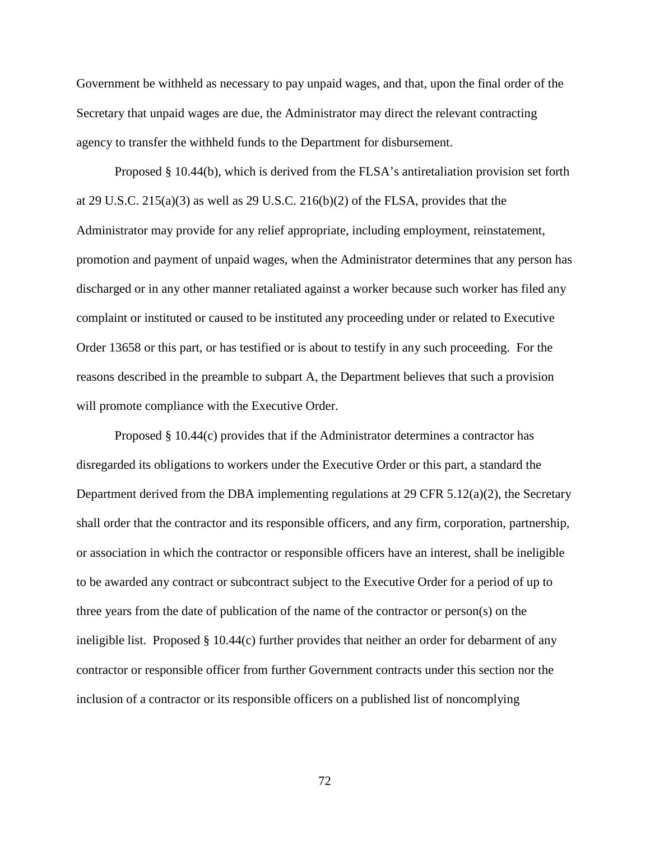Government be withheld as necessary to pay unpaid wages, and that, upon the final order of the Secretary that unpaid wages are due, the Administrator may direct the relevant contracting agency to transfer the withheld funds to the Department for disbursement.

Proposed § 10.44(b), which is derived from the FLSA's antiretaliation provision set forth at 29 U.S.C. 215(a)(3) as well as 29 U.S.C. 216(b)(2) of the FLSA, provides that the Administrator may provide for any relief appropriate, including employment, reinstatement, promotion and payment of unpaid wages, when the Administrator determines that any person has discharged or in any other manner retaliated against a worker because such worker has filed any complaint or instituted or caused to be instituted any proceeding under or related to Executive Order 13658 or this part, or has testified or is about to testify in any such proceeding. For the reasons described in the preamble to subpart A, the Department believes that such a provision will promote compliance with the Executive Order.

Proposed § 10.44(c) provides that if the Administrator determines a contractor has disregarded its obligations to workers under the Executive Order or this part, a standard the Department derived from the DBA implementing regulations at 29 CFR 5.12(a)(2), the Secretary shall order that the contractor and its responsible officers, and any firm, corporation, partnership, or association in which the contractor or responsible officers have an interest, shall be ineligible to be awarded any contract or subcontract subject to the Executive Order for a period of up to three years from the date of publication of the name of the contractor or person(s) on the ineligible list. Proposed § 10.44(c) further provides that neither an order for debarment of any contractor or responsible officer from further Government contracts under this section nor the inclusion of a contractor or its responsible officers on a published list of noncomplying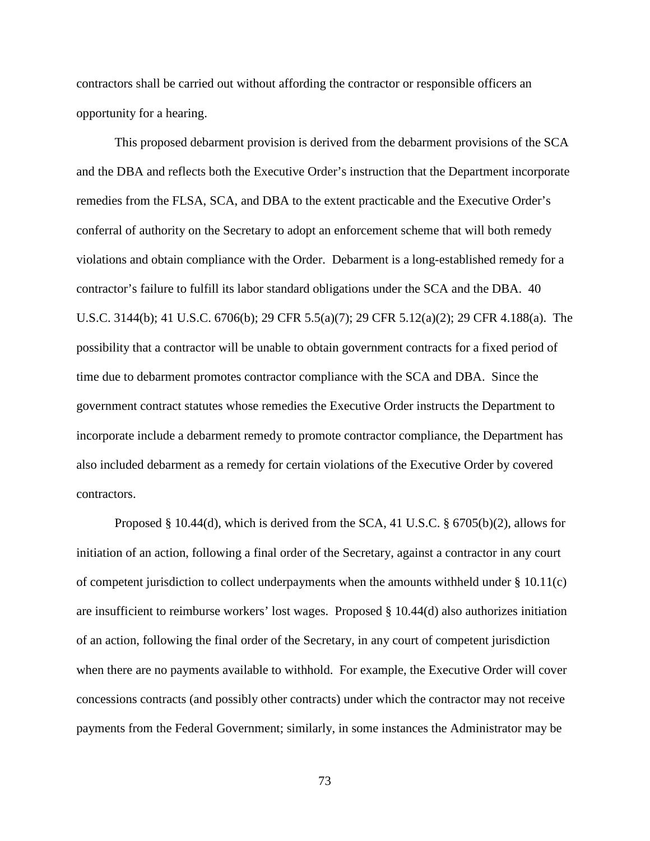contractors shall be carried out without affording the contractor or responsible officers an opportunity for a hearing.

This proposed debarment provision is derived from the debarment provisions of the SCA and the DBA and reflects both the Executive Order's instruction that the Department incorporate remedies from the FLSA, SCA, and DBA to the extent practicable and the Executive Order's conferral of authority on the Secretary to adopt an enforcement scheme that will both remedy violations and obtain compliance with the Order. Debarment is a long-established remedy for a contractor's failure to fulfill its labor standard obligations under the SCA and the DBA. 40 U.S.C. 3144(b); 41 U.S.C. 6706(b); 29 CFR 5.5(a)(7); 29 CFR 5.12(a)(2); 29 CFR 4.188(a). The possibility that a contractor will be unable to obtain government contracts for a fixed period of time due to debarment promotes contractor compliance with the SCA and DBA. Since the government contract statutes whose remedies the Executive Order instructs the Department to incorporate include a debarment remedy to promote contractor compliance, the Department has also included debarment as a remedy for certain violations of the Executive Order by covered contractors.

Proposed § 10.44(d), which is derived from the SCA, 41 U.S.C. § 6705(b)(2), allows for initiation of an action, following a final order of the Secretary, against a contractor in any court of competent jurisdiction to collect underpayments when the amounts withheld under  $\S 10.11(c)$ are insufficient to reimburse workers' lost wages. Proposed § 10.44(d) also authorizes initiation of an action, following the final order of the Secretary, in any court of competent jurisdiction when there are no payments available to withhold. For example, the Executive Order will cover concessions contracts (and possibly other contracts) under which the contractor may not receive payments from the Federal Government; similarly, in some instances the Administrator may be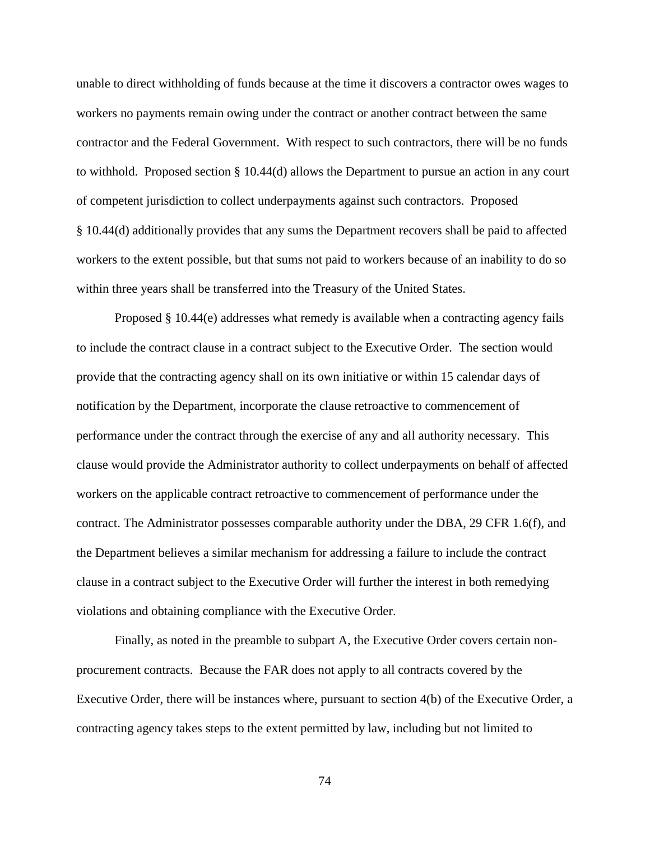unable to direct withholding of funds because at the time it discovers a contractor owes wages to workers no payments remain owing under the contract or another contract between the same contractor and the Federal Government. With respect to such contractors, there will be no funds to withhold. Proposed section § 10.44(d) allows the Department to pursue an action in any court of competent jurisdiction to collect underpayments against such contractors. Proposed § 10.44(d) additionally provides that any sums the Department recovers shall be paid to affected workers to the extent possible, but that sums not paid to workers because of an inability to do so within three years shall be transferred into the Treasury of the United States.

Proposed § 10.44(e) addresses what remedy is available when a contracting agency fails to include the contract clause in a contract subject to the Executive Order. The section would provide that the contracting agency shall on its own initiative or within 15 calendar days of notification by the Department, incorporate the clause retroactive to commencement of performance under the contract through the exercise of any and all authority necessary. This clause would provide the Administrator authority to collect underpayments on behalf of affected workers on the applicable contract retroactive to commencement of performance under the contract. The Administrator possesses comparable authority under the DBA, 29 CFR 1.6(f), and the Department believes a similar mechanism for addressing a failure to include the contract clause in a contract subject to the Executive Order will further the interest in both remedying violations and obtaining compliance with the Executive Order.

Finally, as noted in the preamble to subpart A, the Executive Order covers certain nonprocurement contracts. Because the FAR does not apply to all contracts covered by the Executive Order, there will be instances where, pursuant to section 4(b) of the Executive Order, a contracting agency takes steps to the extent permitted by law, including but not limited to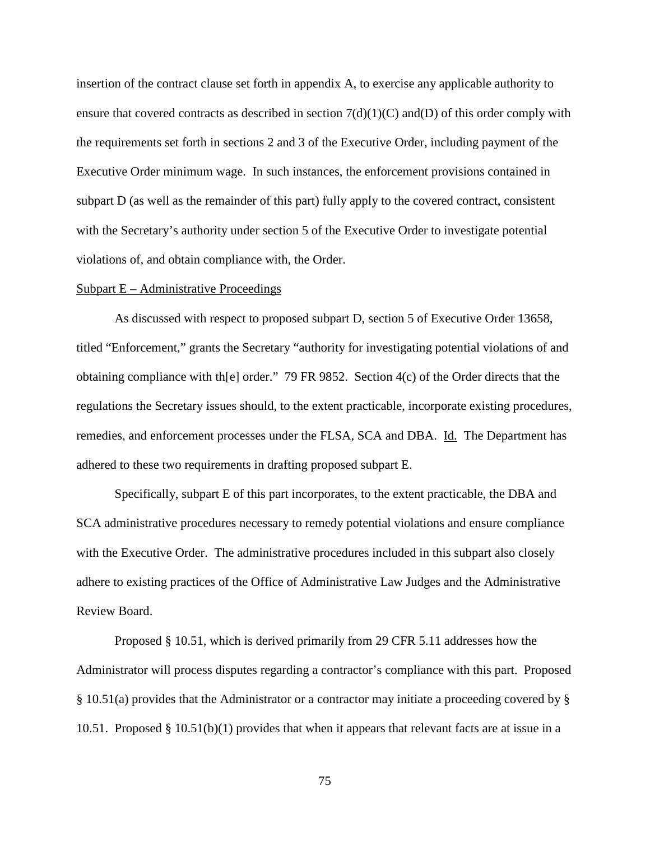insertion of the contract clause set forth in appendix A, to exercise any applicable authority to ensure that covered contracts as described in section  $7(d)(1)(C)$  and(D) of this order comply with the requirements set forth in sections 2 and 3 of the Executive Order, including payment of the Executive Order minimum wage. In such instances, the enforcement provisions contained in subpart D (as well as the remainder of this part) fully apply to the covered contract, consistent with the Secretary's authority under section 5 of the Executive Order to investigate potential violations of, and obtain compliance with, the Order.

# $Subpart E - Administrative Proceedings$

As discussed with respect to proposed subpart D, section 5 of Executive Order 13658, titled "Enforcement," grants the Secretary "authority for investigating potential violations of and obtaining compliance with th[e] order." 79 FR 9852. Section 4(c) of the Order directs that the regulations the Secretary issues should, to the extent practicable, incorporate existing procedures, remedies, and enforcement processes under the FLSA, SCA and DBA. Id. The Department has adhered to these two requirements in drafting proposed subpart E.

Specifically, subpart E of this part incorporates, to the extent practicable, the DBA and SCA administrative procedures necessary to remedy potential violations and ensure compliance with the Executive Order. The administrative procedures included in this subpart also closely adhere to existing practices of the Office of Administrative Law Judges and the Administrative Review Board.

Proposed § 10.51, which is derived primarily from 29 CFR 5.11 addresses how the Administrator will process disputes regarding a contractor's compliance with this part. Proposed § 10.51(a) provides that the Administrator or a contractor may initiate a proceeding covered by § 10.51. Proposed § 10.51(b)(1) provides that when it appears that relevant facts are at issue in a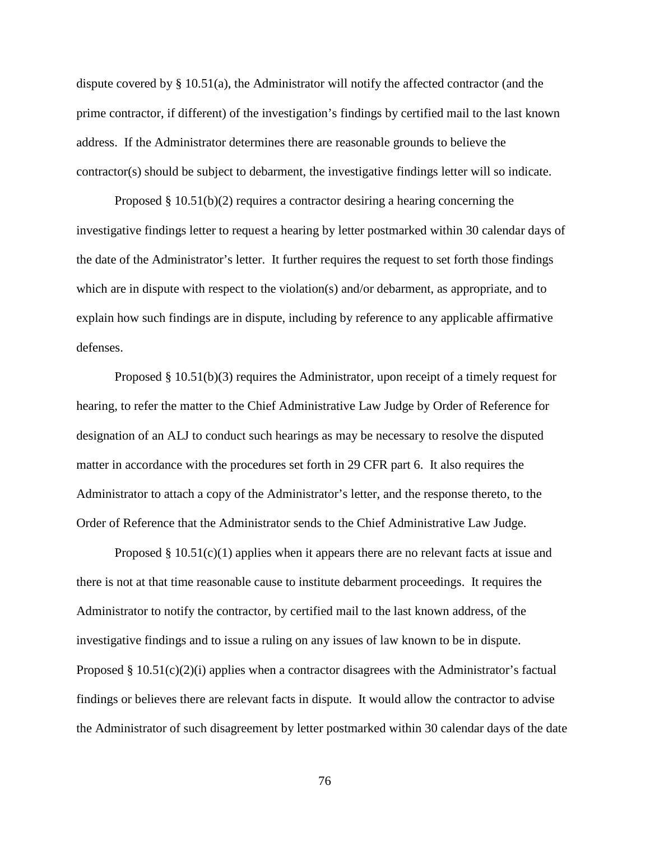dispute covered by § 10.51(a), the Administrator will notify the affected contractor (and the prime contractor, if different) of the investigation's findings by certified mail to the last known address. If the Administrator determines there are reasonable grounds to believe the contractor(s) should be subject to debarment, the investigative findings letter will so indicate.

Proposed  $\S$  10.51(b)(2) requires a contractor desiring a hearing concerning the investigative findings letter to request a hearing by letter postmarked within 30 calendar days of the date of the Administrator's letter. It further requires the request to set forth those findings which are in dispute with respect to the violation(s) and/or debarment, as appropriate, and to explain how such findings are in dispute, including by reference to any applicable affirmative defenses.

Proposed § 10.51(b)(3) requires the Administrator, upon receipt of a timely request for hearing, to refer the matter to the Chief Administrative Law Judge by Order of Reference for designation of an ALJ to conduct such hearings as may be necessary to resolve the disputed matter in accordance with the procedures set forth in 29 CFR part 6. It also requires the Administrator to attach a copy of the Administrator's letter, and the response thereto, to the Order of Reference that the Administrator sends to the Chief Administrative Law Judge.

Proposed  $\S 10.51(c)(1)$  applies when it appears there are no relevant facts at issue and there is not at that time reasonable cause to institute debarment proceedings. It requires the Administrator to notify the contractor, by certified mail to the last known address, of the investigative findings and to issue a ruling on any issues of law known to be in dispute. Proposed  $\S$  10.51(c)(2)(i) applies when a contractor disagrees with the Administrator's factual findings or believes there are relevant facts in dispute. It would allow the contractor to advise the Administrator of such disagreement by letter postmarked within 30 calendar days of the date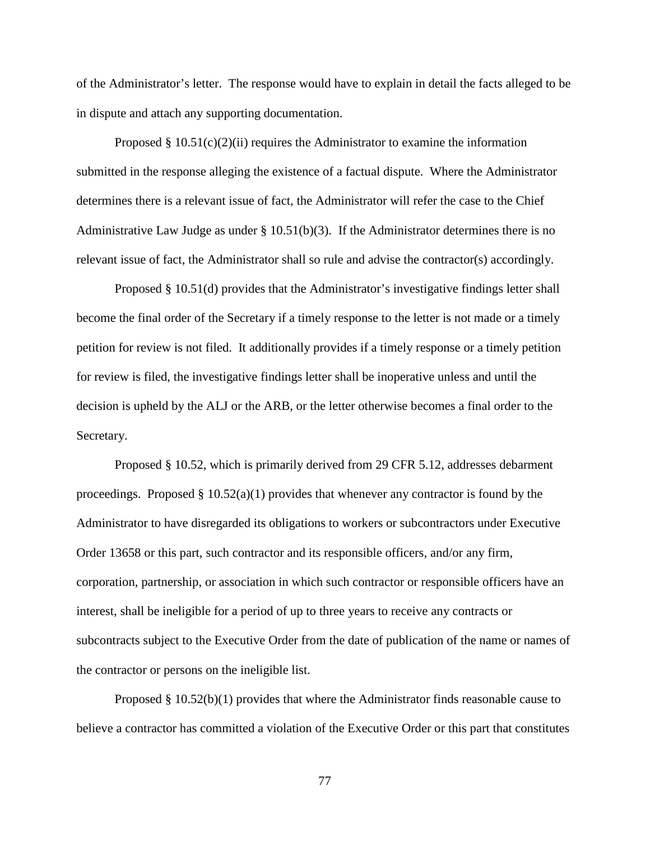of the Administrator's letter. The response would have to explain in detail the facts alleged to be in dispute and attach any supporting documentation.

Proposed  $\S 10.51(c)(2)(ii)$  requires the Administrator to examine the information submitted in the response alleging the existence of a factual dispute. Where the Administrator determines there is a relevant issue of fact, the Administrator will refer the case to the Chief Administrative Law Judge as under § 10.51(b)(3). If the Administrator determines there is no relevant issue of fact, the Administrator shall so rule and advise the contractor(s) accordingly.

Proposed § 10.51(d) provides that the Administrator's investigative findings letter shall become the final order of the Secretary if a timely response to the letter is not made or a timely petition for review is not filed. It additionally provides if a timely response or a timely petition for review is filed, the investigative findings letter shall be inoperative unless and until the decision is upheld by the ALJ or the ARB, or the letter otherwise becomes a final order to the Secretary.

Proposed § 10.52, which is primarily derived from 29 CFR 5.12, addresses debarment proceedings. Proposed  $\S 10.52(a)(1)$  provides that whenever any contractor is found by the Administrator to have disregarded its obligations to workers or subcontractors under Executive Order 13658 or this part, such contractor and its responsible officers, and/or any firm, corporation, partnership, or association in which such contractor or responsible officers have an interest, shall be ineligible for a period of up to three years to receive any contracts or subcontracts subject to the Executive Order from the date of publication of the name or names of the contractor or persons on the ineligible list.

Proposed § 10.52(b)(1) provides that where the Administrator finds reasonable cause to believe a contractor has committed a violation of the Executive Order or this part that constitutes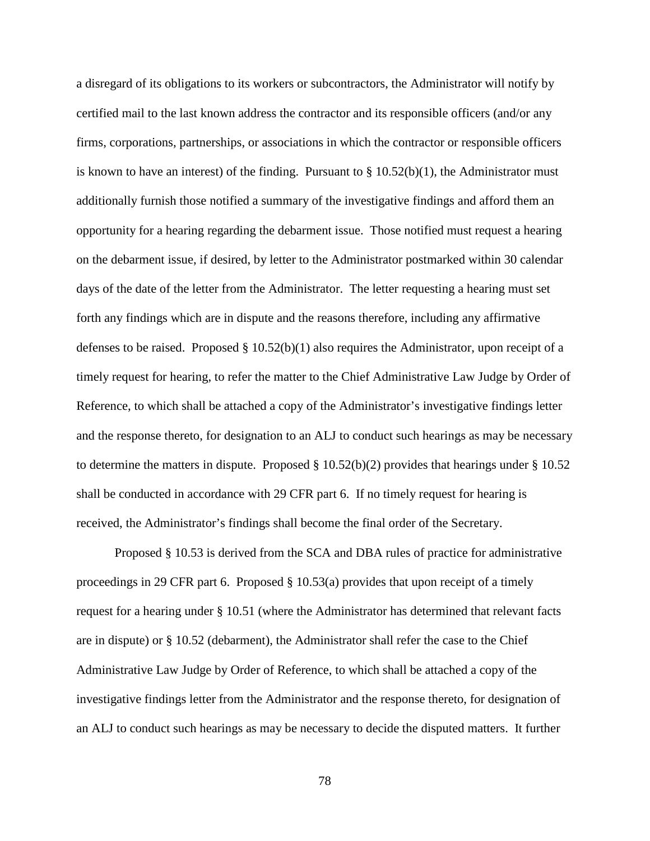a disregard of its obligations to its workers or subcontractors, the Administrator will notify by certified mail to the last known address the contractor and its responsible officers (and/or any firms, corporations, partnerships, or associations in which the contractor or responsible officers is known to have an interest) of the finding. Pursuant to  $\S 10.52(b)(1)$ , the Administrator must additionally furnish those notified a summary of the investigative findings and afford them an opportunity for a hearing regarding the debarment issue. Those notified must request a hearing on the debarment issue, if desired, by letter to the Administrator postmarked within 30 calendar days of the date of the letter from the Administrator. The letter requesting a hearing must set forth any findings which are in dispute and the reasons therefore, including any affirmative defenses to be raised. Proposed  $\S 10.52(b)(1)$  also requires the Administrator, upon receipt of a timely request for hearing, to refer the matter to the Chief Administrative Law Judge by Order of Reference, to which shall be attached a copy of the Administrator's investigative findings letter and the response thereto, for designation to an ALJ to conduct such hearings as may be necessary to determine the matters in dispute. Proposed  $\S$  10.52(b)(2) provides that hearings under  $\S$  10.52 shall be conducted in accordance with 29 CFR part 6. If no timely request for hearing is received, the Administrator's findings shall become the final order of the Secretary.

Proposed § 10.53 is derived from the SCA and DBA rules of practice for administrative proceedings in 29 CFR part 6. Proposed § 10.53(a) provides that upon receipt of a timely request for a hearing under § 10.51 (where the Administrator has determined that relevant facts are in dispute) or § 10.52 (debarment), the Administrator shall refer the case to the Chief Administrative Law Judge by Order of Reference, to which shall be attached a copy of the investigative findings letter from the Administrator and the response thereto, for designation of an ALJ to conduct such hearings as may be necessary to decide the disputed matters. It further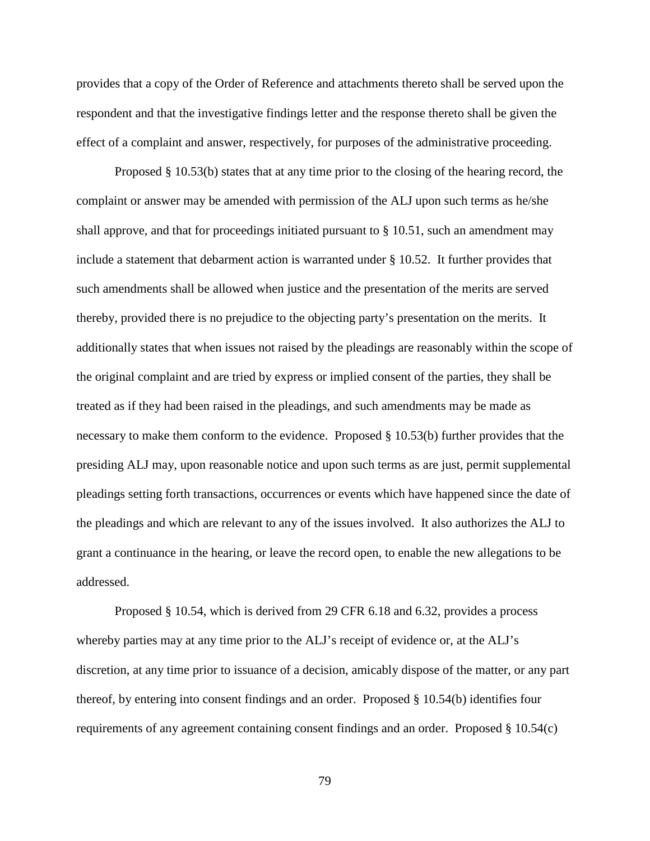provides that a copy of the Order of Reference and attachments thereto shall be served upon the respondent and that the investigative findings letter and the response thereto shall be given the effect of a complaint and answer, respectively, for purposes of the administrative proceeding.

Proposed § 10.53(b) states that at any time prior to the closing of the hearing record, the complaint or answer may be amended with permission of the ALJ upon such terms as he/she shall approve, and that for proceedings initiated pursuant to § 10.51, such an amendment may include a statement that debarment action is warranted under § 10.52. It further provides that such amendments shall be allowed when justice and the presentation of the merits are served thereby, provided there is no prejudice to the objecting party's presentation on the merits. It additionally states that when issues not raised by the pleadings are reasonably within the scope of the original complaint and are tried by express or implied consent of the parties, they shall be treated as if they had been raised in the pleadings, and such amendments may be made as necessary to make them conform to the evidence. Proposed § 10.53(b) further provides that the presiding ALJ may, upon reasonable notice and upon such terms as are just, permit supplemental pleadings setting forth transactions, occurrences or events which have happened since the date of the pleadings and which are relevant to any of the issues involved. It also authorizes the ALJ to grant a continuance in the hearing, or leave the record open, to enable the new allegations to be addressed.

Proposed § 10.54, which is derived from 29 CFR 6.18 and 6.32, provides a process whereby parties may at any time prior to the ALJ's receipt of evidence or, at the ALJ's discretion, at any time prior to issuance of a decision, amicably dispose of the matter, or any part thereof, by entering into consent findings and an order. Proposed § 10.54(b) identifies four requirements of any agreement containing consent findings and an order. Proposed § 10.54(c)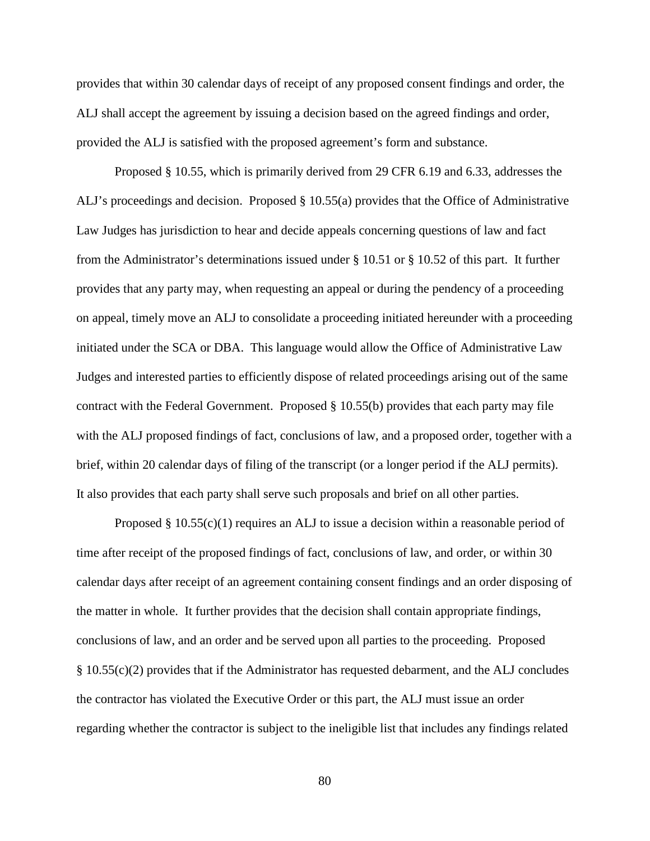provides that within 30 calendar days of receipt of any proposed consent findings and order, the ALJ shall accept the agreement by issuing a decision based on the agreed findings and order, provided the ALJ is satisfied with the proposed agreement's form and substance.

Proposed § 10.55, which is primarily derived from 29 CFR 6.19 and 6.33, addresses the ALJ's proceedings and decision. Proposed § 10.55(a) provides that the Office of Administrative Law Judges has jurisdiction to hear and decide appeals concerning questions of law and fact from the Administrator's determinations issued under § 10.51 or § 10.52 of this part. It further provides that any party may, when requesting an appeal or during the pendency of a proceeding on appeal, timely move an ALJ to consolidate a proceeding initiated hereunder with a proceeding initiated under the SCA or DBA. This language would allow the Office of Administrative Law Judges and interested parties to efficiently dispose of related proceedings arising out of the same contract with the Federal Government. Proposed § 10.55(b) provides that each party may file with the ALJ proposed findings of fact, conclusions of law, and a proposed order, together with a brief, within 20 calendar days of filing of the transcript (or a longer period if the ALJ permits). It also provides that each party shall serve such proposals and brief on all other parties.

Proposed  $\S 10.55(c)(1)$  requires an ALJ to issue a decision within a reasonable period of time after receipt of the proposed findings of fact, conclusions of law, and order, or within 30 calendar days after receipt of an agreement containing consent findings and an order disposing of the matter in whole. It further provides that the decision shall contain appropriate findings, conclusions of law, and an order and be served upon all parties to the proceeding. Proposed § 10.55(c)(2) provides that if the Administrator has requested debarment, and the ALJ concludes the contractor has violated the Executive Order or this part, the ALJ must issue an order regarding whether the contractor is subject to the ineligible list that includes any findings related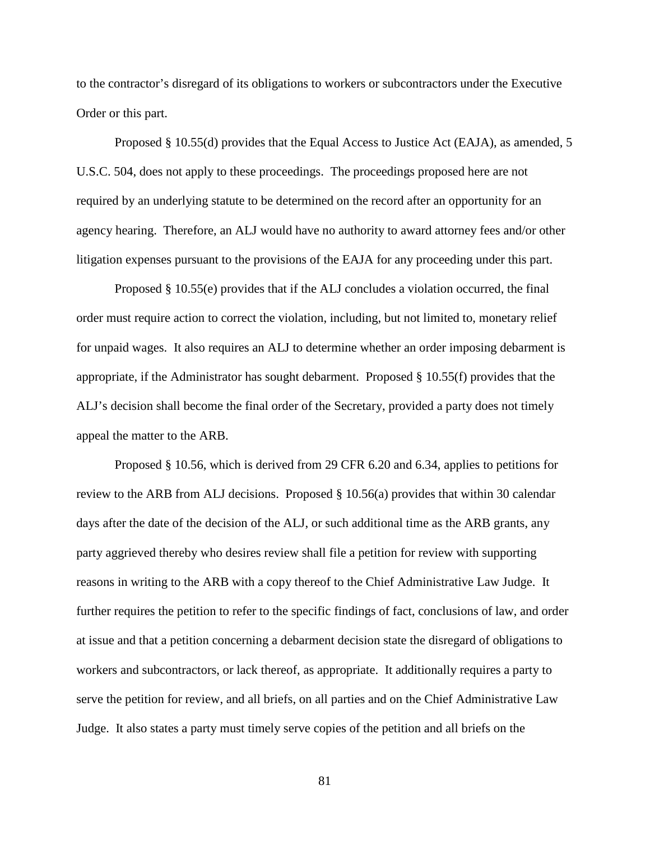to the contractor's disregard of its obligations to workers or subcontractors under the Executive Order or this part.

Proposed § 10.55(d) provides that the Equal Access to Justice Act (EAJA), as amended, 5 U.S.C. 504, does not apply to these proceedings. The proceedings proposed here are not required by an underlying statute to be determined on the record after an opportunity for an agency hearing. Therefore, an ALJ would have no authority to award attorney fees and/or other litigation expenses pursuant to the provisions of the EAJA for any proceeding under this part.

Proposed § 10.55(e) provides that if the ALJ concludes a violation occurred, the final order must require action to correct the violation, including, but not limited to, monetary relief for unpaid wages. It also requires an ALJ to determine whether an order imposing debarment is appropriate, if the Administrator has sought debarment. Proposed § 10.55(f) provides that the ALJ's decision shall become the final order of the Secretary, provided a party does not timely appeal the matter to the ARB.

Proposed § 10.56, which is derived from 29 CFR 6.20 and 6.34, applies to petitions for review to the ARB from ALJ decisions. Proposed § 10.56(a) provides that within 30 calendar days after the date of the decision of the ALJ, or such additional time as the ARB grants, any party aggrieved thereby who desires review shall file a petition for review with supporting reasons in writing to the ARB with a copy thereof to the Chief Administrative Law Judge. It further requires the petition to refer to the specific findings of fact, conclusions of law, and order at issue and that a petition concerning a debarment decision state the disregard of obligations to workers and subcontractors, or lack thereof, as appropriate. It additionally requires a party to serve the petition for review, and all briefs, on all parties and on the Chief Administrative Law Judge. It also states a party must timely serve copies of the petition and all briefs on the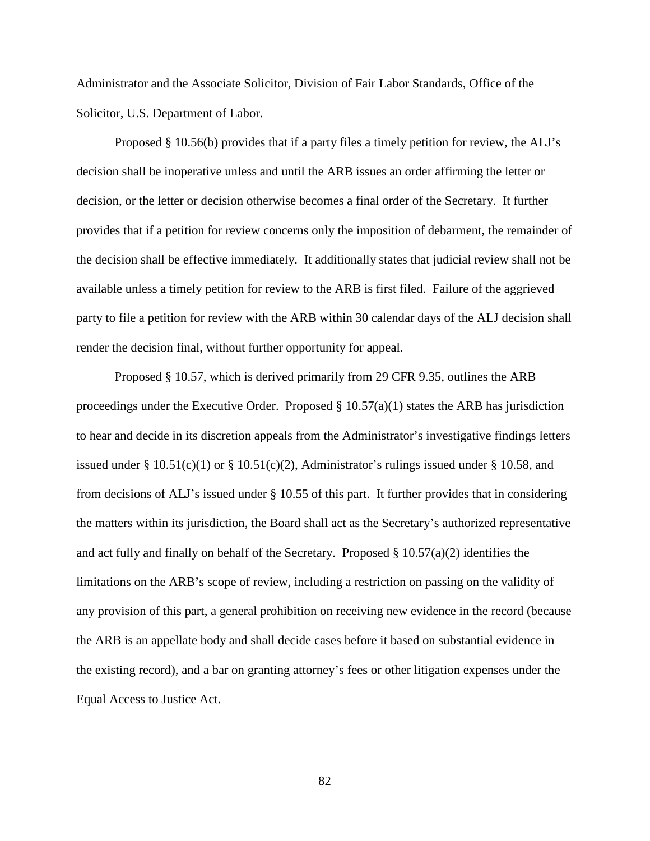Administrator and the Associate Solicitor, Division of Fair Labor Standards, Office of the Solicitor, U.S. Department of Labor.

Proposed § 10.56(b) provides that if a party files a timely petition for review, the ALJ's decision shall be inoperative unless and until the ARB issues an order affirming the letter or decision, or the letter or decision otherwise becomes a final order of the Secretary. It further provides that if a petition for review concerns only the imposition of debarment, the remainder of the decision shall be effective immediately. It additionally states that judicial review shall not be available unless a timely petition for review to the ARB is first filed. Failure of the aggrieved party to file a petition for review with the ARB within 30 calendar days of the ALJ decision shall render the decision final, without further opportunity for appeal.

Proposed § 10.57, which is derived primarily from 29 CFR 9.35, outlines the ARB proceedings under the Executive Order. Proposed  $\S$  10.57(a)(1) states the ARB has jurisdiction to hear and decide in its discretion appeals from the Administrator's investigative findings letters issued under §  $10.51(c)(1)$  or §  $10.51(c)(2)$ , Administrator's rulings issued under § 10.58, and from decisions of ALJ's issued under § 10.55 of this part. It further provides that in considering the matters within its jurisdiction, the Board shall act as the Secretary's authorized representative and act fully and finally on behalf of the Secretary. Proposed  $\S 10.57(a)(2)$  identifies the limitations on the ARB's scope of review, including a restriction on passing on the validity of any provision of this part, a general prohibition on receiving new evidence in the record (because the ARB is an appellate body and shall decide cases before it based on substantial evidence in the existing record), and a bar on granting attorney's fees or other litigation expenses under the Equal Access to Justice Act.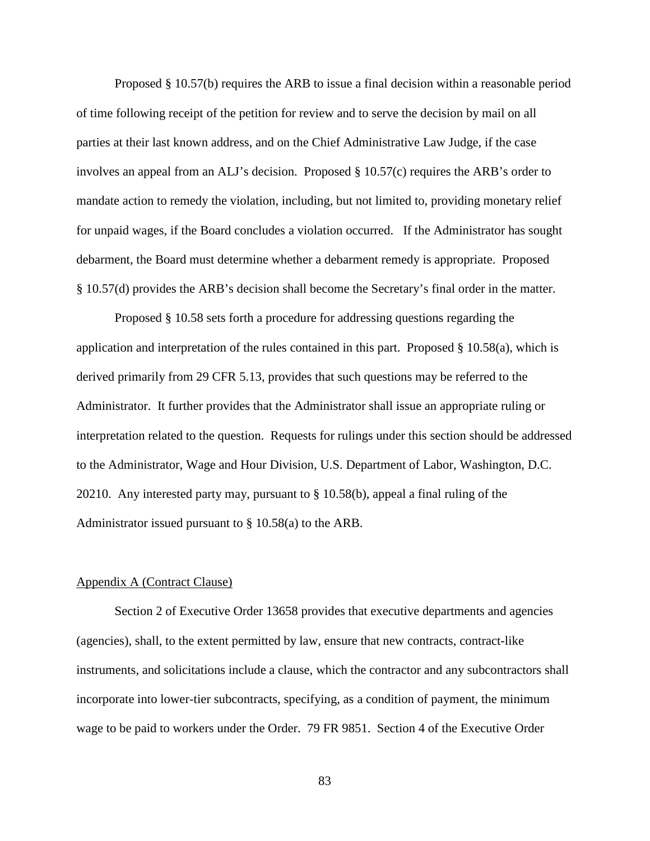Proposed § 10.57(b) requires the ARB to issue a final decision within a reasonable period of time following receipt of the petition for review and to serve the decision by mail on all parties at their last known address, and on the Chief Administrative Law Judge, if the case involves an appeal from an ALJ's decision. Proposed § 10.57(c) requires the ARB's order to mandate action to remedy the violation, including, but not limited to, providing monetary relief for unpaid wages, if the Board concludes a violation occurred. If the Administrator has sought debarment, the Board must determine whether a debarment remedy is appropriate. Proposed § 10.57(d) provides the ARB's decision shall become the Secretary's final order in the matter.

Proposed § 10.58 sets forth a procedure for addressing questions regarding the application and interpretation of the rules contained in this part. Proposed  $\S$  10.58(a), which is derived primarily from 29 CFR 5.13, provides that such questions may be referred to the Administrator. It further provides that the Administrator shall issue an appropriate ruling or interpretation related to the question. Requests for rulings under this section should be addressed to the Administrator, Wage and Hour Division, U.S. Department of Labor, Washington, D.C. 20210. Any interested party may, pursuant to § 10.58(b), appeal a final ruling of the Administrator issued pursuant to § 10.58(a) to the ARB.

#### Appendix A (Contract Clause)

Section 2 of Executive Order 13658 provides that executive departments and agencies (agencies), shall, to the extent permitted by law, ensure that new contracts, contract-like instruments, and solicitations include a clause, which the contractor and any subcontractors shall incorporate into lower-tier subcontracts, specifying, as a condition of payment, the minimum wage to be paid to workers under the Order. 79 FR 9851. Section 4 of the Executive Order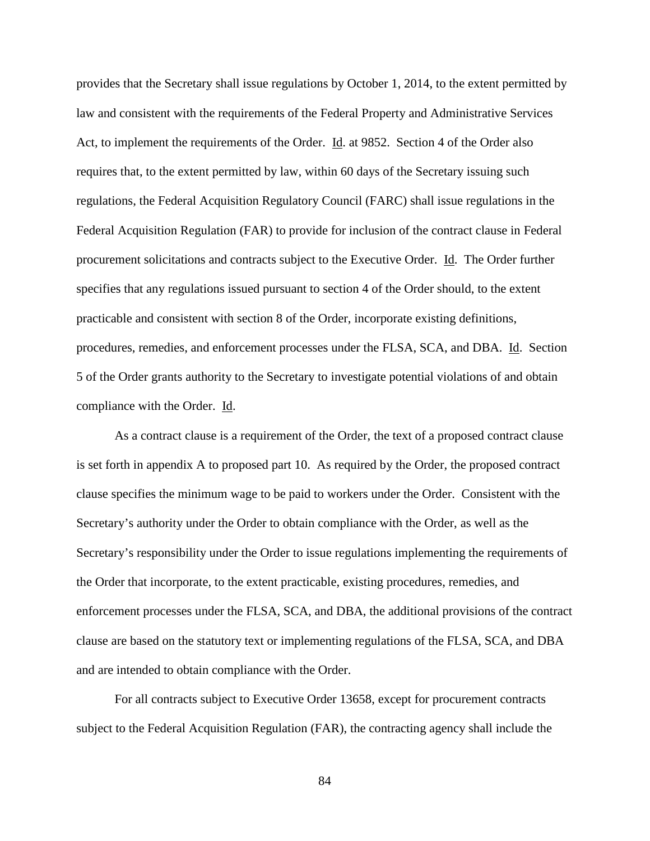provides that the Secretary shall issue regulations by October 1, 2014, to the extent permitted by law and consistent with the requirements of the Federal Property and Administrative Services Act, to implement the requirements of the Order. Id. at 9852. Section 4 of the Order also requires that, to the extent permitted by law, within 60 days of the Secretary issuing such regulations, the Federal Acquisition Regulatory Council (FARC) shall issue regulations in the Federal Acquisition Regulation (FAR) to provide for inclusion of the contract clause in Federal procurement solicitations and contracts subject to the Executive Order. Id. The Order further specifies that any regulations issued pursuant to section 4 of the Order should, to the extent practicable and consistent with section 8 of the Order, incorporate existing definitions, procedures, remedies, and enforcement processes under the FLSA, SCA, and DBA. Id. Section 5 of the Order grants authority to the Secretary to investigate potential violations of and obtain compliance with the Order. Id.

As a contract clause is a requirement of the Order, the text of a proposed contract clause is set forth in appendix A to proposed part 10. As required by the Order, the proposed contract clause specifies the minimum wage to be paid to workers under the Order. Consistent with the Secretary's authority under the Order to obtain compliance with the Order, as well as the Secretary's responsibility under the Order to issue regulations implementing the requirements of the Order that incorporate, to the extent practicable, existing procedures, remedies, and enforcement processes under the FLSA, SCA, and DBA, the additional provisions of the contract clause are based on the statutory text or implementing regulations of the FLSA, SCA, and DBA and are intended to obtain compliance with the Order.

For all contracts subject to Executive Order 13658, except for procurement contracts subject to the Federal Acquisition Regulation (FAR), the contracting agency shall include the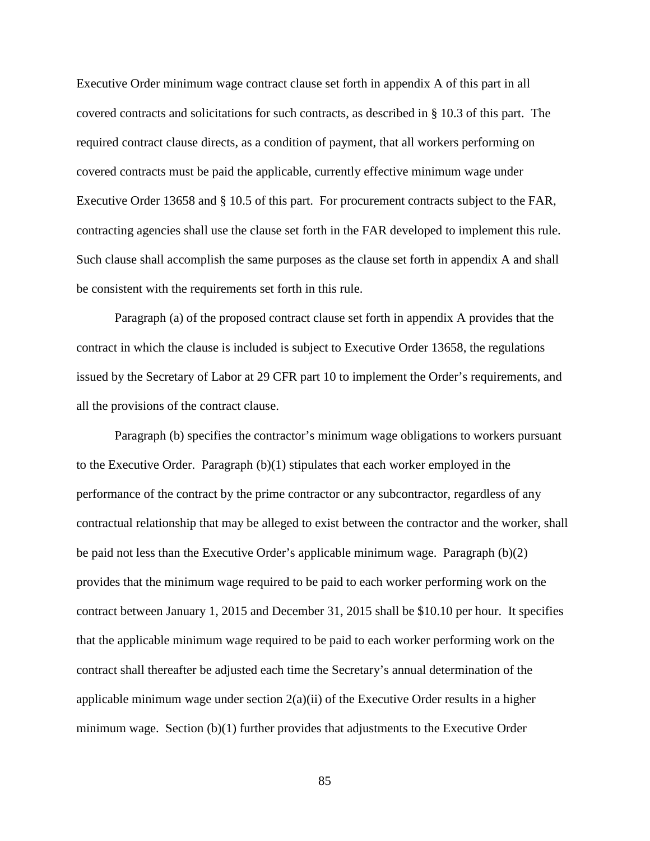Executive Order minimum wage contract clause set forth in appendix A of this part in all covered contracts and solicitations for such contracts, as described in § 10.3 of this part. The required contract clause directs, as a condition of payment, that all workers performing on covered contracts must be paid the applicable, currently effective minimum wage under Executive Order 13658 and § 10.5 of this part. For procurement contracts subject to the FAR, contracting agencies shall use the clause set forth in the FAR developed to implement this rule. Such clause shall accomplish the same purposes as the clause set forth in appendix A and shall be consistent with the requirements set forth in this rule.

Paragraph (a) of the proposed contract clause set forth in appendix A provides that the contract in which the clause is included is subject to Executive Order 13658, the regulations issued by the Secretary of Labor at 29 CFR part 10 to implement the Order's requirements, and all the provisions of the contract clause.

Paragraph (b) specifies the contractor's minimum wage obligations to workers pursuant to the Executive Order. Paragraph  $(b)(1)$  stipulates that each worker employed in the performance of the contract by the prime contractor or any subcontractor, regardless of any contractual relationship that may be alleged to exist between the contractor and the worker, shall be paid not less than the Executive Order's applicable minimum wage. Paragraph (b)(2) provides that the minimum wage required to be paid to each worker performing work on the contract between January 1, 2015 and December 31, 2015 shall be \$10.10 per hour. It specifies that the applicable minimum wage required to be paid to each worker performing work on the contract shall thereafter be adjusted each time the Secretary's annual determination of the applicable minimum wage under section  $2(a)(ii)$  of the Executive Order results in a higher minimum wage. Section  $(b)(1)$  further provides that adjustments to the Executive Order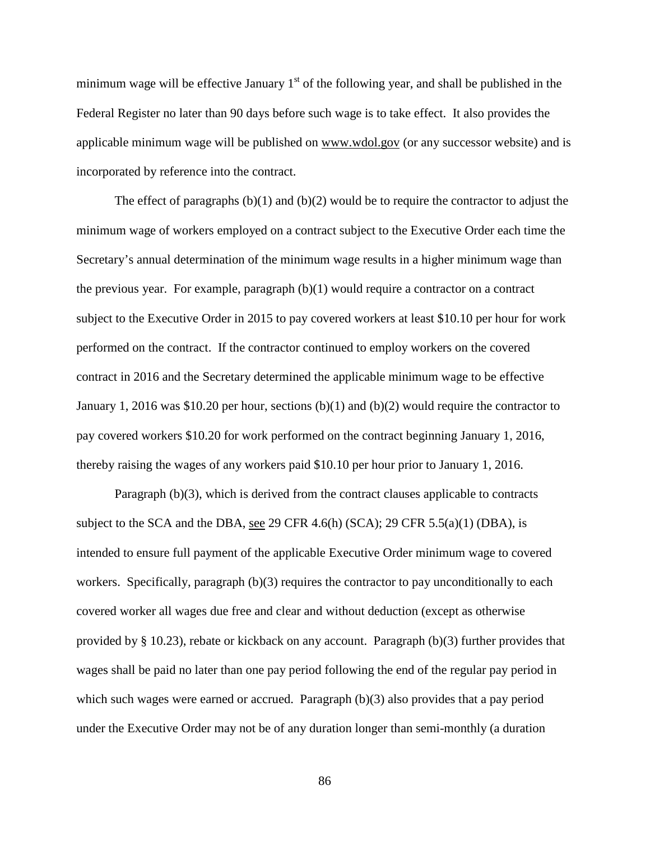minimum wage will be effective January  $1<sup>st</sup>$  of the following year, and shall be published in the Federal Register no later than 90 days before such wage is to take effect. It also provides the applicable minimum wage will be published on www.wdol.gov (or any successor website) and is incorporated by reference into the contract.

The effect of paragraphs  $(b)(1)$  and  $(b)(2)$  would be to require the contractor to adjust the minimum wage of workers employed on a contract subject to the Executive Order each time the Secretary's annual determination of the minimum wage results in a higher minimum wage than the previous year. For example, paragraph  $(b)(1)$  would require a contractor on a contract subject to the Executive Order in 2015 to pay covered workers at least \$10.10 per hour for work performed on the contract. If the contractor continued to employ workers on the covered contract in 2016 and the Secretary determined the applicable minimum wage to be effective January 1, 2016 was \$10.20 per hour, sections (b)(1) and (b)(2) would require the contractor to pay covered workers \$10.20 for work performed on the contract beginning January 1, 2016, thereby raising the wages of any workers paid \$10.10 per hour prior to January 1, 2016.

Paragraph (b)(3), which is derived from the contract clauses applicable to contracts subject to the SCA and the DBA, see 29 CFR 4.6(h) (SCA); 29 CFR 5.5(a)(1) (DBA), is intended to ensure full payment of the applicable Executive Order minimum wage to covered workers. Specifically, paragraph (b)(3) requires the contractor to pay unconditionally to each covered worker all wages due free and clear and without deduction (except as otherwise provided by § 10.23), rebate or kickback on any account. Paragraph (b)(3) further provides that wages shall be paid no later than one pay period following the end of the regular pay period in which such wages were earned or accrued. Paragraph (b)(3) also provides that a pay period under the Executive Order may not be of any duration longer than semi-monthly (a duration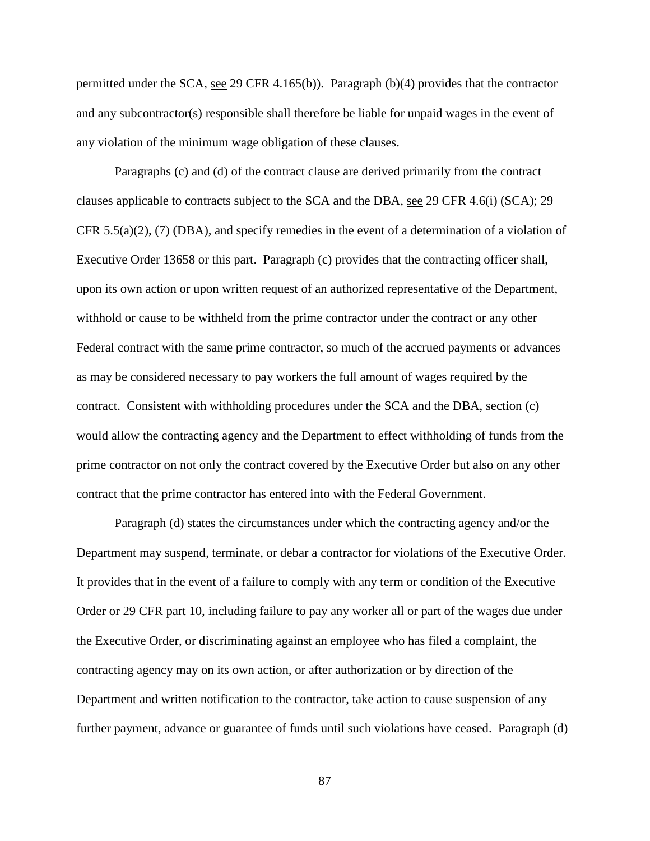permitted under the SCA, see 29 CFR 4.165(b)). Paragraph (b)(4) provides that the contractor and any subcontractor(s) responsible shall therefore be liable for unpaid wages in the event of any violation of the minimum wage obligation of these clauses.

Paragraphs (c) and (d) of the contract clause are derived primarily from the contract clauses applicable to contracts subject to the SCA and the DBA, see 29 CFR 4.6(i) (SCA); 29 CFR  $5.5(a)(2)$ , (7) (DBA), and specify remedies in the event of a determination of a violation of Executive Order 13658 or this part. Paragraph (c) provides that the contracting officer shall, upon its own action or upon written request of an authorized representative of the Department, withhold or cause to be withheld from the prime contractor under the contract or any other Federal contract with the same prime contractor, so much of the accrued payments or advances as may be considered necessary to pay workers the full amount of wages required by the contract. Consistent with withholding procedures under the SCA and the DBA, section (c) would allow the contracting agency and the Department to effect withholding of funds from the prime contractor on not only the contract covered by the Executive Order but also on any other contract that the prime contractor has entered into with the Federal Government.

Paragraph (d) states the circumstances under which the contracting agency and/or the Department may suspend, terminate, or debar a contractor for violations of the Executive Order. It provides that in the event of a failure to comply with any term or condition of the Executive Order or 29 CFR part 10, including failure to pay any worker all or part of the wages due under the Executive Order, or discriminating against an employee who has filed a complaint, the contracting agency may on its own action, or after authorization or by direction of the Department and written notification to the contractor, take action to cause suspension of any further payment, advance or guarantee of funds until such violations have ceased. Paragraph (d)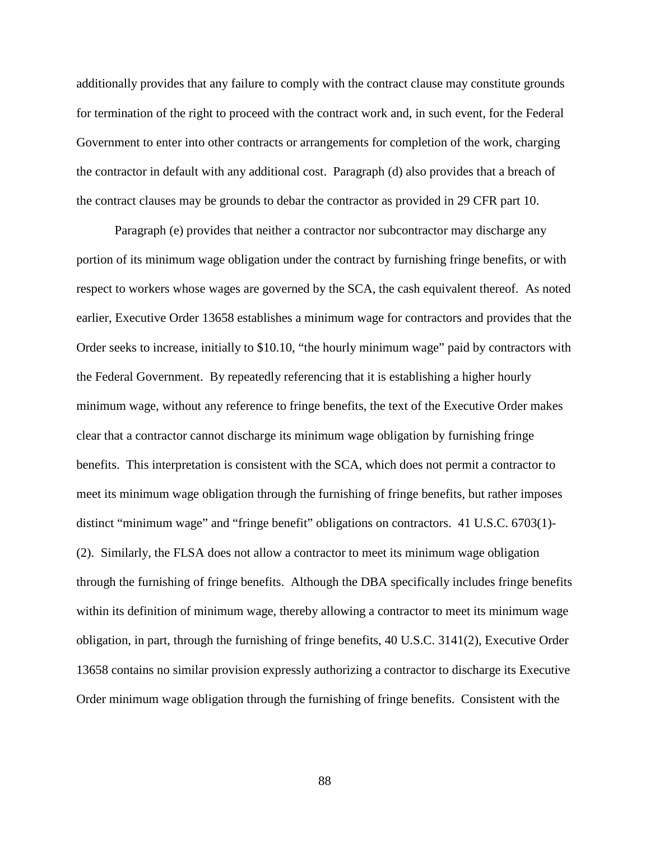additionally provides that any failure to comply with the contract clause may constitute grounds for termination of the right to proceed with the contract work and, in such event, for the Federal Government to enter into other contracts or arrangements for completion of the work, charging the contractor in default with any additional cost. Paragraph (d) also provides that a breach of the contract clauses may be grounds to debar the contractor as provided in 29 CFR part 10.

Paragraph (e) provides that neither a contractor nor subcontractor may discharge any portion of its minimum wage obligation under the contract by furnishing fringe benefits, or with respect to workers whose wages are governed by the SCA, the cash equivalent thereof. As noted earlier, Executive Order 13658 establishes a minimum wage for contractors and provides that the Order seeks to increase, initially to \$10.10, "the hourly minimum wage" paid by contractors with the Federal Government. By repeatedly referencing that it is establishing a higher hourly minimum wage, without any reference to fringe benefits, the text of the Executive Order makes clear that a contractor cannot discharge its minimum wage obligation by furnishing fringe benefits. This interpretation is consistent with the SCA, which does not permit a contractor to meet its minimum wage obligation through the furnishing of fringe benefits, but rather imposes distinct "minimum wage" and "fringe benefit" obligations on contractors. 41 U.S.C. 6703(1)- (2). Similarly, the FLSA does not allow a contractor to meet its minimum wage obligation through the furnishing of fringe benefits. Although the DBA specifically includes fringe benefits within its definition of minimum wage, thereby allowing a contractor to meet its minimum wage obligation, in part, through the furnishing of fringe benefits, 40 U.S.C. 3141(2), Executive Order 13658 contains no similar provision expressly authorizing a contractor to discharge its Executive Order minimum wage obligation through the furnishing of fringe benefits. Consistent with the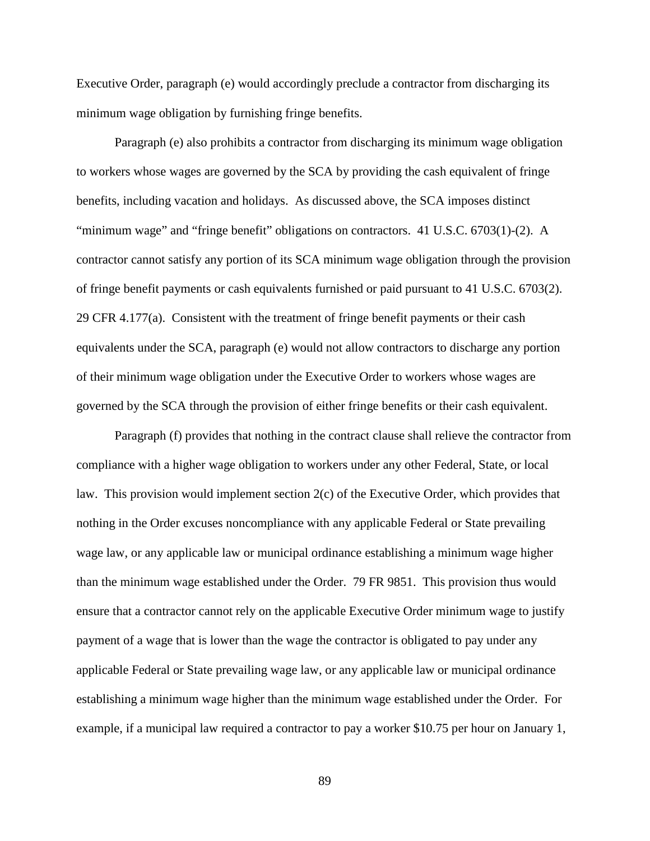Executive Order, paragraph (e) would accordingly preclude a contractor from discharging its minimum wage obligation by furnishing fringe benefits.

Paragraph (e) also prohibits a contractor from discharging its minimum wage obligation to workers whose wages are governed by the SCA by providing the cash equivalent of fringe benefits, including vacation and holidays. As discussed above, the SCA imposes distinct "minimum wage" and "fringe benefit" obligations on contractors. 41 U.S.C. 6703(1)-(2). A contractor cannot satisfy any portion of its SCA minimum wage obligation through the provision of fringe benefit payments or cash equivalents furnished or paid pursuant to 41 U.S.C. 6703(2). 29 CFR 4.177(a). Consistent with the treatment of fringe benefit payments or their cash equivalents under the SCA, paragraph (e) would not allow contractors to discharge any portion of their minimum wage obligation under the Executive Order to workers whose wages are governed by the SCA through the provision of either fringe benefits or their cash equivalent.

Paragraph (f) provides that nothing in the contract clause shall relieve the contractor from compliance with a higher wage obligation to workers under any other Federal, State, or local law. This provision would implement section 2(c) of the Executive Order, which provides that nothing in the Order excuses noncompliance with any applicable Federal or State prevailing wage law, or any applicable law or municipal ordinance establishing a minimum wage higher than the minimum wage established under the Order. 79 FR 9851. This provision thus would ensure that a contractor cannot rely on the applicable Executive Order minimum wage to justify payment of a wage that is lower than the wage the contractor is obligated to pay under any applicable Federal or State prevailing wage law, or any applicable law or municipal ordinance establishing a minimum wage higher than the minimum wage established under the Order. For example, if a municipal law required a contractor to pay a worker \$10.75 per hour on January 1,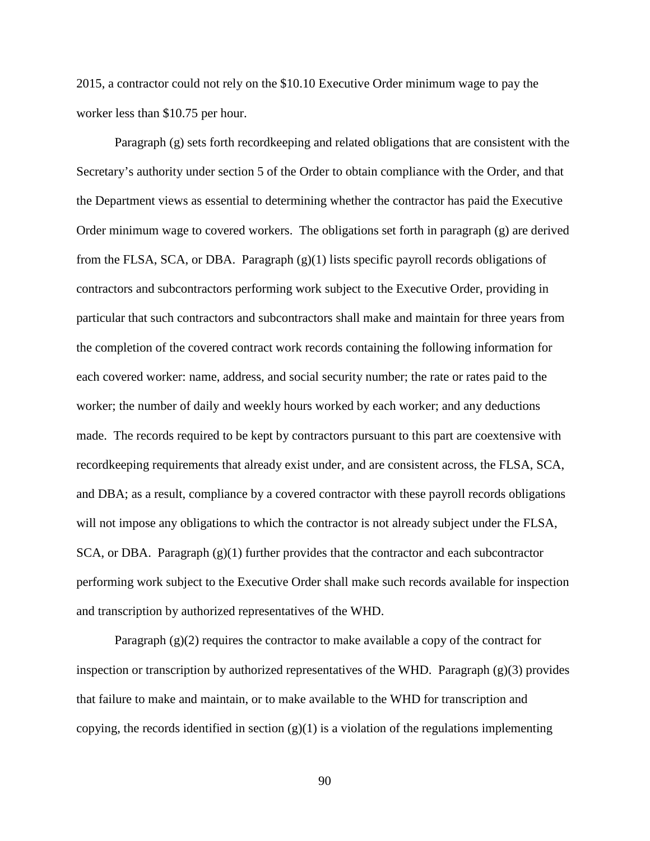2015, a contractor could not rely on the \$10.10 Executive Order minimum wage to pay the worker less than \$10.75 per hour.

Paragraph (g) sets forth recordkeeping and related obligations that are consistent with the Secretary's authority under section 5 of the Order to obtain compliance with the Order, and that the Department views as essential to determining whether the contractor has paid the Executive Order minimum wage to covered workers. The obligations set forth in paragraph (g) are derived from the FLSA, SCA, or DBA. Paragraph (g)(1) lists specific payroll records obligations of contractors and subcontractors performing work subject to the Executive Order, providing in particular that such contractors and subcontractors shall make and maintain for three years from the completion of the covered contract work records containing the following information for each covered worker: name, address, and social security number; the rate or rates paid to the worker; the number of daily and weekly hours worked by each worker; and any deductions made. The records required to be kept by contractors pursuant to this part are coextensive with recordkeeping requirements that already exist under, and are consistent across, the FLSA, SCA, and DBA; as a result, compliance by a covered contractor with these payroll records obligations will not impose any obligations to which the contractor is not already subject under the FLSA,  $SCA$ , or DBA. Paragraph  $(g)(1)$  further provides that the contractor and each subcontractor performing work subject to the Executive Order shall make such records available for inspection and transcription by authorized representatives of the WHD.

Paragraph  $(g)(2)$  requires the contractor to make available a copy of the contract for inspection or transcription by authorized representatives of the WHD. Paragraph  $(g)(3)$  provides that failure to make and maintain, or to make available to the WHD for transcription and copying, the records identified in section  $(g)(1)$  is a violation of the regulations implementing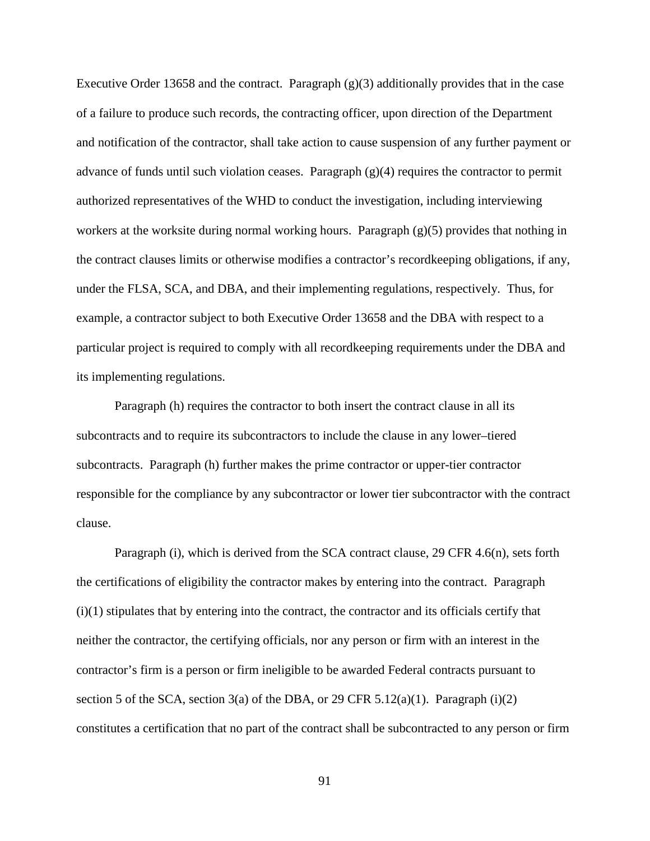Executive Order 13658 and the contract. Paragraph  $(g)(3)$  additionally provides that in the case of a failure to produce such records, the contracting officer, upon direction of the Department and notification of the contractor, shall take action to cause suspension of any further payment or advance of funds until such violation ceases. Paragraph  $(g)(4)$  requires the contractor to permit authorized representatives of the WHD to conduct the investigation, including interviewing workers at the worksite during normal working hours. Paragraph (g)(5) provides that nothing in the contract clauses limits or otherwise modifies a contractor's recordkeeping obligations, if any, under the FLSA, SCA, and DBA, and their implementing regulations, respectively. Thus, for example, a contractor subject to both Executive Order 13658 and the DBA with respect to a particular project is required to comply with all recordkeeping requirements under the DBA and its implementing regulations.

Paragraph (h) requires the contractor to both insert the contract clause in all its subcontracts and to require its subcontractors to include the clause in any lower–tiered subcontracts. Paragraph (h) further makes the prime contractor or upper-tier contractor responsible for the compliance by any subcontractor or lower tier subcontractor with the contract clause.

Paragraph (i), which is derived from the SCA contract clause, 29 CFR 4.6(n), sets forth the certifications of eligibility the contractor makes by entering into the contract. Paragraph (i)(1) stipulates that by entering into the contract, the contractor and its officials certify that neither the contractor, the certifying officials, nor any person or firm with an interest in the contractor's firm is a person or firm ineligible to be awarded Federal contracts pursuant to section 5 of the SCA, section 3(a) of the DBA, or 29 CFR 5.12(a)(1). Paragraph (i)(2) constitutes a certification that no part of the contract shall be subcontracted to any person or firm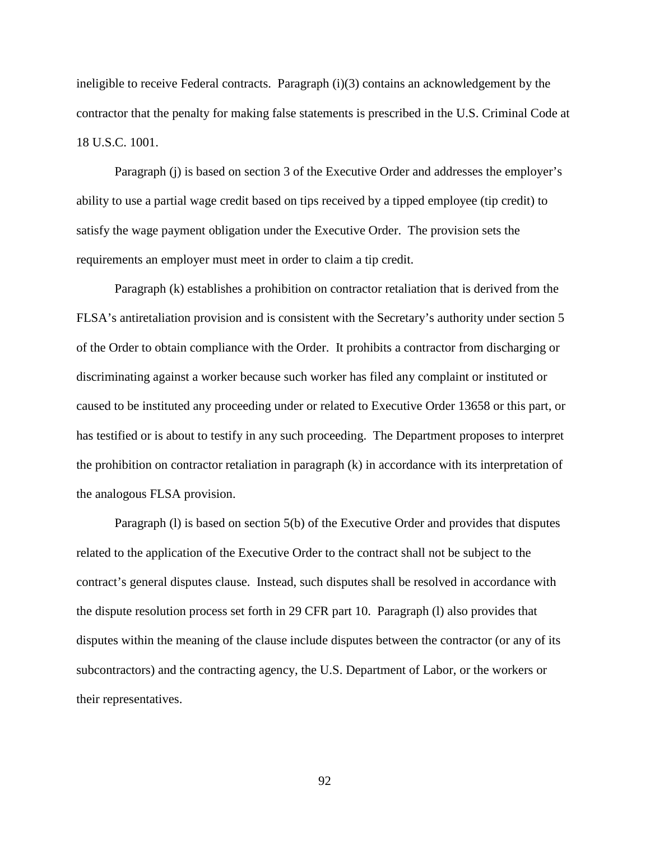ineligible to receive Federal contracts. Paragraph (i)(3) contains an acknowledgement by the contractor that the penalty for making false statements is prescribed in the U.S. Criminal Code at 18 U.S.C. 1001.

Paragraph (j) is based on section 3 of the Executive Order and addresses the employer's ability to use a partial wage credit based on tips received by a tipped employee (tip credit) to satisfy the wage payment obligation under the Executive Order. The provision sets the requirements an employer must meet in order to claim a tip credit.

Paragraph (k) establishes a prohibition on contractor retaliation that is derived from the FLSA's antiretaliation provision and is consistent with the Secretary's authority under section 5 of the Order to obtain compliance with the Order. It prohibits a contractor from discharging or discriminating against a worker because such worker has filed any complaint or instituted or caused to be instituted any proceeding under or related to Executive Order 13658 or this part, or has testified or is about to testify in any such proceeding. The Department proposes to interpret the prohibition on contractor retaliation in paragraph (k) in accordance with its interpretation of the analogous FLSA provision.

Paragraph (l) is based on section 5(b) of the Executive Order and provides that disputes related to the application of the Executive Order to the contract shall not be subject to the contract's general disputes clause. Instead, such disputes shall be resolved in accordance with the dispute resolution process set forth in 29 CFR part 10. Paragraph (l) also provides that disputes within the meaning of the clause include disputes between the contractor (or any of its subcontractors) and the contracting agency, the U.S. Department of Labor, or the workers or their representatives.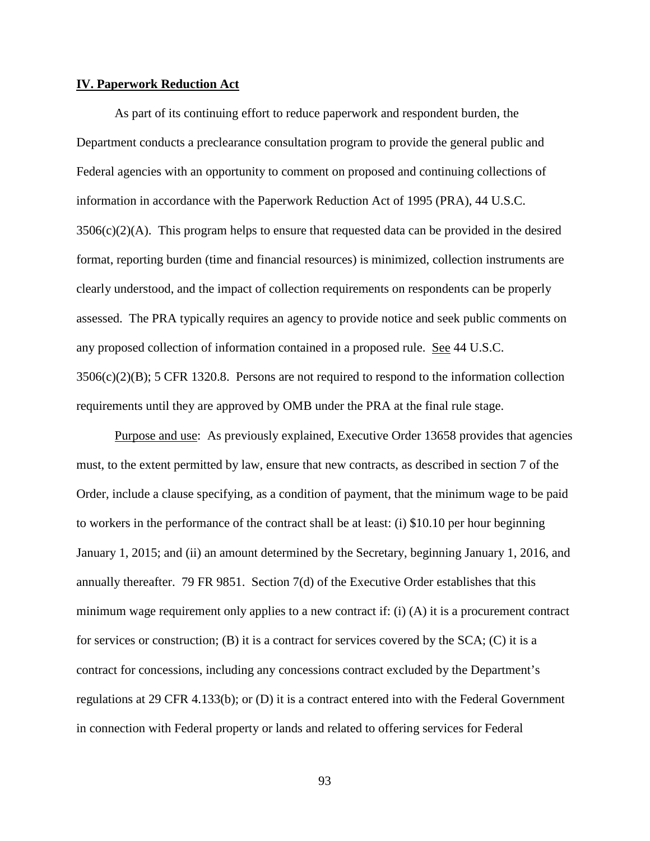### **IV. Paperwork Reduction Act**

As part of its continuing effort to reduce paperwork and respondent burden, the Department conducts a preclearance consultation program to provide the general public and Federal agencies with an opportunity to comment on proposed and continuing collections of information in accordance with the Paperwork Reduction Act of 1995 (PRA), 44 U.S.C.  $3506(c)(2)(A)$ . This program helps to ensure that requested data can be provided in the desired format, reporting burden (time and financial resources) is minimized, collection instruments are clearly understood, and the impact of collection requirements on respondents can be properly assessed. The PRA typically requires an agency to provide notice and seek public comments on any proposed collection of information contained in a proposed rule. See 44 U.S.C. 3506(c)(2)(B); 5 CFR 1320.8. Persons are not required to respond to the information collection requirements until they are approved by OMB under the PRA at the final rule stage.

Purpose and use: As previously explained, Executive Order 13658 provides that agencies must, to the extent permitted by law, ensure that new contracts, as described in section 7 of the Order, include a clause specifying, as a condition of payment, that the minimum wage to be paid to workers in the performance of the contract shall be at least: (i) \$10.10 per hour beginning January 1, 2015; and (ii) an amount determined by the Secretary, beginning January 1, 2016, and annually thereafter. 79 FR 9851. Section 7(d) of the Executive Order establishes that this minimum wage requirement only applies to a new contract if: (i)  $(A)$  it is a procurement contract for services or construction;  $(B)$  it is a contract for services covered by the SCA;  $(C)$  it is a contract for concessions, including any concessions contract excluded by the Department's regulations at 29 CFR 4.133(b); or (D) it is a contract entered into with the Federal Government in connection with Federal property or lands and related to offering services for Federal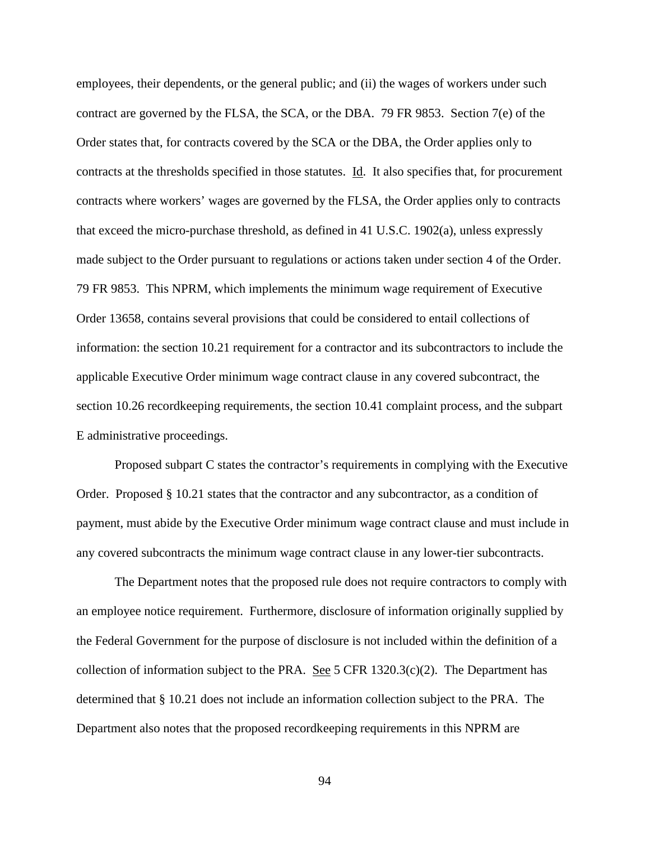employees, their dependents, or the general public; and (ii) the wages of workers under such contract are governed by the FLSA, the SCA, or the DBA. 79 FR 9853. Section 7(e) of the Order states that, for contracts covered by the SCA or the DBA, the Order applies only to contracts at the thresholds specified in those statutes. Id. It also specifies that, for procurement contracts where workers' wages are governed by the FLSA, the Order applies only to contracts that exceed the micro-purchase threshold, as defined in 41 U.S.C. 1902(a), unless expressly made subject to the Order pursuant to regulations or actions taken under section 4 of the Order. 79 FR 9853. This NPRM, which implements the minimum wage requirement of Executive Order 13658, contains several provisions that could be considered to entail collections of information: the section 10.21 requirement for a contractor and its subcontractors to include the applicable Executive Order minimum wage contract clause in any covered subcontract, the section 10.26 recordkeeping requirements, the section 10.41 complaint process, and the subpart E administrative proceedings.

Proposed subpart C states the contractor's requirements in complying with the Executive Order. Proposed § 10.21 states that the contractor and any subcontractor, as a condition of payment, must abide by the Executive Order minimum wage contract clause and must include in any covered subcontracts the minimum wage contract clause in any lower-tier subcontracts.

The Department notes that the proposed rule does not require contractors to comply with an employee notice requirement. Furthermore, disclosure of information originally supplied by the Federal Government for the purpose of disclosure is not included within the definition of a collection of information subject to the PRA. See 5 CFR  $1320.3(c)(2)$ . The Department has determined that § 10.21 does not include an information collection subject to the PRA. The Department also notes that the proposed recordkeeping requirements in this NPRM are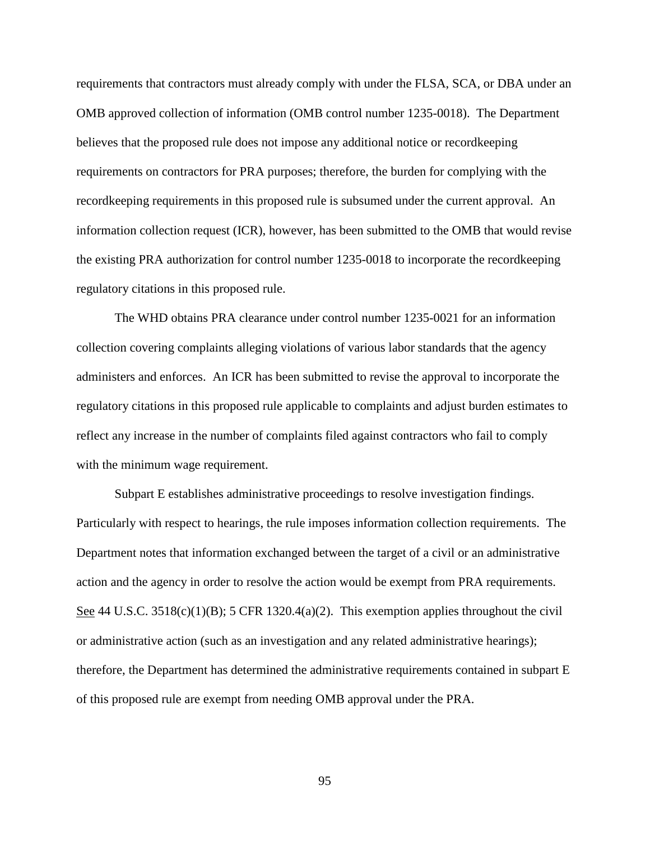requirements that contractors must already comply with under the FLSA, SCA, or DBA under an OMB approved collection of information (OMB control number 1235-0018). The Department believes that the proposed rule does not impose any additional notice or recordkeeping requirements on contractors for PRA purposes; therefore, the burden for complying with the recordkeeping requirements in this proposed rule is subsumed under the current approval. An information collection request (ICR), however, has been submitted to the OMB that would revise the existing PRA authorization for control number 1235-0018 to incorporate the recordkeeping regulatory citations in this proposed rule.

The WHD obtains PRA clearance under control number 1235-0021 for an information collection covering complaints alleging violations of various labor standards that the agency administers and enforces. An ICR has been submitted to revise the approval to incorporate the regulatory citations in this proposed rule applicable to complaints and adjust burden estimates to reflect any increase in the number of complaints filed against contractors who fail to comply with the minimum wage requirement.

Subpart E establishes administrative proceedings to resolve investigation findings. Particularly with respect to hearings, the rule imposes information collection requirements. The Department notes that information exchanged between the target of a civil or an administrative action and the agency in order to resolve the action would be exempt from PRA requirements. See 44 U.S.C. 3518(c)(1)(B); 5 CFR 1320.4(a)(2). This exemption applies throughout the civil or administrative action (such as an investigation and any related administrative hearings); therefore, the Department has determined the administrative requirements contained in subpart E of this proposed rule are exempt from needing OMB approval under the PRA.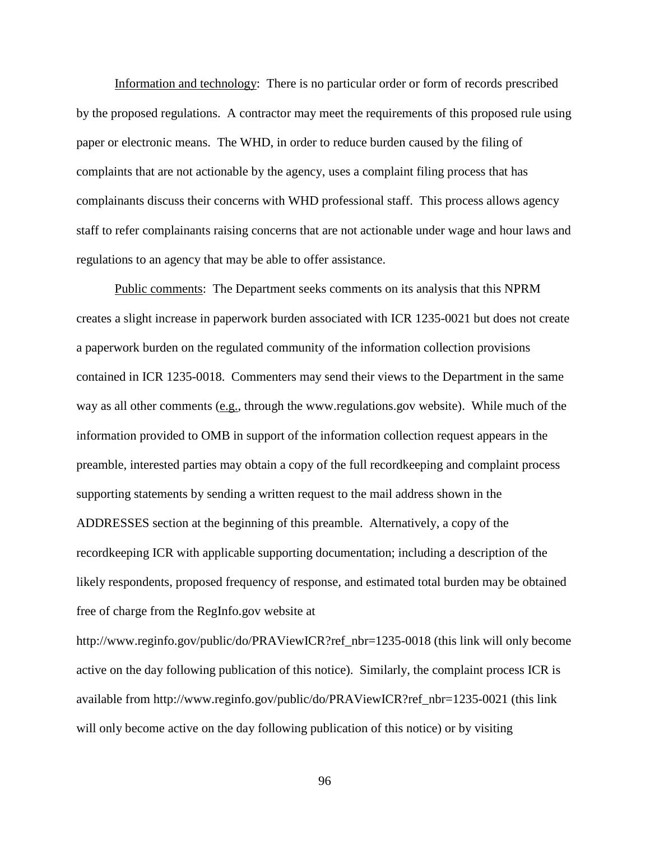Information and technology: There is no particular order or form of records prescribed by the proposed regulations. A contractor may meet the requirements of this proposed rule using paper or electronic means. The WHD, in order to reduce burden caused by the filing of complaints that are not actionable by the agency, uses a complaint filing process that has complainants discuss their concerns with WHD professional staff. This process allows agency staff to refer complainants raising concerns that are not actionable under wage and hour laws and regulations to an agency that may be able to offer assistance.

Public comments: The Department seeks comments on its analysis that this NPRM creates a slight increase in paperwork burden associated with ICR 1235-0021 but does not create a paperwork burden on the regulated community of the information collection provisions contained in ICR 1235-0018. Commenters may send their views to the Department in the same way as all other comments (e.g., through the www.regulations.gov website). While much of the information provided to OMB in support of the information collection request appears in the preamble, interested parties may obtain a copy of the full recordkeeping and complaint process supporting statements by sending a written request to the mail address shown in the ADDRESSES section at the beginning of this preamble. Alternatively, a copy of the recordkeeping ICR with applicable supporting documentation; including a description of the likely respondents, proposed frequency of response, and estimated total burden may be obtained free of charge from the RegInfo.gov website at

http://www.reginfo.gov/public/do/PRAViewICR?ref\_nbr=1235-0018 (this link will only become active on the day following publication of this notice). Similarly, the complaint process ICR is available from http://www.reginfo.gov/public/do/PRAViewICR?ref\_nbr=1235-0021 (this link will only become active on the day following publication of this notice) or by visiting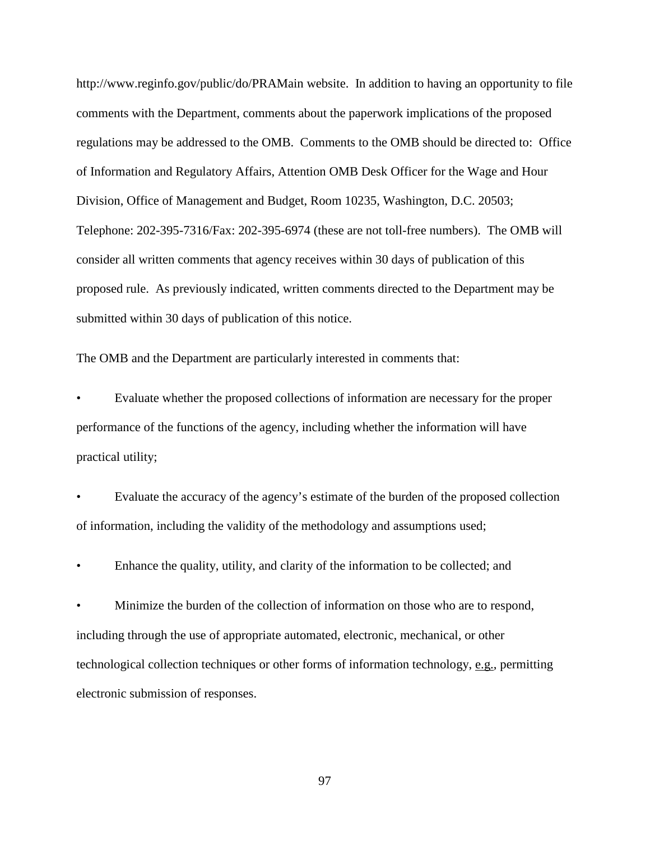http://www.reginfo.gov/public/do/PRAMain website. In addition to having an opportunity to file comments with the Department, comments about the paperwork implications of the proposed regulations may be addressed to the OMB. Comments to the OMB should be directed to: Office of Information and Regulatory Affairs, Attention OMB Desk Officer for the Wage and Hour Division, Office of Management and Budget, Room 10235, Washington, D.C. 20503; Telephone: 202-395-7316/Fax: 202-395-6974 (these are not toll-free numbers). The OMB will consider all written comments that agency receives within 30 days of publication of this proposed rule. As previously indicated, written comments directed to the Department may be submitted within 30 days of publication of this notice.

The OMB and the Department are particularly interested in comments that:

• Evaluate whether the proposed collections of information are necessary for the proper performance of the functions of the agency, including whether the information will have practical utility;

• Evaluate the accuracy of the agency's estimate of the burden of the proposed collection of information, including the validity of the methodology and assumptions used;

• Enhance the quality, utility, and clarity of the information to be collected; and

• Minimize the burden of the collection of information on those who are to respond, including through the use of appropriate automated, electronic, mechanical, or other technological collection techniques or other forms of information technology, e.g., permitting electronic submission of responses.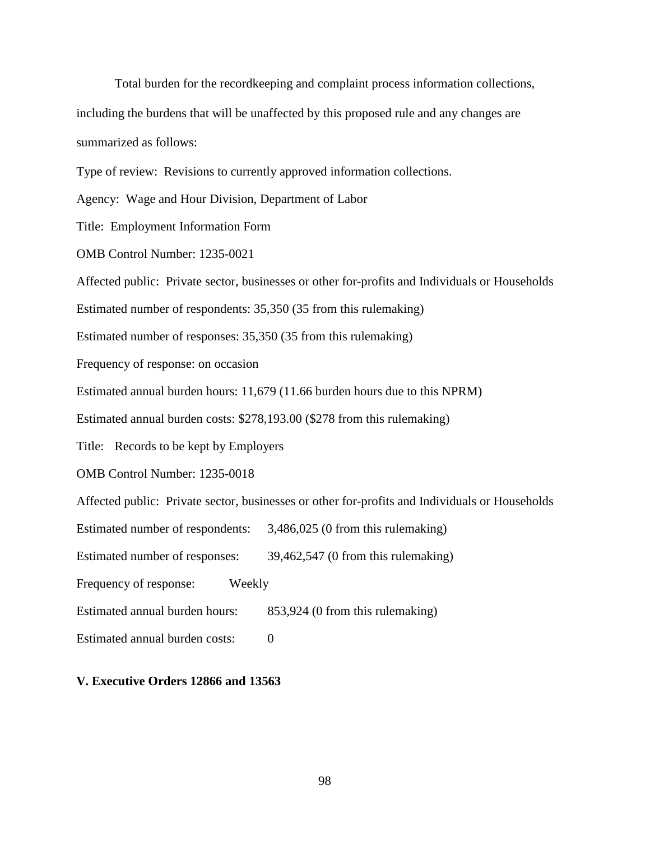Total burden for the recordkeeping and complaint process information collections, including the burdens that will be unaffected by this proposed rule and any changes are summarized as follows:

Type of review: Revisions to currently approved information collections.

Agency: Wage and Hour Division, Department of Labor

Title: Employment Information Form

OMB Control Number: 1235-0021

Affected public: Private sector, businesses or other for-profits and Individuals or Households

Estimated number of respondents: 35,350 (35 from this rulemaking)

Estimated number of responses: 35,350 (35 from this rulemaking)

Frequency of response: on occasion

Estimated annual burden hours: 11,679 (11.66 burden hours due to this NPRM)

Estimated annual burden costs: \$278,193.00 (\$278 from this rulemaking)

Title: Records to be kept by Employers

OMB Control Number: 1235-0018

Affected public: Private sector, businesses or other for-profits and Individuals or Households

Estimated number of respondents: 3,486,025 (0 from this rulemaking)

Estimated number of responses: 39,462,547 (0 from this rulemaking)

Frequency of response: Weekly

Estimated annual burden hours: 853,924 (0 from this rulemaking)

Estimated annual burden costs: 0

## **V. Executive Orders 12866 and 13563**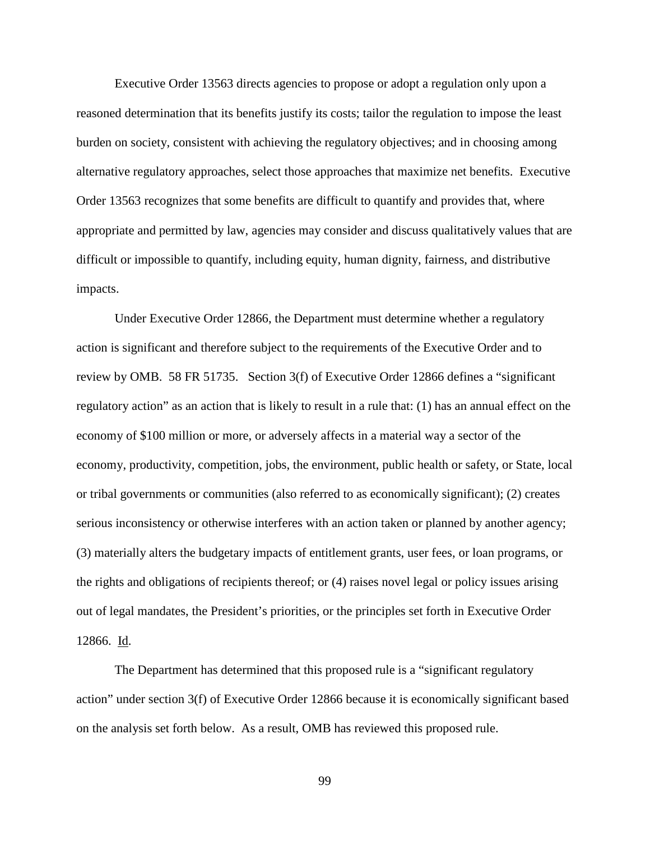Executive Order 13563 directs agencies to propose or adopt a regulation only upon a reasoned determination that its benefits justify its costs; tailor the regulation to impose the least burden on society, consistent with achieving the regulatory objectives; and in choosing among alternative regulatory approaches, select those approaches that maximize net benefits. Executive Order 13563 recognizes that some benefits are difficult to quantify and provides that, where appropriate and permitted by law, agencies may consider and discuss qualitatively values that are difficult or impossible to quantify, including equity, human dignity, fairness, and distributive impacts.

Under Executive Order 12866, the Department must determine whether a regulatory action is significant and therefore subject to the requirements of the Executive Order and to review by OMB. 58 FR 51735. Section 3(f) of Executive Order 12866 defines a "significant regulatory action" as an action that is likely to result in a rule that: (1) has an annual effect on the economy of \$100 million or more, or adversely affects in a material way a sector of the economy, productivity, competition, jobs, the environment, public health or safety, or State, local or tribal governments or communities (also referred to as economically significant); (2) creates serious inconsistency or otherwise interferes with an action taken or planned by another agency; (3) materially alters the budgetary impacts of entitlement grants, user fees, or loan programs, or the rights and obligations of recipients thereof; or (4) raises novel legal or policy issues arising out of legal mandates, the President's priorities, or the principles set forth in Executive Order 12866. Id.

The Department has determined that this proposed rule is a "significant regulatory action" under section 3(f) of Executive Order 12866 because it is economically significant based on the analysis set forth below. As a result, OMB has reviewed this proposed rule.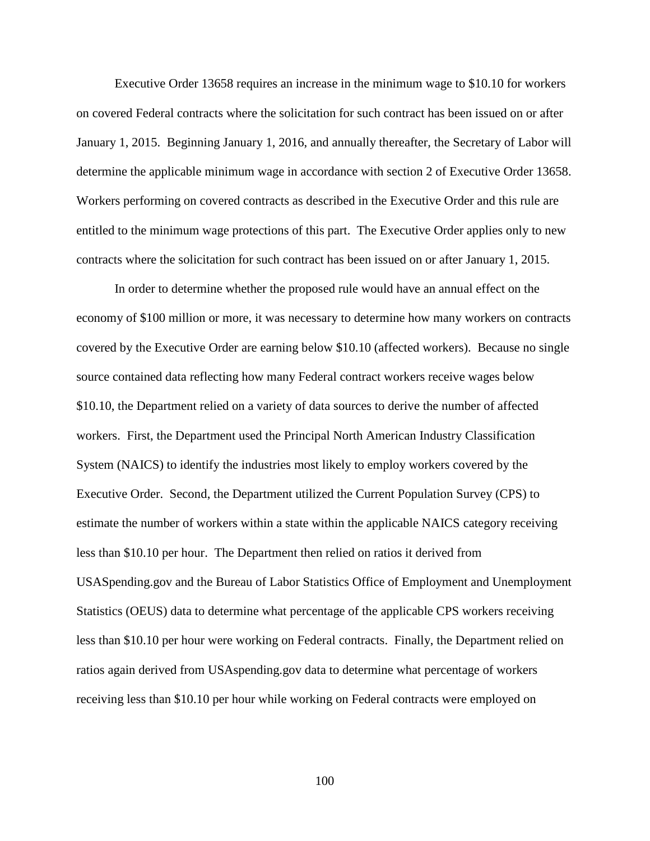Executive Order 13658 requires an increase in the minimum wage to \$10.10 for workers on covered Federal contracts where the solicitation for such contract has been issued on or after January 1, 2015. Beginning January 1, 2016, and annually thereafter, the Secretary of Labor will determine the applicable minimum wage in accordance with section 2 of Executive Order 13658. Workers performing on covered contracts as described in the Executive Order and this rule are entitled to the minimum wage protections of this part. The Executive Order applies only to new contracts where the solicitation for such contract has been issued on or after January 1, 2015.

In order to determine whether the proposed rule would have an annual effect on the economy of \$100 million or more, it was necessary to determine how many workers on contracts covered by the Executive Order are earning below \$10.10 (affected workers). Because no single source contained data reflecting how many Federal contract workers receive wages below \$10.10, the Department relied on a variety of data sources to derive the number of affected workers. First, the Department used the Principal North American Industry Classification System (NAICS) to identify the industries most likely to employ workers covered by the Executive Order. Second, the Department utilized the Current Population Survey (CPS) to estimate the number of workers within a state within the applicable NAICS category receiving less than \$10.10 per hour. The Department then relied on ratios it derived from USASpending.gov and the Bureau of Labor Statistics Office of Employment and Unemployment Statistics (OEUS) data to determine what percentage of the applicable CPS workers receiving less than \$10.10 per hour were working on Federal contracts. Finally, the Department relied on ratios again derived from USAspending.gov data to determine what percentage of workers receiving less than \$10.10 per hour while working on Federal contracts were employed on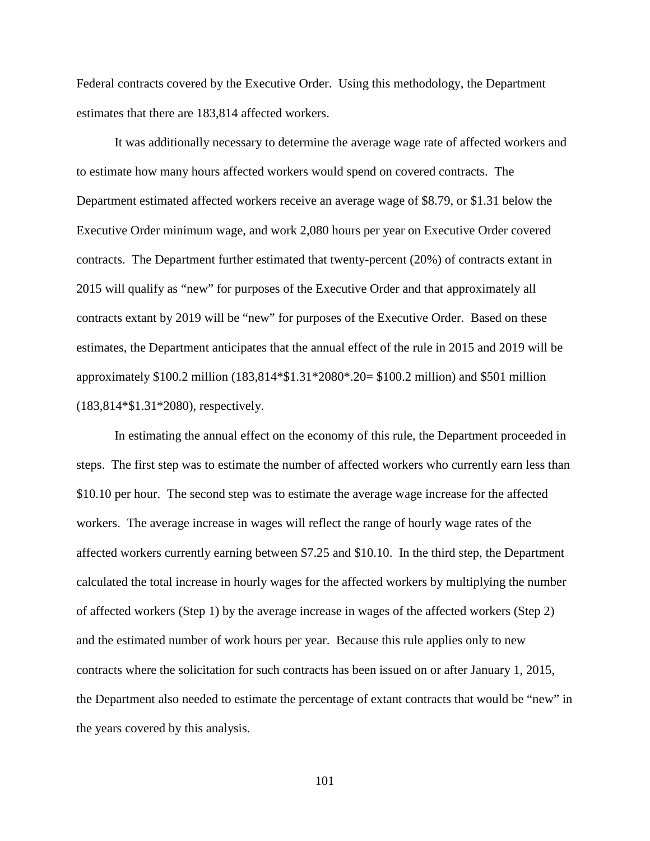Federal contracts covered by the Executive Order. Using this methodology, the Department estimates that there are 183,814 affected workers.

It was additionally necessary to determine the average wage rate of affected workers and to estimate how many hours affected workers would spend on covered contracts. The Department estimated affected workers receive an average wage of \$8.79, or \$1.31 below the Executive Order minimum wage, and work 2,080 hours per year on Executive Order covered contracts. The Department further estimated that twenty-percent (20%) of contracts extant in 2015 will qualify as "new" for purposes of the Executive Order and that approximately all contracts extant by 2019 will be "new" for purposes of the Executive Order. Based on these estimates, the Department anticipates that the annual effect of the rule in 2015 and 2019 will be approximately \$100.2 million (183,814\*\$1.31\*2080\*.20= \$100.2 million) and \$501 million (183,814\*\$1.31\*2080), respectively.

In estimating the annual effect on the economy of this rule, the Department proceeded in steps. The first step was to estimate the number of affected workers who currently earn less than \$10.10 per hour. The second step was to estimate the average wage increase for the affected workers. The average increase in wages will reflect the range of hourly wage rates of the affected workers currently earning between \$7.25 and \$10.10. In the third step, the Department calculated the total increase in hourly wages for the affected workers by multiplying the number of affected workers (Step 1) by the average increase in wages of the affected workers (Step 2) and the estimated number of work hours per year. Because this rule applies only to new contracts where the solicitation for such contracts has been issued on or after January 1, 2015, the Department also needed to estimate the percentage of extant contracts that would be "new" in the years covered by this analysis.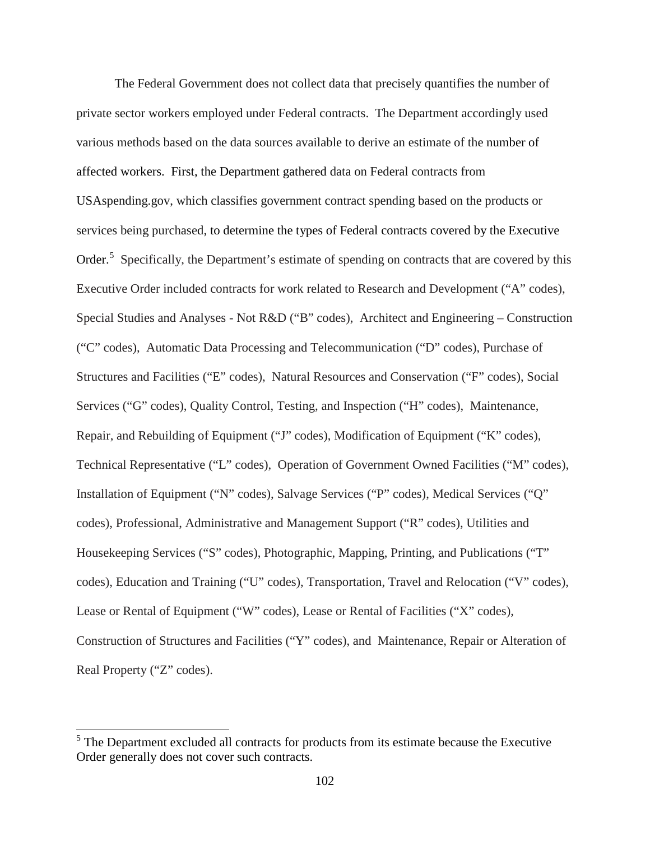The Federal Government does not collect data that precisely quantifies the number of private sector workers employed under Federal contracts. The Department accordingly used various methods based on the data sources available to derive an estimate of the number of affected workers. First, the Department gathered data on Federal contracts from USAspending.gov, which classifies government contract spending based on the products or services being purchased, to determine the types of Federal contracts covered by the Executive Order.<sup>[5](#page-101-0)</sup> Specifically, the Department's estimate of spending on contracts that are covered by this Executive Order included contracts for work related to Research and Development ("A" codes), Special Studies and Analyses - Not R&D ("B" codes), Architect and Engineering – Construction ("C" codes), Automatic Data Processing and Telecommunication ("D" codes), Purchase of Structures and Facilities ("E" codes), Natural Resources and Conservation ("F" codes), Social Services ("G" codes), Quality Control, Testing, and Inspection ("H" codes), Maintenance, Repair, and Rebuilding of Equipment ("J" codes), Modification of Equipment ("K" codes), Technical Representative ("L" codes), Operation of Government Owned Facilities ("M" codes), Installation of Equipment ("N" codes), Salvage Services ("P" codes), Medical Services ("Q" codes), Professional, Administrative and Management Support ("R" codes), Utilities and Housekeeping Services ("S" codes), Photographic, Mapping, Printing, and Publications ("T" codes), Education and Training ("U" codes), Transportation, Travel and Relocation ("V" codes), Lease or Rental of Equipment ("W" codes), Lease or Rental of Facilities ("X" codes), Construction of Structures and Facilities ("Y" codes), and Maintenance, Repair or Alteration of Real Property ("Z" codes).

<span id="page-101-0"></span><sup>&</sup>lt;sup>5</sup> The Department excluded all contracts for products from its estimate because the Executive Order generally does not cover such contracts.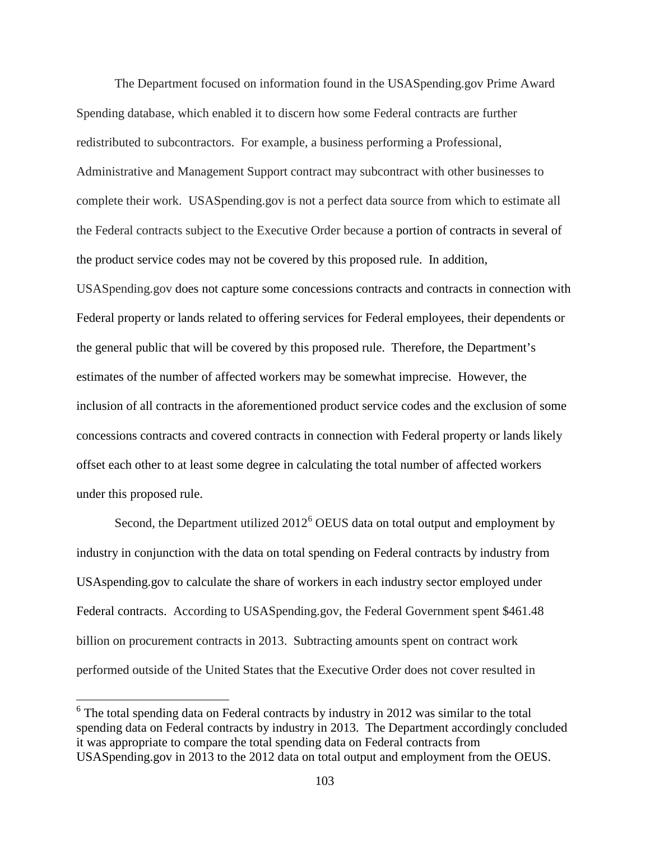The Department focused on information found in the USASpending.gov Prime Award Spending database, which enabled it to discern how some Federal contracts are further redistributed to subcontractors. For example, a business performing a Professional, Administrative and Management Support contract may subcontract with other businesses to complete their work. USASpending.gov is not a perfect data source from which to estimate all the Federal contracts subject to the Executive Order because a portion of contracts in several of the product service codes may not be covered by this proposed rule. In addition, USASpending.gov does not capture some concessions contracts and contracts in connection with Federal property or lands related to offering services for Federal employees, their dependents or the general public that will be covered by this proposed rule. Therefore, the Department's estimates of the number of affected workers may be somewhat imprecise. However, the inclusion of all contracts in the aforementioned product service codes and the exclusion of some concessions contracts and covered contracts in connection with Federal property or lands likely offset each other to at least some degree in calculating the total number of affected workers under this proposed rule.

Second, the Department utilized  $2012<sup>6</sup>$  $2012<sup>6</sup>$  $2012<sup>6</sup>$  OEUS data on total output and employment by industry in conjunction with the data on total spending on Federal contracts by industry from USAspending.gov to calculate the share of workers in each industry sector employed under Federal contracts. According to USASpending.gov, the Federal Government spent \$461.48 billion on procurement contracts in 2013. Subtracting amounts spent on contract work performed outside of the United States that the Executive Order does not cover resulted in

<span id="page-102-0"></span> $6$  The total spending data on Federal contracts by industry in 2012 was similar to the total spending data on Federal contracts by industry in 2013. The Department accordingly concluded it was appropriate to compare the total spending data on Federal contracts from USASpending.gov in 2013 to the 2012 data on total output and employment from the OEUS.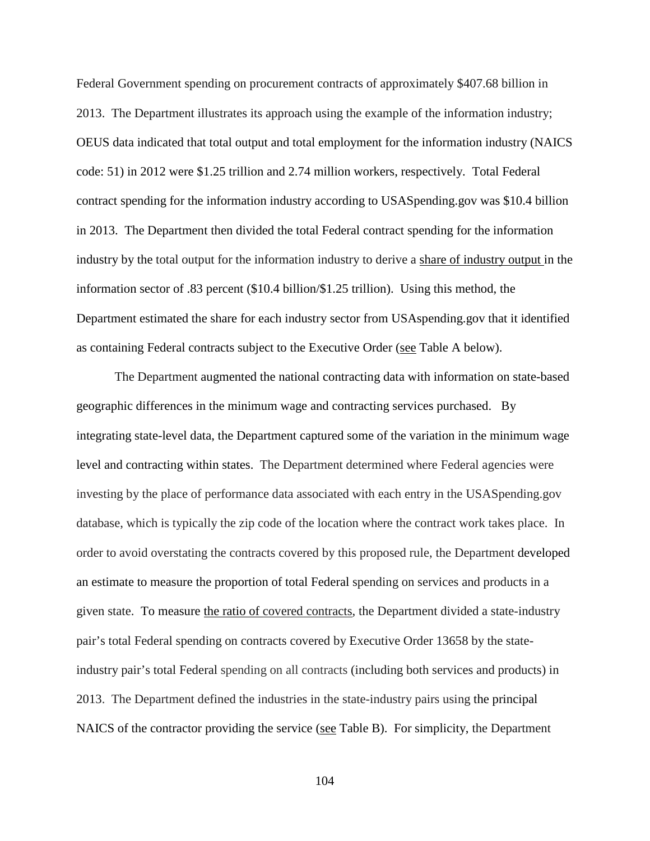Federal Government spending on procurement contracts of approximately \$407.68 billion in 2013. The Department illustrates its approach using the example of the information industry; OEUS data indicated that total output and total employment for the information industry (NAICS code: 51) in 2012 were \$1.25 trillion and 2.74 million workers, respectively. Total Federal contract spending for the information industry according to USASpending.gov was \$10.4 billion in 2013. The Department then divided the total Federal contract spending for the information industry by the total output for the information industry to derive a share of industry output in the information sector of .83 percent (\$10.4 billion/\$1.25 trillion). Using this method, the Department estimated the share for each industry sector from USAspending.gov that it identified as containing Federal contracts subject to the Executive Order (see Table A below).

The Department augmented the national contracting data with information on state-based geographic differences in the minimum wage and contracting services purchased. By integrating state-level data, the Department captured some of the variation in the minimum wage level and contracting within states. The Department determined where Federal agencies were investing by the place of performance data associated with each entry in the USASpending.gov database, which is typically the zip code of the location where the contract work takes place. In order to avoid overstating the contracts covered by this proposed rule, the Department developed an estimate to measure the proportion of total Federal spending on services and products in a given state. To measure the ratio of covered contracts, the Department divided a state-industry pair's total Federal spending on contracts covered by Executive Order 13658 by the stateindustry pair's total Federal spending on all contracts (including both services and products) in 2013. The Department defined the industries in the state-industry pairs using the principal NAICS of the contractor providing the service (see Table B). For simplicity, the Department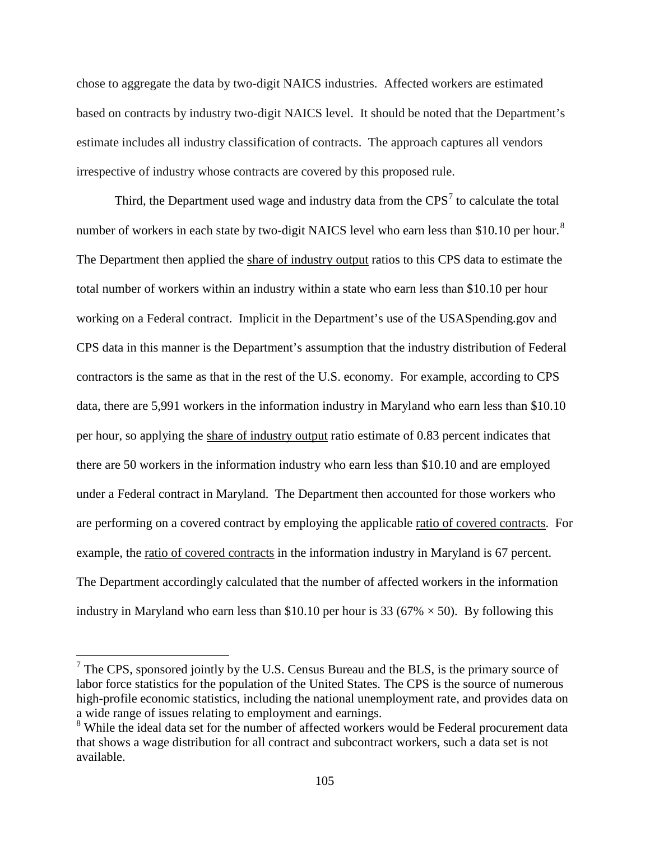chose to aggregate the data by two-digit NAICS industries. Affected workers are estimated based on contracts by industry two-digit NAICS level. It should be noted that the Department's estimate includes all industry classification of contracts. The approach captures all vendors irrespective of industry whose contracts are covered by this proposed rule.

Third, the Department used wage and industry data from the  $CPS<sup>7</sup>$  $CPS<sup>7</sup>$  $CPS<sup>7</sup>$  to calculate the total number of workers in each state by two-digit NAICS level who earn less than \$10.10 per hour.<sup>[8](#page-104-1)</sup> The Department then applied the share of industry output ratios to this CPS data to estimate the total number of workers within an industry within a state who earn less than \$10.10 per hour working on a Federal contract. Implicit in the Department's use of the USASpending.gov and CPS data in this manner is the Department's assumption that the industry distribution of Federal contractors is the same as that in the rest of the U.S. economy. For example, according to CPS data, there are 5,991 workers in the information industry in Maryland who earn less than \$10.10 per hour, so applying the share of industry output ratio estimate of 0.83 percent indicates that there are 50 workers in the information industry who earn less than \$10.10 and are employed under a Federal contract in Maryland. The Department then accounted for those workers who are performing on a covered contract by employing the applicable ratio of covered contracts. For example, the ratio of covered contracts in the information industry in Maryland is 67 percent. The Department accordingly calculated that the number of affected workers in the information industry in Maryland who earn less than \$10.10 per hour is 33 (67%  $\times$  50). By following this

<span id="page-104-0"></span> $7$  The CPS, sponsored jointly by the U.S. Census Bureau and the BLS, is the primary source of labor force statistics for the population of the United States. The CPS is the source of numerous high-profile economic statistics, including the national unemployment rate, and provides data on a wide range of issues relating to employment and earnings.

<span id="page-104-1"></span><sup>&</sup>lt;sup>8</sup> While the ideal data set for the number of affected workers would be Federal procurement data that shows a wage distribution for all contract and subcontract workers, such a data set is not available.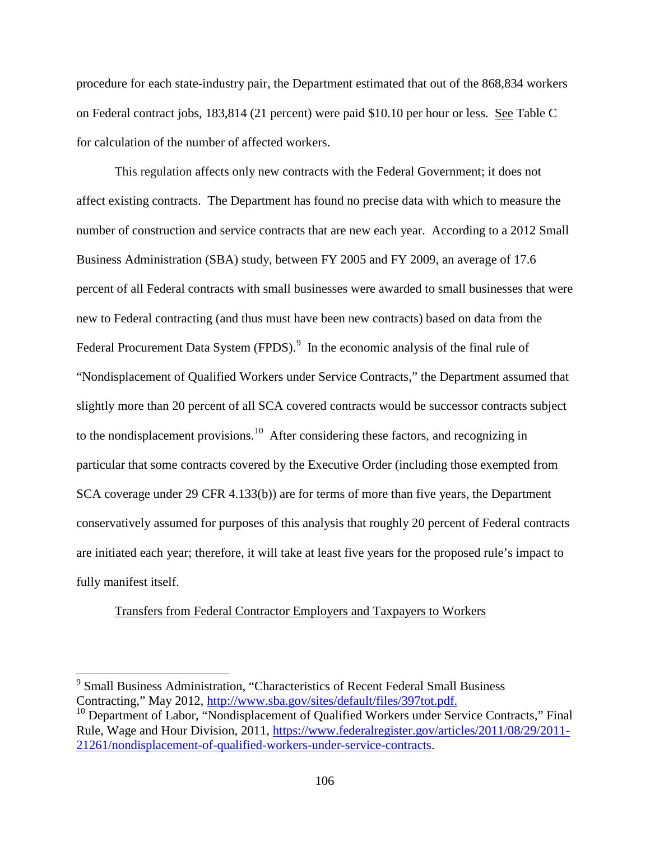procedure for each state-industry pair, the Department estimated that out of the 868,834 workers on Federal contract jobs, 183,814 (21 percent) were paid \$10.10 per hour or less. See Table C for calculation of the number of affected workers.

This regulation affects only new contracts with the Federal Government; it does not affect existing contracts. The Department has found no precise data with which to measure the number of construction and service contracts that are new each year. According to a 2012 Small Business Administration (SBA) study, between FY 2005 and FY 2009, an average of 17.6 percent of all Federal contracts with small businesses were awarded to small businesses that were new to Federal contracting (and thus must have been new contracts) based on data from the Federal Procurement Data System  $(FPDS)$ . <sup>[9](#page-105-0)</sup> In the economic analysis of the final rule of "Nondisplacement of Qualified Workers under Service Contracts," the Department assumed that slightly more than 20 percent of all SCA covered contracts would be successor contracts subject to the nondisplacement provisions.<sup>[10](#page-105-1)</sup> After considering these factors, and recognizing in particular that some contracts covered by the Executive Order (including those exempted from SCA coverage under 29 CFR 4.133(b)) are for terms of more than five years, the Department conservatively assumed for purposes of this analysis that roughly 20 percent of Federal contracts are initiated each year; therefore, it will take at least five years for the proposed rule's impact to fully manifest itself.

## Transfers from Federal Contractor Employers and Taxpayers to Workers

<span id="page-105-0"></span><sup>&</sup>lt;sup>9</sup> Small Business Administration, "Characteristics of Recent Federal Small Business

<span id="page-105-1"></span>Contracting," May 2012, [http://www.sba.gov/sites/default/files/397tot.pdf.](http://www.sba.gov/sites/default/files/397tot.pdf)<br><sup>10</sup> Department of Labor, "Nondisplacement of Qualified Workers under Service Contracts," Final Rule, Wage and Hour Division, 2011, [https://www.federalregister.gov/articles/2011/08/29/2011-](https://www.federalregister.gov/articles/2011/08/29/2011-21261/nondisplacement-of-qualified-workers-under-service-contracts) [21261/nondisplacement-of-qualified-workers-under-service-contracts.](https://www.federalregister.gov/articles/2011/08/29/2011-21261/nondisplacement-of-qualified-workers-under-service-contracts)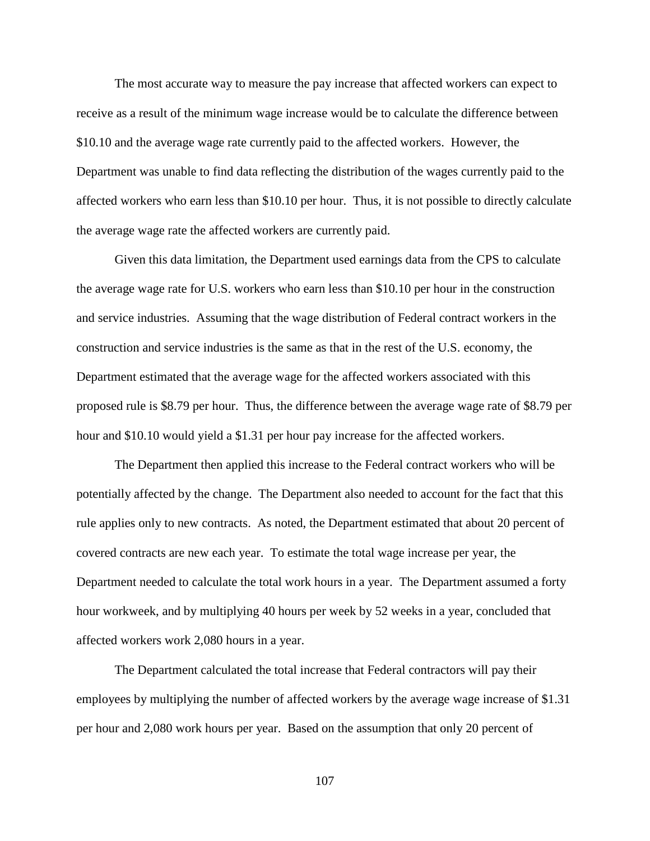The most accurate way to measure the pay increase that affected workers can expect to receive as a result of the minimum wage increase would be to calculate the difference between \$10.10 and the average wage rate currently paid to the affected workers. However, the Department was unable to find data reflecting the distribution of the wages currently paid to the affected workers who earn less than \$10.10 per hour. Thus, it is not possible to directly calculate the average wage rate the affected workers are currently paid.

Given this data limitation, the Department used earnings data from the CPS to calculate the average wage rate for U.S. workers who earn less than \$10.10 per hour in the construction and service industries. Assuming that the wage distribution of Federal contract workers in the construction and service industries is the same as that in the rest of the U.S. economy, the Department estimated that the average wage for the affected workers associated with this proposed rule is \$8.79 per hour. Thus, the difference between the average wage rate of \$8.79 per hour and \$10.10 would yield a \$1.31 per hour pay increase for the affected workers.

The Department then applied this increase to the Federal contract workers who will be potentially affected by the change. The Department also needed to account for the fact that this rule applies only to new contracts. As noted, the Department estimated that about 20 percent of covered contracts are new each year. To estimate the total wage increase per year, the Department needed to calculate the total work hours in a year. The Department assumed a forty hour workweek, and by multiplying 40 hours per week by 52 weeks in a year, concluded that affected workers work 2,080 hours in a year.

The Department calculated the total increase that Federal contractors will pay their employees by multiplying the number of affected workers by the average wage increase of \$1.31 per hour and 2,080 work hours per year. Based on the assumption that only 20 percent of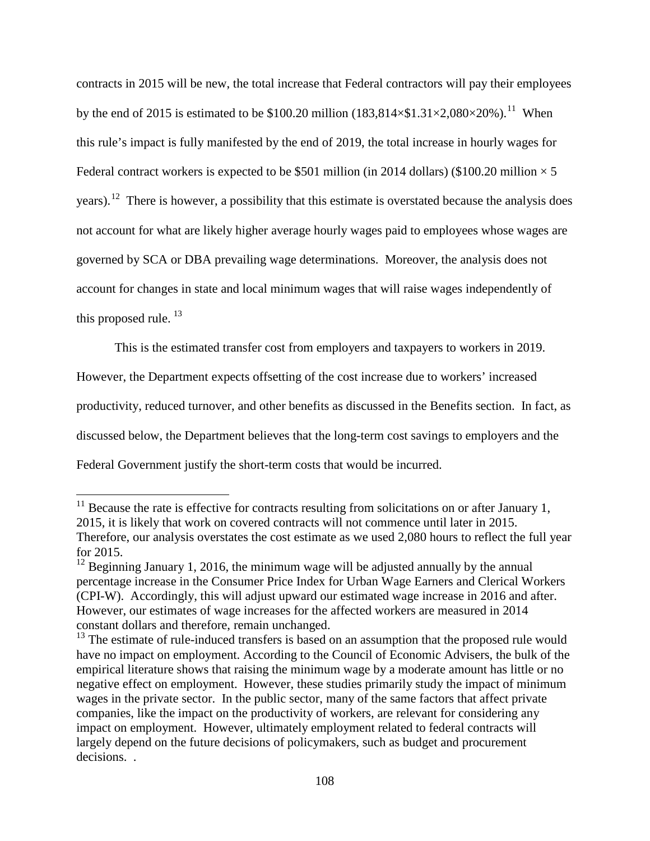contracts in 2015 will be new, the total increase that Federal contractors will pay their employees by the end of 2015 is estimated to be \$100.20 million  $(183,814 \times $1.31 \times 2,080 \times 20\%)$ .<sup>[11](#page-107-0)</sup> When this rule's impact is fully manifested by the end of 2019, the total increase in hourly wages for Federal contract workers is expected to be \$501 million (in 2014 dollars) (\$100.20 million  $\times$  5 years).<sup>[12](#page-107-1)</sup> There is however, a possibility that this estimate is overstated because the analysis does not account for what are likely higher average hourly wages paid to employees whose wages are governed by SCA or DBA prevailing wage determinations. Moreover, the analysis does not account for changes in state and local minimum wages that will raise wages independently of this proposed rule.<sup>[13](#page-107-2)</sup>

This is the estimated transfer cost from employers and taxpayers to workers in 2019.

However, the Department expects offsetting of the cost increase due to workers' increased

productivity, reduced turnover, and other benefits as discussed in the Benefits section. In fact, as

discussed below, the Department believes that the long-term cost savings to employers and the

Federal Government justify the short-term costs that would be incurred.

<span id="page-107-0"></span> $11$  Because the rate is effective for contracts resulting from solicitations on or after January 1, 2015, it is likely that work on covered contracts will not commence until later in 2015. Therefore, our analysis overstates the cost estimate as we used 2,080 hours to reflect the full year for 2015.

<span id="page-107-1"></span> $12$  Beginning January 1, 2016, the minimum wage will be adjusted annually by the annual percentage increase in the Consumer Price Index for Urban Wage Earners and Clerical Workers (CPI-W). Accordingly, this will adjust upward our estimated wage increase in 2016 and after. However, our estimates of wage increases for the affected workers are measured in 2014 constant dollars and therefore, remain unchanged.

<span id="page-107-2"></span><sup>&</sup>lt;sup>13</sup> The estimate of rule-induced transfers is based on an assumption that the proposed rule would have no impact on employment. According to the Council of Economic Advisers, the bulk of the empirical literature shows that raising the minimum wage by a moderate amount has little or no negative effect on employment. However, these studies primarily study the impact of minimum wages in the private sector. In the public sector, many of the same factors that affect private companies, like the impact on the productivity of workers, are relevant for considering any impact on employment. However, ultimately employment related to federal contracts will largely depend on the future decisions of policymakers, such as budget and procurement decisions. .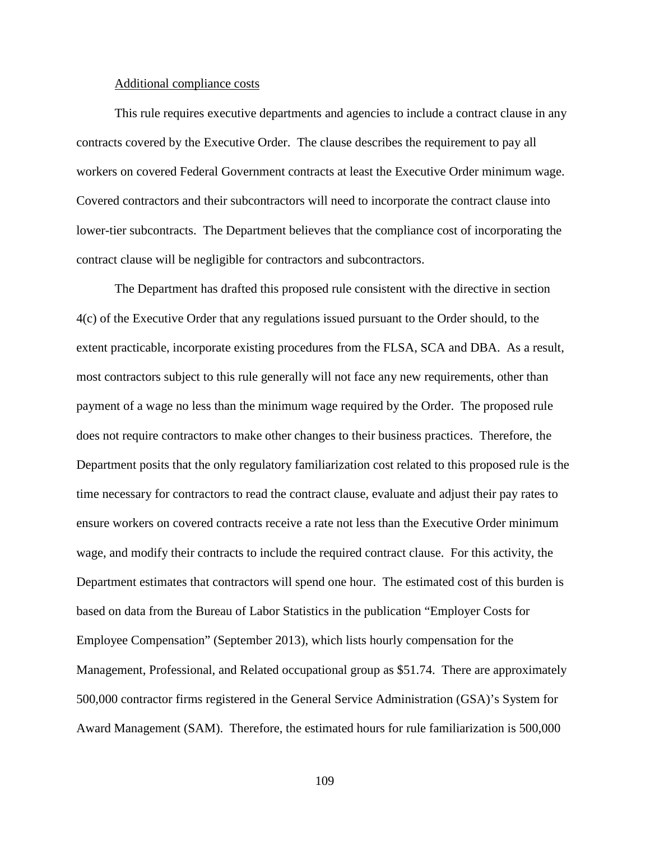#### Additional compliance costs

This rule requires executive departments and agencies to include a contract clause in any contracts covered by the Executive Order. The clause describes the requirement to pay all workers on covered Federal Government contracts at least the Executive Order minimum wage. Covered contractors and their subcontractors will need to incorporate the contract clause into lower-tier subcontracts. The Department believes that the compliance cost of incorporating the contract clause will be negligible for contractors and subcontractors.

The Department has drafted this proposed rule consistent with the directive in section 4(c) of the Executive Order that any regulations issued pursuant to the Order should, to the extent practicable, incorporate existing procedures from the FLSA, SCA and DBA. As a result, most contractors subject to this rule generally will not face any new requirements, other than payment of a wage no less than the minimum wage required by the Order. The proposed rule does not require contractors to make other changes to their business practices. Therefore, the Department posits that the only regulatory familiarization cost related to this proposed rule is the time necessary for contractors to read the contract clause, evaluate and adjust their pay rates to ensure workers on covered contracts receive a rate not less than the Executive Order minimum wage, and modify their contracts to include the required contract clause. For this activity, the Department estimates that contractors will spend one hour. The estimated cost of this burden is based on data from the Bureau of Labor Statistics in the publication "Employer Costs for Employee Compensation" (September 2013), which lists hourly compensation for the Management, Professional, and Related occupational group as \$51.74. There are approximately 500,000 contractor firms registered in the General Service Administration (GSA)'s System for Award Management (SAM). Therefore, the estimated hours for rule familiarization is 500,000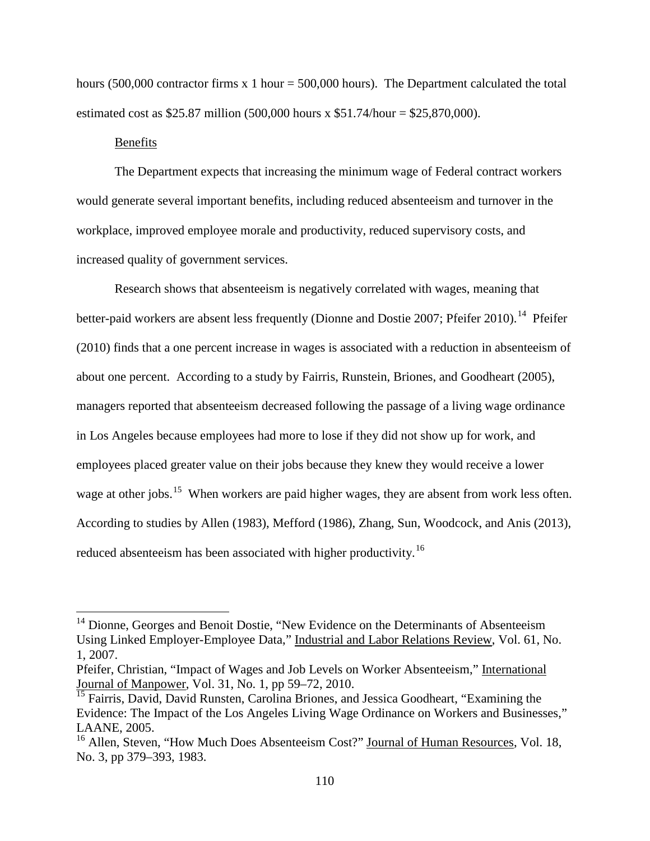hours (500,000 contractor firms x 1 hour =  $500,000$  hours). The Department calculated the total estimated cost as \$25.87 million (500,000 hours x \$51.74/hour = \$25,870,000).

### Benefits

The Department expects that increasing the minimum wage of Federal contract workers would generate several important benefits, including reduced absenteeism and turnover in the workplace, improved employee morale and productivity, reduced supervisory costs, and increased quality of government services.

Research shows that absenteeism is negatively correlated with wages, meaning that better-paid workers are absent less frequently (Dionne and Dostie 2007; Pfeifer 2010).<sup>14</sup> Pfeifer (2010) finds that a one percent increase in wages is associated with a reduction in absenteeism of about one percent. According to a study by Fairris, Runstein, Briones, and Goodheart (2005), managers reported that absenteeism decreased following the passage of a living wage ordinance in Los Angeles because employees had more to lose if they did not show up for work, and employees placed greater value on their jobs because they knew they would receive a lower wage at other jobs.<sup>[15](#page-109-1)</sup> When workers are paid higher wages, they are absent from work less often. According to studies by Allen (1983), Mefford (1986), Zhang, Sun, Woodcock, and Anis (2013), reduced absenteeism has been associated with higher productivity.<sup>16</sup>

<span id="page-109-0"></span><sup>&</sup>lt;sup>14</sup> Dionne. Georges and Benoit Dostie, "New Evidence on the Determinants of Absenteeism Using Linked Employer-Employee Data," Industrial and Labor Relations Review, Vol. 61, No. 1, 2007.

Pfeifer, Christian, "Impact of Wages and Job Levels on Worker Absenteeism," International Journal of Manpower, Vol. 31, No. 1, pp 59–72, 2010.

<span id="page-109-1"></span><sup>&</sup>lt;sup>15</sup> Fairris, David, David Runsten, Carolina Briones, and Jessica Goodheart, "Examining the Evidence: The Impact of the Los Angeles Living Wage Ordinance on Workers and Businesses," LAANE, 2005.

<span id="page-109-2"></span><sup>&</sup>lt;sup>16</sup> Allen, Steven, "How Much Does Absenteeism Cost?" Journal of Human Resources, Vol. 18, No. 3, pp 379–393, 1983.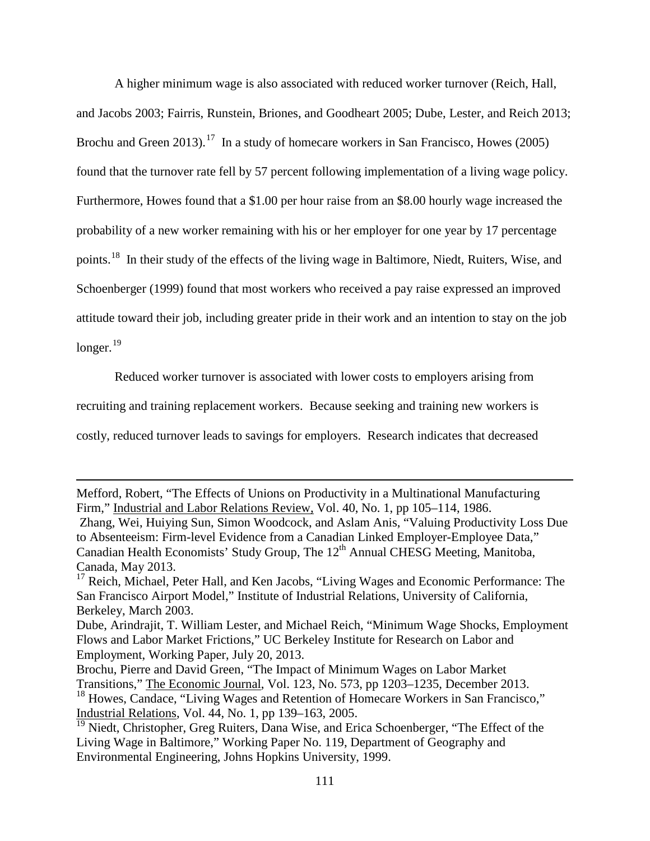A higher minimum wage is also associated with reduced worker turnover (Reich, Hall, and Jacobs 2003; Fairris, Runstein, Briones, and Goodheart 2005; Dube, Lester, and Reich 2013; Brochu and Green  $2013$ .<sup>17</sup> In a study of homecare workers in San Francisco, Howes (2005) found that the turnover rate fell by 57 percent following implementation of a living wage policy. Furthermore, Howes found that a \$1.00 per hour raise from an \$8.00 hourly wage increased the probability of a new worker remaining with his or her employer for one year by 17 percentage points.[18](#page-110-1) In their study of the effects of the living wage in Baltimore, Niedt, Ruiters, Wise, and Schoenberger (1999) found that most workers who received a pay raise expressed an improved attitude toward their job, including greater pride in their work and an intention to stay on the job longer.<sup>[19](#page-110-2)</sup>

Reduced worker turnover is associated with lower costs to employers arising from

recruiting and training replacement workers. Because seeking and training new workers is

costly, reduced turnover leads to savings for employers. Research indicates that decreased

 $\overline{a}$ 

Mefford, Robert, "The Effects of Unions on Productivity in a Multinational Manufacturing Firm," Industrial and Labor Relations Review, Vol. 40, No. 1, pp 105–114, 1986.

Zhang, Wei, Huiying Sun, Simon Woodcock, and Aslam Anis, "Valuing Productivity Loss Due to Absenteeism: Firm-level Evidence from a Canadian Linked Employer-Employee Data," Canadian Health Economists' Study Group, The 12<sup>th</sup> Annual CHESG Meeting, Manitoba, Canada, May 2013.

<span id="page-110-0"></span><sup>&</sup>lt;sup>17</sup> Reich, Michael, Peter Hall, and Ken Jacobs, "Living Wages and Economic Performance: The San Francisco Airport Model," Institute of Industrial Relations, University of California, Berkeley, March 2003.

Dube, Arindrajit, T. William Lester, and Michael Reich, "Minimum Wage Shocks, Employment Flows and Labor Market Frictions," UC Berkeley Institute for Research on Labor and Employment, Working Paper, July 20, 2013.

<span id="page-110-1"></span>Brochu, Pierre and David Green, "The Impact of Minimum Wages on Labor Market Transitions," The Economic Journal, Vol. 123, No. 573, pp 1203–1235, December 2013. <sup>18</sup> Howes, Candace, "Living Wages and Retention of Homecare Workers in San Francisco," Industrial Relations, Vol. 44, No. 1, pp 139–163, 2005.

<span id="page-110-2"></span><sup>&</sup>lt;sup>19</sup> Niedt, Christopher, Greg Ruiters, Dana Wise, and Erica Schoenberger, "The Effect of the Living Wage in Baltimore," Working Paper No. 119, Department of Geography and Environmental Engineering, Johns Hopkins University, 1999.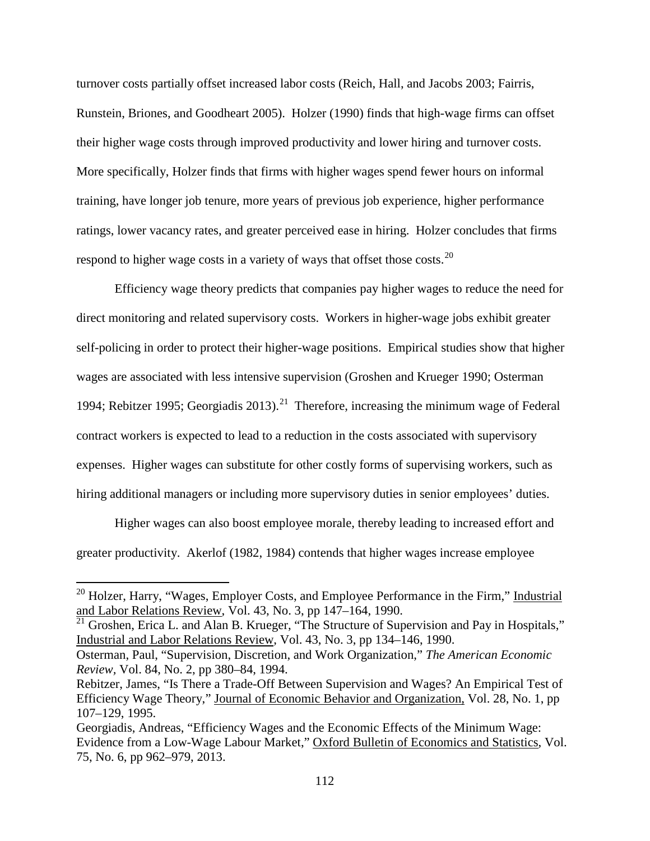turnover costs partially offset increased labor costs (Reich, Hall, and Jacobs 2003; Fairris, Runstein, Briones, and Goodheart 2005). Holzer (1990) finds that high-wage firms can offset their higher wage costs through improved productivity and lower hiring and turnover costs. More specifically, Holzer finds that firms with higher wages spend fewer hours on informal training, have longer job tenure, more years of previous job experience, higher performance ratings, lower vacancy rates, and greater perceived ease in hiring. Holzer concludes that firms respond to higher wage costs in a variety of ways that offset those costs.<sup>[20](#page-111-0)</sup>

Efficiency wage theory predicts that companies pay higher wages to reduce the need for direct monitoring and related supervisory costs. Workers in higher-wage jobs exhibit greater self-policing in order to protect their higher-wage positions. Empirical studies show that higher wages are associated with less intensive supervision (Groshen and Krueger 1990; Osterman 1994; Rebitzer 1995; Georgiadis 2013).<sup>21</sup> Therefore, increasing the minimum wage of Federal contract workers is expected to lead to a reduction in the costs associated with supervisory expenses. Higher wages can substitute for other costly forms of supervising workers, such as hiring additional managers or including more supervisory duties in senior employees' duties.

Higher wages can also boost employee morale, thereby leading to increased effort and greater productivity. Akerlof (1982, 1984) contends that higher wages increase employee

<span id="page-111-0"></span> $20$  Holzer, Harry, "Wages, Employer Costs, and Employee Performance in the Firm," Industrial and Labor Relations Review, Vol. 43, No. 3, pp 147–164, 1990.

<span id="page-111-1"></span> $21$  Groshen, Erica L. and Alan B. Krueger, "The Structure of Supervision and Pay in Hospitals," Industrial and Labor Relations Review, Vol. 43, No. 3, pp 134–146, 1990.

Osterman, Paul, "Supervision, Discretion, and Work Organization," *The American Economic Review,* Vol. 84, No. 2, pp 380–84, 1994.

Rebitzer, James, "Is There a Trade-Off Between Supervision and Wages? An Empirical Test of Efficiency Wage Theory," Journal of Economic Behavior and Organization, Vol. 28, No. 1, pp 107–129, 1995.

Georgiadis, Andreas, "Efficiency Wages and the Economic Effects of the Minimum Wage: Evidence from a Low-Wage Labour Market," Oxford Bulletin of Economics and Statistics, Vol. 75, No. 6, pp 962–979, 2013.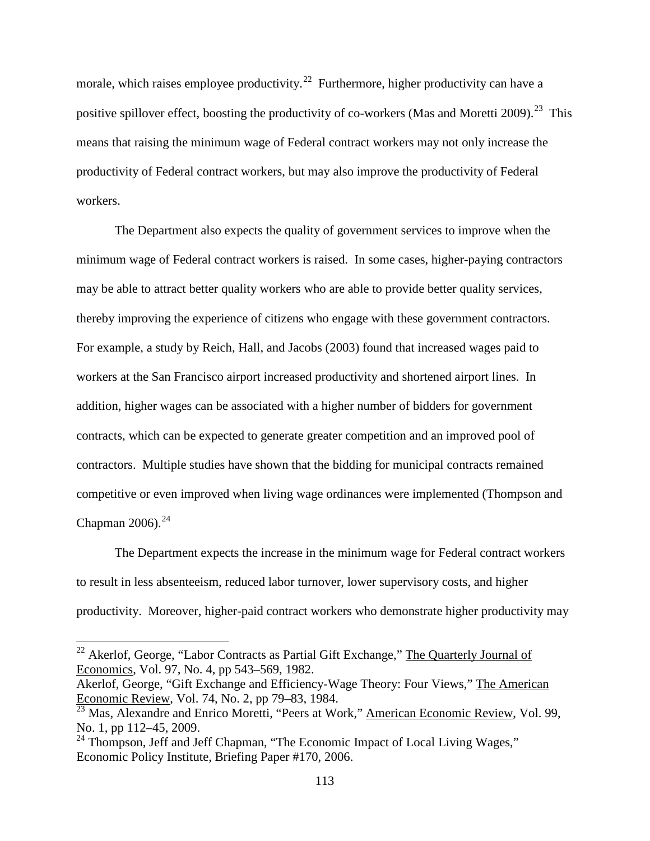morale, which raises employee productivity.<sup>[22](#page-112-0)</sup> Furthermore, higher productivity can have a positive spillover effect, boosting the productivity of co-workers (Mas and Moretti 2009).<sup>23</sup> This means that raising the minimum wage of Federal contract workers may not only increase the productivity of Federal contract workers, but may also improve the productivity of Federal workers.

The Department also expects the quality of government services to improve when the minimum wage of Federal contract workers is raised. In some cases, higher-paying contractors may be able to attract better quality workers who are able to provide better quality services, thereby improving the experience of citizens who engage with these government contractors. For example, a study by Reich, Hall, and Jacobs (2003) found that increased wages paid to workers at the San Francisco airport increased productivity and shortened airport lines. In addition, higher wages can be associated with a higher number of bidders for government contracts, which can be expected to generate greater competition and an improved pool of contractors. Multiple studies have shown that the bidding for municipal contracts remained competitive or even improved when living wage ordinances were implemented (Thompson and Chapman  $2006$ ).<sup>[24](#page-112-2)</sup>

The Department expects the increase in the minimum wage for Federal contract workers to result in less absenteeism, reduced labor turnover, lower supervisory costs, and higher productivity. Moreover, higher-paid contract workers who demonstrate higher productivity may

<span id="page-112-0"></span><sup>&</sup>lt;sup>22</sup> Akerlof, George, "Labor Contracts as Partial Gift Exchange," The Quarterly Journal of Economics, Vol. 97, No. 4, pp 543–569, 1982.

Akerlof, George, "Gift Exchange and Efficiency-Wage Theory: Four Views," The American Economic Review, Vol. 74, No. 2, pp 79–83, 1984.

<span id="page-112-1"></span> $\frac{23}{23}$  Mas, Alexandre and Enrico Moretti, "Peers at Work," American Economic Review, Vol. 99, No. 1, pp 112–45, 2009.

<span id="page-112-2"></span><sup>&</sup>lt;sup>24</sup> Thompson, Jeff and Jeff Chapman, "The Economic Impact of Local Living Wages," Economic Policy Institute, Briefing Paper #170, 2006.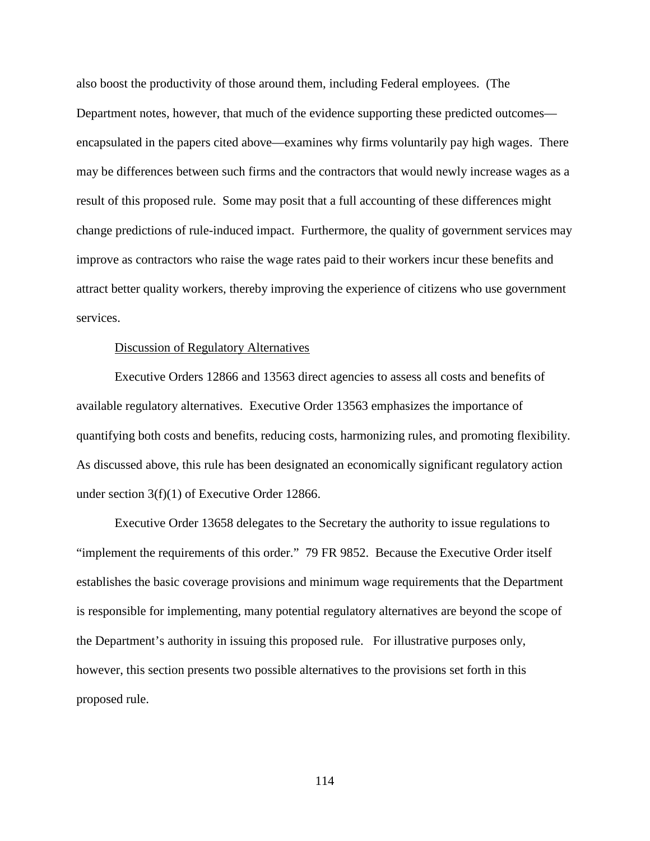also boost the productivity of those around them, including Federal employees. (The Department notes, however, that much of the evidence supporting these predicted outcomes encapsulated in the papers cited above—examines why firms voluntarily pay high wages. There may be differences between such firms and the contractors that would newly increase wages as a result of this proposed rule. Some may posit that a full accounting of these differences might change predictions of rule-induced impact. Furthermore, the quality of government services may improve as contractors who raise the wage rates paid to their workers incur these benefits and attract better quality workers, thereby improving the experience of citizens who use government services.

## Discussion of Regulatory Alternatives

Executive Orders 12866 and 13563 direct agencies to assess all costs and benefits of available regulatory alternatives. Executive Order 13563 emphasizes the importance of quantifying both costs and benefits, reducing costs, harmonizing rules, and promoting flexibility. As discussed above, this rule has been designated an economically significant regulatory action under section 3(f)(1) of Executive Order 12866.

Executive Order 13658 delegates to the Secretary the authority to issue regulations to "implement the requirements of this order." 79 FR 9852. Because the Executive Order itself establishes the basic coverage provisions and minimum wage requirements that the Department is responsible for implementing, many potential regulatory alternatives are beyond the scope of the Department's authority in issuing this proposed rule. For illustrative purposes only, however, this section presents two possible alternatives to the provisions set forth in this proposed rule.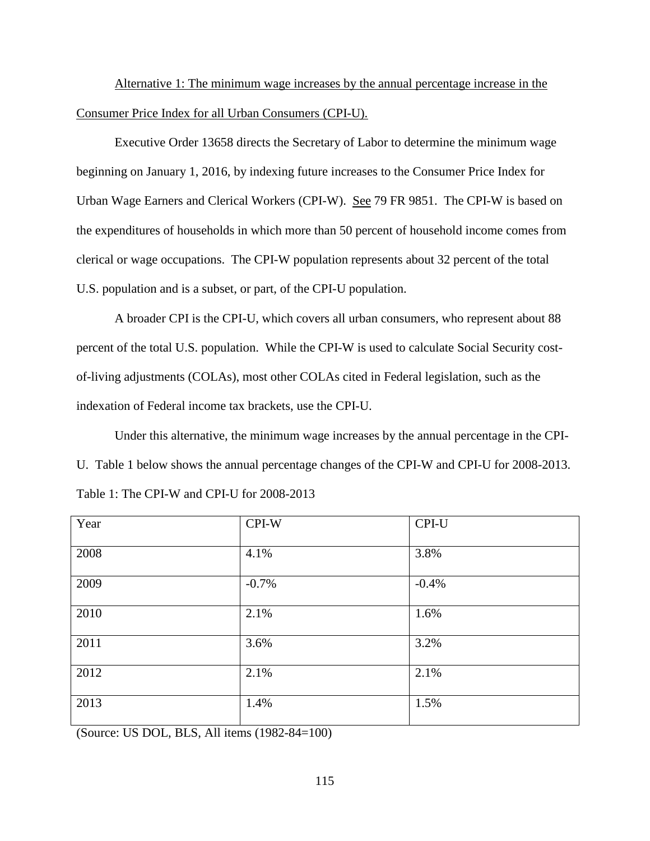Alternative 1: The minimum wage increases by the annual percentage increase in the Consumer Price Index for all Urban Consumers (CPI-U).

Executive Order 13658 directs the Secretary of Labor to determine the minimum wage beginning on January 1, 2016, by indexing future increases to the Consumer Price Index for Urban Wage Earners and Clerical Workers (CPI-W). See 79 FR 9851. The CPI-W is based on the expenditures of households in which more than 50 percent of household income comes from clerical or wage occupations. The CPI-W population represents about 32 percent of the total U.S. population and is a subset, or part, of the CPI-U population.

A broader CPI is the CPI-U, which covers all urban consumers, who represent about 88 percent of the total U.S. population. While the CPI-W is used to calculate Social Security costof-living adjustments (COLAs), most other COLAs cited in Federal legislation, such as the indexation of Federal income tax brackets, use the CPI-U.

Under this alternative, the minimum wage increases by the annual percentage in the CPI-U. Table 1 below shows the annual percentage changes of the CPI-W and CPI-U for 2008-2013. Table 1: The CPI-W and CPI-U for 2008-2013

| Year | CPI-W   | CPI-U   |
|------|---------|---------|
| 2008 | 4.1%    | 3.8%    |
| 2009 | $-0.7%$ | $-0.4%$ |
| 2010 | 2.1%    | 1.6%    |
| 2011 | 3.6%    | 3.2%    |
| 2012 | 2.1%    | 2.1%    |
| 2013 | 1.4%    | 1.5%    |

(Source: US DOL, BLS, All items (1982-84=100)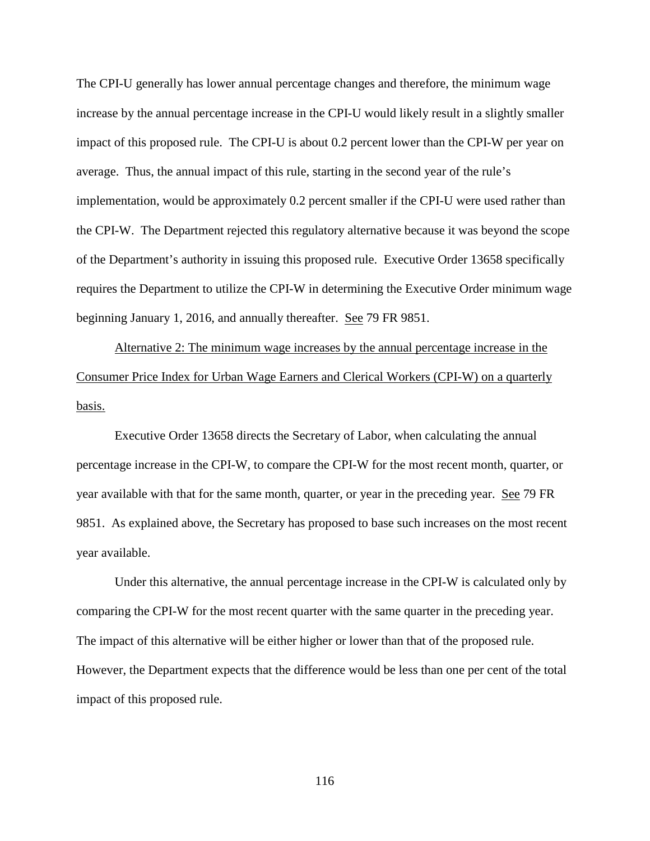The CPI-U generally has lower annual percentage changes and therefore, the minimum wage increase by the annual percentage increase in the CPI-U would likely result in a slightly smaller impact of this proposed rule. The CPI-U is about 0.2 percent lower than the CPI-W per year on average. Thus, the annual impact of this rule, starting in the second year of the rule's implementation, would be approximately 0.2 percent smaller if the CPI-U were used rather than the CPI-W. The Department rejected this regulatory alternative because it was beyond the scope of the Department's authority in issuing this proposed rule. Executive Order 13658 specifically requires the Department to utilize the CPI-W in determining the Executive Order minimum wage beginning January 1, 2016, and annually thereafter. See 79 FR 9851.

Alternative 2: The minimum wage increases by the annual percentage increase in the Consumer Price Index for Urban Wage Earners and Clerical Workers (CPI-W) on a quarterly basis.

Executive Order 13658 directs the Secretary of Labor, when calculating the annual percentage increase in the CPI-W, to compare the CPI-W for the most recent month, quarter, or year available with that for the same month, quarter, or year in the preceding year. See 79 FR 9851. As explained above, the Secretary has proposed to base such increases on the most recent year available.

Under this alternative, the annual percentage increase in the CPI-W is calculated only by comparing the CPI-W for the most recent quarter with the same quarter in the preceding year. The impact of this alternative will be either higher or lower than that of the proposed rule. However, the Department expects that the difference would be less than one per cent of the total impact of this proposed rule.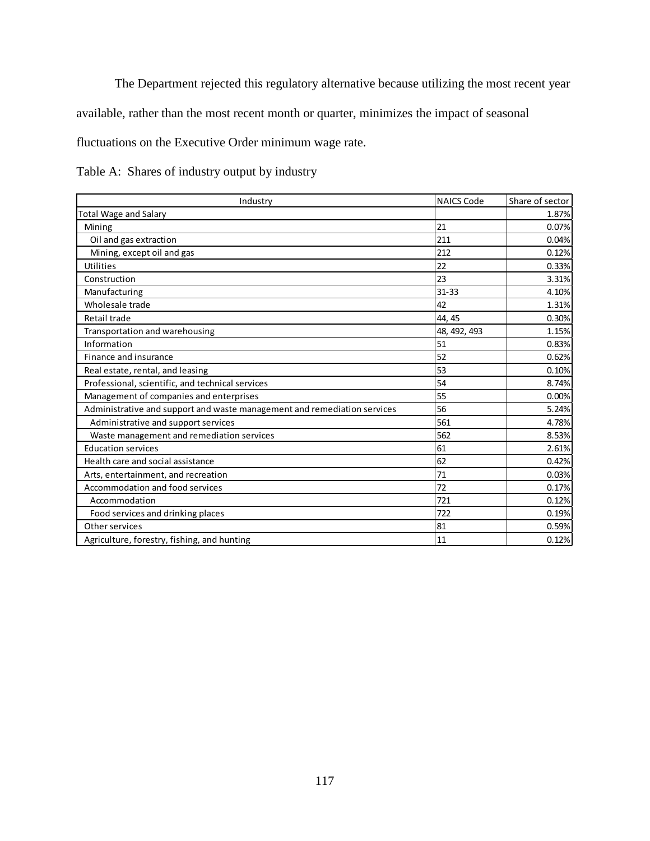The Department rejected this regulatory alternative because utilizing the most recent year

available, rather than the most recent month or quarter, minimizes the impact of seasonal

fluctuations on the Executive Order minimum wage rate.

| Table A: Shares of industry output by industry |  |  |  |  |
|------------------------------------------------|--|--|--|--|
|                                                |  |  |  |  |

| Industry                                                                 | <b>NAICS Code</b> | Share of sector |
|--------------------------------------------------------------------------|-------------------|-----------------|
| <b>Total Wage and Salary</b>                                             |                   | 1.87%           |
| Mining                                                                   | 21                | 0.07%           |
| Oil and gas extraction                                                   | 211               | 0.04%           |
| Mining, except oil and gas                                               | 212               | 0.12%           |
| Utilities                                                                | 22                | 0.33%           |
| Construction                                                             | 23                | 3.31%           |
| Manufacturing                                                            | $31 - 33$         | 4.10%           |
| Wholesale trade                                                          | 42                | 1.31%           |
| Retail trade                                                             | 44, 45            | 0.30%           |
| Transportation and warehousing                                           | 48, 492, 493      | 1.15%           |
| Information                                                              | 51                | 0.83%           |
| Finance and insurance                                                    | 52                | 0.62%           |
| Real estate, rental, and leasing                                         | 53                | 0.10%           |
| Professional, scientific, and technical services                         | 54                | 8.74%           |
| Management of companies and enterprises                                  | 55                | 0.00%           |
| Administrative and support and waste management and remediation services | 56                | 5.24%           |
| Administrative and support services                                      | 561               | 4.78%           |
| Waste management and remediation services                                | 562               | 8.53%           |
| <b>Education services</b>                                                | 61                | 2.61%           |
| Health care and social assistance                                        | 62                | 0.42%           |
| Arts, entertainment, and recreation                                      | 71                | 0.03%           |
| Accommodation and food services                                          | 72                | 0.17%           |
| Accommodation                                                            | 721               | 0.12%           |
| Food services and drinking places                                        | 722               | 0.19%           |
| Other services                                                           | 81                | 0.59%           |
| Agriculture, forestry, fishing, and hunting                              | 11                | 0.12%           |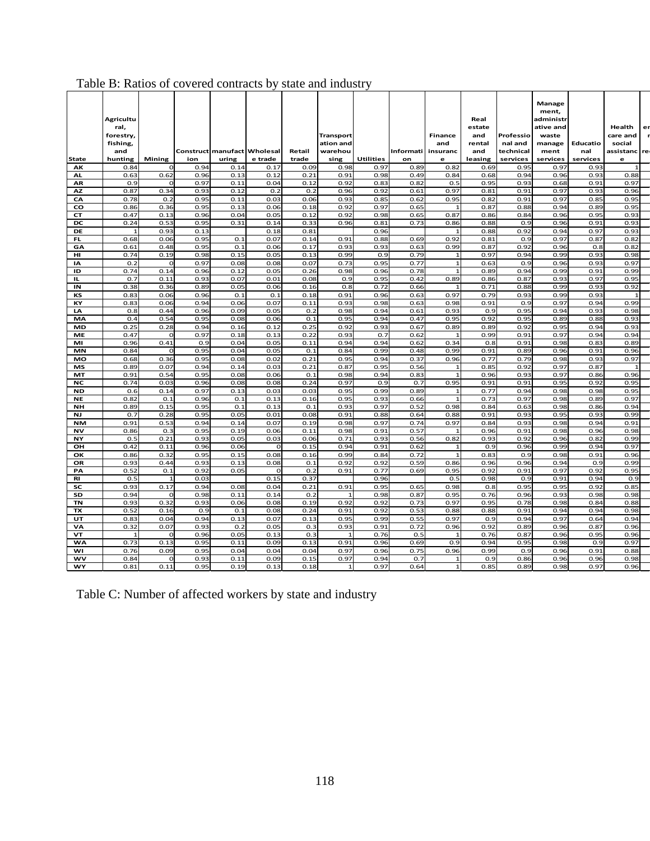|                 | <b>Agricultu</b><br>ral,<br>forestry,<br>fishing,<br>and |                      |              |       | Construct manufact Wholesal | Retail      | <b>Transport</b><br>ation and<br>warehou |                  | <b>Informati</b> | <b>Finance</b><br>and<br>insuranc | Real<br>estate<br>and<br>rental<br>and | Professio<br>nal and<br>technical | Manage<br>ment,<br>administr<br>ative and<br>waste<br>manage<br>ment | Educatio<br>nal | Health<br>care and<br>social<br>assistanc | er<br>re |
|-----------------|----------------------------------------------------------|----------------------|--------------|-------|-----------------------------|-------------|------------------------------------------|------------------|------------------|-----------------------------------|----------------------------------------|-----------------------------------|----------------------------------------------------------------------|-----------------|-------------------------------------------|----------|
| State           | hunting                                                  | Mining               | ion          | uring | e trade                     | trade       | sing                                     | <b>Utilities</b> | on               | e                                 | leasing                                | services                          | services                                                             | services        | e                                         |          |
| AK              | 0.84                                                     | O                    | 0.94         | 0.14  | 0.17                        | 0.09        | 0.98                                     | 0.97             | 0.89             | 0.82                              | 0.69                                   | 0.95                              | 0.97                                                                 | 0.93            |                                           |          |
| AL              | 0.63                                                     | 0.62                 | 0.96         | 0.13  | 0.12                        | 0.21        | 0.91                                     | 0.98             | 0.49             | 0.84                              | 0.68                                   | 0.94                              | 0.96                                                                 | 0.93            | 0.88                                      |          |
| AR              | 0.9                                                      | O                    | 0.97         | 0.11  | 0.04                        | 0.12        | 0.92                                     | 0.83             | 0.82             | 0.5                               | 0.95                                   | 0.93                              | 0.68                                                                 | 0.91            | 0.97                                      |          |
| <b>AZ</b>       | 0.87                                                     | 0.34                 | 0.93         | 0.12  | 0.2                         | 0.2         | 0.96                                     | 0.92             | 0.61             | 0.97                              | 0.81                                   | 0.91                              | 0.97                                                                 | 0.93            | 0.96                                      |          |
| CA              | 0.78                                                     | 0.2                  | 0.95         | 0.11  | 0.03                        | 0.06        | 0.93                                     | 0.85             | 0.62             | 0.95                              | 0.82                                   | 0.91                              | 0.97                                                                 | 0.85            | 0.95                                      |          |
| CO              | 0.86                                                     | 0.36                 | 0.95         | 0.13  | 0.06                        | 0.18        | 0.92                                     | 0.97             | 0.65             | $\mathbf{1}$                      | 0.87                                   | 0.88                              | 0.94                                                                 | 0.89            | 0.95                                      |          |
| <b>CT</b>       | 0.47                                                     | 0.13                 | 0.96         | 0.04  | 0.05                        | 0.12        | 0.92                                     | 0.98             | 0.65             | 0.87                              | 0.86                                   | 0.84                              | 0.96                                                                 | 0.95            | 0.93                                      |          |
| DC              | 0.24                                                     | 0.53                 | 0.95         | 0.31  | 0.14                        | 0.33        | 0.96                                     | 0.81             | 0.73             | 0.86                              | 0.88                                   | 0.9                               | 0.96                                                                 | 0.91            | 0.93                                      |          |
| DE              | $\overline{1}$                                           | 0.93                 | 0.13         |       | 0.18                        | 0.81        |                                          | 0.96             |                  |                                   | 0.88                                   | 0.92                              | 0.94                                                                 | 0.97            | 0.93                                      |          |
| FL.             | 0.68                                                     | 0.06                 | 0.95         | 0.1   | 0.07                        | 0.14        | 0.91                                     | 0.88             | 0.69             | 0.92                              | 0.81                                   | 0.9                               | 0.97                                                                 | 0.87            | 0.82                                      |          |
| GA              | 0.61                                                     | 0.48                 | 0.95         | 0.1   | 0.06                        | 0.17        | 0.93                                     | 0.93             | 0.63             | 0.99                              | 0.87                                   | 0.92                              | 0.96                                                                 | 0.8             | 0.82                                      |          |
| HI              | 0.74                                                     | 0.19                 | 0.98         | 0.15  | 0.05                        | 0.13        | 0.99                                     | 0.9              | 0.79             | $\mathbf{1}$                      | 0.97                                   | 0.94                              | 0.99                                                                 | 0.93            | 0.98                                      |          |
| IA              | 0.2                                                      | $\Omega$             | 0.97         | 0.08  | 0.08                        | 0.07        | 0.73                                     | 0.95             | 0.77             | $\mathbf{1}$                      | 0.63                                   | 0.9                               | 0.96                                                                 | 0.93            | 0.97                                      |          |
| ID              | 0.74                                                     | 0.14                 | 0.96         | 0.12  | 0.05                        | 0.26        | 0.98                                     | 0.96             | 0.78             | $\mathbf{1}$                      | 0.89                                   | 0.94                              | 0.99                                                                 | 0.91            | 0.99                                      |          |
| IL.             | 0.7                                                      | 0.11                 | 0.93         | 0.07  | 0.01                        | 0.08        | 0.9                                      | 0.95             | 0.42             | 0.89                              | 0.86                                   | 0.87                              | 0.93                                                                 | 0.97            | 0.95                                      |          |
| IN              | 0.38                                                     | 0.36                 | 0.89         | 0.05  | 0.06                        | 0.16        | 0.8                                      | 0.72             | 0.66             | -1                                | 0.71                                   | 0.88                              | 0.99                                                                 | 0.93            | 0.92                                      |          |
| KS              | 0.83                                                     | 0.06                 | 0.96         | 0.1   | 0.1                         | 0.18        | 0.91                                     | 0.96             | 0.63             | 0.97                              | 0.79                                   | 0.93                              | 0.99                                                                 | 0.93            |                                           |          |
| KY              | 0.83                                                     | 0.06                 | 0.94         | 0.06  | 0.07                        | 0.11        | 0.93                                     | 0.98             | 0.63             | 0.98                              | 0.91                                   | 0.9                               | 0.97                                                                 | 0.94            | 0.99                                      |          |
| LA              | 0.8                                                      | 0.44                 | 0.96         | 0.09  | 0.05                        | 0.2         | 0.98                                     | 0.94             | 0.61             | 0.93                              | 0.9                                    | 0.95                              | 0.94                                                                 | 0.93            | 0.98                                      |          |
| MA              | 0.4                                                      | 0.54                 | 0.95         | 0.08  | 0.06                        | 0.1         | 0.95                                     | 0.94             | 0.47             | 0.95                              | 0.92                                   | 0.95                              | 0.89                                                                 | 0.88            | 0.93                                      |          |
| <b>MD</b>       | 0.25                                                     | 0.28                 | 0.94         | 0.16  | 0.12                        | 0.25        | 0.92                                     | 0.93             | 0.67             | 0.89                              | 0.89                                   | 0.92                              | 0.95                                                                 | 0.94            | 0.93                                      |          |
| ME              | 0.47                                                     | $\Omega$             | 0.97         | 0.18  | 0.13                        | 0.22        | 0.93                                     | 0.7              | 0.62             | $\overline{1}$                    | 0.99                                   | 0.91                              | 0.97                                                                 | 0.94            | 0.94                                      |          |
| MI              | 0.96                                                     | 0.41                 | 0.9          | 0.04  | 0.05                        | 0.11        | 0.94                                     | 0.94             | 0.62             | 0.34                              | 0.8                                    | 0.91                              | 0.98                                                                 | 0.83            | 0.89                                      |          |
| <b>MN</b>       | 0.84                                                     | $\Omega$             | 0.95         | 0.04  | 0.05                        | 0.1         | 0.84                                     | 0.99             | 0.48             | 0.99                              | 0.91                                   | 0.89                              | 0.96                                                                 | 0.91            | 0.96                                      |          |
| MO              | 0.68                                                     | 0.36                 | 0.95         | 0.08  | 0.02                        | 0.21        | 0.95                                     | 0.94             | 0.37             | 0.96                              | 0.77                                   | 0.79                              | 0.98                                                                 | 0.93            | 0.97                                      |          |
| МS              | 0.89                                                     | 0.07                 | 0.94         | 0.14  | 0.03                        | 0.21        | 0.87                                     | 0.95             | 0.56             |                                   | 0.85                                   | 0.92                              | 0.97                                                                 | 0.87            |                                           |          |
| MT              | 0.91                                                     | 0.54                 | 0.95         | 0.08  | 0.06                        | 0.1         | 0.98                                     | 0.94             | 0.83             |                                   | 0.96                                   | 0.93                              | 0.97                                                                 | 0.86            | 0.96                                      |          |
| NC              | 0.74                                                     | 0.03                 | 0.96         | 0.08  | 0.08                        | 0.24        | 0.97                                     | 0.9              | 0.7              | 0.95                              | 0.91                                   | 0.91                              | 0.95                                                                 | 0.92            | 0.95                                      |          |
| <b>ND</b>       | 0.6                                                      | 0.14                 | 0.97         | 0.13  | 0.03                        | 0.03        | 0.95                                     | 0.99             | 0.89             |                                   | 0.77                                   | 0.94                              | 0.98                                                                 | 0.98            | 0.95                                      |          |
| <b>NE</b>       | 0.82                                                     | 0.1                  | 0.96         | 0.1   | 0.13                        | 0.16        | 0.95                                     | 0.93             | 0.66             |                                   | 0.73                                   | 0.97                              | 0.98                                                                 | 0.89            | 0.97                                      |          |
| <b>NH</b>       | 0.89                                                     | 0.15                 | 0.95         | 0.1   | 0.13                        | 0.1         | 0.93                                     | 0.97             | 0.52             | 0.98                              | 0.84                                   | 0.63                              | 0.98                                                                 | 0.86            | 0.94                                      |          |
| <b>NJ</b>       | 0.7                                                      | 0.28                 | 0.95         | 0.05  | 0.01                        | 0.08        | 0.91                                     | 0.88             | 0.64             | 0.88                              | 0.91                                   | 0.93                              | 0.95                                                                 | 0.93            | 0.99                                      |          |
| <b>NM</b>       | 0.91                                                     | 0.53                 | 0.94         | 0.14  | 0.07                        | 0.19        | 0.98                                     | 0.97             | 0.74             | 0.97                              | 0.84                                   | 0.93                              | 0.98                                                                 | 0.94            | 0.91                                      |          |
| <b>NV</b>       | 0.86                                                     | 0.3                  | 0.95         | 0.19  | 0.06                        | 0.11        | 0.98                                     | 0.91             | 0.57             |                                   | 0.96                                   | 0.91                              | 0.98                                                                 | 0.96            | 0.98                                      |          |
| NY              | 0.5                                                      | 0.21                 | 0.93         | 0.05  | 0.03                        | 0.06        | 0.71                                     | 0.93             | 0.56             | 0.82                              | 0.93                                   | 0.92                              | 0.96                                                                 | 0.82            | 0.99                                      |          |
| ОН              | 0.42                                                     | 0.11                 | 0.96         | 0.06  | o                           | 0.15        | 0.94                                     | 0.91             | 0.62             |                                   | 0.9                                    | 0.96                              | 0.99                                                                 | 0.94            | 0.97                                      |          |
| OK              | 0.86                                                     | 0.32                 | 0.95         | 0.15  | 0.08                        | 0.16        | 0.99                                     | 0.84             | 0.72             |                                   | 0.83                                   | 0.9                               | 0.98                                                                 | 0.91            | 0.96                                      |          |
| OR              | 0.93                                                     | 0.44                 | 0.93         | 0.13  | 0.08                        | 0.1         | 0.92                                     | 0.92             | 0.59             | 0.86                              | 0.96                                   | 0.96                              | 0.94                                                                 | 0.9             | 0.99                                      |          |
| PA              | 0.52                                                     | 0.1                  | 0.92         | 0.05  | $\Omega$<br>0.15            | 0.2<br>0.37 | 0.91                                     | 0.77             | 0.69             | 0.95                              | 0.92                                   | 0.91<br>0.9                       | 0.97                                                                 | 0.92<br>0.94    | 0.95                                      |          |
| <b>RI</b><br>SC | 0.5<br>0.93                                              | $\mathbf{1}$<br>0.17 | 0.03<br>0.94 | 0.08  | 0.04                        | 0.21        | 0.91                                     | 0.96<br>0.95     | 0.65             | 0.5<br>0.98                       | 0.98<br>0.8                            | 0.95                              | 0.91<br>0.95                                                         | 0.92            | 0.9<br>0.85                               |          |
| SD              | 0.94                                                     | $\Omega$             | 0.98         | 0.11  | 0.14                        | 0.2         |                                          | 0.98             | 0.87             | 0.95                              | 0.76                                   | 0.96                              | 0.93                                                                 | 0.98            | 0.98                                      |          |
| <b>TN</b>       | 0.93                                                     | 0.32                 | 0.93         | 0.06  | 0.08                        | 0.19        | 0.92                                     | 0.92             | 0.73             | 0.97                              | 0.95                                   | 0.78                              | 0.98                                                                 | 0.84            | 0.88                                      |          |
| TX              | 0.52                                                     | 0.16                 | 0.9          | 0.1   | 0.08                        | 0.24        | 0.91                                     | 0.92             | 0.53             | 0.88                              | 0.88                                   | 0.91                              | 0.94                                                                 | 0.94            | 0.98                                      |          |
| UT              | 0.83                                                     | 0.04                 | 0.94         | 0.13  | 0.07                        | 0.13        | 0.95                                     | 0.99             | 0.55             | 0.97                              | 0.9                                    | 0.94                              | 0.97                                                                 | 0.64            | 0.94                                      |          |
| VA              | 0.32                                                     | 0.07                 | 0.93         | 0.2   | 0.05                        | 0.3         | 0.93                                     | 0.91             | 0.72             | 0.96                              | 0.92                                   | 0.89                              | 0.96                                                                 | 0.87            | 0.96                                      |          |
| VT              |                                                          | $\Omega$             | 0.96         | 0.05  | 0.13                        | 0.3         |                                          | 0.76             | 0.5              |                                   | 0.76                                   | 0.87                              | 0.96                                                                 | 0.95            | 0.96                                      |          |
|                 | 0.73                                                     | 0.13                 | 0.95         | 0.11  | 0.09                        | 0.13        | 0.91                                     | 0.96             | 0.69             | 0.9                               | 0.94                                   | 0.95                              | 0.98                                                                 | 0.9             | 0.97                                      |          |
| <b>WA</b><br>WI | 0.76                                                     | 0.09                 | 0.95         | 0.04  | 0.04                        | 0.04        | 0.97                                     | 0.96             | 0.75             | 0.96                              | 0.99                                   | 0.9                               | 0.96                                                                 | 0.91            | 0.88                                      |          |
| wv              | 0.84                                                     | $\Omega$             | 0.93         | 0.11  | 0.09                        | 0.15        | 0.97                                     | 0.94             | 0.7              | $\mathbf{1}$                      | 0.9                                    | 0.86                              | 0.96                                                                 | 0.96            | 0.98                                      |          |
| WY              | 0.81                                                     | 0.11                 | 0.95         | 0.19  | 0.13                        | 0.18        | $\mathbf{1}$                             | 0.97             | 0.64             | $\mathbf{1}$                      | 0.85                                   | 0.89                              | 0.98                                                                 | 0.97            | 0.96                                      |          |
|                 |                                                          |                      |              |       |                             |             |                                          |                  |                  |                                   |                                        |                                   |                                                                      |                 |                                           |          |

# Table B: Ratios of covered contracts by state and industry

Table C: Number of affected workers by state and industry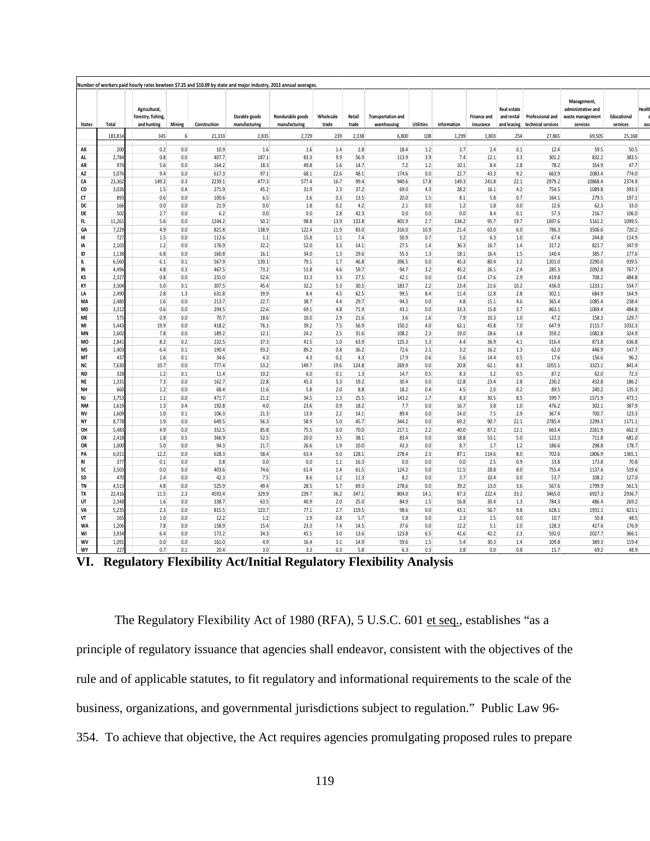| <b>States</b>   | Total           | Agricultural,<br>forestry, fishing,<br>and hunting | Mining     | Construction    | Durable goods<br>manufacturing | Nondurable goods<br>manufacturing | Wholesale<br>trade | Retail<br>trade | <b>Transportation and</b><br>warehousing | <b>Utilities</b> | Information  | Finance and<br>insurance | Real estate<br>and rental<br>and leasing | Professional and<br>technical services | Management,<br>administrative and<br>waste management<br>services | Educational<br>services | Healt<br>ass |
|-----------------|-----------------|----------------------------------------------------|------------|-----------------|--------------------------------|-----------------------------------|--------------------|-----------------|------------------------------------------|------------------|--------------|--------------------------|------------------------------------------|----------------------------------------|-------------------------------------------------------------------|-------------------------|--------------|
|                 | 183,814         | 345                                                | 6          | 21,333          | 2,835                          | 2,729                             | 239                | 2,338           | 6,800                                    | 108              | 1,299        | 1,803                    | 254                                      | 27,865                                 | 69,505                                                            | 25,168                  |              |
| AK              | 200             | 0.2                                                | 0.0        | 10.9            | 1.6                            | 1.6                               | 1.4                | 2.8             | 18.4                                     | 1.2              | 3.7          | 2.4                      | 0.1                                      | 12.4                                   | 59.5                                                              | 50.5                    |              |
| AL              | 2,784           | 0.8                                                | 0.0        | 407.7           | 187.1                          | 83.3                              | 9.9                | 56.9            | 113.9                                    | 3.9              | 7.4          | 12.1                     | 3.3                                      | 301.2                                  | 832.2                                                             | 383.5                   |              |
| AR              | 974             | 5.6                                                | 0.0        | 164.2           | 18.3                           | 49.8                              | 1.6                | 14.7            | 7.2                                      | 1.2              | 10.1         | 8.4                      | 2.8                                      | 78.2                                   | 354.9                                                             | 47.7                    |              |
| AZ              | 5,076           | 9.4                                                | 0.0        | 617.3           | 97.1                           | 68.1                              | 22.6               | 48.1            | 174.6                                    | 0.0              | 22.7         | 43.3                     | 9.2                                      | 663.9                                  | 2083.4                                                            | 774.0                   |              |
| CA              | 23,362          | 149.2                                              | 0.3        | 2239.1          | 477.3                          | 577.4                             | 16.7               | 99.4            | 940.6                                    | 17.8             | 149.3        | 241.8                    | 22.1                                     | 2979.2                                 | 10868.4                                                           | 2374.9                  |              |
| co<br>CT        | 3,026<br>893    | 1.5<br>0.6                                         | 0.4<br>0.0 | 271.9<br>100.6  | 45.2<br>6.5                    | 31.9                              | 2.3<br>0.3         | 37.2<br>13.5    | 69.0<br>20.0                             | 4.3              | 28.2<br>8.1  | 16.1                     | 4.2<br>0.7                               | 754.5<br>164.1                         | 1089.8<br>279.5                                                   | 393.3<br>197.1          |              |
| DC              | 166             | 0.0                                                | 0.0        | 21.9            | 0.0                            | 3.6<br>1.8                        | 0.2                | 4.2             | 2.1                                      | 1.5<br>0.0       | 1.2          | 5.8<br>1.8               | 0.0                                      | 12.6                                   | 62.3                                                              | 33.0                    |              |
| DE              | 502             | 2.7                                                | 0.0        | 6.2             | 0.0                            | 0.0                               | 2.8                | 42.3            | 0.0                                      | 0.0              | 0.0          | 8.4                      | 0.1                                      | 57.3                                   | 216.7                                                             | 106.0                   |              |
| FL              | 11,261          | 5.6                                                | 0.0        | 1244.2          | 50.2                           | 98.8                              | 13.9               | 133.8           | 401.9                                    | 2.7              | 134.2        | 95.7                     | 19.7                                     | 1697.6                                 | 5161.2                                                            | 1099.5                  |              |
| GA              | 7,229           | 4.9                                                | 0.0        | 821.8           | 138.9                          | 122.4                             | 11.9               | 83.0            | 316.0                                    | 10.9             | 21.4         | 63.0                     | 6.0                                      | 786.3                                  | 3506.6                                                            | 720.2                   |              |
| HI              | 727             | 1.5                                                | 0.0        | 112.6           | 1.1                            | 15.8                              | 1.1                | 7.4             | 50.9                                     | 0.7              | 3.2          | 6.3                      | 1.0                                      | 67.4                                   | 244.8                                                             | 114.9                   |              |
| IA              | 2,103           | 1.2                                                | 0.0        | 176.9           | 32.2                           | 52.0                              | 3.3                | 14.1            | 27.5                                     | 1.4              | 36.3         | 16.7                     | 1.4                                      | 317.2                                  | 821.7                                                             | 347.9                   |              |
| ID              | 1,138           | 6.8                                                | 0.0        | 160.8           | 16.1                           | 34.0                              | 1.3                | 29.6            | 55.3                                     | 1.3              | 18.1         | 16.4                     | 1.5                                      | 140.4                                  | 385.7                                                             | 177.6                   |              |
| IL              | 6,560           | 6.1                                                | 0.1        | 567.9           | 139.1                          | 79.1                              | 1.7                | 46.8            | 396.5                                    | 0.0              | 45.3         | 80.4                     | 3.2                                      | 1201.0                                 | 2290.0                                                            | 939.5                   |              |
| IN              | 4,496           | 4.8                                                | 0.3        | 467.5           | 73.2                           | 51.8                              | 4.6                | 59.7            | 94.7                                     | 3.2              | 45.2         | 26.1                     | 2.4                                      | 285.3                                  | 2092.8                                                            | 767.7                   |              |
| KS              | 2,327           | 0.8                                                | 0.0        | 231.0           | 52.6                           | 31.3                              | 3.3                | 27.5            | 42.1                                     | 0.0              | 13.4         | 17.6                     | 2.9                                      | 419.8                                  | 708.2                                                             | 484.8                   |              |
| KY              | 3,304           | 5.0                                                | 0.1        | 307.5           | 45.4                           | 32.2                              | 5.3                | 30.5            | 183.7                                    | 2.2              | 23.4         | 21.6                     | 10.2                                     | 436.0                                  | 1233.1                                                            | 554.7                   |              |
| LA              | 2,490           | 2.8                                                | 1.3        | 631.8           | 39.9                           | 8.4                               | 4.5                | 62.5            | 99.5                                     | 8.4              | 11.4         | 12.8                     | 2.8                                      | 302.1                                  | 684.9                                                             | 164.9                   |              |
| МA              | 2,480           | 1.6                                                | 0.0        | 213.7           | 22.7                           | 38.7                              | 4.4                | 29.7            | 94.3                                     | 0.0              | 4.8          | 15.1                     | 4.6                                      | 365.4                                  | 1085.4                                                            | 238.4                   |              |
| MD              | 3,312           | 0.6                                                | 0.0        | 294.5           | 22.6                           | 69.1                              | 4.8                | 71.9            | 43.1                                     | 0.0              | 33.3         | 15.8                     | 3.7                                      | 863.1                                  | 1069.4                                                            | 484.8                   |              |
| ME              | 575             | 0.9                                                | 0.0        | 70.7            | 18.6                           | 10.0                              | 2.9                | 21.6            | 3.6                                      | 1.6              | 7.9          | 10.3                     | 1.0                                      | 47.2                                   | 158.3                                                             | 129.7                   |              |
| MI              | 5,443           | 19.9                                               | 0.0        | 418.2           | 76.1                           | 39.2                              | 7.5                | 56.9            | 150.2                                    | 4.0              | 62.1         | 45.8                     | 7.0                                      | 647.9                                  | 2115.7                                                            | 1032.3                  |              |
| MN              | 2,602           | 7.8                                                | 0.0        | 189.2           | 12.1                           | 24.2                              | 2.5                | 31.6            | 108.2                                    | 2.3              | 19.0         | 28.6                     | 1.8                                      | 359.2                                  | 1082.8                                                            | 324.9                   |              |
| MO              | 2,841           | 8.2<br>6.4                                         | 0.2        | 232.5<br>190.4  | 37.3<br>93.2                   | 41.5<br>89.2                      | 1.0<br>0.8         | 63.9            | 125.3                                    | 5.3              | 4.4          | 36.9                     | 4.1<br>1.3                               | 316.4                                  | 873.8                                                             | 636.8<br>147.7          |              |
| <b>MS</b><br>MT | 1,403<br>437    | 1.6                                                | 0.1<br>0.1 | 34.6            | 4.3                            | 4.3                               | 0.2                | 36.2<br>4.3     | 72.6<br>17.9                             | 2.1<br>0.6       | 3.2<br>5.6   | 16.2<br>14.4             | 0.5                                      | 62.0<br>17.6                           | 446.9<br>156.6                                                    | 96.2                    |              |
| NC              | 7,630           | 10.7                                               | 0.0        | 777.4           | 53.2                           | 149.7                             | 19.6               | 124.8           | 269.9                                    | 0.0              | 20.8         | 62.1                     | 8.3                                      | 1055.1                                 | 3323.1                                                            | 841.4                   |              |
| <b>ND</b>       | 328             | 1.2                                                | 0.1        | 11.4            | 10.2                           | 6.0                               | 0.1                | 1.3             | 14.7                                     | 0.5              | 8.3          | 3.2                      | 0.5                                      | 87.2                                   | 62.0                                                              | 72.3                    |              |
| NE              | 1,331           | 7.3                                                | 0.0        | 162.7           | 22.8                           | 45.3                              | 5.3                | 19.2            | 30.4                                     | 0.0              | 12.8         | 23.4                     | 2.8                                      | 230.2                                  | 432.8                                                             | 186.2                   |              |
| NΗ              | 660             | 1.2                                                | 0.0        | 68.4            | 11.6                           | 5.8                               | 2.0                | 8.8             | 18.2                                     | 0.4              | 4.5          | 2.0                      | 0.2                                      | 89.5                                   | 240.2                                                             | 135.3                   |              |
| NJ              | 3,753           | 1.1                                                | 0.0        | 471.7           | 21.2                           | 34.5                              | 1.3                | 25.5            | 143.2                                    | 1.7              | 8.3          | 30.5                     | 8.5                                      | 599.7                                  | 1571.9                                                            | 473.1                   |              |
| <b>NM</b>       | 1,619           | 1.3                                                | 0.4        | 192.8           | 4.0                            | 23.6                              | 0.9                | 18.2            | 7.7                                      | 0.0              | 16.7         | 3.8                      | 1.0                                      | 476.2                                  | 302.1                                                             | 387.9                   |              |
| <b>NV</b>       | 1,609           | 1.0                                                | 0.1        | 106.3           | 21.3                           | 13.9                              | 2.2                | 14.1            | 89.4                                     | 0.0              | 14.0         | 7.5                      | 2.9                                      | 367.4                                  | 700.7                                                             | 123.3                   |              |
| NY              | 8,778           | 1.9                                                | 0.0        | 649.5           | 56.3                           | 58.9                              | 5.0                | 45.7            | 344.2                                    | 0.0              | 69.2         | 90.7                     | 22.1                                     | 2785.4                                 | 2299.3                                                            | 1171.1                  |              |
| OH              | 5,483           | 4.9                                                | 0.0        | 352.5           | 85.8                           | 75.5                              | 0.0                | 70.0            | 217.1                                    | 2.2              | 40.0         | 87.2                     | 12.1                                     | 663.4                                  | 2261.9                                                            | 662.3                   |              |
| ОК              | 2,418           | $1.8\,$                                            | 0.5        | 366.9           | 52.5                           | 20.0                              | 3.5                | 38.1            | 83.4                                     | 0.0              | 18.8         | 53.1                     | 5.0                                      | 122.3                                  | 711.8                                                             | 681.0                   |              |
| OR              | 1,000           | 5.0                                                | 0.0        | 94.3            | 21.7                           | 26.6                              | 1.9                | 10.0            | 43.3                                     | 0.0              | 8.7          | 1.7                      | 1.2                                      | 186.6                                  | 298.8                                                             | 178.7                   |              |
| PA              | 6,011           | 12.2                                               | 0.0        | 628.3           | 58.4                           | 63.4                              | 0.0                | 128.1           | 278.4                                    | 2.3              | 87.1         | 114.6                    | 8.0                                      | 702.6                                  | 1806.9                                                            | 1365.1                  |              |
| RI              | 377             | 0.1                                                | 0.0        | 0.8             | 0.0                            | 0.0                               | 1.1                | 16.3            | 0.0                                      | 0.0              | 0.0          | 2.5                      | 0.9                                      | 33.8                                   | 173.8                                                             | 70.8                    |              |
| SC              | 3,503           | 0.0                                                | 0.0        | 403.6           | 74.6                           | 61.4                              | 1.4                | 61.5            | 124.2                                    | 0.0              | 11.5         | 28.8                     | 8.0                                      | 755.4                                  | 1137.6                                                            | 519.6                   |              |
| SD              | 470             | 2.4                                                | 0.0        | 42.3            | 7.5                            | 8.6                               | 1.2                | 11.3            | 8.2                                      | 0.0              | 3.7          | 10.4                     | 0.0                                      | 53.7                                   | 108.2                                                             | 127.0                   |              |
| TN              | 4,513           | 4.8<br>11.5                                        | 0.0        | 525.9<br>4593.4 | 49.4<br>329.9                  | 28.5<br>239.7                     | 5.7                | 69.3            | 278.6                                    | 0.0              | 39.2         | 13.0                     | 3.6                                      | 567.6                                  | 1799.9                                                            | 561.5                   |              |
| TX<br>UT        | 22,416<br>2,348 | 1.6                                                | 2.3<br>0.0 | 338.7           | 63.5                           | 40.9                              | 36.2<br>2.0        | 347.1<br>25.0   | 804.0<br>84.9                            | 14.1<br>1.5      | 87.3<br>16.8 | 222.4<br>30.4            | 33.2<br>1.3                              | 3465.0<br>784.3                        | 6927.3<br>486.4                                                   | 2936.7<br>269.2         |              |
| VA              | 5,235           | 2.3                                                | 0.0        | 815.5           | 123.7                          | 77.1                              | 2.7                | 119.5           | 98.6                                     | 0.0              | 43.1         | 56.7                     | 9.8                                      | 628.1                                  | 1931.1                                                            | 823.1                   |              |
| VT              | 165             | 1.0                                                | 0.0        | 12.2            | 1.2                            | 1.9                               | 0.8                | 5.7             | 5.8                                      | 0.0              | 2.3          | 1.5                      | 0.0                                      | 10.7                                   | 50.8                                                              | 48.5                    |              |
| WA              | 1,206           | 7.8                                                | 0.0        | 158.9           | 15.4                           | 23.3                              | 7.4                | 14.5            | 37.6                                     | 0.0              | 12.2         | 5.1                      | 2.0                                      | 128.3                                  | 427.6                                                             | 176.9                   |              |
| WI              | 3,934           | 6.4                                                | 0.0        | 173.2           | 34.3                           | 45.5                              | 3.0                | 13.6            | 123.8                                    | 6.5              | 41.6         | 42.2                     | 2.3                                      | 592.0                                  | 2027.7                                                            | 366.1                   |              |
| WV              | 1,091           | 0.0                                                | 0.0        | 161.0           | 4.9                            | 16.4                              | 3.1                | 14.9            | 59.6                                     | 1.5              | 5.4          | 30.3                     | 1.4                                      | 109.8                                  | 389.3                                                             | 119.4                   |              |
| WY              | 227             | 0.7                                                | 0.1        | 20.4            | 3.0                            | 3.3                               | 0.3                | 5.8             | 6.3                                      | 0.3              | 3.8          | 0.0                      | 0.8                                      | 15.7                                   | 69.2                                                              | 48.9                    |              |
|                 |                 |                                                    |            |                 |                                |                                   |                    |                 |                                          |                  |              |                          |                                          |                                        |                                                                   |                         |              |

**VI. Regulatory Flexibility Act/Initial Regulatory Flexibility Analysis**

The Regulatory Flexibility Act of 1980 (RFA), 5 U.S.C. 601 et seq., establishes "as a principle of regulatory issuance that agencies shall endeavor, consistent with the objectives of the rule and of applicable statutes, to fit regulatory and informational requirements to the scale of the business, organizations, and governmental jurisdictions subject to regulation." Public Law 96- 354. To achieve that objective, the Act requires agencies promulgating proposed rules to prepare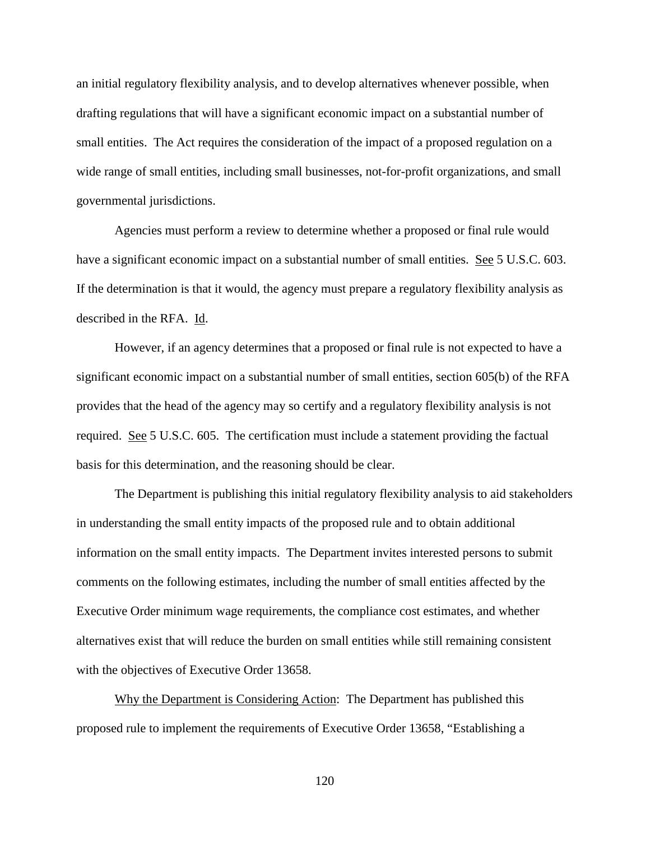an initial regulatory flexibility analysis, and to develop alternatives whenever possible, when drafting regulations that will have a significant economic impact on a substantial number of small entities. The Act requires the consideration of the impact of a proposed regulation on a wide range of small entities, including small businesses, not-for-profit organizations, and small governmental jurisdictions.

Agencies must perform a review to determine whether a proposed or final rule would have a significant economic impact on a substantial number of small entities. See 5 U.S.C. 603. If the determination is that it would, the agency must prepare a regulatory flexibility analysis as described in the RFA. Id.

However, if an agency determines that a proposed or final rule is not expected to have a significant economic impact on a substantial number of small entities, section 605(b) of the RFA provides that the head of the agency may so certify and a regulatory flexibility analysis is not required. See 5 U.S.C. 605. The certification must include a statement providing the factual basis for this determination, and the reasoning should be clear.

The Department is publishing this initial regulatory flexibility analysis to aid stakeholders in understanding the small entity impacts of the proposed rule and to obtain additional information on the small entity impacts. The Department invites interested persons to submit comments on the following estimates, including the number of small entities affected by the Executive Order minimum wage requirements, the compliance cost estimates, and whether alternatives exist that will reduce the burden on small entities while still remaining consistent with the objectives of Executive Order 13658.

Why the Department is Considering Action: The Department has published this proposed rule to implement the requirements of Executive Order 13658, "Establishing a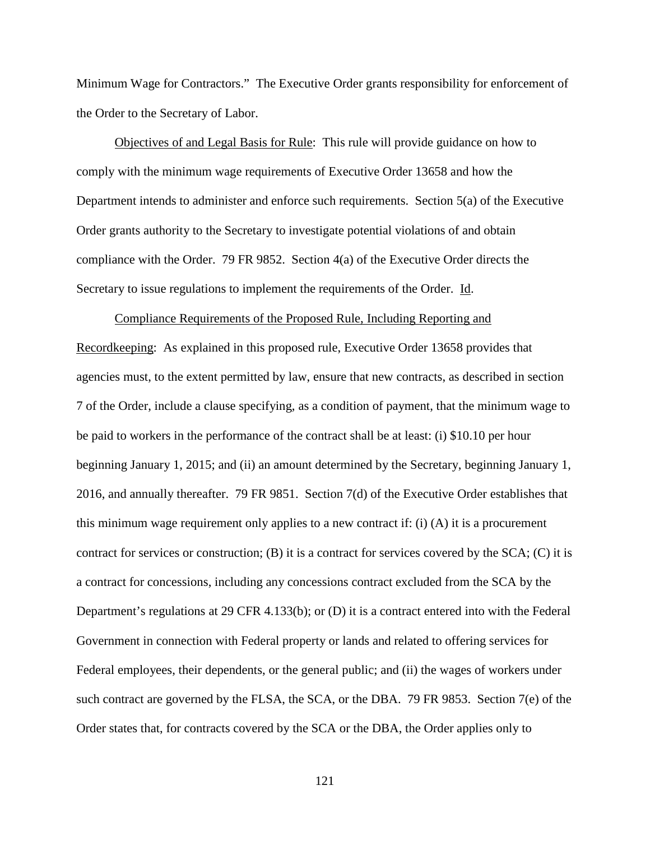Minimum Wage for Contractors." The Executive Order grants responsibility for enforcement of the Order to the Secretary of Labor.

Objectives of and Legal Basis for Rule: This rule will provide guidance on how to comply with the minimum wage requirements of Executive Order 13658 and how the Department intends to administer and enforce such requirements. Section 5(a) of the Executive Order grants authority to the Secretary to investigate potential violations of and obtain compliance with the Order. 79 FR 9852. Section 4(a) of the Executive Order directs the Secretary to issue regulations to implement the requirements of the Order. Id.

Compliance Requirements of the Proposed Rule, Including Reporting and Recordkeeping: As explained in this proposed rule, Executive Order 13658 provides that agencies must, to the extent permitted by law, ensure that new contracts, as described in section 7 of the Order, include a clause specifying, as a condition of payment, that the minimum wage to be paid to workers in the performance of the contract shall be at least: (i) \$10.10 per hour beginning January 1, 2015; and (ii) an amount determined by the Secretary, beginning January 1, 2016, and annually thereafter. 79 FR 9851. Section 7(d) of the Executive Order establishes that this minimum wage requirement only applies to a new contract if: (i) (A) it is a procurement contract for services or construction;  $(B)$  it is a contract for services covered by the SCA;  $(C)$  it is a contract for concessions, including any concessions contract excluded from the SCA by the Department's regulations at 29 CFR 4.133(b); or (D) it is a contract entered into with the Federal Government in connection with Federal property or lands and related to offering services for Federal employees, their dependents, or the general public; and (ii) the wages of workers under such contract are governed by the FLSA, the SCA, or the DBA. 79 FR 9853. Section 7(e) of the Order states that, for contracts covered by the SCA or the DBA, the Order applies only to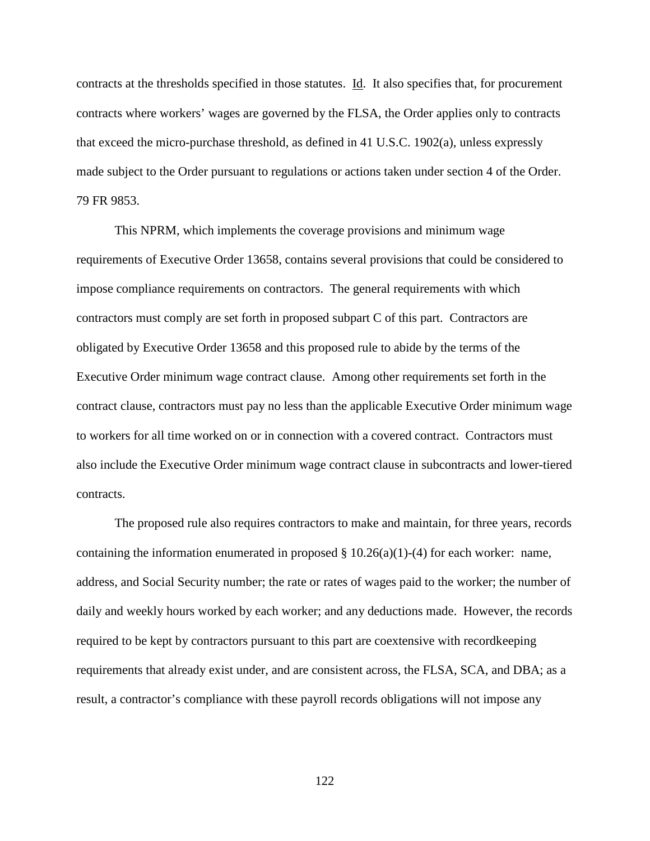contracts at the thresholds specified in those statutes. Id. It also specifies that, for procurement contracts where workers' wages are governed by the FLSA, the Order applies only to contracts that exceed the micro-purchase threshold, as defined in 41 U.S.C. 1902(a), unless expressly made subject to the Order pursuant to regulations or actions taken under section 4 of the Order. 79 FR 9853.

This NPRM, which implements the coverage provisions and minimum wage requirements of Executive Order 13658, contains several provisions that could be considered to impose compliance requirements on contractors. The general requirements with which contractors must comply are set forth in proposed subpart C of this part. Contractors are obligated by Executive Order 13658 and this proposed rule to abide by the terms of the Executive Order minimum wage contract clause. Among other requirements set forth in the contract clause, contractors must pay no less than the applicable Executive Order minimum wage to workers for all time worked on or in connection with a covered contract. Contractors must also include the Executive Order minimum wage contract clause in subcontracts and lower-tiered contracts.

The proposed rule also requires contractors to make and maintain, for three years, records containing the information enumerated in proposed  $\S 10.26(a)(1)-(4)$  for each worker: name, address, and Social Security number; the rate or rates of wages paid to the worker; the number of daily and weekly hours worked by each worker; and any deductions made. However, the records required to be kept by contractors pursuant to this part are coextensive with recordkeeping requirements that already exist under, and are consistent across, the FLSA, SCA, and DBA; as a result, a contractor's compliance with these payroll records obligations will not impose any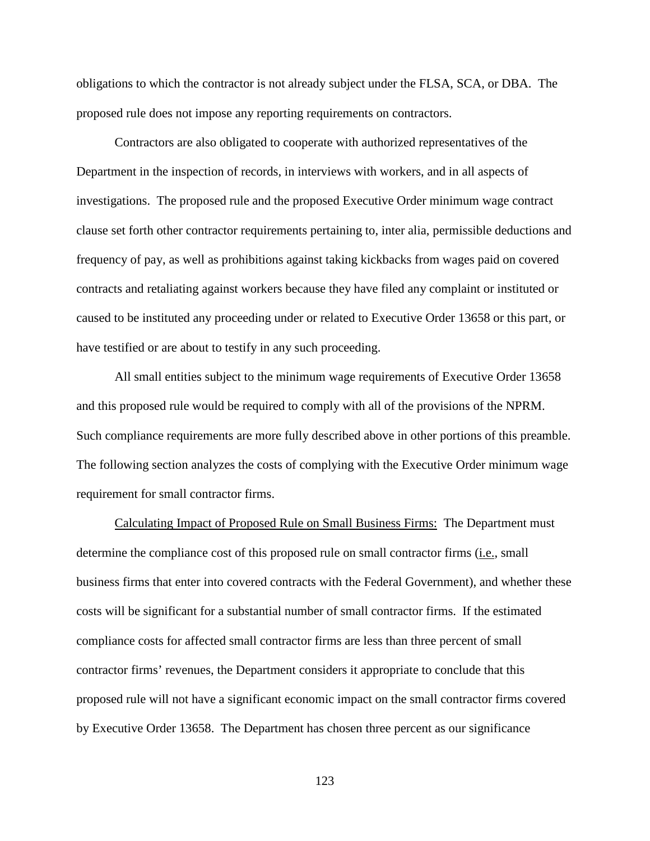obligations to which the contractor is not already subject under the FLSA, SCA, or DBA. The proposed rule does not impose any reporting requirements on contractors.

Contractors are also obligated to cooperate with authorized representatives of the Department in the inspection of records, in interviews with workers, and in all aspects of investigations. The proposed rule and the proposed Executive Order minimum wage contract clause set forth other contractor requirements pertaining to, inter alia, permissible deductions and frequency of pay, as well as prohibitions against taking kickbacks from wages paid on covered contracts and retaliating against workers because they have filed any complaint or instituted or caused to be instituted any proceeding under or related to Executive Order 13658 or this part, or have testified or are about to testify in any such proceeding.

All small entities subject to the minimum wage requirements of Executive Order 13658 and this proposed rule would be required to comply with all of the provisions of the NPRM. Such compliance requirements are more fully described above in other portions of this preamble. The following section analyzes the costs of complying with the Executive Order minimum wage requirement for small contractor firms.

Calculating Impact of Proposed Rule on Small Business Firms: The Department must determine the compliance cost of this proposed rule on small contractor firms (i.e., small business firms that enter into covered contracts with the Federal Government), and whether these costs will be significant for a substantial number of small contractor firms. If the estimated compliance costs for affected small contractor firms are less than three percent of small contractor firms' revenues, the Department considers it appropriate to conclude that this proposed rule will not have a significant economic impact on the small contractor firms covered by Executive Order 13658. The Department has chosen three percent as our significance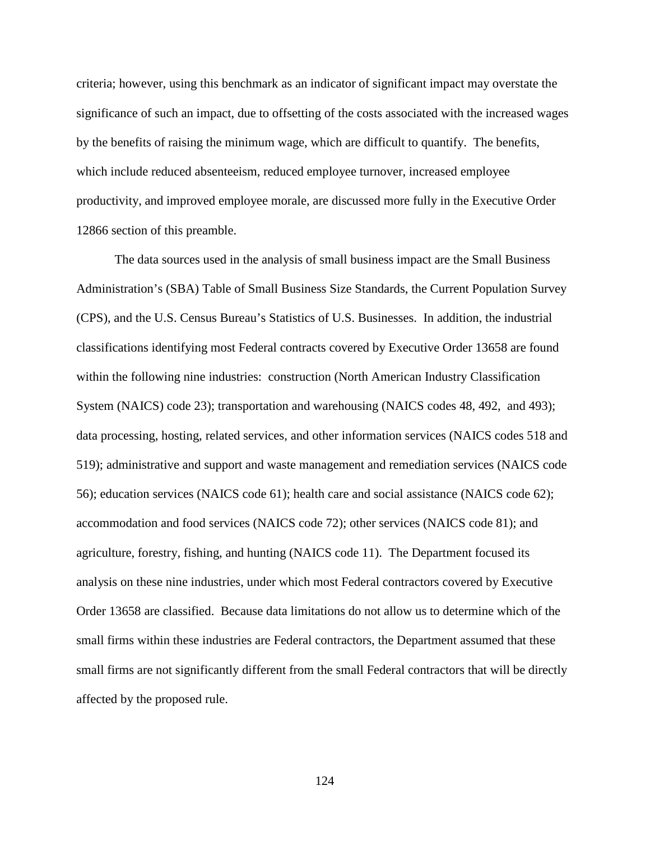criteria; however, using this benchmark as an indicator of significant impact may overstate the significance of such an impact, due to offsetting of the costs associated with the increased wages by the benefits of raising the minimum wage, which are difficult to quantify. The benefits, which include reduced absenteeism, reduced employee turnover, increased employee productivity, and improved employee morale, are discussed more fully in the Executive Order 12866 section of this preamble.

The data sources used in the analysis of small business impact are the Small Business Administration's (SBA) Table of Small Business Size Standards, the Current Population Survey (CPS), and the U.S. Census Bureau's Statistics of U.S. Businesses. In addition, the industrial classifications identifying most Federal contracts covered by Executive Order 13658 are found within the following nine industries: construction (North American Industry Classification System (NAICS) code 23); transportation and warehousing (NAICS codes 48, 492, and 493); data processing, hosting, related services, and other information services (NAICS codes 518 and 519); administrative and support and waste management and remediation services (NAICS code 56); education services (NAICS code 61); health care and social assistance (NAICS code 62); accommodation and food services (NAICS code 72); other services (NAICS code 81); and agriculture, forestry, fishing, and hunting (NAICS code 11). The Department focused its analysis on these nine industries, under which most Federal contractors covered by Executive Order 13658 are classified. Because data limitations do not allow us to determine which of the small firms within these industries are Federal contractors, the Department assumed that these small firms are not significantly different from the small Federal contractors that will be directly affected by the proposed rule.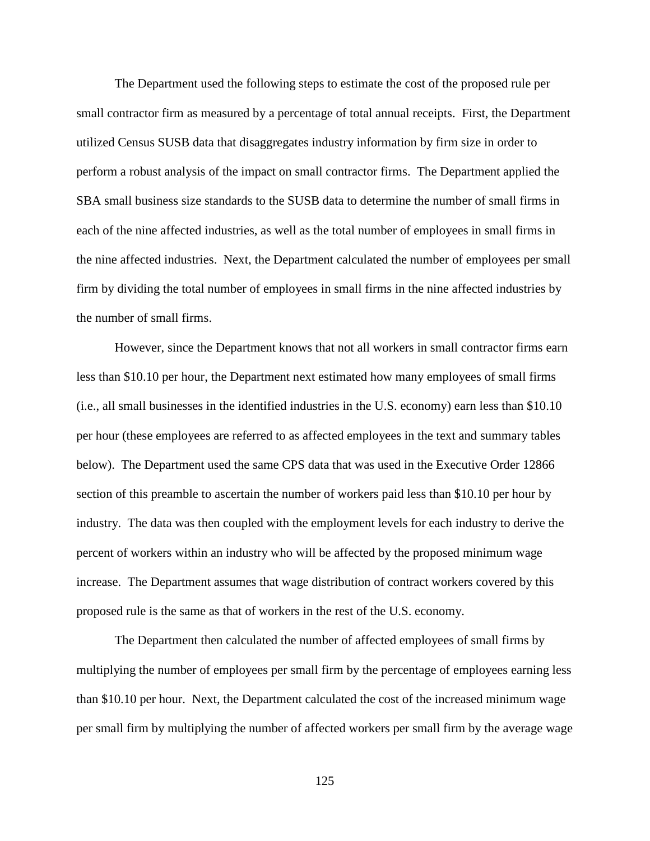The Department used the following steps to estimate the cost of the proposed rule per small contractor firm as measured by a percentage of total annual receipts. First, the Department utilized Census SUSB data that disaggregates industry information by firm size in order to perform a robust analysis of the impact on small contractor firms. The Department applied the SBA small business size standards to the SUSB data to determine the number of small firms in each of the nine affected industries, as well as the total number of employees in small firms in the nine affected industries. Next, the Department calculated the number of employees per small firm by dividing the total number of employees in small firms in the nine affected industries by the number of small firms.

However, since the Department knows that not all workers in small contractor firms earn less than \$10.10 per hour, the Department next estimated how many employees of small firms (i.e., all small businesses in the identified industries in the U.S. economy) earn less than \$10.10 per hour (these employees are referred to as affected employees in the text and summary tables below). The Department used the same CPS data that was used in the Executive Order 12866 section of this preamble to ascertain the number of workers paid less than \$10.10 per hour by industry. The data was then coupled with the employment levels for each industry to derive the percent of workers within an industry who will be affected by the proposed minimum wage increase. The Department assumes that wage distribution of contract workers covered by this proposed rule is the same as that of workers in the rest of the U.S. economy.

The Department then calculated the number of affected employees of small firms by multiplying the number of employees per small firm by the percentage of employees earning less than \$10.10 per hour. Next, the Department calculated the cost of the increased minimum wage per small firm by multiplying the number of affected workers per small firm by the average wage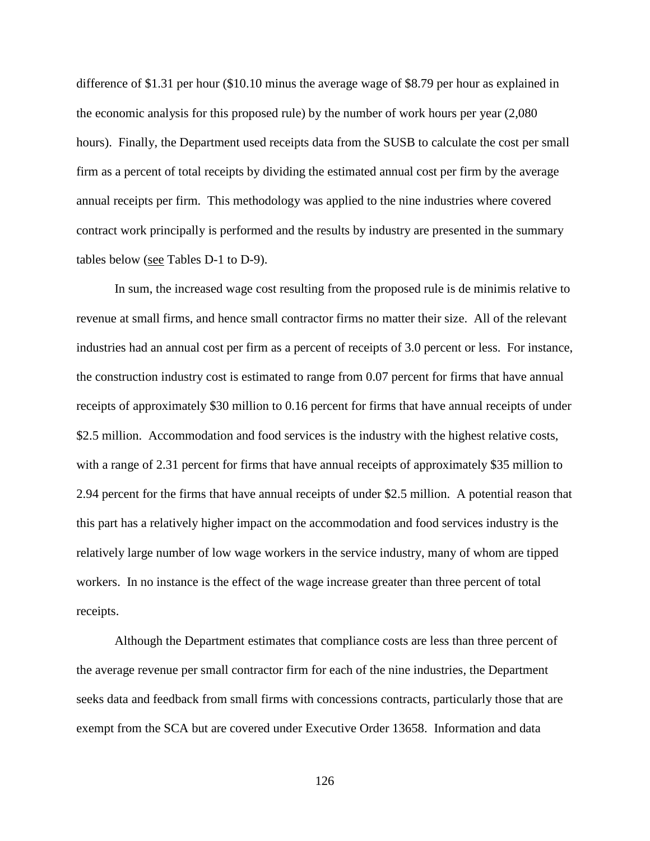difference of \$1.31 per hour (\$10.10 minus the average wage of \$8.79 per hour as explained in the economic analysis for this proposed rule) by the number of work hours per year (2,080 hours). Finally, the Department used receipts data from the SUSB to calculate the cost per small firm as a percent of total receipts by dividing the estimated annual cost per firm by the average annual receipts per firm. This methodology was applied to the nine industries where covered contract work principally is performed and the results by industry are presented in the summary tables below (see Tables D-1 to D-9).

In sum, the increased wage cost resulting from the proposed rule is de minimis relative to revenue at small firms, and hence small contractor firms no matter their size. All of the relevant industries had an annual cost per firm as a percent of receipts of 3.0 percent or less. For instance, the construction industry cost is estimated to range from 0.07 percent for firms that have annual receipts of approximately \$30 million to 0.16 percent for firms that have annual receipts of under \$2.5 million. Accommodation and food services is the industry with the highest relative costs, with a range of 2.31 percent for firms that have annual receipts of approximately \$35 million to 2.94 percent for the firms that have annual receipts of under \$2.5 million. A potential reason that this part has a relatively higher impact on the accommodation and food services industry is the relatively large number of low wage workers in the service industry, many of whom are tipped workers. In no instance is the effect of the wage increase greater than three percent of total receipts.

Although the Department estimates that compliance costs are less than three percent of the average revenue per small contractor firm for each of the nine industries, the Department seeks data and feedback from small firms with concessions contracts, particularly those that are exempt from the SCA but are covered under Executive Order 13658. Information and data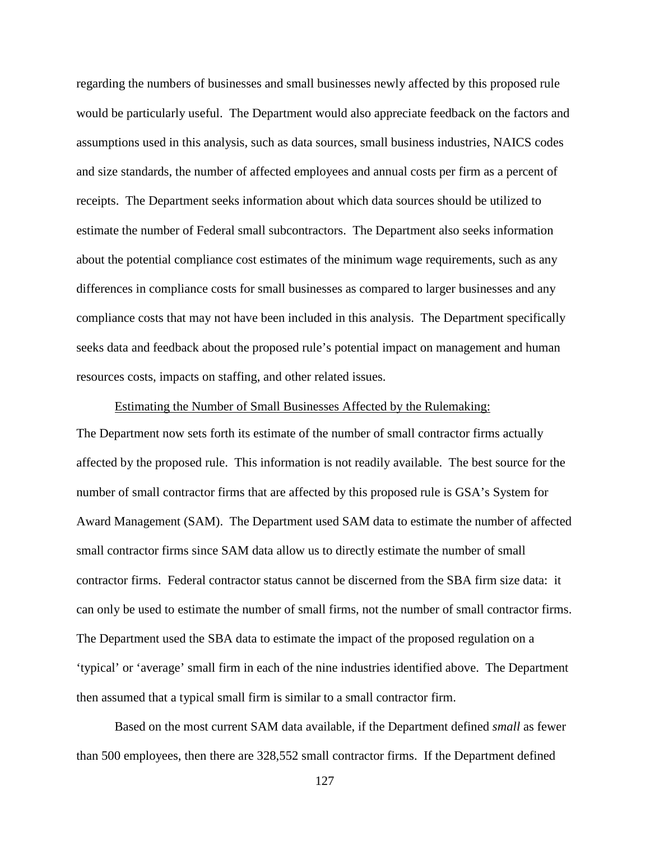regarding the numbers of businesses and small businesses newly affected by this proposed rule would be particularly useful. The Department would also appreciate feedback on the factors and assumptions used in this analysis, such as data sources, small business industries, NAICS codes and size standards, the number of affected employees and annual costs per firm as a percent of receipts. The Department seeks information about which data sources should be utilized to estimate the number of Federal small subcontractors. The Department also seeks information about the potential compliance cost estimates of the minimum wage requirements, such as any differences in compliance costs for small businesses as compared to larger businesses and any compliance costs that may not have been included in this analysis. The Department specifically seeks data and feedback about the proposed rule's potential impact on management and human resources costs, impacts on staffing, and other related issues.

## Estimating the Number of Small Businesses Affected by the Rulemaking:

The Department now sets forth its estimate of the number of small contractor firms actually affected by the proposed rule. This information is not readily available. The best source for the number of small contractor firms that are affected by this proposed rule is GSA's System for Award Management (SAM). The Department used SAM data to estimate the number of affected small contractor firms since SAM data allow us to directly estimate the number of small contractor firms. Federal contractor status cannot be discerned from the SBA firm size data: it can only be used to estimate the number of small firms, not the number of small contractor firms. The Department used the SBA data to estimate the impact of the proposed regulation on a 'typical' or 'average' small firm in each of the nine industries identified above. The Department then assumed that a typical small firm is similar to a small contractor firm.

Based on the most current SAM data available, if the Department defined *small* as fewer than 500 employees, then there are 328,552 small contractor firms. If the Department defined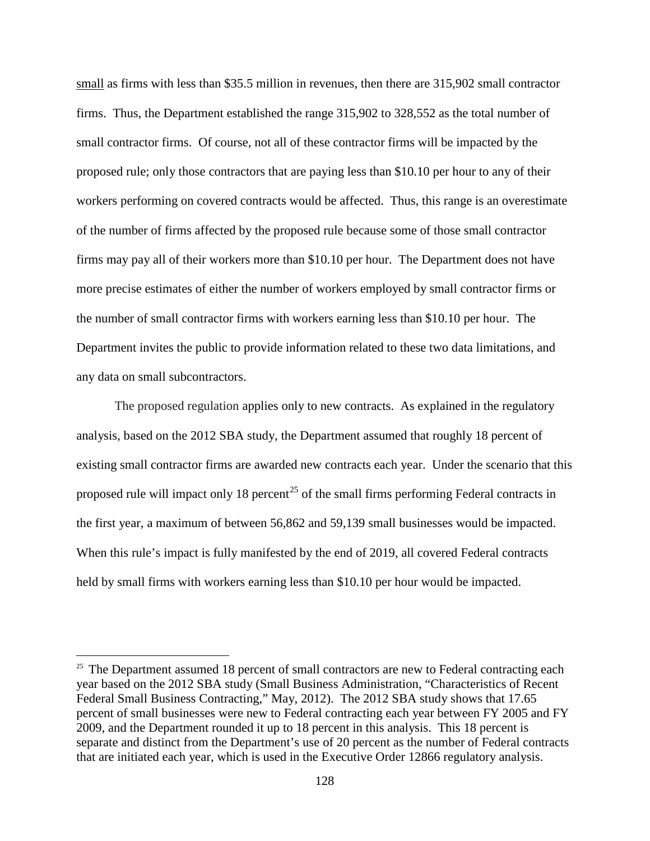small as firms with less than \$35.5 million in revenues, then there are 315,902 small contractor firms. Thus, the Department established the range 315,902 to 328,552 as the total number of small contractor firms. Of course, not all of these contractor firms will be impacted by the proposed rule; only those contractors that are paying less than \$10.10 per hour to any of their workers performing on covered contracts would be affected. Thus, this range is an overestimate of the number of firms affected by the proposed rule because some of those small contractor firms may pay all of their workers more than \$10.10 per hour. The Department does not have more precise estimates of either the number of workers employed by small contractor firms or the number of small contractor firms with workers earning less than \$10.10 per hour. The Department invites the public to provide information related to these two data limitations, and any data on small subcontractors.

The proposed regulation applies only to new contracts. As explained in the regulatory analysis, based on the 2012 SBA study, the Department assumed that roughly 18 percent of existing small contractor firms are awarded new contracts each year. Under the scenario that this proposed rule will impact only 18 percent<sup>[25](#page-127-0)</sup> of the small firms performing Federal contracts in the first year, a maximum of between 56,862 and 59,139 small businesses would be impacted. When this rule's impact is fully manifested by the end of 2019, all covered Federal contracts held by small firms with workers earning less than \$10.10 per hour would be impacted.

<span id="page-127-0"></span> $25$  The Department assumed 18 percent of small contractors are new to Federal contracting each year based on the 2012 SBA study (Small Business Administration, "Characteristics of Recent Federal Small Business Contracting," May, 2012). The 2012 SBA study shows that 17.65 percent of small businesses were new to Federal contracting each year between FY 2005 and FY 2009, and the Department rounded it up to 18 percent in this analysis. This 18 percent is separate and distinct from the Department's use of 20 percent as the number of Federal contracts that are initiated each year, which is used in the Executive Order 12866 regulatory analysis.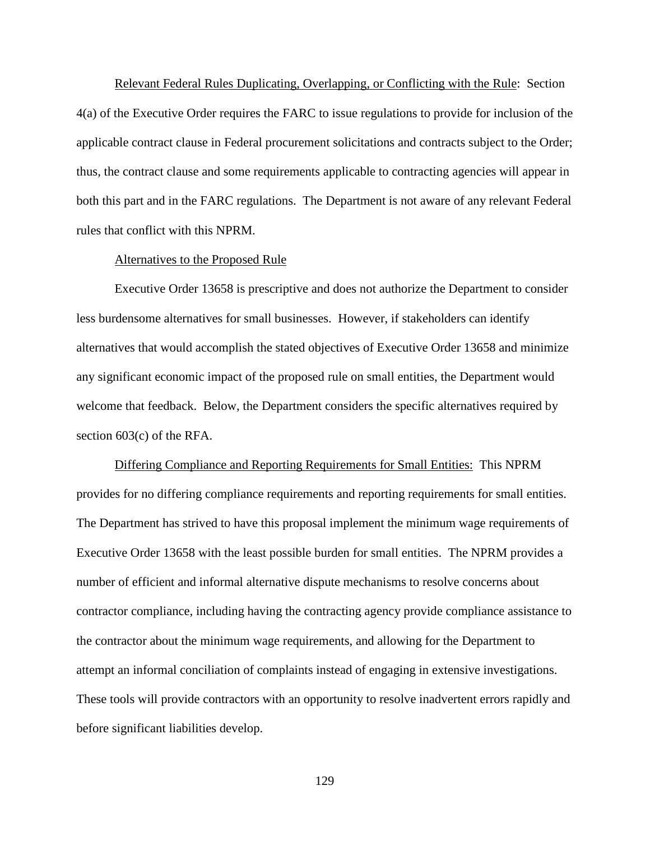Relevant Federal Rules Duplicating, Overlapping, or Conflicting with the Rule: Section 4(a) of the Executive Order requires the FARC to issue regulations to provide for inclusion of the applicable contract clause in Federal procurement solicitations and contracts subject to the Order; thus, the contract clause and some requirements applicable to contracting agencies will appear in both this part and in the FARC regulations. The Department is not aware of any relevant Federal rules that conflict with this NPRM.

#### Alternatives to the Proposed Rule

Executive Order 13658 is prescriptive and does not authorize the Department to consider less burdensome alternatives for small businesses. However, if stakeholders can identify alternatives that would accomplish the stated objectives of Executive Order 13658 and minimize any significant economic impact of the proposed rule on small entities, the Department would welcome that feedback. Below, the Department considers the specific alternatives required by section 603(c) of the RFA.

Differing Compliance and Reporting Requirements for Small Entities: This NPRM provides for no differing compliance requirements and reporting requirements for small entities. The Department has strived to have this proposal implement the minimum wage requirements of Executive Order 13658 with the least possible burden for small entities. The NPRM provides a number of efficient and informal alternative dispute mechanisms to resolve concerns about contractor compliance, including having the contracting agency provide compliance assistance to the contractor about the minimum wage requirements, and allowing for the Department to attempt an informal conciliation of complaints instead of engaging in extensive investigations. These tools will provide contractors with an opportunity to resolve inadvertent errors rapidly and before significant liabilities develop.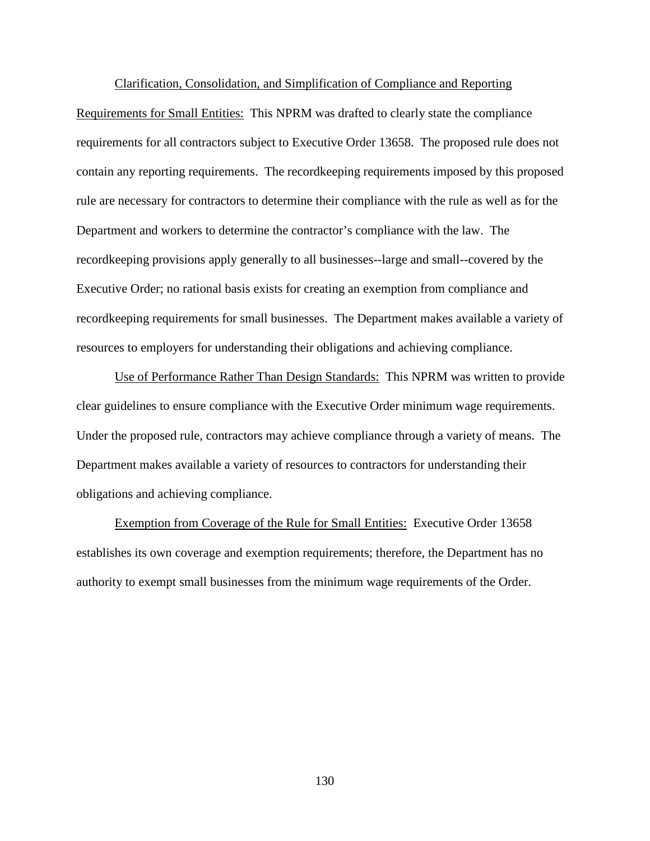### Clarification, Consolidation, and Simplification of Compliance and Reporting

Requirements for Small Entities: This NPRM was drafted to clearly state the compliance requirements for all contractors subject to Executive Order 13658. The proposed rule does not contain any reporting requirements. The recordkeeping requirements imposed by this proposed rule are necessary for contractors to determine their compliance with the rule as well as for the Department and workers to determine the contractor's compliance with the law. The recordkeeping provisions apply generally to all businesses--large and small--covered by the Executive Order; no rational basis exists for creating an exemption from compliance and recordkeeping requirements for small businesses. The Department makes available a variety of resources to employers for understanding their obligations and achieving compliance.

Use of Performance Rather Than Design Standards: This NPRM was written to provide clear guidelines to ensure compliance with the Executive Order minimum wage requirements. Under the proposed rule, contractors may achieve compliance through a variety of means. The Department makes available a variety of resources to contractors for understanding their obligations and achieving compliance.

Exemption from Coverage of the Rule for Small Entities: Executive Order 13658 establishes its own coverage and exemption requirements; therefore, the Department has no authority to exempt small businesses from the minimum wage requirements of the Order.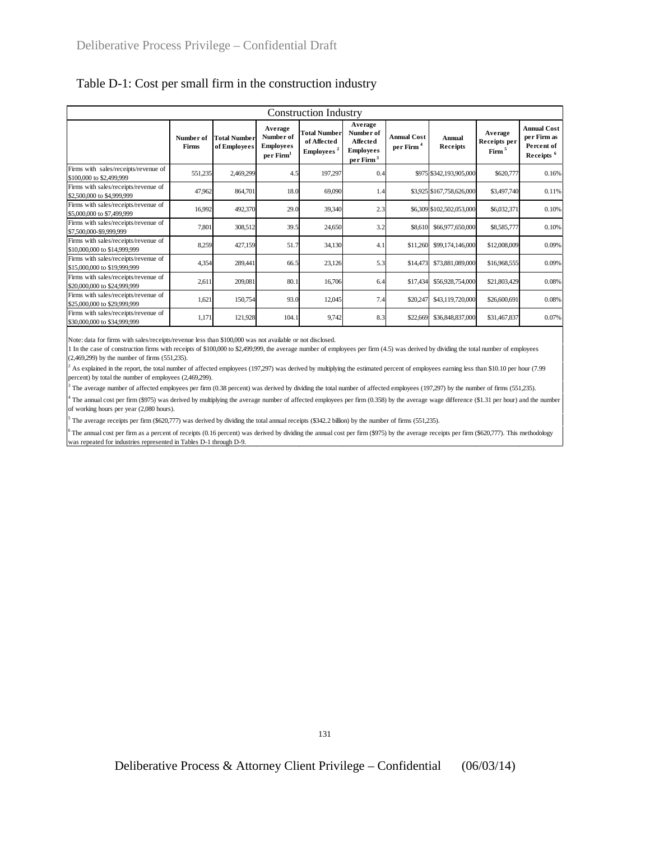|                                                                      | <b>Construction Industry</b> |                                     |                                                                   |                                                              |                                                                              |                                             |                           |                                              |                                                                          |  |  |  |  |  |  |
|----------------------------------------------------------------------|------------------------------|-------------------------------------|-------------------------------------------------------------------|--------------------------------------------------------------|------------------------------------------------------------------------------|---------------------------------------------|---------------------------|----------------------------------------------|--------------------------------------------------------------------------|--|--|--|--|--|--|
|                                                                      | Number of<br>Firms           | <b>Total Number</b><br>of Employees | Average<br>Number of<br><b>Employees</b><br>per Firm <sup>1</sup> | <b>Total Number</b><br>of Affected<br>Employees <sup>2</sup> | Average<br>Number of<br>Affected<br><b>Employees</b><br>perFirm <sup>3</sup> | <b>Annual Cost</b><br>per Firm <sup>4</sup> | Annual<br>Receipts        | Average<br>Receipts per<br>Firm <sup>5</sup> | <b>Annual Cost</b><br>per Firm as<br>Percent of<br>Receipts <sup>6</sup> |  |  |  |  |  |  |
| Firms with sales/receipts/revenue of<br>\$100,000 to \$2,499,999     | 551,235                      | 2,469,299                           | 4.5                                                               | 197,297                                                      | 0.4                                                                          |                                             | \$975 \$342,193,905,000   | \$620,777                                    | 0.16%                                                                    |  |  |  |  |  |  |
| Firms with sales/receipts/revenue of<br>\$2,500,000 to \$4,999,999   | 47,962                       | 864,701                             | 18.0                                                              | 69,090                                                       | 1.4                                                                          |                                             | \$3,925 \$167,758,626,000 | \$3,497,740                                  | 0.11%                                                                    |  |  |  |  |  |  |
| Firms with sales/receipts/revenue of<br>\$5,000,000 to \$7,499,999   | 16,992                       | 492,370                             | 29.0                                                              | 39,340                                                       | 2.3                                                                          |                                             | \$6,309 \$102,502,053,000 | \$6,032,371                                  | 0.10%                                                                    |  |  |  |  |  |  |
| Firms with sales/receipts/revenue of<br>\$7,500,000-\$9,999,999      | 7,801                        | 308,512                             | 39.5                                                              | 24,650                                                       | 3.2                                                                          | \$8,610                                     | \$66,977,650,000          | \$8,585,777                                  | 0.10%                                                                    |  |  |  |  |  |  |
| Firms with sales/receipts/revenue of<br>\$10,000,000 to \$14,999,999 | 8,259                        | 427,159                             | 51.7                                                              | 34,130                                                       | 4.1                                                                          | \$11,260                                    | \$99,174,146,000          | \$12,008,009                                 | 0.09%                                                                    |  |  |  |  |  |  |
| Firms with sales/receipts/revenue of<br>\$15,000,000 to \$19,999,999 | 4,354                        | 289,441                             | 66.5                                                              | 23,126                                                       | 5.3                                                                          | \$14,473                                    | \$73,881,089,000          | \$16,968,555                                 | 0.09%                                                                    |  |  |  |  |  |  |
| Firms with sales/receipts/revenue of<br>\$20,000,000 to \$24,999,999 | 2,611                        | 209,081                             | 80.1                                                              | 16,706                                                       | 6.4                                                                          | \$17,434                                    | \$56,928,754,000          | \$21,803,429                                 | 0.08%                                                                    |  |  |  |  |  |  |
| Firms with sales/receipts/revenue of<br>\$25,000,000 to \$29,999,999 | 1,621                        | 150,754                             | 93.0                                                              | 12,045                                                       | 7.4                                                                          | \$20,247                                    | \$43,119,720,000          | \$26,600,691                                 | 0.08%                                                                    |  |  |  |  |  |  |
| Firms with sales/receipts/revenue of<br>\$30,000,000 to \$34,999,999 | 1,171                        | 121,928                             | 104.1                                                             | 9,742                                                        | 8.3                                                                          | \$22,669                                    | \$36,848,837,000          | \$31,467,837                                 | 0.07%                                                                    |  |  |  |  |  |  |

## Table D-1: Cost per small firm in the construction industry

Note: data for firms with sales/receipts/revenue less than \$100,000 was not available or not disclosed.

1 In the case of construction firms with receipts of \$100,000 to \$2,499,999, the average number of employees per firm (4.5) was derived by dividing the total number of employees (2,469,299) by the number of firms (551,235).

 $^2$  As explained in the report, the total number of affected employees (197,297) was derived by multiplying the estimated percent of employees earning less than \$10.10 per hour (7.99) percent) by total the number of employees (2,469,299).

<sup>3</sup> The average number of affected employees per firm (0.38 percent) was derived by dividing the total number of affected employees (197,297) by the number of firms (551,235).

4 The annual cost per firm (\$975) was derived by multiplying the average number of affected employees per firm (0.358) by the average wage difference (\$1.31 per hour) and the number of working hours per year (2,080 hours).

5 The average receipts per firm (\$620,777) was derived by dividing the total annual receipts (\$342.2 billion) by the number of firms (551,235).

The annual cost per firm as a percent of receipts (0.16 percent) was derived by dividing the annual cost per firm (\$975) by the average receipts per firm (\$620,777). This methodology was repeated for industries represented in Tables D-1 through D-9.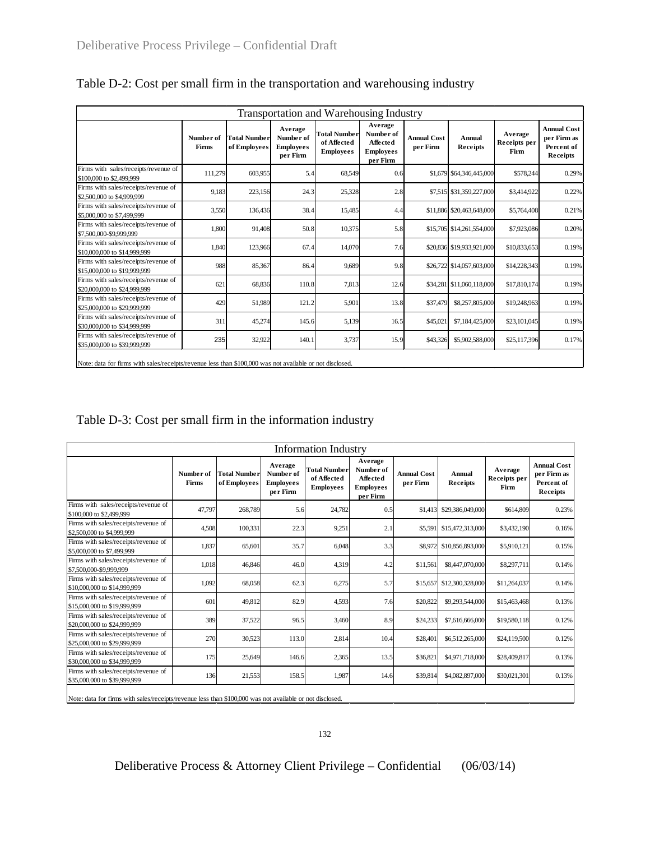| <b>Transportation and Warehousing Industry</b>                       |                                                                                                          |                                     |                                                      |                                                        |                                                                         |                                |                           |                                 |                                                             |  |  |  |  |
|----------------------------------------------------------------------|----------------------------------------------------------------------------------------------------------|-------------------------------------|------------------------------------------------------|--------------------------------------------------------|-------------------------------------------------------------------------|--------------------------------|---------------------------|---------------------------------|-------------------------------------------------------------|--|--|--|--|
|                                                                      | Number of<br>Firms                                                                                       | <b>Total Number</b><br>of Employees | Average<br>Number of<br><b>Employees</b><br>per Firm | <b>Total Number</b><br>of Affected<br><b>Employees</b> | Average<br>Number of<br><b>Affected</b><br><b>Employees</b><br>per Firm | <b>Annual Cost</b><br>per Firm | <b>Annual</b><br>Receipts | Average<br>Receipts per<br>Firm | <b>Annual Cost</b><br>per Firm as<br>Percent of<br>Receipts |  |  |  |  |
| Firms with sales/receipts/revenue of<br>\$100,000 to \$2,499,999     | 111,279                                                                                                  | 603,955                             | 5.4                                                  | 68,549                                                 | 0.6                                                                     |                                | \$1,679 \$64,346,445,000  | \$578,244                       | 0.29%                                                       |  |  |  |  |
| Firms with sales/receipts/revenue of<br>\$2,500,000 to \$4,999,999   | 9,183                                                                                                    | 223,156                             | 24.3                                                 | 25,328                                                 | 2.8                                                                     |                                | \$7,515 \$31,359,227,000  | \$3,414,922                     | 0.22%                                                       |  |  |  |  |
| Firms with sales/receipts/revenue of<br>\$5,000,000 to \$7,499,999   | 3,550                                                                                                    | 136,436                             | 38.4                                                 | 15,485                                                 | 4.4                                                                     |                                | \$11,886 \$20,463,648,000 | \$5,764,408                     | 0.21%                                                       |  |  |  |  |
| Firms with sales/receipts/revenue of<br>\$7,500,000-\$9,999,999      | 1,800                                                                                                    | 91,408                              | 50.8                                                 | 10,375                                                 | 5.8                                                                     |                                | \$15,705 \$14,261,554,000 | \$7,923,086                     | 0.20%                                                       |  |  |  |  |
| Firms with sales/receipts/revenue of<br>\$10,000,000 to \$14,999,999 | 1,840                                                                                                    | 123,966                             | 67.4                                                 | 14,070                                                 | 7.6                                                                     |                                | \$20,836 \$19,933,921,000 | \$10,833,653                    | 0.19%                                                       |  |  |  |  |
| Firms with sales/receipts/revenue of<br>\$15,000,000 to \$19,999,999 | 988                                                                                                      | 85,367                              | 86.4                                                 | 9,689                                                  | 9.8                                                                     |                                | \$26,722 \$14,057,603,000 | \$14,228,343                    | 0.19%                                                       |  |  |  |  |
| Firms with sales/receipts/revenue of<br>\$20,000,000 to \$24,999.999 | 621                                                                                                      | 68,836                              | 110.8                                                | 7,813                                                  | 12.6                                                                    |                                | \$34,281 \$11,060,118,000 | \$17,810,174                    | 0.19%                                                       |  |  |  |  |
| Firms with sales/receipts/revenue of<br>\$25,000,000 to \$29,999,999 | 429                                                                                                      | 51,989                              | 121.2                                                | 5,901                                                  | 13.8                                                                    | \$37,479                       | \$8,257,805,000           | \$19,248,963                    | 0.19%                                                       |  |  |  |  |
| Firms with sales/receipts/revenue of<br>\$30,000,000 to \$34,999,999 | 311                                                                                                      | 45,274                              | 145.6                                                | 5,139                                                  | 16.5                                                                    | \$45,021                       | \$7,184,425,000           | \$23,101,045                    | 0.19%                                                       |  |  |  |  |
| Firms with sales/receipts/revenue of<br>\$35,000,000 to \$39,999,999 | 235                                                                                                      | 32,922                              | 140.1                                                | 3,737                                                  | 15.9                                                                    | \$43,326                       | \$5,902,588,000           | \$25,117,396                    | 0.17%                                                       |  |  |  |  |
|                                                                      | Note: data for firms with sales/receipts/revenue less than \$100,000 was not available or not disclosed. |                                     |                                                      |                                                        |                                                                         |                                |                           |                                 |                                                             |  |  |  |  |

Table D-2: Cost per small firm in the transportation and warehousing industry

| Table D-3: Cost per small firm in the information industry |
|------------------------------------------------------------|
|------------------------------------------------------------|

| Information Industry                                                 |                           |                                     |                                                      |                                                        |                                                                         |                                |                           |                                 |                                                             |  |  |  |  |
|----------------------------------------------------------------------|---------------------------|-------------------------------------|------------------------------------------------------|--------------------------------------------------------|-------------------------------------------------------------------------|--------------------------------|---------------------------|---------------------------------|-------------------------------------------------------------|--|--|--|--|
|                                                                      | Number of<br><b>Firms</b> | <b>Total Number</b><br>of Employees | Average<br>Number of<br><b>Employees</b><br>per Firm | <b>Total Number</b><br>of Affected<br><b>Employees</b> | Average<br>Number of<br><b>Affected</b><br><b>Employees</b><br>per Firm | <b>Annual Cost</b><br>per Firm | Annual<br>Receipts        | Average<br>Receipts per<br>Firm | <b>Annual Cost</b><br>per Firm as<br>Percent of<br>Receipts |  |  |  |  |
| Firms with sales/receipts/revenue of<br>\$100,000 to \$2,499,999     | 47.797                    | 268,789                             | 5.6                                                  | 24.782                                                 | 0.5                                                                     |                                | \$1,413 \$29,386,049,000  | \$614,809                       | 0.23%                                                       |  |  |  |  |
| Firms with sales/receipts/revenue of<br>\$2,500,000 to \$4,999,999   | 4,508                     | 100,331                             | 22.3                                                 | 9,251                                                  | 2.1                                                                     |                                | \$5,591 \$15,472,313,000  | \$3,432,190                     | 0.16%                                                       |  |  |  |  |
| Firms with sales/receipts/revenue of<br>\$5,000,000 to \$7,499,999   | 1,837                     | 65,601                              | 35.7                                                 | 6,048                                                  | 3.3                                                                     |                                | \$8,972 \$10,856,893,000  | \$5,910,121                     | 0.15%                                                       |  |  |  |  |
| Firms with sales/receipts/revenue of<br>\$7,500,000-\$9,999,999      | 1,018                     | 46,846                              | 46.0                                                 | 4,319                                                  | 4.2                                                                     | \$11,561                       | \$8,447,070,000           | \$8,297,711                     | 0.14%                                                       |  |  |  |  |
| Firms with sales/receipts/revenue of<br>\$10,000,000 to \$14,999,999 | 1,092                     | 68,058                              | 62.3                                                 | 6,275                                                  | 5.7                                                                     |                                | \$15,657 \$12,300,328,000 | \$11,264,037                    | 0.14%                                                       |  |  |  |  |
| Firms with sales/receipts/revenue of<br>\$15,000,000 to \$19,999,999 | 601                       | 49,812                              | 82.9                                                 | 4,593                                                  | 7.6                                                                     | \$20,822                       | \$9,293,544,000           | \$15,463,468                    | 0.13%                                                       |  |  |  |  |
| Firms with sales/receipts/revenue of<br>\$20,000,000 to \$24,999,999 | 389                       | 37,522                              | 96.5                                                 | 3,460                                                  | 8.9                                                                     | \$24,233                       | \$7,616,666,000           | \$19,580,118                    | 0.12%                                                       |  |  |  |  |
| Firms with sales/receipts/revenue of<br>\$25,000,000 to \$29,999,999 | 270                       | 30,523                              | 113.0                                                | 2,814                                                  | 10.4                                                                    | \$28,40                        | \$6,512,265,000           | \$24,119,500                    | 0.12%                                                       |  |  |  |  |
| Firms with sales/receipts/revenue of<br>\$30,000,000 to \$34,999,999 | 175                       | 25,649                              | 146.6                                                | 2,365                                                  | 13.5                                                                    | \$36,82                        | \$4,971,718,000           | \$28,409,817                    | 0.13%                                                       |  |  |  |  |
| Firms with sales/receipts/revenue of<br>\$35,000,000 to \$39,999,999 | 136                       | 21,553                              | 158.5                                                | 1,987                                                  | 14.6                                                                    | \$39,814                       | \$4,082,897,000           | \$30,021,301                    | 0.13%                                                       |  |  |  |  |

Note: data for firms with sales/receipts/revenue less than \$100,000 was not available or not disclosed.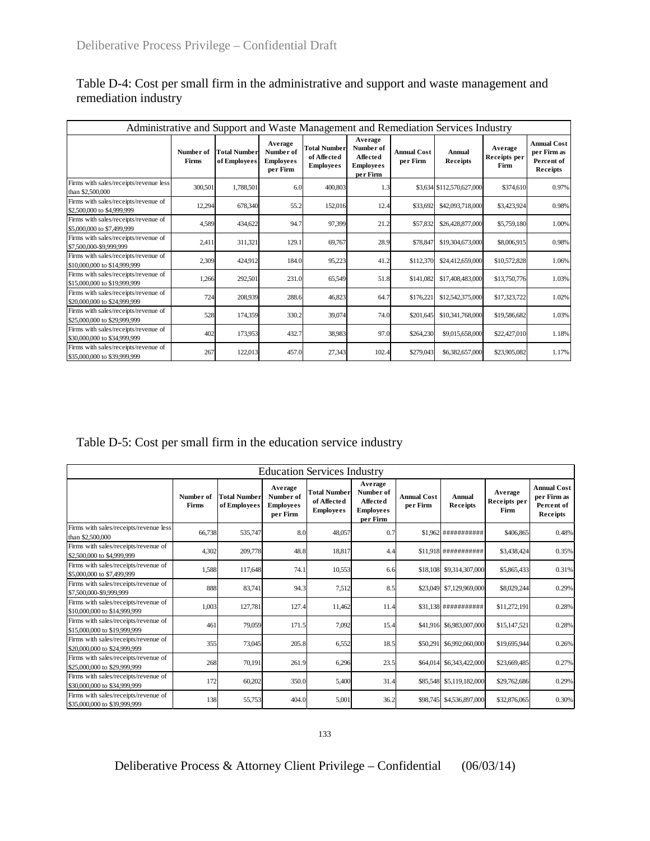| Administrative and Support and Waste Management and Remediation Services Industry |                    |                                     |                                                      |                                                        |                                                                  |                                |                           |                                 |                                                             |  |  |  |  |
|-----------------------------------------------------------------------------------|--------------------|-------------------------------------|------------------------------------------------------|--------------------------------------------------------|------------------------------------------------------------------|--------------------------------|---------------------------|---------------------------------|-------------------------------------------------------------|--|--|--|--|
|                                                                                   | Number of<br>Firms | <b>Total Number</b><br>of Employees | Average<br>Number of<br><b>Employees</b><br>per Firm | <b>Total Number</b><br>of Affected<br><b>Employees</b> | Average<br>Number of<br>Affected<br><b>Employees</b><br>per Firm | <b>Annual Cost</b><br>per Firm | <b>Annual</b><br>Receipts | Average<br>Receipts per<br>Firm | <b>Annual Cost</b><br>per Firm as<br>Percent of<br>Receipts |  |  |  |  |
| Firms with sales/receipts/revenue less<br>than \$2,500,000                        | 300,501            | 1,788,501                           | 6.0                                                  | 400,803                                                | 1.3                                                              |                                | \$3,634 \$112,570,627,000 | \$374,610                       | 0.97%                                                       |  |  |  |  |
| Firms with sales/receipts/revenue of<br>\$2,500,000 to \$4,999,999                | 12,294             | 678,340                             | 55.2                                                 | 152,016                                                | 12.4                                                             | \$33,692                       | \$42,093,718,000          | \$3,423,924                     | 0.98%                                                       |  |  |  |  |
| Firms with sales/receipts/revenue of<br>\$5,000,000 to \$7,499,999                | 4,589              | 434,622                             | 94.7                                                 | 97,399                                                 | 21.2                                                             | \$57,832                       | \$26,428,877,000          | \$5,759,180                     | 1.00%                                                       |  |  |  |  |
| Firms with sales/receipts/revenue of<br>\$7,500,000-\$9,999,999                   | 2,411              | 311,321                             | 129.1                                                | 69,767                                                 | 28.9                                                             | \$78,847                       | \$19,304,673,000          | \$8,006,915                     | 0.98%                                                       |  |  |  |  |
| Firms with sales/receipts/revenue of<br>\$10,000,000 to \$14,999,999              | 2,309              | 424,912                             | 184.0                                                | 95,223                                                 | 41.2                                                             | \$112,370                      | \$24,412,659,000          | \$10,572,828                    | 1.06%                                                       |  |  |  |  |
| Firms with sales/receipts/revenue of<br>\$15,000,000 to \$19,999,999              | 1,266              | 292,501                             | 231.0                                                | 65,549                                                 | 51.8                                                             | \$141,082                      | \$17,408,483,000          | \$13,750,776                    | 1.03%                                                       |  |  |  |  |
| Firms with sales/receipts/revenue of<br>\$20,000,000 to \$24,999,999              | 724                | 208,939                             | 288.6                                                | 46,823                                                 | 64.7                                                             | \$176,221                      | \$12,542,375,000          | \$17,323,722                    | 1.02%                                                       |  |  |  |  |
| Firms with sales/receipts/revenue of<br>\$25,000,000 to \$29,999,999              | 528                | 174,359                             | 330.2                                                | 39,074                                                 | 74.0                                                             | \$201,645                      | \$10,341,768,000          | \$19,586,682                    | 1.03%                                                       |  |  |  |  |
| Firms with sales/receipts/revenue of<br>\$30,000,000 to \$34,999,999              | 402                | 173,953                             | 432.7                                                | 38,983                                                 | 97.0                                                             | \$264,230                      | \$9,015,658,000           | \$22,427,010                    | 1.18%                                                       |  |  |  |  |
| Firms with sales/receipts/revenue of<br>\$35,000,000 to \$39,999,999              | 267                | 122,013                             | 457.0                                                | 27,343                                                 | 102.4                                                            | \$279,043                      | \$6,382,657,000           | \$23,905,082                    | 1.17%                                                       |  |  |  |  |

Table D-4: Cost per small firm in the administrative and support and waste management and remediation industry

Table D-5: Cost per small firm in the education service industry

| <b>Education Services Industry</b>                                   |                    |                              |                                                      |                                                        |                                                                  |                                |                           |                                 |                                                             |  |  |  |  |
|----------------------------------------------------------------------|--------------------|------------------------------|------------------------------------------------------|--------------------------------------------------------|------------------------------------------------------------------|--------------------------------|---------------------------|---------------------------------|-------------------------------------------------------------|--|--|--|--|
|                                                                      | Number of<br>Firms | Total Number<br>of Employees | Average<br>Number of<br><b>Employees</b><br>per Firm | <b>Total Number</b><br>of Affected<br><b>Employees</b> | Average<br>Number of<br>Affected<br><b>Employees</b><br>per Firm | <b>Annual Cost</b><br>per Firm | <b>Annual</b><br>Receipts | Average<br>Receipts per<br>Firm | <b>Annual Cost</b><br>per Firm as<br>Percent of<br>Receipts |  |  |  |  |
| Firms with sales/receipts/revenue less<br>than \$2,500,000           | 66,738             | 535,747                      | 8.0                                                  | 48,057                                                 | 0.7                                                              |                                | \$1,962 ############      | \$406,865                       | 0.48%                                                       |  |  |  |  |
| Firms with sales/receipts/revenue of<br>\$2,500,000 to \$4,999,999   | 4,302              | 209,778                      | 48.8                                                 | 18,817                                                 | 4.4                                                              |                                | \$11,918 ############     | \$3,438,424                     | 0.35%                                                       |  |  |  |  |
| Firms with sales/receipts/revenue of<br>\$5,000,000 to \$7,499,999   | 1,588              | 117,648                      | 74.1                                                 | 10,553                                                 | 6.6                                                              |                                | \$18,108 \$9,314,307,000  | \$5,865,433                     | 0.31%                                                       |  |  |  |  |
| Firms with sales/receipts/revenue of<br>\$7,500,000-\$9,999,999      | 888                | 83,741                       | 94.3                                                 | 7,512                                                  | 8.5                                                              | \$23,049                       | \$7,129,969,000           | \$8,029,244                     | 0.29%                                                       |  |  |  |  |
| Firms with sales/receipts/revenue of<br>\$10,000,000 to \$14,999,999 | 1,003              | 127,781                      | 127.4                                                | 11,462                                                 | 11.4                                                             |                                | \$31,138 ############     | \$11,272,191                    | 0.28%                                                       |  |  |  |  |
| Firms with sales/receipts/revenue of<br>\$15,000,000 to \$19,999,999 | 461                | 79,059                       | 171.5                                                | 7,092                                                  | 15.4                                                             |                                | \$41,916 \$6,983,007,000  | \$15,147,521                    | 0.28%                                                       |  |  |  |  |
| Firms with sales/receipts/revenue of<br>\$20,000,000 to \$24,999,999 | 355                | 73,045                       | 205.8                                                | 6,552                                                  | 18.5                                                             | \$50,291                       | \$6,992,060,000           | \$19,695,944                    | 0.26%                                                       |  |  |  |  |
| Firms with sales/receipts/revenue of<br>\$25,000,000 to \$29,999,999 | 268                | 70,191                       | 261.9                                                | 6,296                                                  | 23.5                                                             | \$64,014                       | \$6,343,422,000           | \$23,669,485                    | 0.27%                                                       |  |  |  |  |
| Firms with sales/receipts/revenue of<br>\$30,000,000 to \$34,999,999 | 172                | 60,202                       | 350.0                                                | 5,400                                                  | 31.4                                                             | \$85,548                       | \$5,119,182,000           | \$29,762,686                    | 0.29%                                                       |  |  |  |  |
| Firms with sales/receipts/revenue of<br>\$35,000,000 to \$39,999,999 | 138                | 55,753                       | 404.0                                                | 5,001                                                  | 36.2                                                             | \$98,745                       | \$4,536,897,000           | \$32,876,065                    | 0.30%                                                       |  |  |  |  |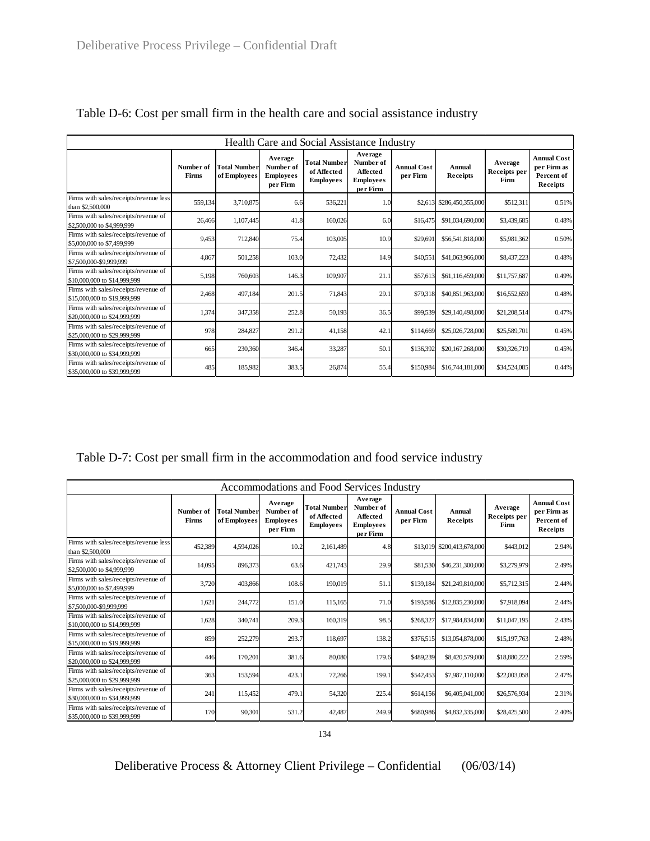|                                                                      | Health Care and Social Assistance Industry |                                     |                                                      |                                                        |                                                                  |                                |                           |                                 |                                                             |  |  |  |  |  |  |
|----------------------------------------------------------------------|--------------------------------------------|-------------------------------------|------------------------------------------------------|--------------------------------------------------------|------------------------------------------------------------------|--------------------------------|---------------------------|---------------------------------|-------------------------------------------------------------|--|--|--|--|--|--|
|                                                                      | Number of<br>Firms                         | <b>Total Number</b><br>of Employees | Average<br>Number of<br><b>Employees</b><br>per Firm | <b>Total Number</b><br>of Affected<br><b>Employees</b> | Average<br>Number of<br>Affected<br><b>Employees</b><br>per Firm | <b>Annual Cost</b><br>per Firm | <b>Annual</b><br>Receipts | Average<br>Receipts per<br>Firm | <b>Annual Cost</b><br>per Firm as<br>Percent of<br>Receipts |  |  |  |  |  |  |
| Firms with sales/receipts/revenue less<br>than \$2,500,000           | 559,134                                    | 3,710,875                           | 6.6                                                  | 536,221                                                | 1.0                                                              |                                | \$2,613 \$286,450,355,000 | \$512,311                       | 0.51%                                                       |  |  |  |  |  |  |
| Firms with sales/receipts/revenue of<br>\$2,500,000 to \$4,999,999   | 26,466                                     | 1,107,445                           | 41.8                                                 | 160,026                                                | 6.0                                                              | \$16,475                       | \$91,034,690,000          | \$3,439,685                     | 0.48%                                                       |  |  |  |  |  |  |
| Firms with sales/receipts/revenue of<br>\$5,000,000 to \$7,499,999   | 9,453                                      | 712,840                             | 75.4                                                 | 103,005                                                | 10.9                                                             | \$29,691                       | \$56,541,818,000          | \$5,981,362                     | 0.50%                                                       |  |  |  |  |  |  |
| Firms with sales/receipts/revenue of<br>\$7,500,000-\$9,999,999      | 4.867                                      | 501,258                             | 103.0                                                | 72,432                                                 | 14.9                                                             | \$40,551                       | \$41,063,966,000          | \$8,437,223                     | 0.48%                                                       |  |  |  |  |  |  |
| Firms with sales/receipts/revenue of<br>\$10,000,000 to \$14,999.999 | 5,198                                      | 760,603                             | 146.3                                                | 109,907                                                | 21.1                                                             | \$57,613                       | \$61,116,459,000          | \$11,757,687                    | 0.49%                                                       |  |  |  |  |  |  |
| Firms with sales/receipts/revenue of<br>\$15,000,000 to \$19,999,999 | 2,468                                      | 497,184                             | 201.5                                                | 71,843                                                 | 29.1                                                             | \$79,318                       | \$40,851,963,000          | \$16,552,659                    | 0.48%                                                       |  |  |  |  |  |  |
| Firms with sales/receipts/revenue of<br>\$20,000,000 to \$24,999,999 | 1,374                                      | 347,358                             | 252.8                                                | 50,193                                                 | 36.5                                                             | \$99,539                       | \$29,140,498,000          | \$21,208,514                    | 0.47%                                                       |  |  |  |  |  |  |
| Firms with sales/receipts/revenue of<br>\$25,000,000 to \$29,999,999 | 978                                        | 284,827                             | 291.2                                                | 41,158                                                 | 42.1                                                             | \$114,669                      | \$25,026,728,000          | \$25,589,701                    | 0.45%                                                       |  |  |  |  |  |  |
| Firms with sales/receipts/revenue of<br>\$30,000,000 to \$34,999,999 | 665                                        | 230,360                             | 346.4                                                | 33,287                                                 | 50.1                                                             | \$136,392                      | \$20,167,268,000          | \$30,326,719                    | 0.45%                                                       |  |  |  |  |  |  |
| Firms with sales/receipts/revenue of<br>\$35,000,000 to \$39,999,999 | 485                                        | 185,982                             | 383.5                                                | 26,874                                                 | 55.4                                                             | \$150,984                      | \$16,744,181,000          | \$34,524,085                    | 0.44%                                                       |  |  |  |  |  |  |

# Table D-6: Cost per small firm in the health care and social assistance industry

Table D-7: Cost per small firm in the accommodation and food service industry

| Accommodations and Food Services Industry                            |                    |                                     |                                                      |                                                        |                                                                  |                                |                            |                                        |                                                             |
|----------------------------------------------------------------------|--------------------|-------------------------------------|------------------------------------------------------|--------------------------------------------------------|------------------------------------------------------------------|--------------------------------|----------------------------|----------------------------------------|-------------------------------------------------------------|
|                                                                      | Number of<br>Firms | <b>Total Number</b><br>of Employees | Average<br>Number of<br><b>Employees</b><br>per Firm | <b>Total Number</b><br>of Affected<br><b>Employees</b> | Average<br>Number of<br>Affected<br><b>Employees</b><br>per Firm | <b>Annual Cost</b><br>per Firm | <b>Annual</b><br>Receipts  | Average<br>Receipts per<br><b>Firm</b> | <b>Annual Cost</b><br>per Firm as<br>Percent of<br>Receipts |
| Firms with sales/receipts/revenue less<br>than \$2,500,000           | 452,389            | 4,594,026                           | 10.2                                                 | 2,161,489                                              | 4.8                                                              |                                | \$13,019 \$200,413,678,000 | \$443,012                              | 2.94%                                                       |
| Firms with sales/receipts/revenue of<br>\$2,500,000 to \$4,999,999   | 14,095             | 896,373                             | 63.6                                                 | 421.743                                                | 29.9                                                             | \$81,530                       | \$46,231,300,000           | \$3,279,979                            | 2.49%                                                       |
| Firms with sales/receipts/revenue of<br>\$5,000,000 to \$7,499,999   | 3,720              | 403,866                             | 108.6                                                | 190,019                                                | 51.1                                                             | \$139,184                      | \$21,249,810,000           | \$5,712,315                            | 2.44%                                                       |
| Firms with sales/receipts/revenue of<br>\$7,500,000-\$9,999,999      | 1.621              | 244,772                             | 151.0                                                | 115.165                                                | 71.0                                                             | \$193,586                      | \$12,835,230,000           | \$7,918,094                            | 2.44%                                                       |
| Firms with sales/receipts/revenue of<br>\$10,000,000 to \$14,999,999 | 1,628              | 340,741                             | 209.3                                                | 160,319                                                | 98.5                                                             | \$268,327                      | \$17,984,834,000           | \$11,047,195                           | 2.43%                                                       |
| Firms with sales/receipts/revenue of<br>\$15,000,000 to \$19,999,999 | 859                | 252,279                             | 293.7                                                | 118,697                                                | 138.2                                                            | \$376,515                      | \$13,054,878,000           | \$15,197,763                           | 2.48%                                                       |
| Firms with sales/receipts/revenue of<br>\$20,000,000 to \$24,999,999 | 446                | 170,201                             | 381.6                                                | 80,080                                                 | 179.6                                                            | \$489,239                      | \$8,420,579,000            | \$18,880,222                           | 2.59%                                                       |
| Firms with sales/receipts/revenue of<br>\$25,000,000 to \$29,999,999 | 363                | 153,594                             | 423.1                                                | 72,266                                                 | 199.1                                                            | \$542,453                      | \$7,987,110,000            | \$22,003,058                           | 2.47%                                                       |
| Firms with sales/receipts/revenue of<br>\$30,000,000 to \$34,999,999 | 241                | 115,452                             | 479.1                                                | 54,320                                                 | 225.4                                                            | \$614,156                      | \$6,405,041,000            | \$26,576,934                           | 2.31%                                                       |
| Firms with sales/receipts/revenue of<br>\$35,000,000 to \$39,999,999 | 170                | 90,301                              | 531.2                                                | 42,487                                                 | 249.9                                                            | \$680,986                      | \$4,832,335,000            | \$28,425,500                           | 2.40%                                                       |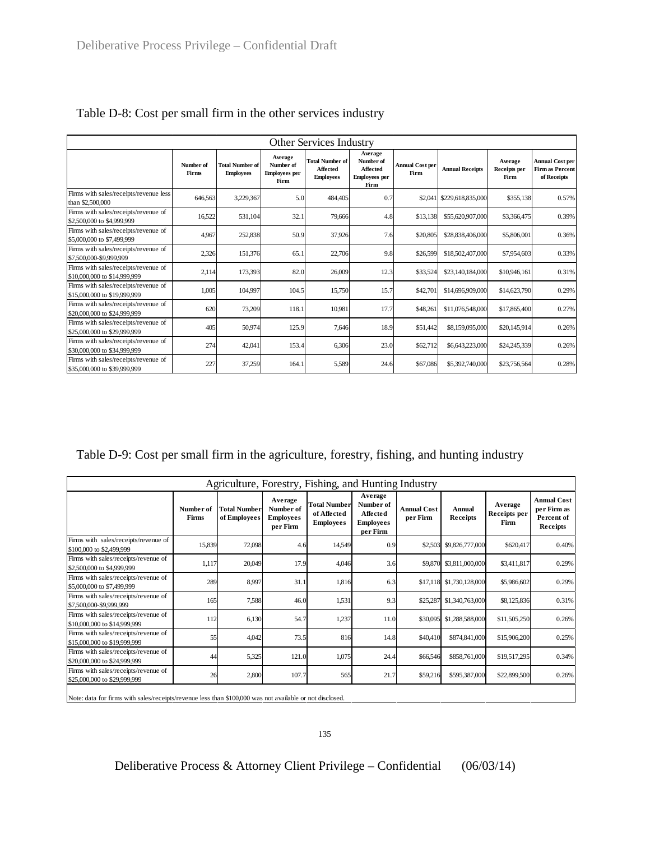| <b>Other Services Industry</b>                                       |                    |                                            |                                                      |                                                               |                                                                         |                                |                           |                                 |                                                                 |
|----------------------------------------------------------------------|--------------------|--------------------------------------------|------------------------------------------------------|---------------------------------------------------------------|-------------------------------------------------------------------------|--------------------------------|---------------------------|---------------------------------|-----------------------------------------------------------------|
|                                                                      | Number of<br>Firms | <b>Total Number of</b><br><b>Employees</b> | Average<br>Number of<br><b>Employees</b> per<br>Firm | <b>Total Number of</b><br><b>Affected</b><br><b>Employees</b> | Average<br>Number of<br><b>Affected</b><br><b>Employees</b> per<br>Firm | <b>Annual Cost per</b><br>Firm | <b>Annual Receipts</b>    | Average<br>Receipts per<br>Firm | <b>Annual Cost per</b><br><b>Firm as Percent</b><br>of Receipts |
| Firms with sales/receipts/revenue less<br>than \$2,500,000           | 646.563            | 3,229,367                                  | 5.0                                                  | 484,405                                                       | 0.7                                                                     |                                | \$2,041 \$229,618,835,000 | \$355,138                       | 0.57%                                                           |
| Firms with sales/receipts/revenue of<br>\$2,500,000 to \$4,999,999   | 16,522             | 531,104                                    | 32.1                                                 | 79,666                                                        | 4.8                                                                     | \$13,138                       | \$55,620,907,000          | \$3,366,475                     | 0.39%                                                           |
| Firms with sales/receipts/revenue of<br>\$5,000,000 to \$7,499,999   | 4.967              | 252,838                                    | 50.9                                                 | 37,926                                                        | 7.6                                                                     | \$20,805                       | \$28,838,406,000          | \$5,806,001                     | 0.36%                                                           |
| Firms with sales/receipts/revenue of<br>\$7,500,000-\$9,999,999      | 2,326              | 151,376                                    | 65.1                                                 | 22,706                                                        | 9.8                                                                     | \$26,599                       | \$18,502,407,000          | \$7,954,603                     | 0.33%                                                           |
| Firms with sales/receipts/revenue of<br>\$10,000,000 to \$14,999.999 | 2,114              | 173,393                                    | 82.0                                                 | 26,009                                                        | 12.3                                                                    | \$33,524                       | \$23,140,184,000          | \$10,946,161                    | 0.31%                                                           |
| Firms with sales/receipts/revenue of<br>\$15,000,000 to \$19,999,999 | 1,005              | 104,997                                    | 104.5                                                | 15,750                                                        | 15.7                                                                    | \$42,701                       | \$14,696,909,000          | \$14,623,790                    | 0.29%                                                           |
| Firms with sales/receipts/revenue of<br>\$20,000,000 to \$24,999.999 | 620                | 73,209                                     | 118.1                                                | 10,981                                                        | 17.7                                                                    | \$48,261                       | \$11,076,548,000          | \$17,865,400                    | 0.27%                                                           |
| Firms with sales/receipts/revenue of<br>\$25,000,000 to \$29,999.999 | 405                | 50,974                                     | 125.9                                                | 7,646                                                         | 18.9                                                                    | \$51,442                       | \$8,159,095,000           | \$20,145,914                    | 0.26%                                                           |
| Firms with sales/receipts/revenue of<br>\$30,000,000 to \$34,999.999 | 274                | 42,041                                     | 153.4                                                | 6,306                                                         | 23.0                                                                    | \$62,712                       | \$6,643,223,000           | \$24,245,339                    | 0.26%                                                           |
| Firms with sales/receipts/revenue of<br>\$35,000,000 to \$39,999,999 | 227                | 37,259                                     | 164.1                                                | 5,589                                                         | 24.6                                                                    | \$67,086                       | \$5,392,740,000           | \$23,756,564                    | 0.28%                                                           |

| Table D-8: Cost per small firm in the other services industry |  |  |  |  |
|---------------------------------------------------------------|--|--|--|--|
|---------------------------------------------------------------|--|--|--|--|

Table D-9: Cost per small firm in the agriculture, forestry, fishing, and hunting industry

| Agriculture, Forestry, Fishing, and Hunting Industry                                      |                    |                                     |                                                      |                                                        |                                                                         |                                |                          |                                 |                                                             |
|-------------------------------------------------------------------------------------------|--------------------|-------------------------------------|------------------------------------------------------|--------------------------------------------------------|-------------------------------------------------------------------------|--------------------------------|--------------------------|---------------------------------|-------------------------------------------------------------|
|                                                                                           | Number of<br>Firms | <b>Total Number</b><br>of Employees | Average<br>Number of<br><b>Employees</b><br>per Firm | <b>Total Number</b><br>of Affected<br><b>Employees</b> | Average<br>Number of<br><b>Affected</b><br><b>Employees</b><br>per Firm | <b>Annual Cost</b><br>per Firm | Annual<br>Receipts       | Average<br>Receipts per<br>Firm | <b>Annual Cost</b><br>per Firm as<br>Percent of<br>Receipts |
| Firms with sales/receipts/revenue of<br>\$100,000 to \$2,499,999                          | 15,839             | 72,098                              | 4.6                                                  | 14,549                                                 | 0.9                                                                     | \$2,503                        | \$9,826,777,000          | \$620,417                       | 0.40%                                                       |
| Firms with sales/receipts/revenue of<br>\$2,500,000 to \$4,999,999                        | 1,117              | 20,049                              | 17.9                                                 | 4,046                                                  | 3.6                                                                     |                                | \$9,870 \$3,811,000,000  | \$3,411,817                     | 0.29%                                                       |
| Firms with sales/receipts/revenue of<br>\$5,000,000 to \$7,499,999                        | 289                | 8,997                               | 31.1                                                 | 1,816                                                  | 6.3                                                                     |                                | \$17,118 \$1,730,128,000 | \$5,986,602                     | 0.29%                                                       |
| Firms with sales/receipts/revenue of<br>\$7,500,000-\$9,999,999                           | 165                | 7,588                               | 46.0                                                 | 1,531                                                  | 9.3                                                                     | \$25,287                       | \$1,340,763,000          | \$8,125,836                     | 0.31%                                                       |
| Firms with sales/receipts/revenue of<br>\$10,000,000 to \$14,999.999                      | 112                | 6,130                               | 54.7                                                 | 1,237                                                  | 11.0                                                                    | \$30,095                       | \$1,288,588,000          | \$11,505,250                    | 0.26%                                                       |
| Firms with sales/receipts/revenue of<br>\$15,000,000 to \$19,999,999                      | 55                 | 4,042                               | 73.5                                                 | 816                                                    | 14.8                                                                    | \$40,410                       | \$874,841,000            | \$15,906,200                    | 0.25%                                                       |
| Firms with sales/receipts/revenue of<br>\$20,000,000 to \$24,999.999                      | 44                 | 5,325                               | 121.0                                                | 1,075                                                  | 24.4                                                                    | \$66,546                       | \$858,761,000            | \$19,517,295                    | 0.34%                                                       |
| Firms with sales/receipts/revenue of<br>\$25,000,000 to \$29,999,999                      | 26                 | 2,800                               | 107.7                                                | 565                                                    | 21.7                                                                    | \$59,216                       | \$595,387,000            | \$22,899,500                    | 0.26%                                                       |
| .<br>$\bullet$ $\bullet$ $\bullet$ $\bullet$ $\bullet$ $\bullet$ $\bullet$ $\bullet$<br>. |                    |                                     |                                                      |                                                        |                                                                         |                                |                          |                                 |                                                             |

Note: data for firms with sales/receipts/revenue less than \$100,000 was not available or not disclosed.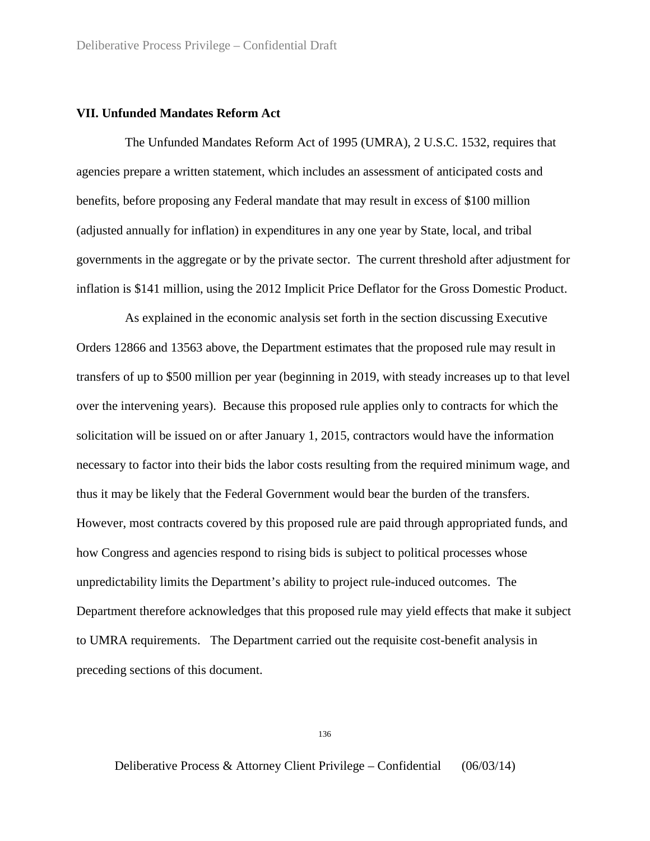## **VII. Unfunded Mandates Reform Act**

The Unfunded Mandates Reform Act of 1995 (UMRA), 2 U.S.C. 1532, requires that agencies prepare a written statement, which includes an assessment of anticipated costs and benefits, before proposing any Federal mandate that may result in excess of \$100 million (adjusted annually for inflation) in expenditures in any one year by State, local, and tribal governments in the aggregate or by the private sector. The current threshold after adjustment for inflation is \$141 million, using the 2012 Implicit Price Deflator for the Gross Domestic Product.

As explained in the economic analysis set forth in the section discussing Executive Orders 12866 and 13563 above, the Department estimates that the proposed rule may result in transfers of up to \$500 million per year (beginning in 2019, with steady increases up to that level over the intervening years). Because this proposed rule applies only to contracts for which the solicitation will be issued on or after January 1, 2015, contractors would have the information necessary to factor into their bids the labor costs resulting from the required minimum wage, and thus it may be likely that the Federal Government would bear the burden of the transfers. However, most contracts covered by this proposed rule are paid through appropriated funds, and how Congress and agencies respond to rising bids is subject to political processes whose unpredictability limits the Department's ability to project rule-induced outcomes. The Department therefore acknowledges that this proposed rule may yield effects that make it subject to UMRA requirements. The Department carried out the requisite cost-benefit analysis in preceding sections of this document.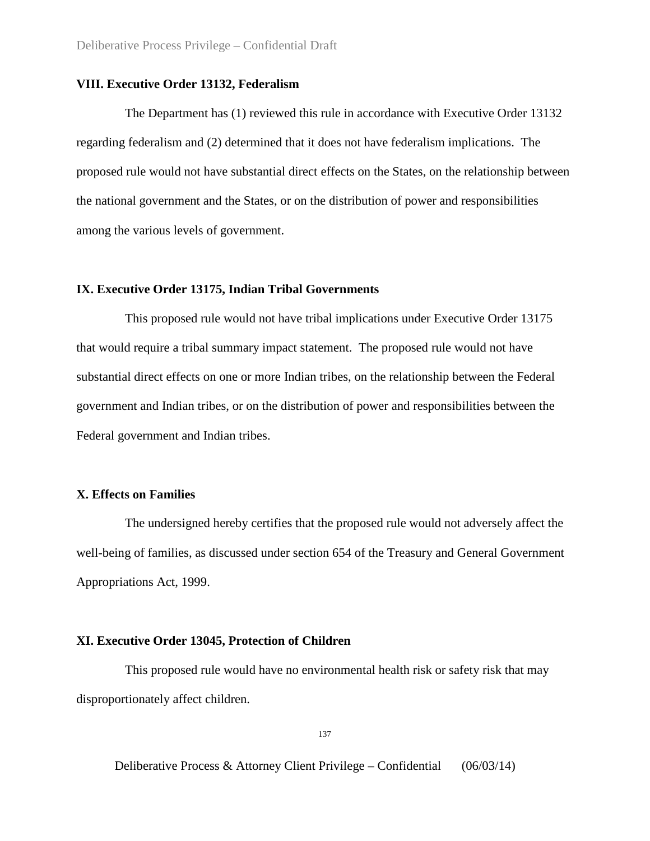## **VIII. Executive Order 13132, Federalism**

The Department has (1) reviewed this rule in accordance with Executive Order 13132 regarding federalism and (2) determined that it does not have federalism implications. The proposed rule would not have substantial direct effects on the States, on the relationship between the national government and the States, or on the distribution of power and responsibilities among the various levels of government.

## **IX. Executive Order 13175, Indian Tribal Governments**

This proposed rule would not have tribal implications under Executive Order 13175 that would require a tribal summary impact statement. The proposed rule would not have substantial direct effects on one or more Indian tribes, on the relationship between the Federal government and Indian tribes, or on the distribution of power and responsibilities between the Federal government and Indian tribes.

## **X. Effects on Families**

The undersigned hereby certifies that the proposed rule would not adversely affect the well-being of families, as discussed under section 654 of the Treasury and General Government Appropriations Act, 1999.

### **XI. Executive Order 13045, Protection of Children**

This proposed rule would have no environmental health risk or safety risk that may disproportionately affect children.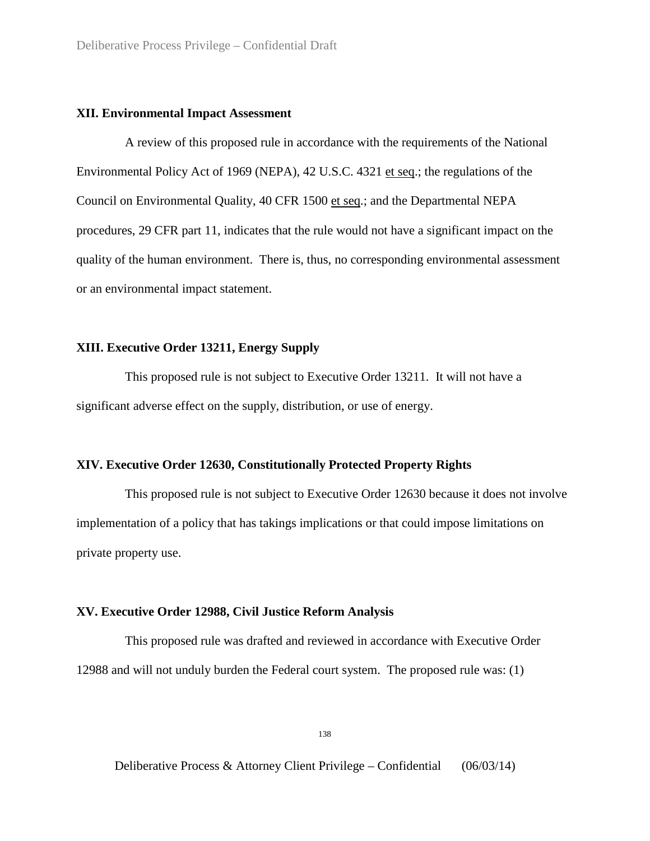## **XII. Environmental Impact Assessment**

A review of this proposed rule in accordance with the requirements of the National Environmental Policy Act of 1969 (NEPA), 42 U.S.C. 4321 et seq.; the regulations of the Council on Environmental Quality, 40 CFR 1500 et seq.; and the Departmental NEPA procedures, 29 CFR part 11, indicates that the rule would not have a significant impact on the quality of the human environment. There is, thus, no corresponding environmental assessment or an environmental impact statement.

## **XIII. Executive Order 13211, Energy Supply**

This proposed rule is not subject to Executive Order 13211. It will not have a significant adverse effect on the supply, distribution, or use of energy.

#### **XIV. Executive Order 12630, Constitutionally Protected Property Rights**

This proposed rule is not subject to Executive Order 12630 because it does not involve implementation of a policy that has takings implications or that could impose limitations on private property use.

## **XV. Executive Order 12988, Civil Justice Reform Analysis**

This proposed rule was drafted and reviewed in accordance with Executive Order 12988 and will not unduly burden the Federal court system. The proposed rule was: (1)

138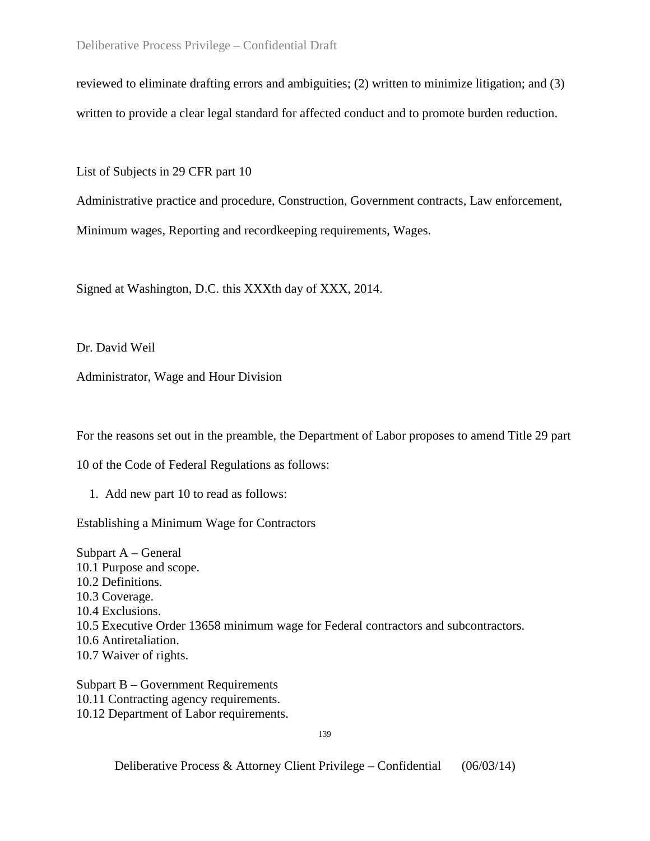reviewed to eliminate drafting errors and ambiguities; (2) written to minimize litigation; and (3) written to provide a clear legal standard for affected conduct and to promote burden reduction.

List of Subjects in 29 CFR part 10

Administrative practice and procedure, Construction, Government contracts, Law enforcement, Minimum wages, Reporting and recordkeeping requirements, Wages.

Signed at Washington, D.C. this XXXth day of XXX, 2014.

Dr. David Weil

Administrator, Wage and Hour Division

For the reasons set out in the preamble, the Department of Labor proposes to amend Title 29 part

10 of the Code of Federal Regulations as follows:

1. Add new part 10 to read as follows:

Establishing a Minimum Wage for Contractors

Subpart A – General 10.1 Purpose and scope. 10.2 Definitions. 10.3 Coverage. 10.4 Exclusions. 10.5 Executive Order 13658 minimum wage for Federal contractors and subcontractors. 10.6 Antiretaliation. 10.7 Waiver of rights.

Subpart B – Government Requirements 10.11 Contracting agency requirements. 10.12 Department of Labor requirements.

139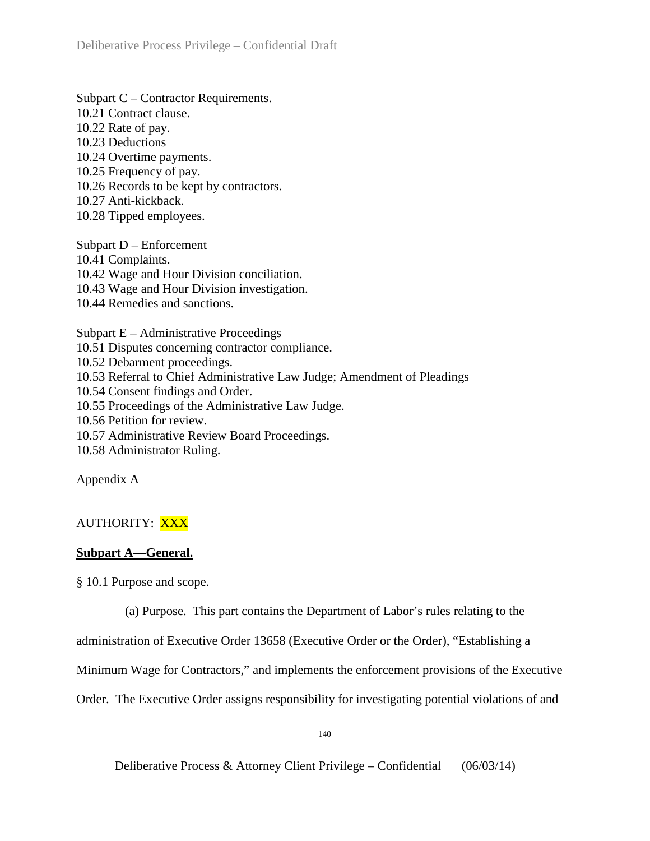Subpart C – Contractor Requirements. 10.21 Contract clause. 10.22 Rate of pay. 10.23 Deductions 10.24 Overtime payments. 10.25 Frequency of pay. 10.26 Records to be kept by contractors. 10.27 Anti-kickback. 10.28 Tipped employees.

Subpart D – Enforcement 10.41 Complaints. 10.42 Wage and Hour Division conciliation. 10.43 Wage and Hour Division investigation. 10.44 Remedies and sanctions.

Subpart E – Administrative Proceedings 10.51 Disputes concerning contractor compliance. 10.52 Debarment proceedings. 10.53 Referral to Chief Administrative Law Judge; Amendment of Pleadings 10.54 Consent findings and Order. 10.55 Proceedings of the Administrative Law Judge. 10.56 Petition for review. 10.57 Administrative Review Board Proceedings. 10.58 Administrator Ruling.

Appendix A

# AUTHORITY: XXX

## **Subpart A—General.**

§ 10.1 Purpose and scope.

(a) Purpose. This part contains the Department of Labor's rules relating to the

administration of Executive Order 13658 (Executive Order or the Order), "Establishing a

Minimum Wage for Contractors," and implements the enforcement provisions of the Executive

Order. The Executive Order assigns responsibility for investigating potential violations of and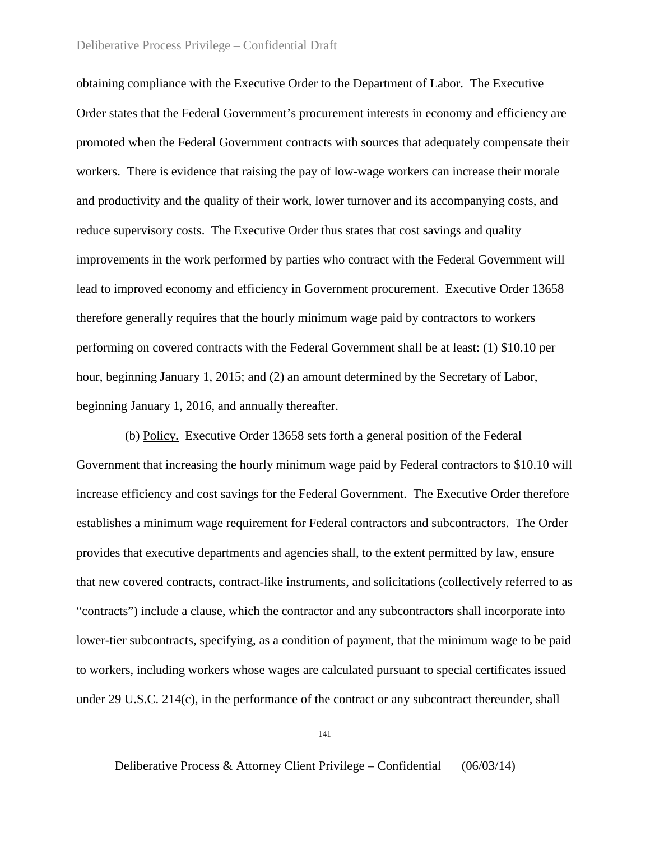## Deliberative Process Privilege – Confidential Draft

obtaining compliance with the Executive Order to the Department of Labor. The Executive Order states that the Federal Government's procurement interests in economy and efficiency are promoted when the Federal Government contracts with sources that adequately compensate their workers. There is evidence that raising the pay of low-wage workers can increase their morale and productivity and the quality of their work, lower turnover and its accompanying costs, and reduce supervisory costs. The Executive Order thus states that cost savings and quality improvements in the work performed by parties who contract with the Federal Government will lead to improved economy and efficiency in Government procurement. Executive Order 13658 therefore generally requires that the hourly minimum wage paid by contractors to workers performing on covered contracts with the Federal Government shall be at least: (1) \$10.10 per hour, beginning January 1, 2015; and (2) an amount determined by the Secretary of Labor, beginning January 1, 2016, and annually thereafter.

(b) Policy. Executive Order 13658 sets forth a general position of the Federal Government that increasing the hourly minimum wage paid by Federal contractors to \$10.10 will increase efficiency and cost savings for the Federal Government. The Executive Order therefore establishes a minimum wage requirement for Federal contractors and subcontractors. The Order provides that executive departments and agencies shall, to the extent permitted by law, ensure that new covered contracts, contract-like instruments, and solicitations (collectively referred to as "contracts") include a clause, which the contractor and any subcontractors shall incorporate into lower-tier subcontracts, specifying, as a condition of payment, that the minimum wage to be paid to workers, including workers whose wages are calculated pursuant to special certificates issued under 29 U.S.C. 214(c), in the performance of the contract or any subcontract thereunder, shall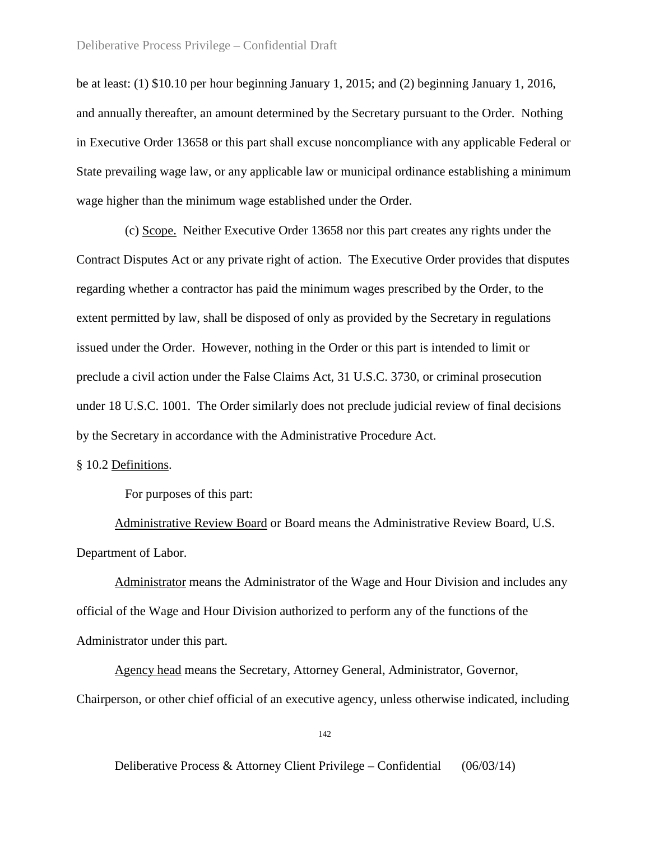be at least: (1) \$10.10 per hour beginning January 1, 2015; and (2) beginning January 1, 2016, and annually thereafter, an amount determined by the Secretary pursuant to the Order. Nothing in Executive Order 13658 or this part shall excuse noncompliance with any applicable Federal or State prevailing wage law, or any applicable law or municipal ordinance establishing a minimum wage higher than the minimum wage established under the Order.

(c) Scope. Neither Executive Order 13658 nor this part creates any rights under the Contract Disputes Act or any private right of action. The Executive Order provides that disputes regarding whether a contractor has paid the minimum wages prescribed by the Order, to the extent permitted by law, shall be disposed of only as provided by the Secretary in regulations issued under the Order. However, nothing in the Order or this part is intended to limit or preclude a civil action under the False Claims Act, 31 U.S.C. 3730, or criminal prosecution under 18 U.S.C. 1001. The Order similarly does not preclude judicial review of final decisions by the Secretary in accordance with the Administrative Procedure Act.

## § 10.2 Definitions.

For purposes of this part:

Administrative Review Board or Board means the Administrative Review Board, U.S. Department of Labor.

Administrator means the Administrator of the Wage and Hour Division and includes any official of the Wage and Hour Division authorized to perform any of the functions of the Administrator under this part.

Agency head means the Secretary, Attorney General, Administrator, Governor, Chairperson, or other chief official of an executive agency, unless otherwise indicated, including

142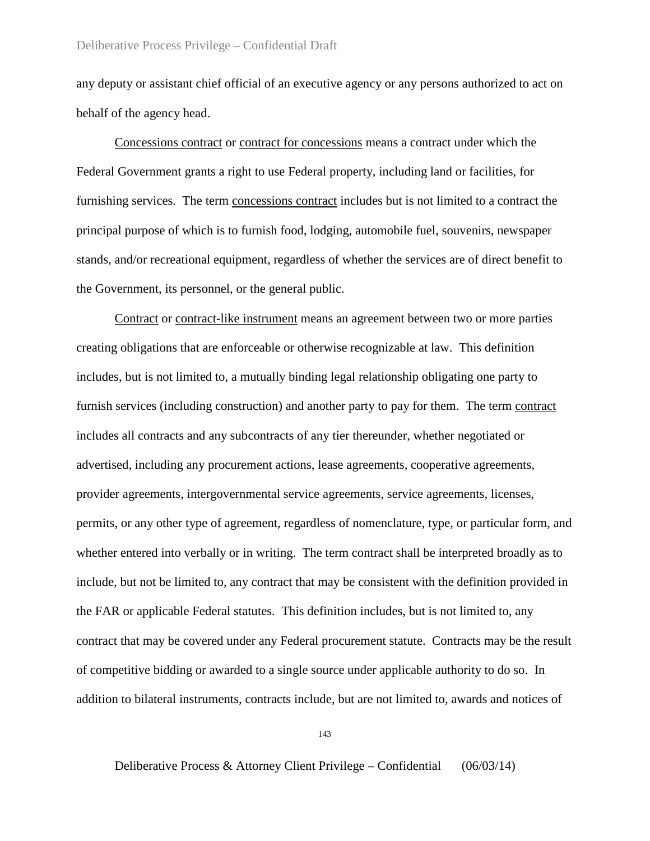any deputy or assistant chief official of an executive agency or any persons authorized to act on behalf of the agency head.

Concessions contract or contract for concessions means a contract under which the Federal Government grants a right to use Federal property, including land or facilities, for furnishing services. The term concessions contract includes but is not limited to a contract the principal purpose of which is to furnish food, lodging, automobile fuel, souvenirs, newspaper stands, and/or recreational equipment, regardless of whether the services are of direct benefit to the Government, its personnel, or the general public.

Contract or contract-like instrument means an agreement between two or more parties creating obligations that are enforceable or otherwise recognizable at law. This definition includes, but is not limited to, a mutually binding legal relationship obligating one party to furnish services (including construction) and another party to pay for them. The term contract includes all contracts and any subcontracts of any tier thereunder, whether negotiated or advertised, including any procurement actions, lease agreements, cooperative agreements, provider agreements, intergovernmental service agreements, service agreements, licenses, permits, or any other type of agreement, regardless of nomenclature, type, or particular form, and whether entered into verbally or in writing. The term contract shall be interpreted broadly as to include, but not be limited to, any contract that may be consistent with the definition provided in the FAR or applicable Federal statutes. This definition includes, but is not limited to, any contract that may be covered under any Federal procurement statute. Contracts may be the result of competitive bidding or awarded to a single source under applicable authority to do so. In addition to bilateral instruments, contracts include, but are not limited to, awards and notices of

143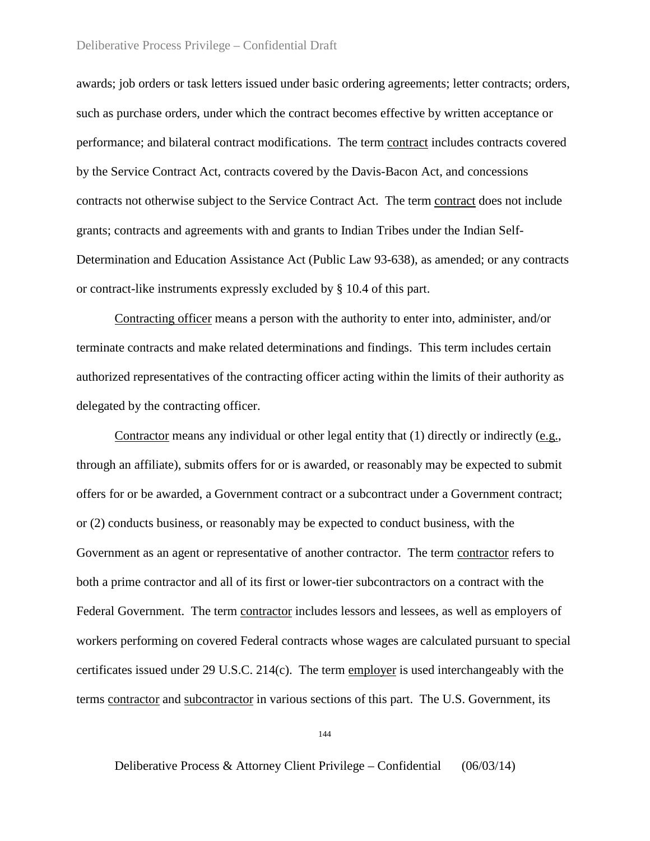## Deliberative Process Privilege – Confidential Draft

awards; job orders or task letters issued under basic ordering agreements; letter contracts; orders, such as purchase orders, under which the contract becomes effective by written acceptance or performance; and bilateral contract modifications. The term contract includes contracts covered by the Service Contract Act, contracts covered by the Davis-Bacon Act, and concessions contracts not otherwise subject to the Service Contract Act. The term contract does not include grants; contracts and agreements with and grants to Indian Tribes under the Indian Self-Determination and Education Assistance Act (Public Law 93-638), as amended; or any contracts or contract-like instruments expressly excluded by § 10.4 of this part.

Contracting officer means a person with the authority to enter into, administer, and/or terminate contracts and make related determinations and findings. This term includes certain authorized representatives of the contracting officer acting within the limits of their authority as delegated by the contracting officer.

Contractor means any individual or other legal entity that (1) directly or indirectly (e.g., through an affiliate), submits offers for or is awarded, or reasonably may be expected to submit offers for or be awarded, a Government contract or a subcontract under a Government contract; or (2) conducts business, or reasonably may be expected to conduct business, with the Government as an agent or representative of another contractor. The term contractor refers to both a prime contractor and all of its first or lower-tier subcontractors on a contract with the Federal Government. The term contractor includes lessors and lessees, as well as employers of workers performing on covered Federal contracts whose wages are calculated pursuant to special certificates issued under 29 U.S.C. 214(c). The term employer is used interchangeably with the terms contractor and subcontractor in various sections of this part. The U.S. Government, its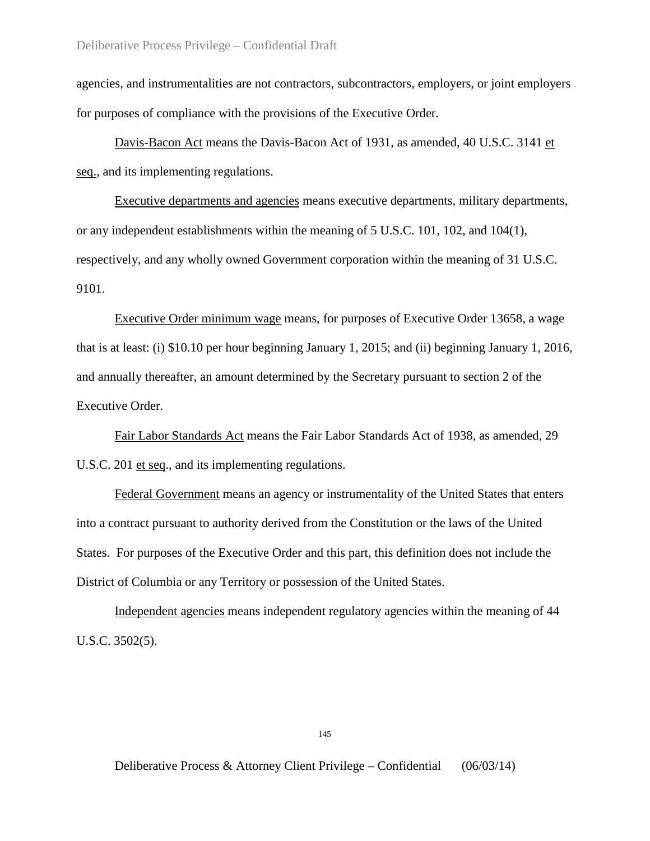agencies, and instrumentalities are not contractors, subcontractors, employers, or joint employers for purposes of compliance with the provisions of the Executive Order.

Davis-Bacon Act means the Davis-Bacon Act of 1931, as amended, 40 U.S.C. 3141 et seq., and its implementing regulations.

Executive departments and agencies means executive departments, military departments, or any independent establishments within the meaning of 5 U.S.C. 101, 102, and 104(1), respectively, and any wholly owned Government corporation within the meaning of 31 U.S.C. 9101.

Executive Order minimum wage means, for purposes of Executive Order 13658, a wage that is at least: (i) \$10.10 per hour beginning January 1, 2015; and (ii) beginning January 1, 2016, and annually thereafter, an amount determined by the Secretary pursuant to section 2 of the Executive Order.

Fair Labor Standards Act means the Fair Labor Standards Act of 1938, as amended, 29 U.S.C. 201 et seq., and its implementing regulations.

Federal Government means an agency or instrumentality of the United States that enters into a contract pursuant to authority derived from the Constitution or the laws of the United States. For purposes of the Executive Order and this part, this definition does not include the District of Columbia or any Territory or possession of the United States.

Independent agencies means independent regulatory agencies within the meaning of 44 U.S.C. 3502(5).

145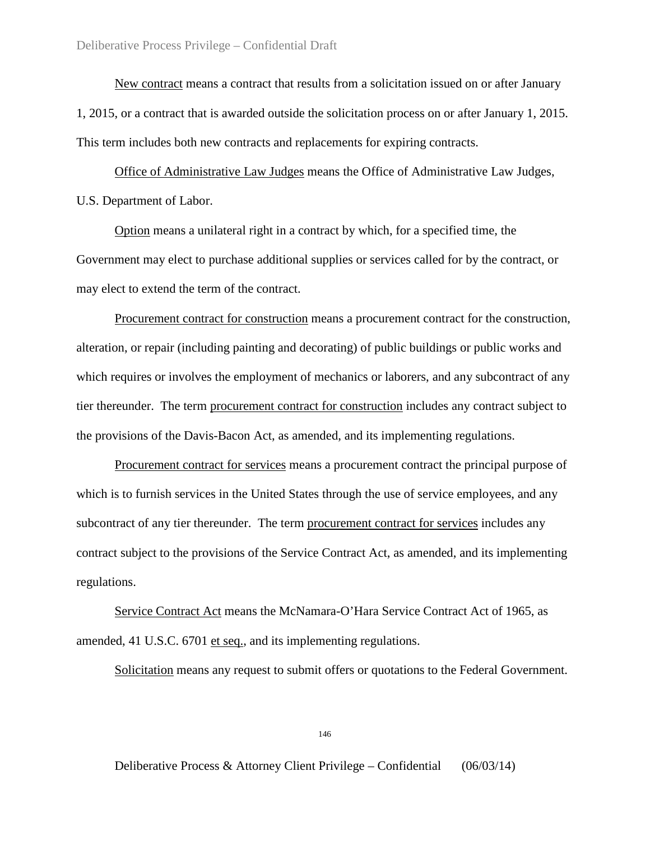New contract means a contract that results from a solicitation issued on or after January 1, 2015, or a contract that is awarded outside the solicitation process on or after January 1, 2015. This term includes both new contracts and replacements for expiring contracts.

Office of Administrative Law Judges means the Office of Administrative Law Judges, U.S. Department of Labor.

Option means a unilateral right in a contract by which, for a specified time, the Government may elect to purchase additional supplies or services called for by the contract, or may elect to extend the term of the contract.

Procurement contract for construction means a procurement contract for the construction, alteration, or repair (including painting and decorating) of public buildings or public works and which requires or involves the employment of mechanics or laborers, and any subcontract of any tier thereunder. The term procurement contract for construction includes any contract subject to the provisions of the Davis-Bacon Act, as amended, and its implementing regulations.

Procurement contract for services means a procurement contract the principal purpose of which is to furnish services in the United States through the use of service employees, and any subcontract of any tier thereunder. The term procurement contract for services includes any contract subject to the provisions of the Service Contract Act, as amended, and its implementing regulations.

Service Contract Act means the McNamara-O'Hara Service Contract Act of 1965, as amended, 41 U.S.C. 6701 et seq., and its implementing regulations.

Solicitation means any request to submit offers or quotations to the Federal Government.

146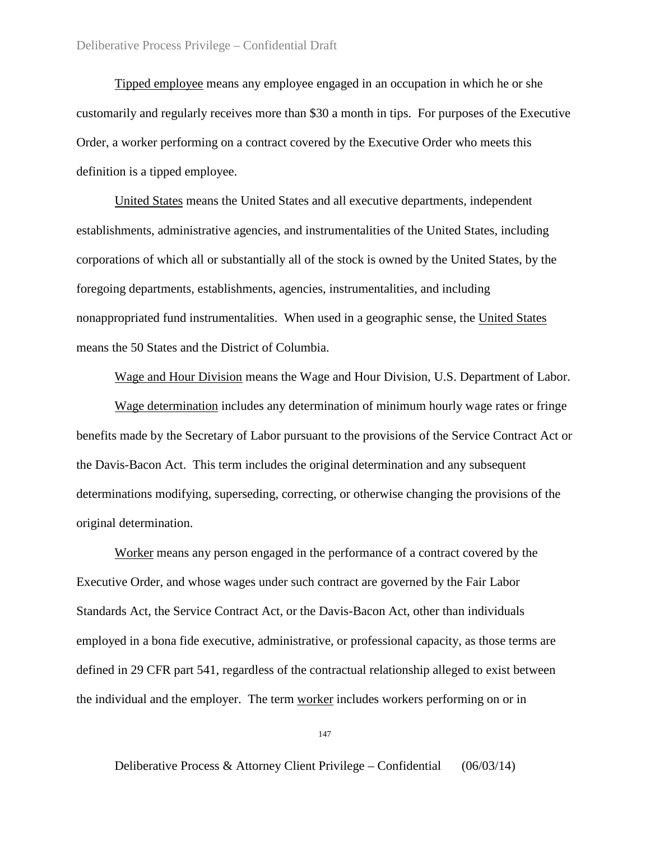Tipped employee means any employee engaged in an occupation in which he or she customarily and regularly receives more than \$30 a month in tips. For purposes of the Executive Order, a worker performing on a contract covered by the Executive Order who meets this definition is a tipped employee.

United States means the United States and all executive departments, independent establishments, administrative agencies, and instrumentalities of the United States, including corporations of which all or substantially all of the stock is owned by the United States, by the foregoing departments, establishments, agencies, instrumentalities, and including nonappropriated fund instrumentalities. When used in a geographic sense, the United States means the 50 States and the District of Columbia.

Wage and Hour Division means the Wage and Hour Division, U.S. Department of Labor.

Wage determination includes any determination of minimum hourly wage rates or fringe benefits made by the Secretary of Labor pursuant to the provisions of the Service Contract Act or the Davis-Bacon Act. This term includes the original determination and any subsequent determinations modifying, superseding, correcting, or otherwise changing the provisions of the original determination.

Worker means any person engaged in the performance of a contract covered by the Executive Order, and whose wages under such contract are governed by the Fair Labor Standards Act, the Service Contract Act, or the Davis-Bacon Act, other than individuals employed in a bona fide executive, administrative, or professional capacity, as those terms are defined in 29 CFR part 541, regardless of the contractual relationship alleged to exist between the individual and the employer. The term worker includes workers performing on or in

147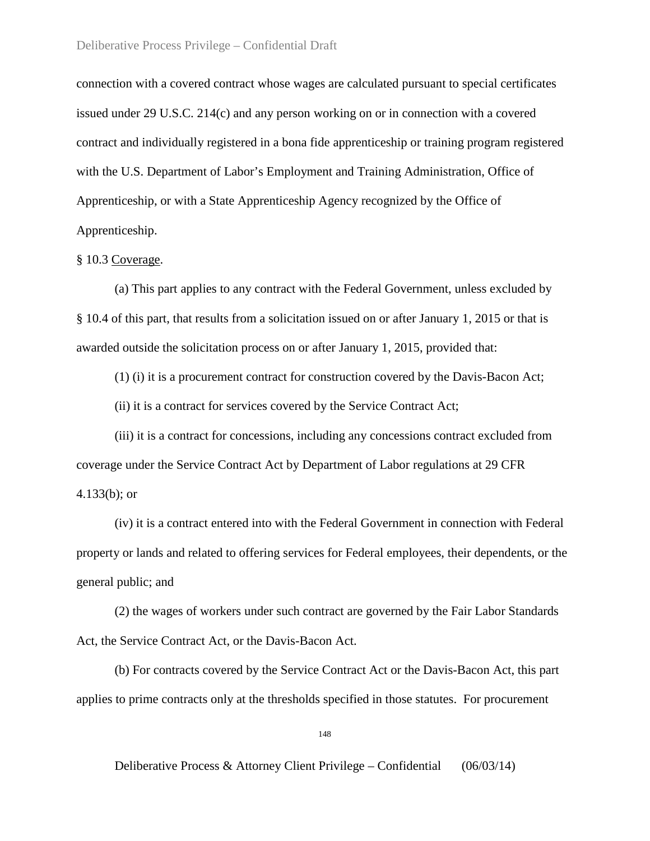connection with a covered contract whose wages are calculated pursuant to special certificates issued under 29 U.S.C. 214(c) and any person working on or in connection with a covered contract and individually registered in a bona fide apprenticeship or training program registered with the U.S. Department of Labor's Employment and Training Administration, Office of Apprenticeship, or with a State Apprenticeship Agency recognized by the Office of Apprenticeship.

# § 10.3 Coverage.

(a) This part applies to any contract with the Federal Government, unless excluded by § 10.4 of this part, that results from a solicitation issued on or after January 1, 2015 or that is awarded outside the solicitation process on or after January 1, 2015, provided that:

(1) (i) it is a procurement contract for construction covered by the Davis-Bacon Act;

(ii) it is a contract for services covered by the Service Contract Act;

(iii) it is a contract for concessions, including any concessions contract excluded from coverage under the Service Contract Act by Department of Labor regulations at 29 CFR 4.133(b); or

(iv) it is a contract entered into with the Federal Government in connection with Federal property or lands and related to offering services for Federal employees, their dependents, or the general public; and

(2) the wages of workers under such contract are governed by the Fair Labor Standards Act, the Service Contract Act, or the Davis-Bacon Act.

(b) For contracts covered by the Service Contract Act or the Davis-Bacon Act, this part applies to prime contracts only at the thresholds specified in those statutes. For procurement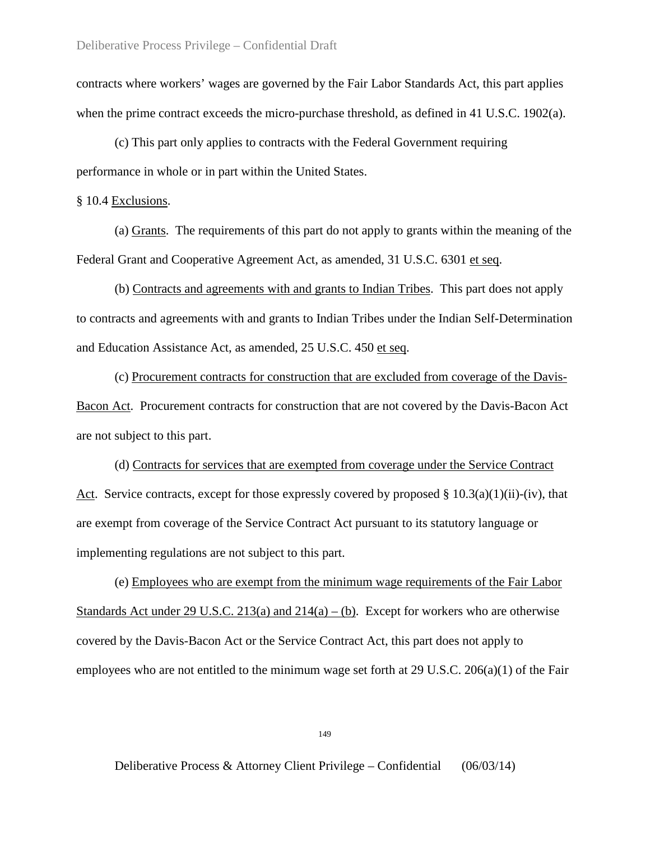contracts where workers' wages are governed by the Fair Labor Standards Act, this part applies when the prime contract exceeds the micro-purchase threshold, as defined in 41 U.S.C. 1902(a).

(c) This part only applies to contracts with the Federal Government requiring performance in whole or in part within the United States.

# § 10.4 Exclusions.

(a) Grants. The requirements of this part do not apply to grants within the meaning of the Federal Grant and Cooperative Agreement Act, as amended, 31 U.S.C. 6301 et seq.

(b) Contracts and agreements with and grants to Indian Tribes. This part does not apply to contracts and agreements with and grants to Indian Tribes under the Indian Self-Determination and Education Assistance Act, as amended, 25 U.S.C. 450 et seq.

(c) Procurement contracts for construction that are excluded from coverage of the Davis-Bacon Act. Procurement contracts for construction that are not covered by the Davis-Bacon Act are not subject to this part.

(d) Contracts for services that are exempted from coverage under the Service Contract Act. Service contracts, except for those expressly covered by proposed §  $10.3(a)(1)(ii)-(iv)$ , that are exempt from coverage of the Service Contract Act pursuant to its statutory language or implementing regulations are not subject to this part.

(e) Employees who are exempt from the minimum wage requirements of the Fair Labor Standards Act under 29 U.S.C. 213(a) and  $214(a) - (b)$ . Except for workers who are otherwise covered by the Davis-Bacon Act or the Service Contract Act, this part does not apply to employees who are not entitled to the minimum wage set forth at 29 U.S.C. 206(a)(1) of the Fair

149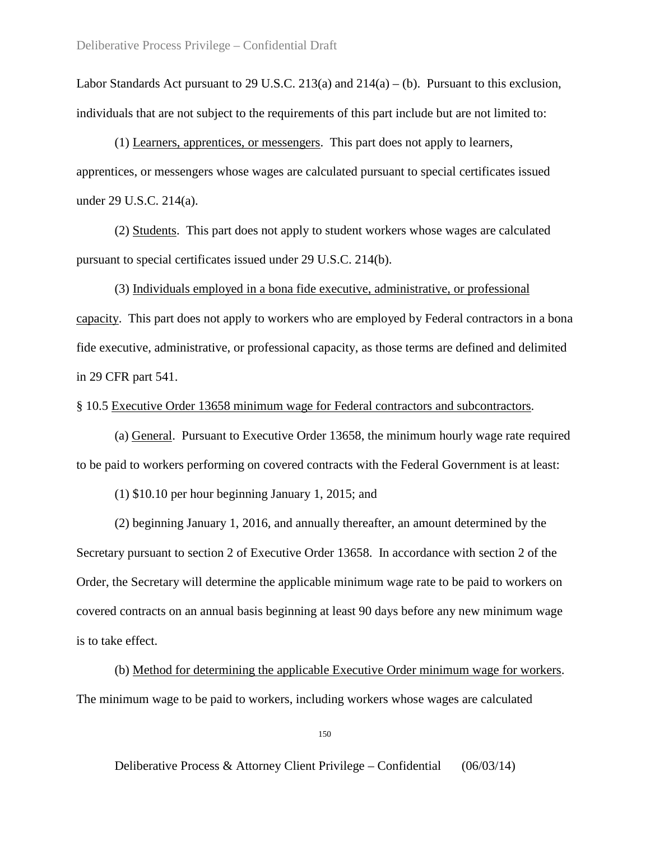Labor Standards Act pursuant to 29 U.S.C. 213(a) and  $214(a) - (b)$ . Pursuant to this exclusion, individuals that are not subject to the requirements of this part include but are not limited to:

(1) Learners, apprentices, or messengers. This part does not apply to learners, apprentices, or messengers whose wages are calculated pursuant to special certificates issued under 29 U.S.C. 214(a).

(2) Students. This part does not apply to student workers whose wages are calculated pursuant to special certificates issued under 29 U.S.C. 214(b).

(3) Individuals employed in a bona fide executive, administrative, or professional capacity. This part does not apply to workers who are employed by Federal contractors in a bona fide executive, administrative, or professional capacity, as those terms are defined and delimited in 29 CFR part 541.

§ 10.5 Executive Order 13658 minimum wage for Federal contractors and subcontractors.

(a) General. Pursuant to Executive Order 13658, the minimum hourly wage rate required to be paid to workers performing on covered contracts with the Federal Government is at least:

(1) \$10.10 per hour beginning January 1, 2015; and

(2) beginning January 1, 2016, and annually thereafter, an amount determined by the Secretary pursuant to section 2 of Executive Order 13658. In accordance with section 2 of the Order, the Secretary will determine the applicable minimum wage rate to be paid to workers on covered contracts on an annual basis beginning at least 90 days before any new minimum wage is to take effect.

(b) Method for determining the applicable Executive Order minimum wage for workers. The minimum wage to be paid to workers, including workers whose wages are calculated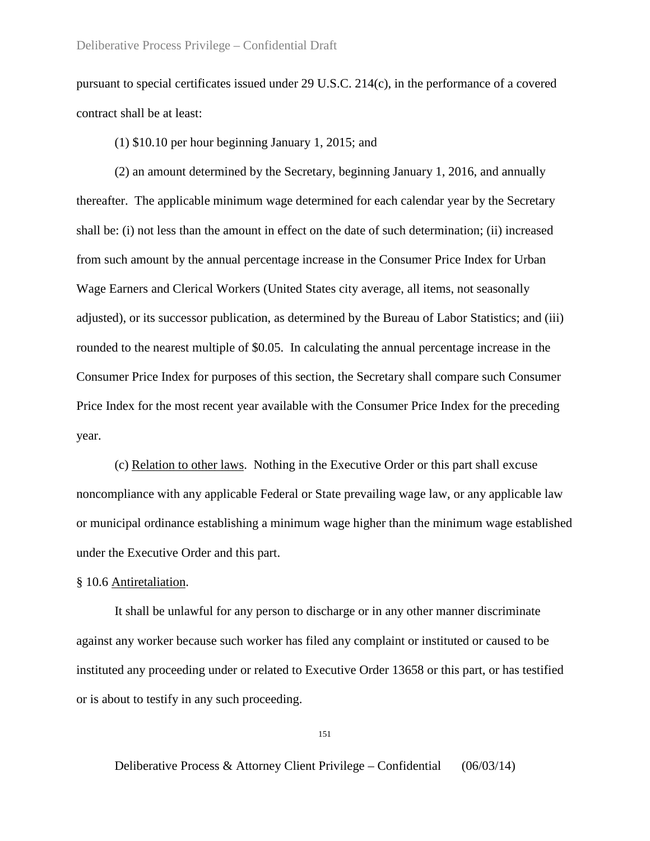pursuant to special certificates issued under 29 U.S.C. 214(c), in the performance of a covered contract shall be at least:

(1) \$10.10 per hour beginning January 1, 2015; and

(2) an amount determined by the Secretary, beginning January 1, 2016, and annually thereafter. The applicable minimum wage determined for each calendar year by the Secretary shall be: (i) not less than the amount in effect on the date of such determination; (ii) increased from such amount by the annual percentage increase in the Consumer Price Index for Urban Wage Earners and Clerical Workers (United States city average, all items, not seasonally adjusted), or its successor publication, as determined by the Bureau of Labor Statistics; and (iii) rounded to the nearest multiple of \$0.05. In calculating the annual percentage increase in the Consumer Price Index for purposes of this section, the Secretary shall compare such Consumer Price Index for the most recent year available with the Consumer Price Index for the preceding year.

(c) Relation to other laws. Nothing in the Executive Order or this part shall excuse noncompliance with any applicable Federal or State prevailing wage law, or any applicable law or municipal ordinance establishing a minimum wage higher than the minimum wage established under the Executive Order and this part.

# § 10.6 Antiretaliation.

It shall be unlawful for any person to discharge or in any other manner discriminate against any worker because such worker has filed any complaint or instituted or caused to be instituted any proceeding under or related to Executive Order 13658 or this part, or has testified or is about to testify in any such proceeding.

151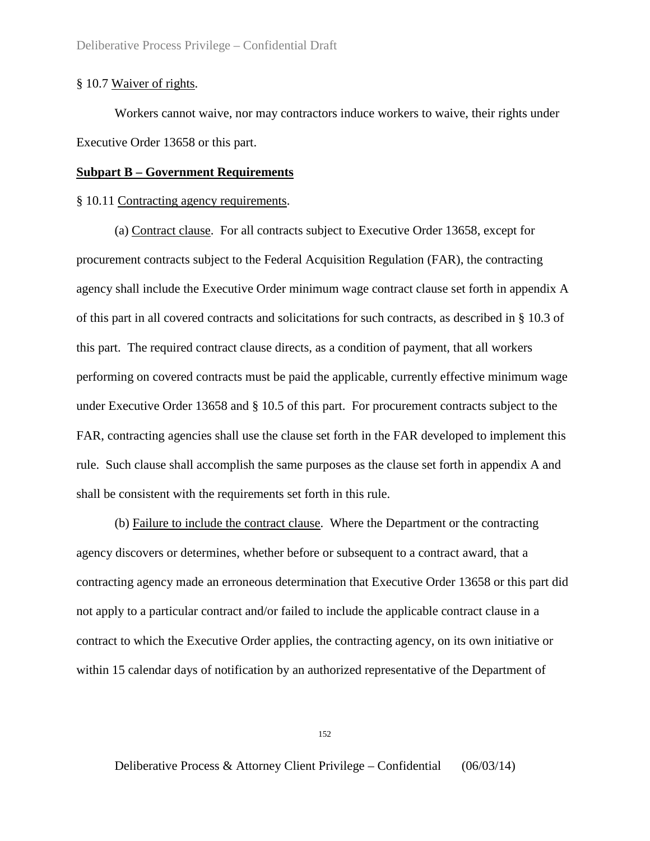# § 10.7 Waiver of rights.

Workers cannot waive, nor may contractors induce workers to waive, their rights under Executive Order 13658 or this part.

# **Subpart B – Government Requirements**

### § 10.11 Contracting agency requirements.

(a) Contract clause. For all contracts subject to Executive Order 13658, except for procurement contracts subject to the Federal Acquisition Regulation (FAR), the contracting agency shall include the Executive Order minimum wage contract clause set forth in appendix A of this part in all covered contracts and solicitations for such contracts, as described in § 10.3 of this part. The required contract clause directs, as a condition of payment, that all workers performing on covered contracts must be paid the applicable, currently effective minimum wage under Executive Order 13658 and § 10.5 of this part. For procurement contracts subject to the FAR, contracting agencies shall use the clause set forth in the FAR developed to implement this rule. Such clause shall accomplish the same purposes as the clause set forth in appendix A and shall be consistent with the requirements set forth in this rule.

(b) Failure to include the contract clause. Where the Department or the contracting agency discovers or determines, whether before or subsequent to a contract award, that a contracting agency made an erroneous determination that Executive Order 13658 or this part did not apply to a particular contract and/or failed to include the applicable contract clause in a contract to which the Executive Order applies, the contracting agency, on its own initiative or within 15 calendar days of notification by an authorized representative of the Department of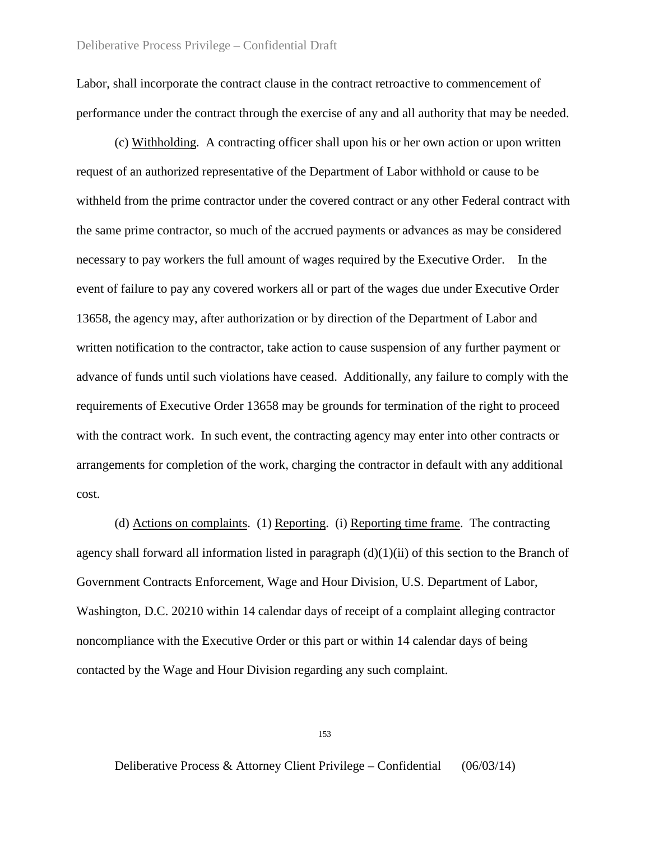Labor, shall incorporate the contract clause in the contract retroactive to commencement of performance under the contract through the exercise of any and all authority that may be needed.

(c) Withholding. A contracting officer shall upon his or her own action or upon written request of an authorized representative of the Department of Labor withhold or cause to be withheld from the prime contractor under the covered contract or any other Federal contract with the same prime contractor, so much of the accrued payments or advances as may be considered necessary to pay workers the full amount of wages required by the Executive Order. In the event of failure to pay any covered workers all or part of the wages due under Executive Order 13658, the agency may, after authorization or by direction of the Department of Labor and written notification to the contractor, take action to cause suspension of any further payment or advance of funds until such violations have ceased. Additionally, any failure to comply with the requirements of Executive Order 13658 may be grounds for termination of the right to proceed with the contract work. In such event, the contracting agency may enter into other contracts or arrangements for completion of the work, charging the contractor in default with any additional cost.

(d) Actions on complaints. (1) Reporting. (i) Reporting time frame. The contracting agency shall forward all information listed in paragraph (d)(1)(ii) of this section to the Branch of Government Contracts Enforcement, Wage and Hour Division, U.S. Department of Labor, Washington, D.C. 20210 within 14 calendar days of receipt of a complaint alleging contractor noncompliance with the Executive Order or this part or within 14 calendar days of being contacted by the Wage and Hour Division regarding any such complaint.

153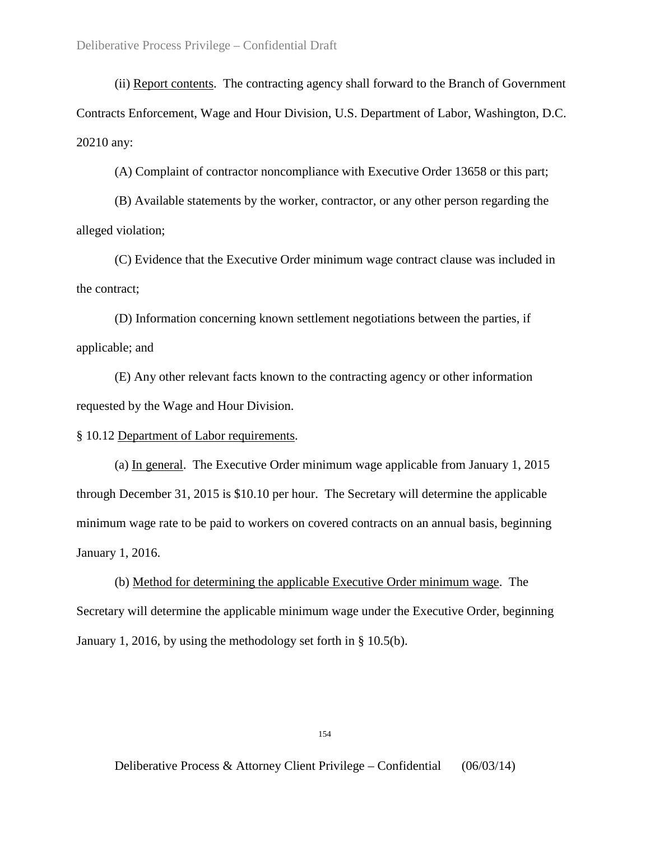(ii) Report contents. The contracting agency shall forward to the Branch of Government Contracts Enforcement, Wage and Hour Division, U.S. Department of Labor, Washington, D.C. 20210 any:

(A) Complaint of contractor noncompliance with Executive Order 13658 or this part;

(B) Available statements by the worker, contractor, or any other person regarding the alleged violation;

(C) Evidence that the Executive Order minimum wage contract clause was included in the contract;

(D) Information concerning known settlement negotiations between the parties, if applicable; and

(E) Any other relevant facts known to the contracting agency or other information requested by the Wage and Hour Division.

§ 10.12 Department of Labor requirements.

(a) In general. The Executive Order minimum wage applicable from January 1, 2015 through December 31, 2015 is \$10.10 per hour. The Secretary will determine the applicable minimum wage rate to be paid to workers on covered contracts on an annual basis, beginning January 1, 2016.

(b) Method for determining the applicable Executive Order minimum wage. The Secretary will determine the applicable minimum wage under the Executive Order, beginning January 1, 2016, by using the methodology set forth in § 10.5(b).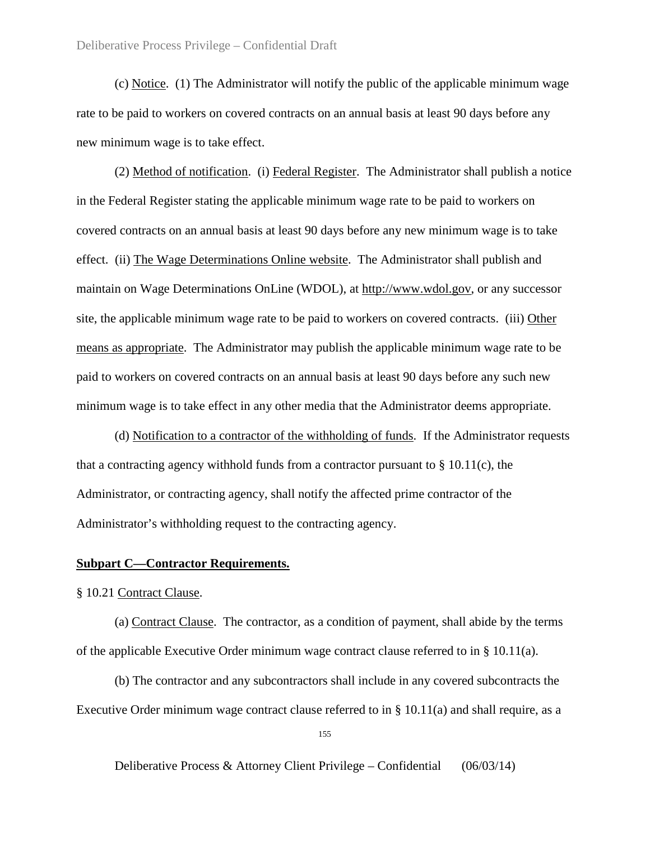(c) Notice. (1) The Administrator will notify the public of the applicable minimum wage rate to be paid to workers on covered contracts on an annual basis at least 90 days before any new minimum wage is to take effect.

(2) Method of notification. (i) Federal Register. The Administrator shall publish a notice in the Federal Register stating the applicable minimum wage rate to be paid to workers on covered contracts on an annual basis at least 90 days before any new minimum wage is to take effect. (ii) The Wage Determinations Online website. The Administrator shall publish and maintain on Wage Determinations OnLine (WDOL), at http://www.wdol.gov, or any successor site, the applicable minimum wage rate to be paid to workers on covered contracts. (iii) Other means as appropriate. The Administrator may publish the applicable minimum wage rate to be paid to workers on covered contracts on an annual basis at least 90 days before any such new minimum wage is to take effect in any other media that the Administrator deems appropriate.

(d) Notification to a contractor of the withholding of funds. If the Administrator requests that a contracting agency withhold funds from a contractor pursuant to  $\S 10.11(c)$ , the Administrator, or contracting agency, shall notify the affected prime contractor of the Administrator's withholding request to the contracting agency.

### **Subpart C—Contractor Requirements.**

§ 10.21 Contract Clause.

(a) Contract Clause. The contractor, as a condition of payment, shall abide by the terms of the applicable Executive Order minimum wage contract clause referred to in  $\S$  10.11(a).

(b) The contractor and any subcontractors shall include in any covered subcontracts the Executive Order minimum wage contract clause referred to in § 10.11(a) and shall require, as a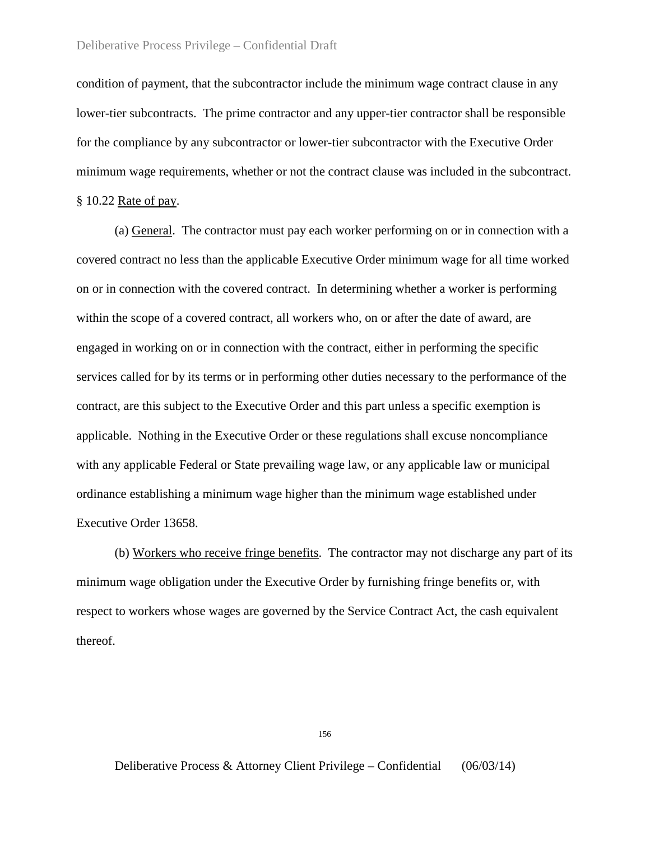condition of payment, that the subcontractor include the minimum wage contract clause in any lower-tier subcontracts. The prime contractor and any upper-tier contractor shall be responsible for the compliance by any subcontractor or lower-tier subcontractor with the Executive Order minimum wage requirements, whether or not the contract clause was included in the subcontract. § 10.22 Rate of pay.

(a) General. The contractor must pay each worker performing on or in connection with a covered contract no less than the applicable Executive Order minimum wage for all time worked on or in connection with the covered contract. In determining whether a worker is performing within the scope of a covered contract, all workers who, on or after the date of award, are engaged in working on or in connection with the contract, either in performing the specific services called for by its terms or in performing other duties necessary to the performance of the contract, are this subject to the Executive Order and this part unless a specific exemption is applicable. Nothing in the Executive Order or these regulations shall excuse noncompliance with any applicable Federal or State prevailing wage law, or any applicable law or municipal ordinance establishing a minimum wage higher than the minimum wage established under Executive Order 13658.

(b) Workers who receive fringe benefits. The contractor may not discharge any part of its minimum wage obligation under the Executive Order by furnishing fringe benefits or, with respect to workers whose wages are governed by the Service Contract Act, the cash equivalent thereof.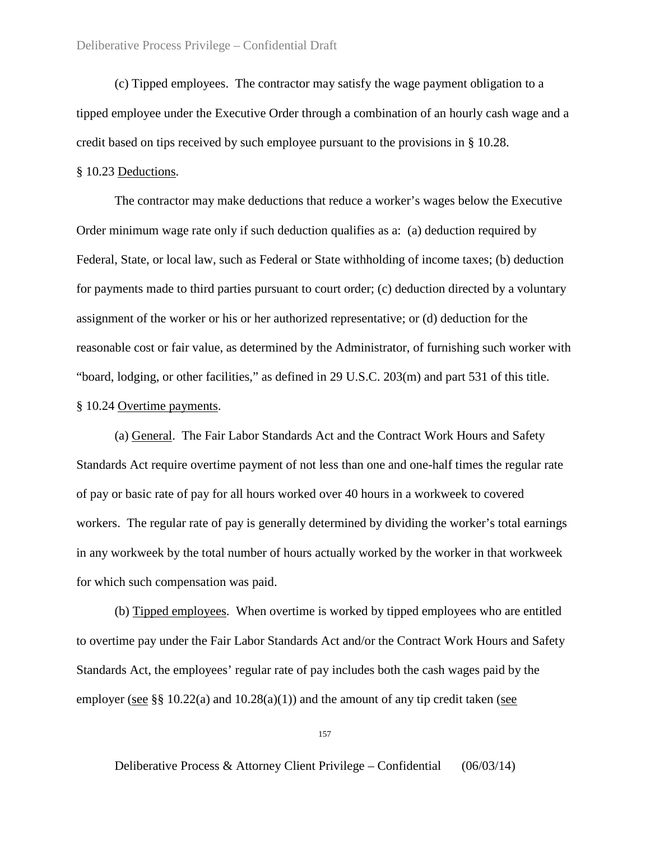(c) Tipped employees. The contractor may satisfy the wage payment obligation to a tipped employee under the Executive Order through a combination of an hourly cash wage and a credit based on tips received by such employee pursuant to the provisions in § 10.28.

# § 10.23 Deductions.

The contractor may make deductions that reduce a worker's wages below the Executive Order minimum wage rate only if such deduction qualifies as a: (a) deduction required by Federal, State, or local law, such as Federal or State withholding of income taxes; (b) deduction for payments made to third parties pursuant to court order; (c) deduction directed by a voluntary assignment of the worker or his or her authorized representative; or (d) deduction for the reasonable cost or fair value, as determined by the Administrator, of furnishing such worker with "board, lodging, or other facilities," as defined in 29 U.S.C. 203(m) and part 531 of this title. § 10.24 Overtime payments.

(a) General. The Fair Labor Standards Act and the Contract Work Hours and Safety Standards Act require overtime payment of not less than one and one-half times the regular rate of pay or basic rate of pay for all hours worked over 40 hours in a workweek to covered workers. The regular rate of pay is generally determined by dividing the worker's total earnings in any workweek by the total number of hours actually worked by the worker in that workweek for which such compensation was paid.

(b) Tipped employees. When overtime is worked by tipped employees who are entitled to overtime pay under the Fair Labor Standards Act and/or the Contract Work Hours and Safety Standards Act, the employees' regular rate of pay includes both the cash wages paid by the employer (see  $\S\S 10.22(a)$  and  $10.28(a)(1)$ ) and the amount of any tip credit taken (see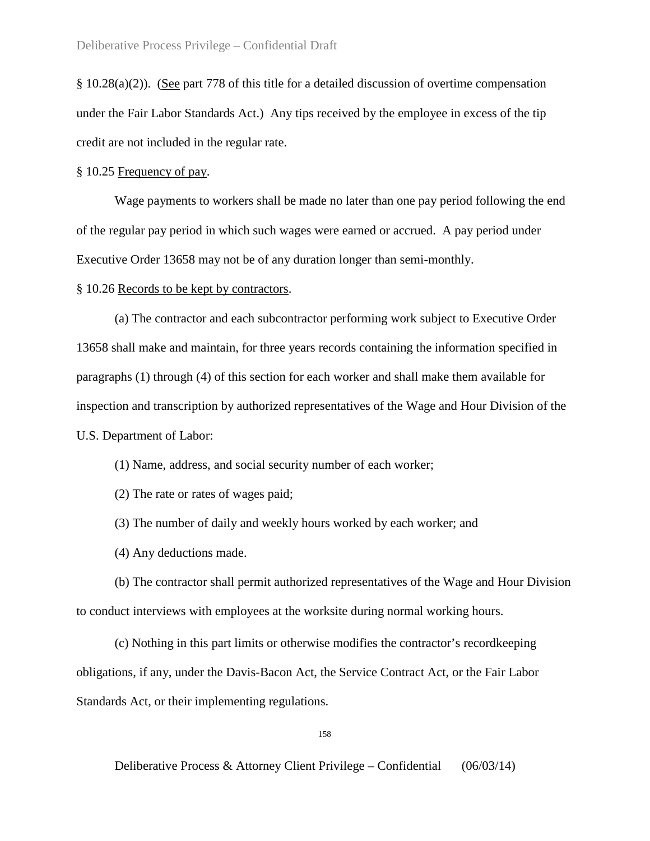§ 10.28(a)(2)). (See part 778 of this title for a detailed discussion of overtime compensation under the Fair Labor Standards Act.) Any tips received by the employee in excess of the tip credit are not included in the regular rate.

§ 10.25 Frequency of pay.

Wage payments to workers shall be made no later than one pay period following the end of the regular pay period in which such wages were earned or accrued. A pay period under Executive Order 13658 may not be of any duration longer than semi-monthly.

§ 10.26 Records to be kept by contractors.

(a) The contractor and each subcontractor performing work subject to Executive Order 13658 shall make and maintain, for three years records containing the information specified in paragraphs (1) through (4) of this section for each worker and shall make them available for inspection and transcription by authorized representatives of the Wage and Hour Division of the U.S. Department of Labor:

(1) Name, address, and social security number of each worker;

(2) The rate or rates of wages paid;

(3) The number of daily and weekly hours worked by each worker; and

(4) Any deductions made.

(b) The contractor shall permit authorized representatives of the Wage and Hour Division to conduct interviews with employees at the worksite during normal working hours.

(c) Nothing in this part limits or otherwise modifies the contractor's recordkeeping obligations, if any, under the Davis-Bacon Act, the Service Contract Act, or the Fair Labor Standards Act, or their implementing regulations.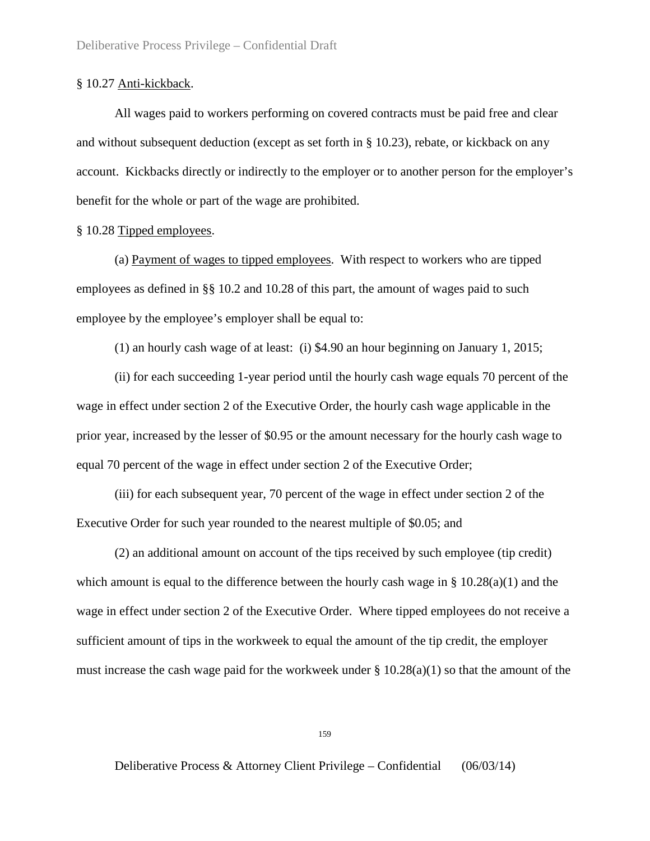### § 10.27 Anti-kickback.

All wages paid to workers performing on covered contracts must be paid free and clear and without subsequent deduction (except as set forth in § 10.23), rebate, or kickback on any account. Kickbacks directly or indirectly to the employer or to another person for the employer's benefit for the whole or part of the wage are prohibited.

# § 10.28 Tipped employees.

(a) Payment of wages to tipped employees. With respect to workers who are tipped employees as defined in §§ 10.2 and 10.28 of this part, the amount of wages paid to such employee by the employee's employer shall be equal to:

(1) an hourly cash wage of at least: (i) \$4.90 an hour beginning on January 1, 2015;

(ii) for each succeeding 1-year period until the hourly cash wage equals 70 percent of the wage in effect under section 2 of the Executive Order, the hourly cash wage applicable in the prior year, increased by the lesser of \$0.95 or the amount necessary for the hourly cash wage to equal 70 percent of the wage in effect under section 2 of the Executive Order;

(iii) for each subsequent year, 70 percent of the wage in effect under section 2 of the Executive Order for such year rounded to the nearest multiple of \$0.05; and

(2) an additional amount on account of the tips received by such employee (tip credit) which amount is equal to the difference between the hourly cash wage in  $\S 10.28(a)(1)$  and the wage in effect under section 2 of the Executive Order. Where tipped employees do not receive a sufficient amount of tips in the workweek to equal the amount of the tip credit, the employer must increase the cash wage paid for the workweek under  $\S 10.28(a)(1)$  so that the amount of the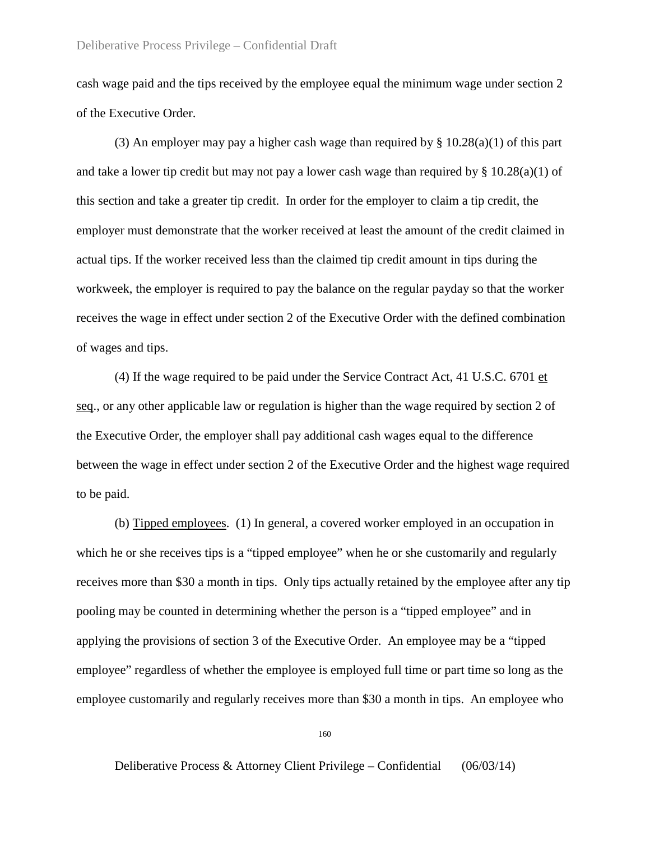cash wage paid and the tips received by the employee equal the minimum wage under section 2 of the Executive Order.

(3) An employer may pay a higher cash wage than required by  $\S$  10.28(a)(1) of this part and take a lower tip credit but may not pay a lower cash wage than required by  $\S$  10.28(a)(1) of this section and take a greater tip credit. In order for the employer to claim a tip credit, the employer must demonstrate that the worker received at least the amount of the credit claimed in actual tips. If the worker received less than the claimed tip credit amount in tips during the workweek, the employer is required to pay the balance on the regular payday so that the worker receives the wage in effect under section 2 of the Executive Order with the defined combination of wages and tips.

(4) If the wage required to be paid under the Service Contract Act, 41 U.S.C. 6701 et seq., or any other applicable law or regulation is higher than the wage required by section 2 of the Executive Order, the employer shall pay additional cash wages equal to the difference between the wage in effect under section 2 of the Executive Order and the highest wage required to be paid.

(b) Tipped employees. (1) In general, a covered worker employed in an occupation in which he or she receives tips is a "tipped employee" when he or she customarily and regularly receives more than \$30 a month in tips. Only tips actually retained by the employee after any tip pooling may be counted in determining whether the person is a "tipped employee" and in applying the provisions of section 3 of the Executive Order. An employee may be a "tipped employee" regardless of whether the employee is employed full time or part time so long as the employee customarily and regularly receives more than \$30 a month in tips. An employee who

160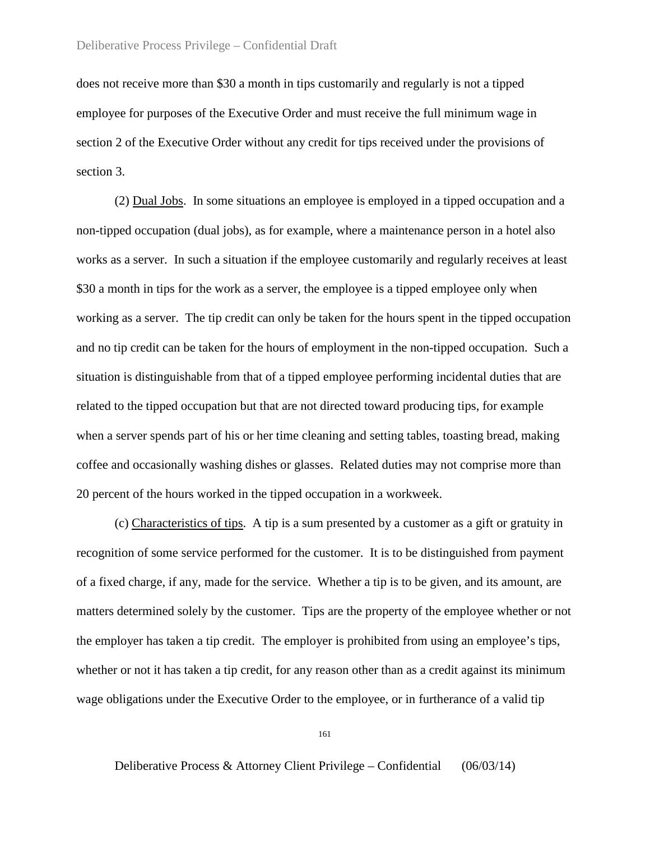does not receive more than \$30 a month in tips customarily and regularly is not a tipped employee for purposes of the Executive Order and must receive the full minimum wage in section 2 of the Executive Order without any credit for tips received under the provisions of section 3.

(2) Dual Jobs. In some situations an employee is employed in a tipped occupation and a non-tipped occupation (dual jobs), as for example, where a maintenance person in a hotel also works as a server. In such a situation if the employee customarily and regularly receives at least \$30 a month in tips for the work as a server, the employee is a tipped employee only when working as a server. The tip credit can only be taken for the hours spent in the tipped occupation and no tip credit can be taken for the hours of employment in the non-tipped occupation. Such a situation is distinguishable from that of a tipped employee performing incidental duties that are related to the tipped occupation but that are not directed toward producing tips, for example when a server spends part of his or her time cleaning and setting tables, toasting bread, making coffee and occasionally washing dishes or glasses. Related duties may not comprise more than 20 percent of the hours worked in the tipped occupation in a workweek.

(c) Characteristics of tips. A tip is a sum presented by a customer as a gift or gratuity in recognition of some service performed for the customer. It is to be distinguished from payment of a fixed charge, if any, made for the service. Whether a tip is to be given, and its amount, are matters determined solely by the customer. Tips are the property of the employee whether or not the employer has taken a tip credit. The employer is prohibited from using an employee's tips, whether or not it has taken a tip credit, for any reason other than as a credit against its minimum wage obligations under the Executive Order to the employee, or in furtherance of a valid tip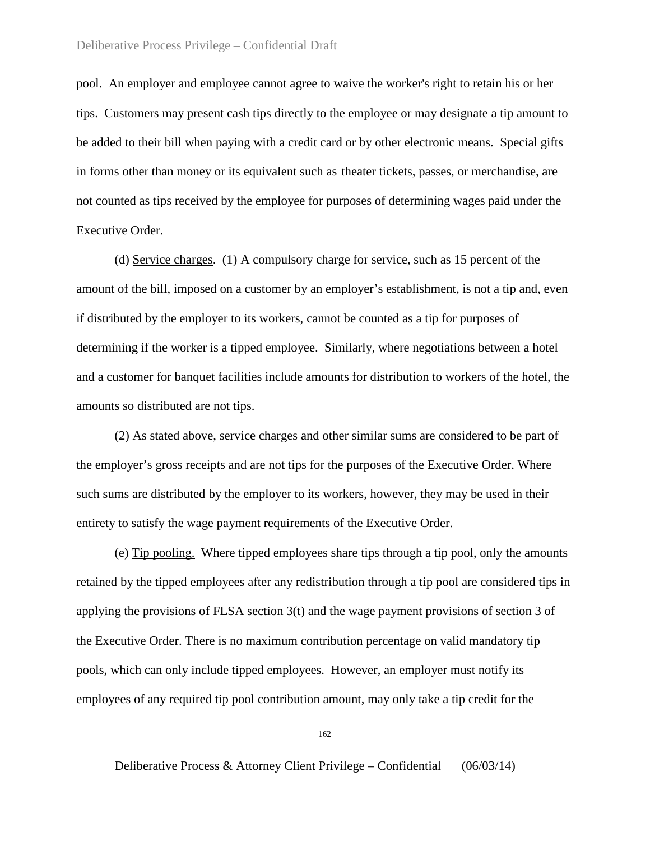pool. An employer and employee cannot agree to waive the worker's right to retain his or her tips. Customers may present cash tips directly to the employee or may designate a tip amount to be added to their bill when paying with a credit card or by other electronic means. Special gifts in forms other than money or its equivalent such as theater tickets, passes, or merchandise, are not counted as tips received by the employee for purposes of determining wages paid under the Executive Order.

(d) Service charges. (1) A compulsory charge for service, such as 15 percent of the amount of the bill, imposed on a customer by an employer's establishment, is not a tip and, even if distributed by the employer to its workers, cannot be counted as a tip for purposes of determining if the worker is a tipped employee. Similarly, where negotiations between a hotel and a customer for banquet facilities include amounts for distribution to workers of the hotel, the amounts so distributed are not tips.

(2) As stated above, service charges and other similar sums are considered to be part of the employer's gross receipts and are not tips for the purposes of the Executive Order. Where such sums are distributed by the employer to its workers, however, they may be used in their entirety to satisfy the wage payment requirements of the Executive Order.

(e) Tip pooling. Where tipped employees share tips through a tip pool, only the amounts retained by the tipped employees after any redistribution through a tip pool are considered tips in applying the provisions of FLSA section 3(t) and the wage payment provisions of section 3 of the Executive Order. There is no maximum contribution percentage on valid mandatory tip pools, which can only include tipped employees. However, an employer must notify its employees of any required tip pool contribution amount, may only take a tip credit for the

162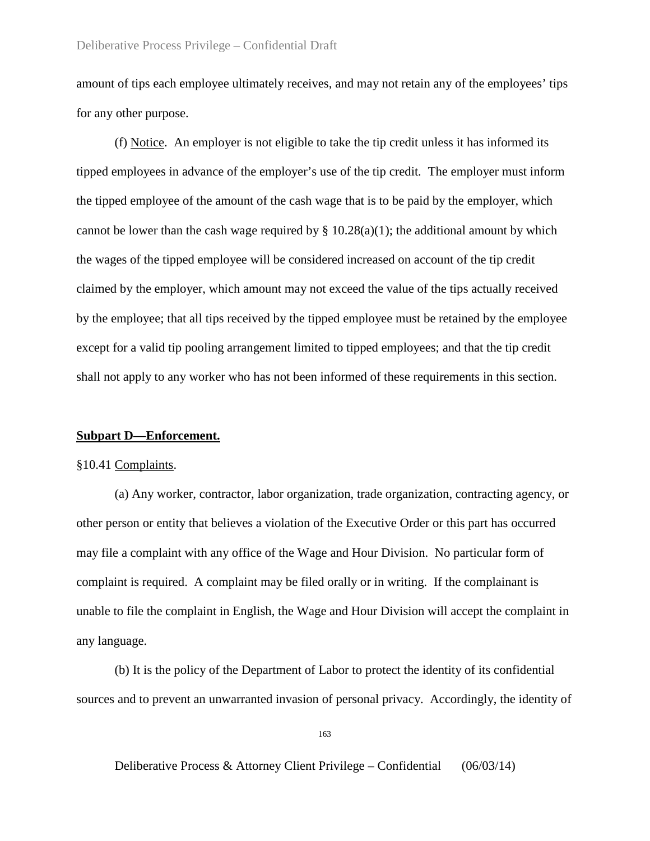amount of tips each employee ultimately receives, and may not retain any of the employees' tips for any other purpose.

(f) Notice. An employer is not eligible to take the tip credit unless it has informed its tipped employees in advance of the employer's use of the tip credit*.* The employer must inform the tipped employee of the amount of the cash wage that is to be paid by the employer, which cannot be lower than the cash wage required by  $\S$  10.28(a)(1); the additional amount by which the wages of the tipped employee will be considered increased on account of the tip credit claimed by the employer, which amount may not exceed the value of the tips actually received by the employee; that all tips received by the tipped employee must be retained by the employee except for a valid tip pooling arrangement limited to tipped employees; and that the tip credit shall not apply to any worker who has not been informed of these requirements in this section.

# **Subpart D—Enforcement.**

### §10.41 Complaints.

(a) Any worker, contractor, labor organization, trade organization, contracting agency, or other person or entity that believes a violation of the Executive Order or this part has occurred may file a complaint with any office of the Wage and Hour Division. No particular form of complaint is required. A complaint may be filed orally or in writing. If the complainant is unable to file the complaint in English, the Wage and Hour Division will accept the complaint in any language.

(b) It is the policy of the Department of Labor to protect the identity of its confidential sources and to prevent an unwarranted invasion of personal privacy. Accordingly, the identity of

163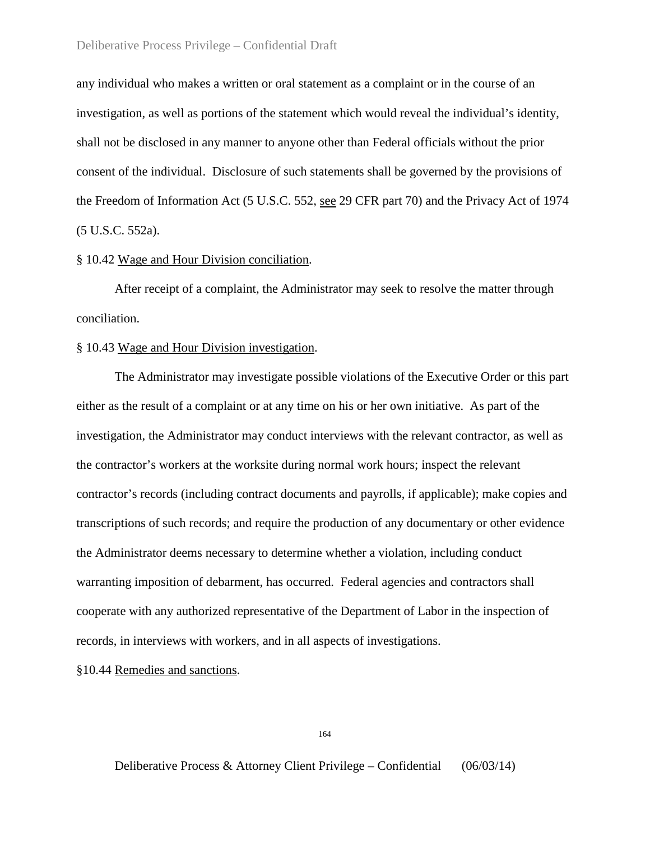any individual who makes a written or oral statement as a complaint or in the course of an investigation, as well as portions of the statement which would reveal the individual's identity, shall not be disclosed in any manner to anyone other than Federal officials without the prior consent of the individual. Disclosure of such statements shall be governed by the provisions of the Freedom of Information Act (5 U.S.C. 552, see 29 CFR part 70) and the Privacy Act of 1974 (5 U.S.C. 552a).

# § 10.42 Wage and Hour Division conciliation.

After receipt of a complaint, the Administrator may seek to resolve the matter through conciliation.

# § 10.43 Wage and Hour Division investigation.

The Administrator may investigate possible violations of the Executive Order or this part either as the result of a complaint or at any time on his or her own initiative. As part of the investigation, the Administrator may conduct interviews with the relevant contractor, as well as the contractor's workers at the worksite during normal work hours; inspect the relevant contractor's records (including contract documents and payrolls, if applicable); make copies and transcriptions of such records; and require the production of any documentary or other evidence the Administrator deems necessary to determine whether a violation, including conduct warranting imposition of debarment, has occurred. Federal agencies and contractors shall cooperate with any authorized representative of the Department of Labor in the inspection of records, in interviews with workers, and in all aspects of investigations.

§10.44 Remedies and sanctions.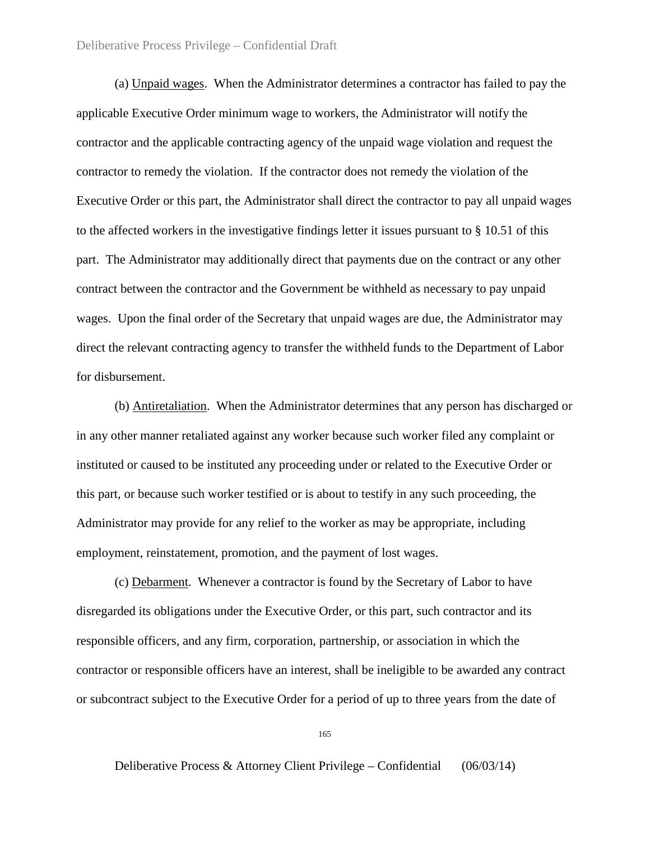(a) Unpaid wages. When the Administrator determines a contractor has failed to pay the applicable Executive Order minimum wage to workers, the Administrator will notify the contractor and the applicable contracting agency of the unpaid wage violation and request the contractor to remedy the violation. If the contractor does not remedy the violation of the Executive Order or this part, the Administrator shall direct the contractor to pay all unpaid wages to the affected workers in the investigative findings letter it issues pursuant to § 10.51 of this part. The Administrator may additionally direct that payments due on the contract or any other contract between the contractor and the Government be withheld as necessary to pay unpaid wages. Upon the final order of the Secretary that unpaid wages are due, the Administrator may direct the relevant contracting agency to transfer the withheld funds to the Department of Labor for disbursement.

(b) Antiretaliation. When the Administrator determines that any person has discharged or in any other manner retaliated against any worker because such worker filed any complaint or instituted or caused to be instituted any proceeding under or related to the Executive Order or this part, or because such worker testified or is about to testify in any such proceeding, the Administrator may provide for any relief to the worker as may be appropriate, including employment, reinstatement, promotion, and the payment of lost wages.

(c) Debarment. Whenever a contractor is found by the Secretary of Labor to have disregarded its obligations under the Executive Order, or this part, such contractor and its responsible officers, and any firm, corporation, partnership, or association in which the contractor or responsible officers have an interest, shall be ineligible to be awarded any contract or subcontract subject to the Executive Order for a period of up to three years from the date of

165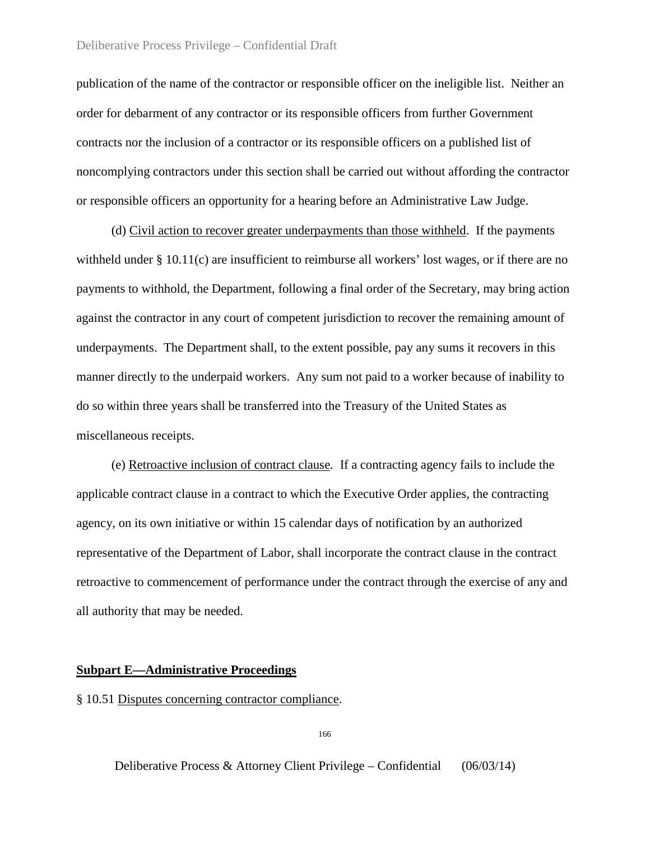publication of the name of the contractor or responsible officer on the ineligible list. Neither an order for debarment of any contractor or its responsible officers from further Government contracts nor the inclusion of a contractor or its responsible officers on a published list of noncomplying contractors under this section shall be carried out without affording the contractor or responsible officers an opportunity for a hearing before an Administrative Law Judge.

 (d) Civil action to recover greater underpayments than those withheld. If the payments withheld under § 10.11(c) are insufficient to reimburse all workers' lost wages, or if there are no payments to withhold, the Department, following a final order of the Secretary, may bring action against the contractor in any court of competent jurisdiction to recover the remaining amount of underpayments. The Department shall, to the extent possible, pay any sums it recovers in this manner directly to the underpaid workers. Any sum not paid to a worker because of inability to do so within three years shall be transferred into the Treasury of the United States as miscellaneous receipts.

 (e) Retroactive inclusion of contract clause*.* If a contracting agency fails to include the applicable contract clause in a contract to which the Executive Order applies, the contracting agency, on its own initiative or within 15 calendar days of notification by an authorized representative of the Department of Labor, shall incorporate the contract clause in the contract retroactive to commencement of performance under the contract through the exercise of any and all authority that may be needed.

# **Subpart E—Administrative Proceedings**

# § 10.51 Disputes concerning contractor compliance.

166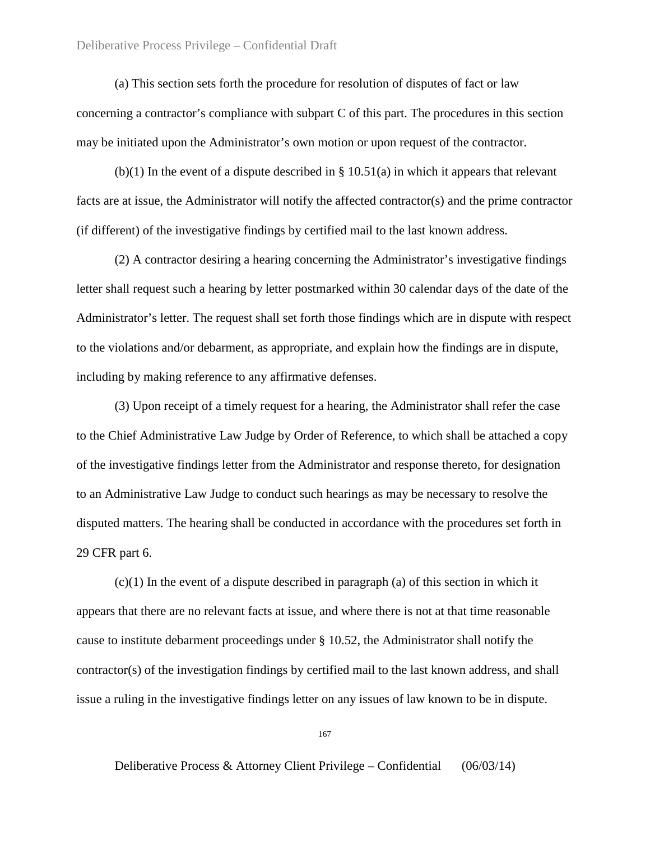(a) This section sets forth the procedure for resolution of disputes of fact or law concerning a contractor's compliance with subpart C of this part. The procedures in this section may be initiated upon the Administrator's own motion or upon request of the contractor.

 $(b)(1)$  In the event of a dispute described in § 10.51(a) in which it appears that relevant facts are at issue, the Administrator will notify the affected contractor(s) and the prime contractor (if different) of the investigative findings by certified mail to the last known address.

(2) A contractor desiring a hearing concerning the Administrator's investigative findings letter shall request such a hearing by letter postmarked within 30 calendar days of the date of the Administrator's letter. The request shall set forth those findings which are in dispute with respect to the violations and/or debarment, as appropriate, and explain how the findings are in dispute, including by making reference to any affirmative defenses.

(3) Upon receipt of a timely request for a hearing, the Administrator shall refer the case to the Chief Administrative Law Judge by Order of Reference, to which shall be attached a copy of the investigative findings letter from the Administrator and response thereto, for designation to an Administrative Law Judge to conduct such hearings as may be necessary to resolve the disputed matters. The hearing shall be conducted in accordance with the procedures set forth in 29 CFR part 6.

 $(c)(1)$  In the event of a dispute described in paragraph (a) of this section in which it appears that there are no relevant facts at issue, and where there is not at that time reasonable cause to institute debarment proceedings under § 10.52, the Administrator shall notify the contractor(s) of the investigation findings by certified mail to the last known address, and shall issue a ruling in the investigative findings letter on any issues of law known to be in dispute.

167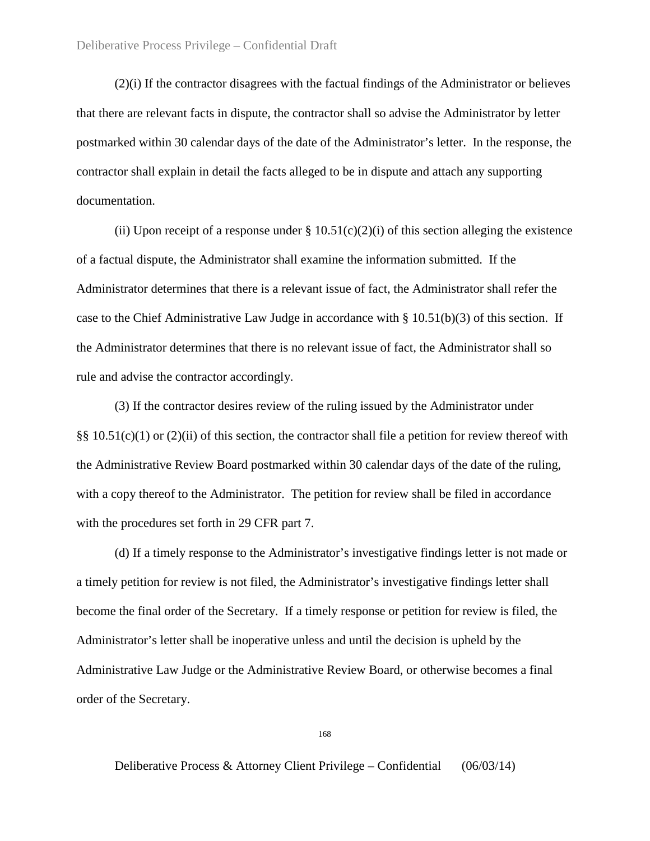(2)(i) If the contractor disagrees with the factual findings of the Administrator or believes that there are relevant facts in dispute, the contractor shall so advise the Administrator by letter postmarked within 30 calendar days of the date of the Administrator's letter. In the response, the contractor shall explain in detail the facts alleged to be in dispute and attach any supporting documentation.

(ii) Upon receipt of a response under  $\S 10.51(c)(2)(i)$  of this section alleging the existence of a factual dispute, the Administrator shall examine the information submitted. If the Administrator determines that there is a relevant issue of fact, the Administrator shall refer the case to the Chief Administrative Law Judge in accordance with § 10.51(b)(3) of this section. If the Administrator determines that there is no relevant issue of fact, the Administrator shall so rule and advise the contractor accordingly.

(3) If the contractor desires review of the ruling issued by the Administrator under §§ 10.51(c)(1) or (2)(ii) of this section, the contractor shall file a petition for review thereof with the Administrative Review Board postmarked within 30 calendar days of the date of the ruling, with a copy thereof to the Administrator. The petition for review shall be filed in accordance with the procedures set forth in 29 CFR part 7.

(d) If a timely response to the Administrator's investigative findings letter is not made or a timely petition for review is not filed, the Administrator's investigative findings letter shall become the final order of the Secretary. If a timely response or petition for review is filed, the Administrator's letter shall be inoperative unless and until the decision is upheld by the Administrative Law Judge or the Administrative Review Board, or otherwise becomes a final order of the Secretary.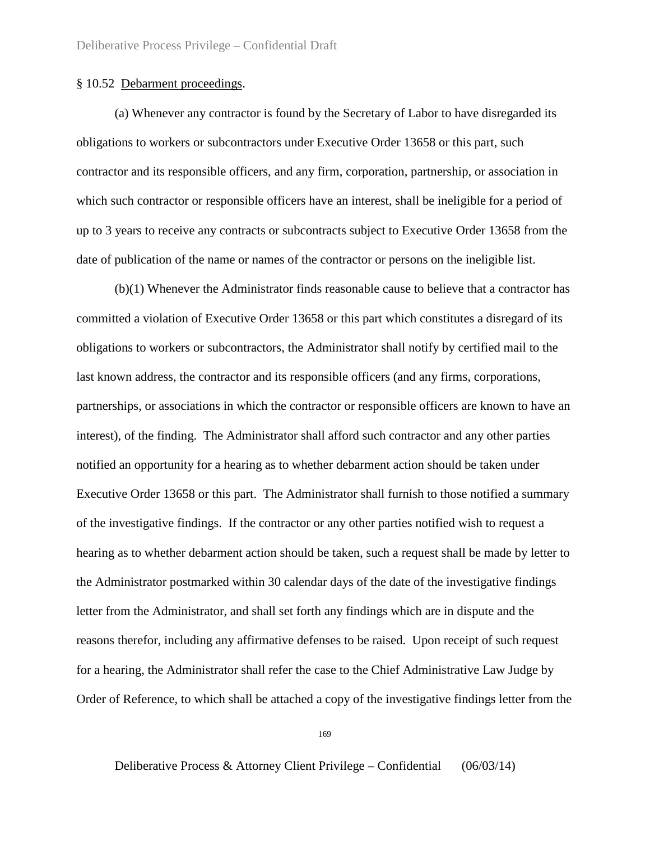# § 10.52 Debarment proceedings.

(a) Whenever any contractor is found by the Secretary of Labor to have disregarded its obligations to workers or subcontractors under Executive Order 13658 or this part, such contractor and its responsible officers, and any firm, corporation, partnership, or association in which such contractor or responsible officers have an interest, shall be ineligible for a period of up to 3 years to receive any contracts or subcontracts subject to Executive Order 13658 from the date of publication of the name or names of the contractor or persons on the ineligible list.

(b)(1) Whenever the Administrator finds reasonable cause to believe that a contractor has committed a violation of Executive Order 13658 or this part which constitutes a disregard of its obligations to workers or subcontractors, the Administrator shall notify by certified mail to the last known address, the contractor and its responsible officers (and any firms, corporations, partnerships, or associations in which the contractor or responsible officers are known to have an interest), of the finding. The Administrator shall afford such contractor and any other parties notified an opportunity for a hearing as to whether debarment action should be taken under Executive Order 13658 or this part. The Administrator shall furnish to those notified a summary of the investigative findings. If the contractor or any other parties notified wish to request a hearing as to whether debarment action should be taken, such a request shall be made by letter to the Administrator postmarked within 30 calendar days of the date of the investigative findings letter from the Administrator, and shall set forth any findings which are in dispute and the reasons therefor, including any affirmative defenses to be raised. Upon receipt of such request for a hearing, the Administrator shall refer the case to the Chief Administrative Law Judge by Order of Reference, to which shall be attached a copy of the investigative findings letter from the

169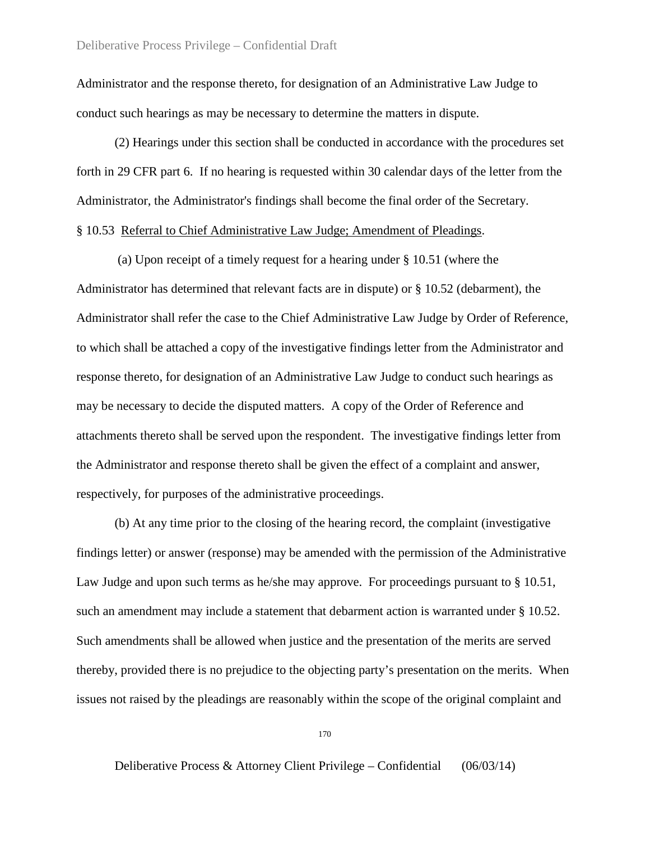Administrator and the response thereto, for designation of an Administrative Law Judge to conduct such hearings as may be necessary to determine the matters in dispute.

(2) Hearings under this section shall be conducted in accordance with the procedures set forth in 29 CFR part 6. If no hearing is requested within 30 calendar days of the letter from the Administrator, the Administrator's findings shall become the final order of the Secretary. § 10.53 Referral to Chief Administrative Law Judge; Amendment of Pleadings.

(a) Upon receipt of a timely request for a hearing under § 10.51 (where the Administrator has determined that relevant facts are in dispute) or § 10.52 (debarment), the Administrator shall refer the case to the Chief Administrative Law Judge by Order of Reference, to which shall be attached a copy of the investigative findings letter from the Administrator and response thereto, for designation of an Administrative Law Judge to conduct such hearings as may be necessary to decide the disputed matters. A copy of the Order of Reference and attachments thereto shall be served upon the respondent. The investigative findings letter from the Administrator and response thereto shall be given the effect of a complaint and answer, respectively, for purposes of the administrative proceedings.

(b) At any time prior to the closing of the hearing record, the complaint (investigative findings letter) or answer (response) may be amended with the permission of the Administrative Law Judge and upon such terms as he/she may approve. For proceedings pursuant to  $\S 10.51$ , such an amendment may include a statement that debarment action is warranted under § 10.52. Such amendments shall be allowed when justice and the presentation of the merits are served thereby, provided there is no prejudice to the objecting party's presentation on the merits. When issues not raised by the pleadings are reasonably within the scope of the original complaint and

170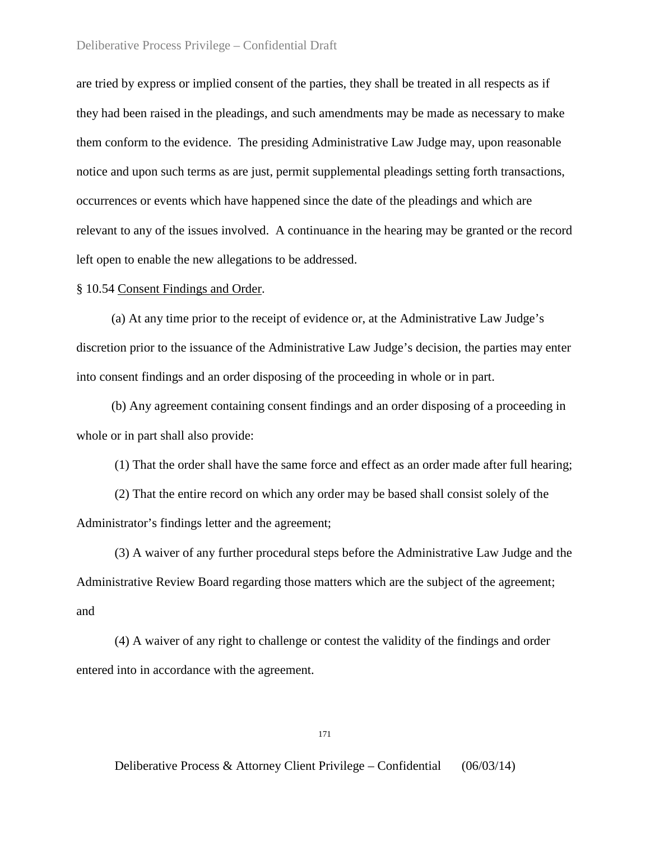are tried by express or implied consent of the parties, they shall be treated in all respects as if they had been raised in the pleadings, and such amendments may be made as necessary to make them conform to the evidence. The presiding Administrative Law Judge may, upon reasonable notice and upon such terms as are just, permit supplemental pleadings setting forth transactions, occurrences or events which have happened since the date of the pleadings and which are relevant to any of the issues involved. A continuance in the hearing may be granted or the record left open to enable the new allegations to be addressed.

# § 10.54 Consent Findings and Order.

 (a) At any time prior to the receipt of evidence or, at the Administrative Law Judge's discretion prior to the issuance of the Administrative Law Judge's decision, the parties may enter into consent findings and an order disposing of the proceeding in whole or in part.

 (b) Any agreement containing consent findings and an order disposing of a proceeding in whole or in part shall also provide:

(1) That the order shall have the same force and effect as an order made after full hearing;

(2) That the entire record on which any order may be based shall consist solely of the Administrator's findings letter and the agreement;

(3) A waiver of any further procedural steps before the Administrative Law Judge and the Administrative Review Board regarding those matters which are the subject of the agreement; and

(4) A waiver of any right to challenge or contest the validity of the findings and order entered into in accordance with the agreement.

171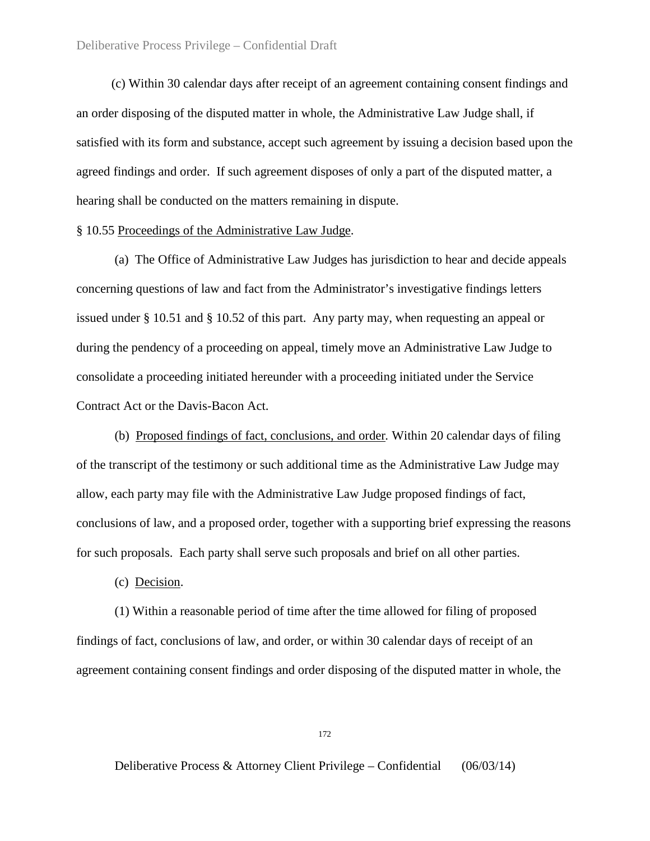(c) Within 30 calendar days after receipt of an agreement containing consent findings and an order disposing of the disputed matter in whole, the Administrative Law Judge shall, if satisfied with its form and substance, accept such agreement by issuing a decision based upon the agreed findings and order. If such agreement disposes of only a part of the disputed matter, a hearing shall be conducted on the matters remaining in dispute.

### § 10.55 Proceedings of the Administrative Law Judge.

(a) The Office of Administrative Law Judges has jurisdiction to hear and decide appeals concerning questions of law and fact from the Administrator's investigative findings letters issued under § 10.51 and § 10.52 of this part. Any party may, when requesting an appeal or during the pendency of a proceeding on appeal, timely move an Administrative Law Judge to consolidate a proceeding initiated hereunder with a proceeding initiated under the Service Contract Act or the Davis-Bacon Act.

(b) Proposed findings of fact, conclusions, and order*.* Within 20 calendar days of filing of the transcript of the testimony or such additional time as the Administrative Law Judge may allow, each party may file with the Administrative Law Judge proposed findings of fact, conclusions of law, and a proposed order, together with a supporting brief expressing the reasons for such proposals. Each party shall serve such proposals and brief on all other parties.

(c) Decision.

(1) Within a reasonable period of time after the time allowed for filing of proposed findings of fact, conclusions of law, and order, or within 30 calendar days of receipt of an agreement containing consent findings and order disposing of the disputed matter in whole, the

172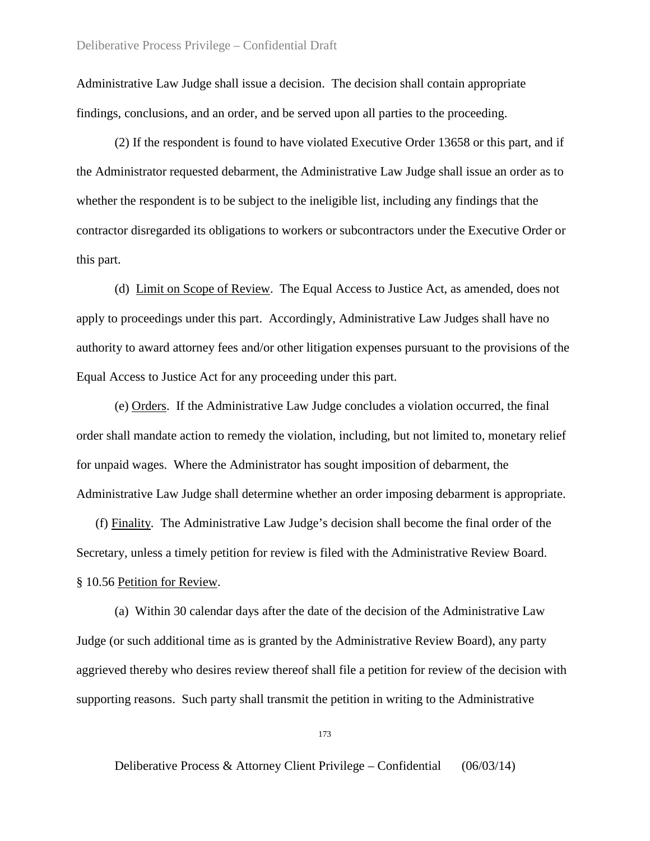Administrative Law Judge shall issue a decision. The decision shall contain appropriate findings, conclusions, and an order, and be served upon all parties to the proceeding.

(2) If the respondent is found to have violated Executive Order 13658 or this part, and if the Administrator requested debarment, the Administrative Law Judge shall issue an order as to whether the respondent is to be subject to the ineligible list, including any findings that the contractor disregarded its obligations to workers or subcontractors under the Executive Order or this part.

(d) Limit on Scope of Review. The Equal Access to Justice Act, as amended, does not apply to proceedings under this part. Accordingly, Administrative Law Judges shall have no authority to award attorney fees and/or other litigation expenses pursuant to the provisions of the Equal Access to Justice Act for any proceeding under this part.

(e) Orders. If the Administrative Law Judge concludes a violation occurred, the final order shall mandate action to remedy the violation, including, but not limited to, monetary relief for unpaid wages. Where the Administrator has sought imposition of debarment, the Administrative Law Judge shall determine whether an order imposing debarment is appropriate.

 (f) Finality*.* The Administrative Law Judge's decision shall become the final order of the Secretary, unless a timely petition for review is filed with the Administrative Review Board. § 10.56 Petition for Review.

(a) Within 30 calendar days after the date of the decision of the Administrative Law Judge (or such additional time as is granted by the Administrative Review Board), any party aggrieved thereby who desires review thereof shall file a petition for review of the decision with supporting reasons. Such party shall transmit the petition in writing to the Administrative

173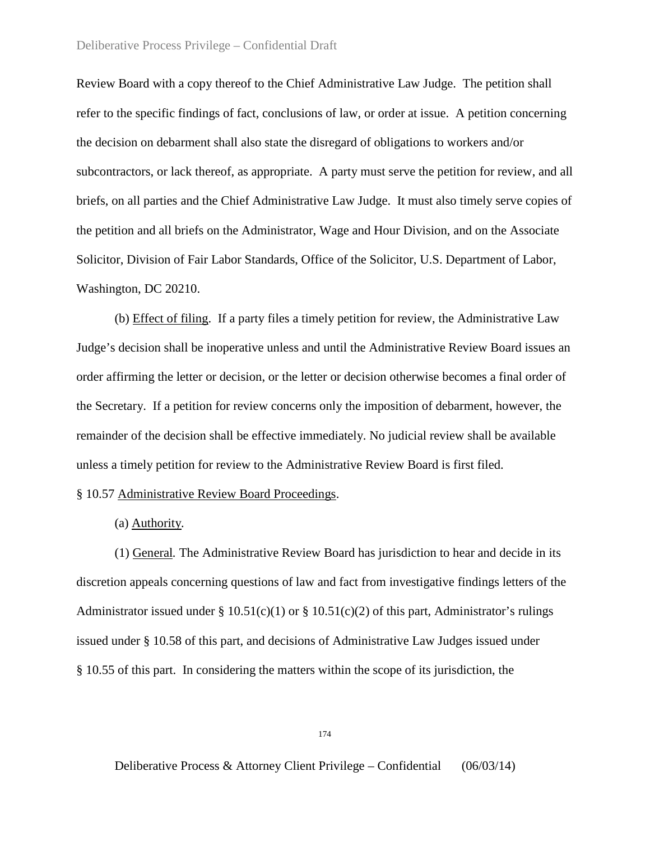Review Board with a copy thereof to the Chief Administrative Law Judge. The petition shall refer to the specific findings of fact, conclusions of law, or order at issue. A petition concerning the decision on debarment shall also state the disregard of obligations to workers and/or subcontractors, or lack thereof, as appropriate. A party must serve the petition for review, and all briefs, on all parties and the Chief Administrative Law Judge. It must also timely serve copies of the petition and all briefs on the Administrator, Wage and Hour Division, and on the Associate Solicitor, Division of Fair Labor Standards, Office of the Solicitor, U.S. Department of Labor, Washington, DC 20210.

(b) Effect of filing. If a party files a timely petition for review, the Administrative Law Judge's decision shall be inoperative unless and until the Administrative Review Board issues an order affirming the letter or decision, or the letter or decision otherwise becomes a final order of the Secretary. If a petition for review concerns only the imposition of debarment, however, the remainder of the decision shall be effective immediately. No judicial review shall be available unless a timely petition for review to the Administrative Review Board is first filed.

### § 10.57 Administrative Review Board Proceedings.

### (a) Authority*.*

(1) General*.* The Administrative Review Board has jurisdiction to hear and decide in its discretion appeals concerning questions of law and fact from investigative findings letters of the Administrator issued under §  $10.51(c)(1)$  or §  $10.51(c)(2)$  of this part, Administrator's rulings issued under § 10.58 of this part, and decisions of Administrative Law Judges issued under § 10.55 of this part. In considering the matters within the scope of its jurisdiction, the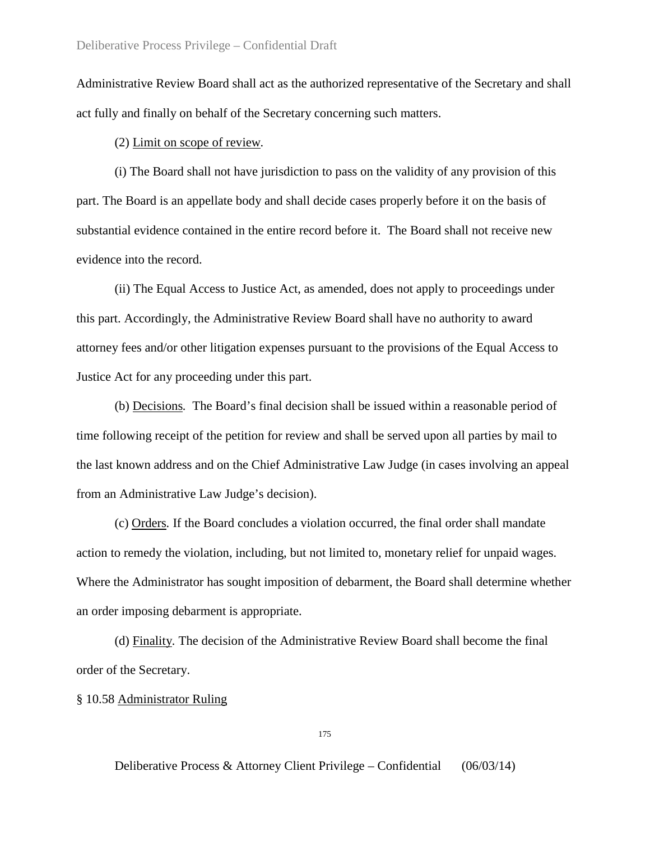Administrative Review Board shall act as the authorized representative of the Secretary and shall act fully and finally on behalf of the Secretary concerning such matters.

(2) Limit on scope of review*.*

(i) The Board shall not have jurisdiction to pass on the validity of any provision of this part. The Board is an appellate body and shall decide cases properly before it on the basis of substantial evidence contained in the entire record before it. The Board shall not receive new evidence into the record.

(ii) The Equal Access to Justice Act, as amended, does not apply to proceedings under this part. Accordingly, the Administrative Review Board shall have no authority to award attorney fees and/or other litigation expenses pursuant to the provisions of the Equal Access to Justice Act for any proceeding under this part.

(b) Decisions*.* The Board's final decision shall be issued within a reasonable period of time following receipt of the petition for review and shall be served upon all parties by mail to the last known address and on the Chief Administrative Law Judge (in cases involving an appeal from an Administrative Law Judge's decision).

(c) Orders*.* If the Board concludes a violation occurred, the final order shall mandate action to remedy the violation, including, but not limited to, monetary relief for unpaid wages. Where the Administrator has sought imposition of debarment, the Board shall determine whether an order imposing debarment is appropriate.

(d) Finality*.* The decision of the Administrative Review Board shall become the final order of the Secretary.

§ 10.58 Administrator Ruling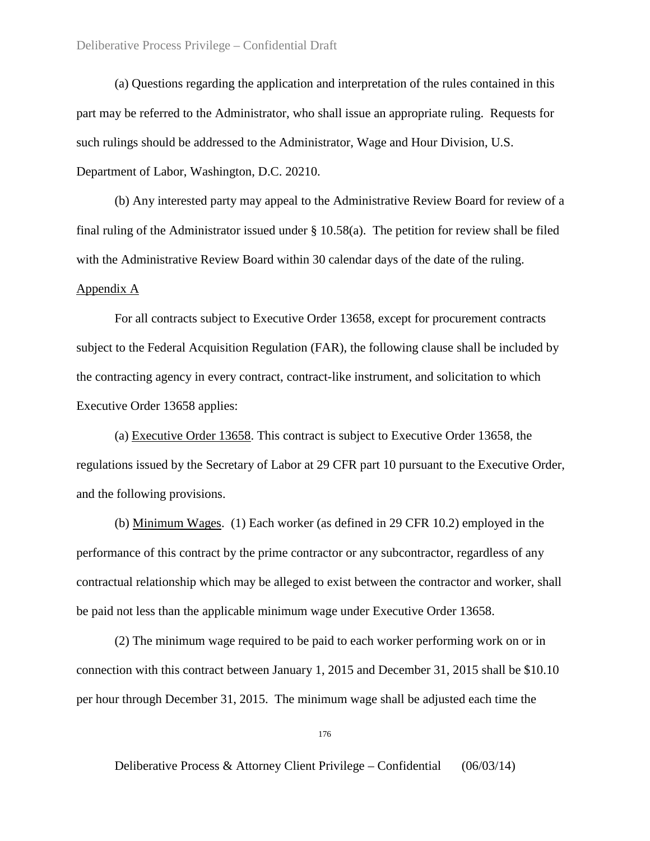(a) Questions regarding the application and interpretation of the rules contained in this part may be referred to the Administrator, who shall issue an appropriate ruling. Requests for such rulings should be addressed to the Administrator, Wage and Hour Division, U.S. Department of Labor, Washington, D.C. 20210.

(b) Any interested party may appeal to the Administrative Review Board for review of a final ruling of the Administrator issued under § 10.58(a). The petition for review shall be filed with the Administrative Review Board within 30 calendar days of the date of the ruling. Appendix A

For all contracts subject to Executive Order 13658, except for procurement contracts subject to the Federal Acquisition Regulation (FAR), the following clause shall be included by the contracting agency in every contract, contract-like instrument, and solicitation to which Executive Order 13658 applies:

(a) Executive Order 13658. This contract is subject to Executive Order 13658, the regulations issued by the Secretary of Labor at 29 CFR part 10 pursuant to the Executive Order, and the following provisions.

(b) Minimum Wages. (1) Each worker (as defined in 29 CFR 10.2) employed in the performance of this contract by the prime contractor or any subcontractor, regardless of any contractual relationship which may be alleged to exist between the contractor and worker, shall be paid not less than the applicable minimum wage under Executive Order 13658.

(2) The minimum wage required to be paid to each worker performing work on or in connection with this contract between January 1, 2015 and December 31, 2015 shall be \$10.10 per hour through December 31, 2015. The minimum wage shall be adjusted each time the

176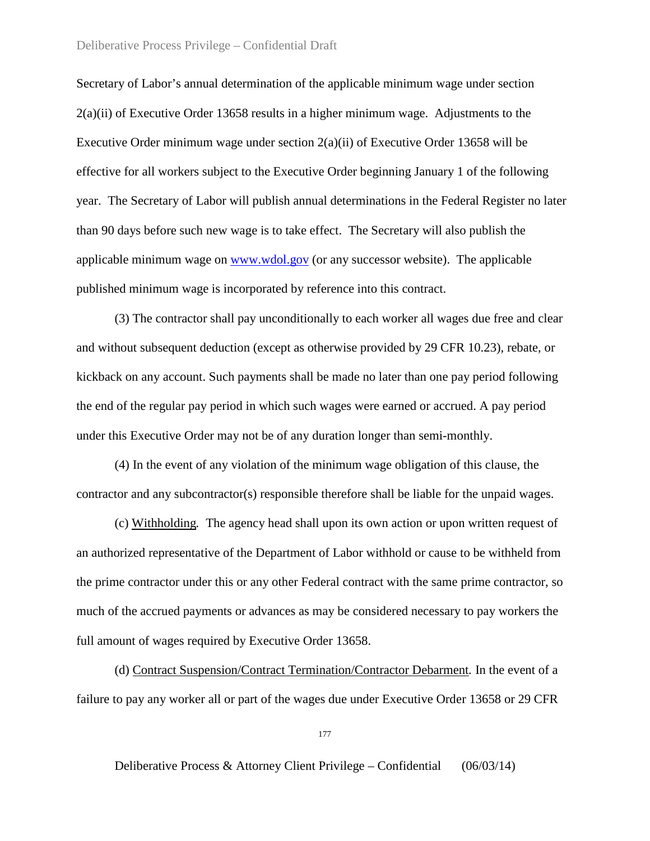Secretary of Labor's annual determination of the applicable minimum wage under section  $2(a)(ii)$  of Executive Order 13658 results in a higher minimum wage. Adjustments to the Executive Order minimum wage under section  $2(a)(ii)$  of Executive Order 13658 will be effective for all workers subject to the Executive Order beginning January 1 of the following year. The Secretary of Labor will publish annual determinations in the Federal Register no later than 90 days before such new wage is to take effect. The Secretary will also publish the applicable minimum wage on [www.wdol.gov](http://www.wdol.gov/) (or any successor website). The applicable published minimum wage is incorporated by reference into this contract.

(3) The contractor shall pay unconditionally to each worker all wages due free and clear and without subsequent deduction (except as otherwise provided by 29 CFR 10.23), rebate, or kickback on any account. Such payments shall be made no later than one pay period following the end of the regular pay period in which such wages were earned or accrued. A pay period under this Executive Order may not be of any duration longer than semi-monthly.

(4) In the event of any violation of the minimum wage obligation of this clause, the contractor and any subcontractor(s) responsible therefore shall be liable for the unpaid wages.

(c) Withholding*.* The agency head shall upon its own action or upon written request of an authorized representative of the Department of Labor withhold or cause to be withheld from the prime contractor under this or any other Federal contract with the same prime contractor, so much of the accrued payments or advances as may be considered necessary to pay workers the full amount of wages required by Executive Order 13658.

(d) Contract Suspension/Contract Termination/Contractor Debarment*.* In the event of a failure to pay any worker all or part of the wages due under Executive Order 13658 or 29 CFR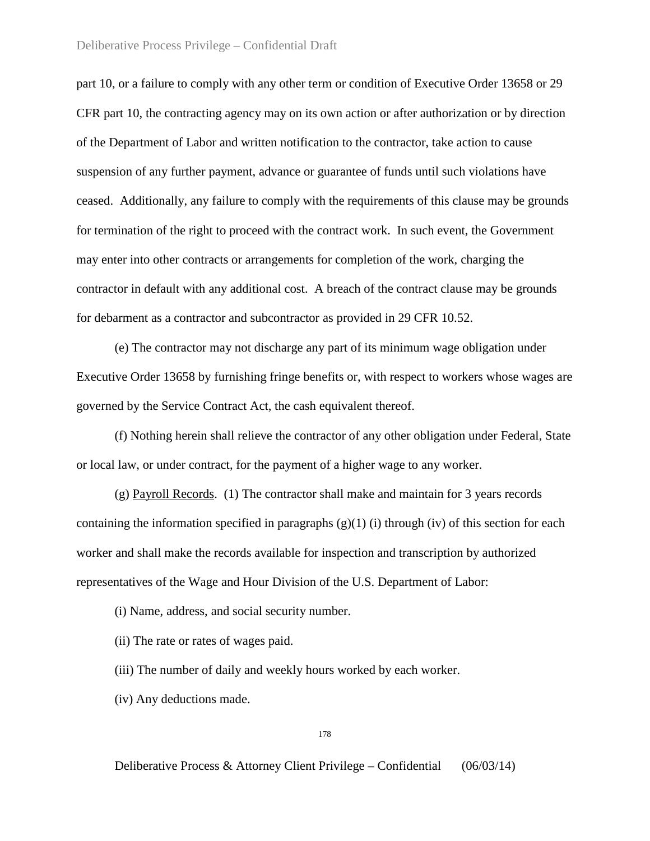part 10, or a failure to comply with any other term or condition of Executive Order 13658 or 29 CFR part 10, the contracting agency may on its own action or after authorization or by direction of the Department of Labor and written notification to the contractor, take action to cause suspension of any further payment, advance or guarantee of funds until such violations have ceased. Additionally, any failure to comply with the requirements of this clause may be grounds for termination of the right to proceed with the contract work. In such event, the Government may enter into other contracts or arrangements for completion of the work, charging the contractor in default with any additional cost. A breach of the contract clause may be grounds for debarment as a contractor and subcontractor as provided in 29 CFR 10.52.

(e) The contractor may not discharge any part of its minimum wage obligation under Executive Order 13658 by furnishing fringe benefits or, with respect to workers whose wages are governed by the Service Contract Act, the cash equivalent thereof.

(f) Nothing herein shall relieve the contractor of any other obligation under Federal, State or local law, or under contract, for the payment of a higher wage to any worker.

(g) Payroll Records. (1) The contractor shall make and maintain for 3 years records containing the information specified in paragraphs  $(g)(1)$  (i) through (iv) of this section for each worker and shall make the records available for inspection and transcription by authorized representatives of the Wage and Hour Division of the U.S. Department of Labor:

(i) Name, address, and social security number.

(ii) The rate or rates of wages paid.

(iii) The number of daily and weekly hours worked by each worker.

(iv) Any deductions made.

178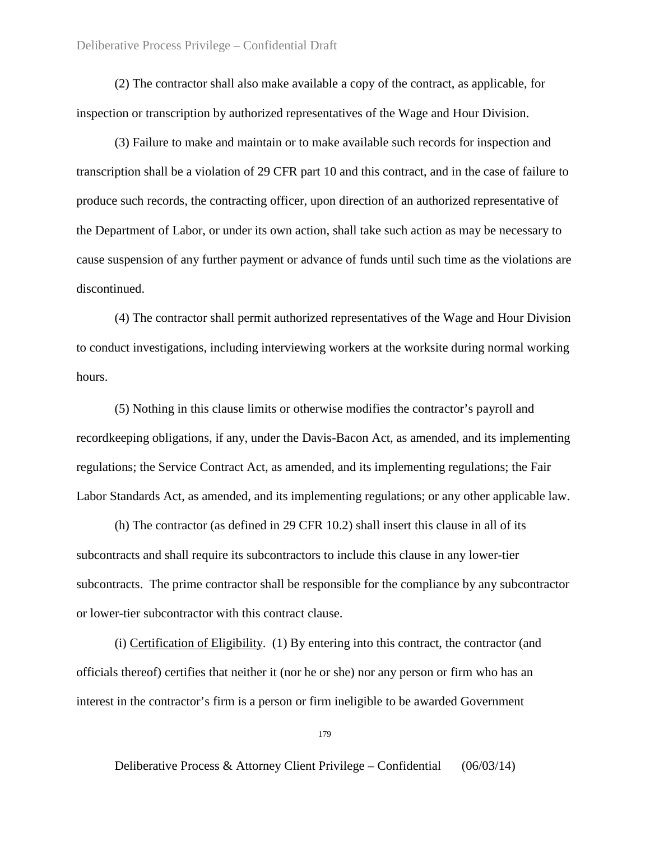(2) The contractor shall also make available a copy of the contract, as applicable, for inspection or transcription by authorized representatives of the Wage and Hour Division.

(3) Failure to make and maintain or to make available such records for inspection and transcription shall be a violation of 29 CFR part 10 and this contract, and in the case of failure to produce such records, the contracting officer, upon direction of an authorized representative of the Department of Labor, or under its own action, shall take such action as may be necessary to cause suspension of any further payment or advance of funds until such time as the violations are discontinued.

(4) The contractor shall permit authorized representatives of the Wage and Hour Division to conduct investigations, including interviewing workers at the worksite during normal working hours.

(5) Nothing in this clause limits or otherwise modifies the contractor's payroll and recordkeeping obligations, if any, under the Davis-Bacon Act, as amended, and its implementing regulations; the Service Contract Act, as amended, and its implementing regulations; the Fair Labor Standards Act, as amended, and its implementing regulations; or any other applicable law.

(h) The contractor (as defined in 29 CFR 10.2) shall insert this clause in all of its subcontracts and shall require its subcontractors to include this clause in any lower-tier subcontracts. The prime contractor shall be responsible for the compliance by any subcontractor or lower-tier subcontractor with this contract clause.

(i) Certification of Eligibility. (1) By entering into this contract, the contractor (and officials thereof) certifies that neither it (nor he or she) nor any person or firm who has an interest in the contractor's firm is a person or firm ineligible to be awarded Government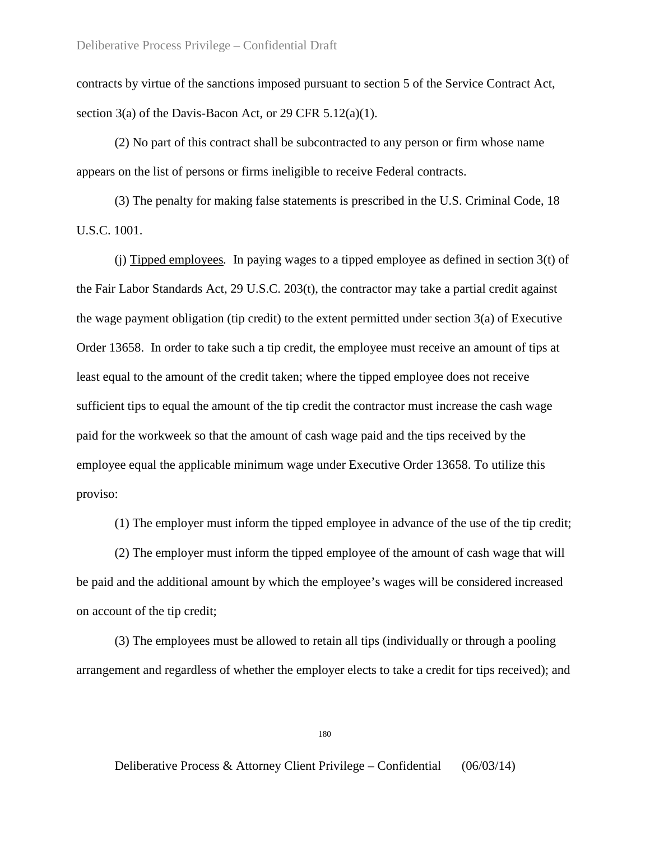contracts by virtue of the sanctions imposed pursuant to section 5 of the Service Contract Act, section  $3(a)$  of the Davis-Bacon Act, or 29 CFR  $5.12(a)(1)$ .

(2) No part of this contract shall be subcontracted to any person or firm whose name appears on the list of persons or firms ineligible to receive Federal contracts.

(3) The penalty for making false statements is prescribed in the U.S. Criminal Code, [18](http://www.law.cornell.edu/uscode/text/18/1001)  [U.S.C. 1001.](http://www.law.cornell.edu/uscode/text/18/1001)

(j) Tipped employees*.* In paying wages to a tipped employee as defined in section 3(t) of the Fair Labor Standards Act, 29 U.S.C. 203(t), the contractor may take a partial credit against the wage payment obligation (tip credit) to the extent permitted under section 3(a) of Executive Order 13658. In order to take such a tip credit, the employee must receive an amount of tips at least equal to the amount of the credit taken; where the tipped employee does not receive sufficient tips to equal the amount of the tip credit the contractor must increase the cash wage paid for the workweek so that the amount of cash wage paid and the tips received by the employee equal the applicable minimum wage under Executive Order 13658. To utilize this proviso:

(1) The employer must inform the tipped employee in advance of the use of the tip credit;

(2) The employer must inform the tipped employee of the amount of cash wage that will be paid and the additional amount by which the employee's wages will be considered increased on account of the tip credit;

(3) The employees must be allowed to retain all tips (individually or through a pooling arrangement and regardless of whether the employer elects to take a credit for tips received); and